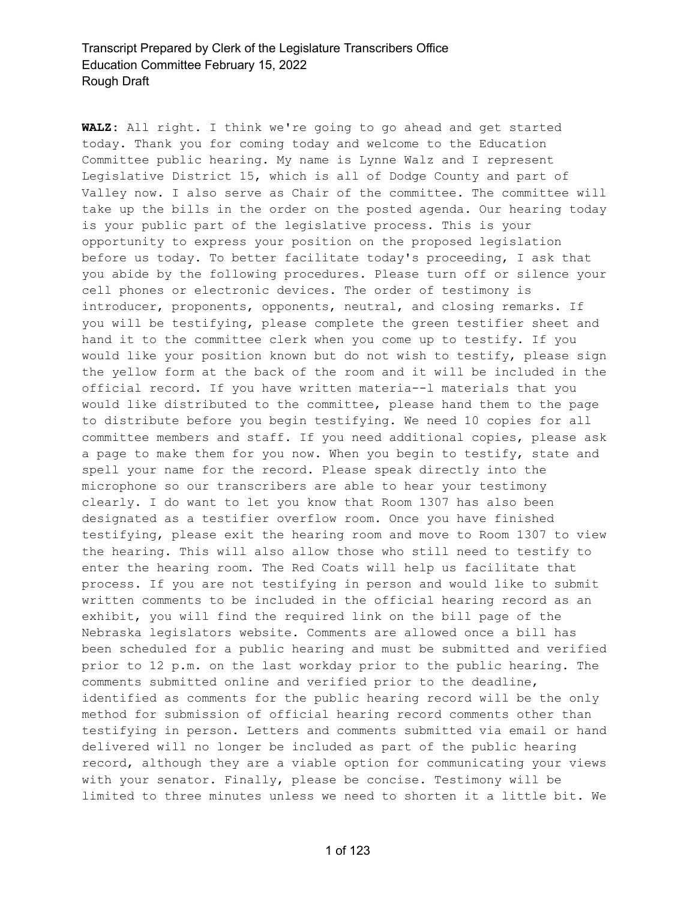**WALZ:** All right. I think we're going to go ahead and get started today. Thank you for coming today and welcome to the Education Committee public hearing. My name is Lynne Walz and I represent Legislative District 15, which is all of Dodge County and part of Valley now. I also serve as Chair of the committee. The committee will take up the bills in the order on the posted agenda. Our hearing today is your public part of the legislative process. This is your opportunity to express your position on the proposed legislation before us today. To better facilitate today's proceeding, I ask that you abide by the following procedures. Please turn off or silence your cell phones or electronic devices. The order of testimony is introducer, proponents, opponents, neutral, and closing remarks. If you will be testifying, please complete the green testifier sheet and hand it to the committee clerk when you come up to testify. If you would like your position known but do not wish to testify, please sign the yellow form at the back of the room and it will be included in the official record. If you have written materia--l materials that you would like distributed to the committee, please hand them to the page to distribute before you begin testifying. We need 10 copies for all committee members and staff. If you need additional copies, please ask a page to make them for you now. When you begin to testify, state and spell your name for the record. Please speak directly into the microphone so our transcribers are able to hear your testimony clearly. I do want to let you know that Room 1307 has also been designated as a testifier overflow room. Once you have finished testifying, please exit the hearing room and move to Room 1307 to view the hearing. This will also allow those who still need to testify to enter the hearing room. The Red Coats will help us facilitate that process. If you are not testifying in person and would like to submit written comments to be included in the official hearing record as an exhibit, you will find the required link on the bill page of the Nebraska legislators website. Comments are allowed once a bill has been scheduled for a public hearing and must be submitted and verified prior to 12 p.m. on the last workday prior to the public hearing. The comments submitted online and verified prior to the deadline, identified as comments for the public hearing record will be the only method for submission of official hearing record comments other than testifying in person. Letters and comments submitted via email or hand delivered will no longer be included as part of the public hearing record, although they are a viable option for communicating your views with your senator. Finally, please be concise. Testimony will be limited to three minutes unless we need to shorten it a little bit. We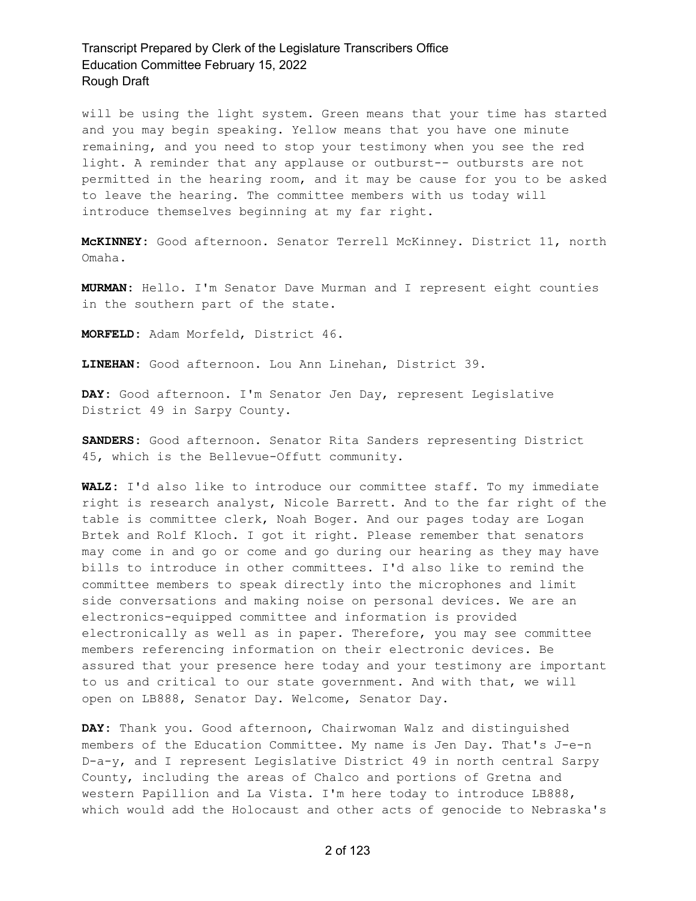will be using the light system. Green means that your time has started and you may begin speaking. Yellow means that you have one minute remaining, and you need to stop your testimony when you see the red light. A reminder that any applause or outburst-- outbursts are not permitted in the hearing room, and it may be cause for you to be asked to leave the hearing. The committee members with us today will introduce themselves beginning at my far right.

**McKINNEY:** Good afternoon. Senator Terrell McKinney. District 11, north Omaha.

**MURMAN:** Hello. I'm Senator Dave Murman and I represent eight counties in the southern part of the state.

**MORFELD:** Adam Morfeld, District 46.

**LINEHAN:** Good afternoon. Lou Ann Linehan, District 39.

**DAY:** Good afternoon. I'm Senator Jen Day, represent Legislative District 49 in Sarpy County.

**SANDERS:** Good afternoon. Senator Rita Sanders representing District 45, which is the Bellevue-Offutt community.

**WALZ:** I'd also like to introduce our committee staff. To my immediate right is research analyst, Nicole Barrett. And to the far right of the table is committee clerk, Noah Boger. And our pages today are Logan Brtek and Rolf Kloch. I got it right. Please remember that senators may come in and go or come and go during our hearing as they may have bills to introduce in other committees. I'd also like to remind the committee members to speak directly into the microphones and limit side conversations and making noise on personal devices. We are an electronics-equipped committee and information is provided electronically as well as in paper. Therefore, you may see committee members referencing information on their electronic devices. Be assured that your presence here today and your testimony are important to us and critical to our state government. And with that, we will open on LB888, Senator Day. Welcome, Senator Day.

**DAY:** Thank you. Good afternoon, Chairwoman Walz and distinguished members of the Education Committee. My name is Jen Day. That's J-e-n D-a-y, and I represent Legislative District 49 in north central Sarpy County, including the areas of Chalco and portions of Gretna and western Papillion and La Vista. I'm here today to introduce LB888, which would add the Holocaust and other acts of genocide to Nebraska's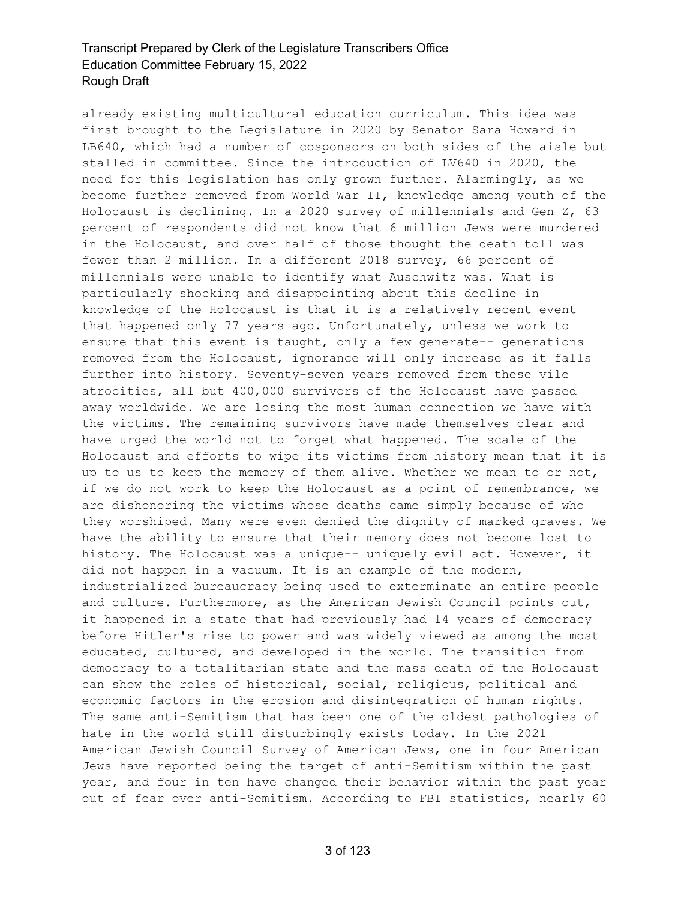already existing multicultural education curriculum. This idea was first brought to the Legislature in 2020 by Senator Sara Howard in LB640, which had a number of cosponsors on both sides of the aisle but stalled in committee. Since the introduction of LV640 in 2020, the need for this legislation has only grown further. Alarmingly, as we become further removed from World War II, knowledge among youth of the Holocaust is declining. In a 2020 survey of millennials and Gen Z, 63 percent of respondents did not know that 6 million Jews were murdered in the Holocaust, and over half of those thought the death toll was fewer than 2 million. In a different 2018 survey, 66 percent of millennials were unable to identify what Auschwitz was. What is particularly shocking and disappointing about this decline in knowledge of the Holocaust is that it is a relatively recent event that happened only 77 years ago. Unfortunately, unless we work to ensure that this event is taught, only a few generate-- generations removed from the Holocaust, ignorance will only increase as it falls further into history. Seventy-seven years removed from these vile atrocities, all but 400,000 survivors of the Holocaust have passed away worldwide. We are losing the most human connection we have with the victims. The remaining survivors have made themselves clear and have urged the world not to forget what happened. The scale of the Holocaust and efforts to wipe its victims from history mean that it is up to us to keep the memory of them alive. Whether we mean to or not, if we do not work to keep the Holocaust as a point of remembrance, we are dishonoring the victims whose deaths came simply because of who they worshiped. Many were even denied the dignity of marked graves. We have the ability to ensure that their memory does not become lost to history. The Holocaust was a unique-- uniquely evil act. However, it did not happen in a vacuum. It is an example of the modern, industrialized bureaucracy being used to exterminate an entire people and culture. Furthermore, as the American Jewish Council points out, it happened in a state that had previously had 14 years of democracy before Hitler's rise to power and was widely viewed as among the most educated, cultured, and developed in the world. The transition from democracy to a totalitarian state and the mass death of the Holocaust can show the roles of historical, social, religious, political and economic factors in the erosion and disintegration of human rights. The same anti-Semitism that has been one of the oldest pathologies of hate in the world still disturbingly exists today. In the 2021 American Jewish Council Survey of American Jews, one in four American Jews have reported being the target of anti-Semitism within the past year, and four in ten have changed their behavior within the past year out of fear over anti-Semitism. According to FBI statistics, nearly 60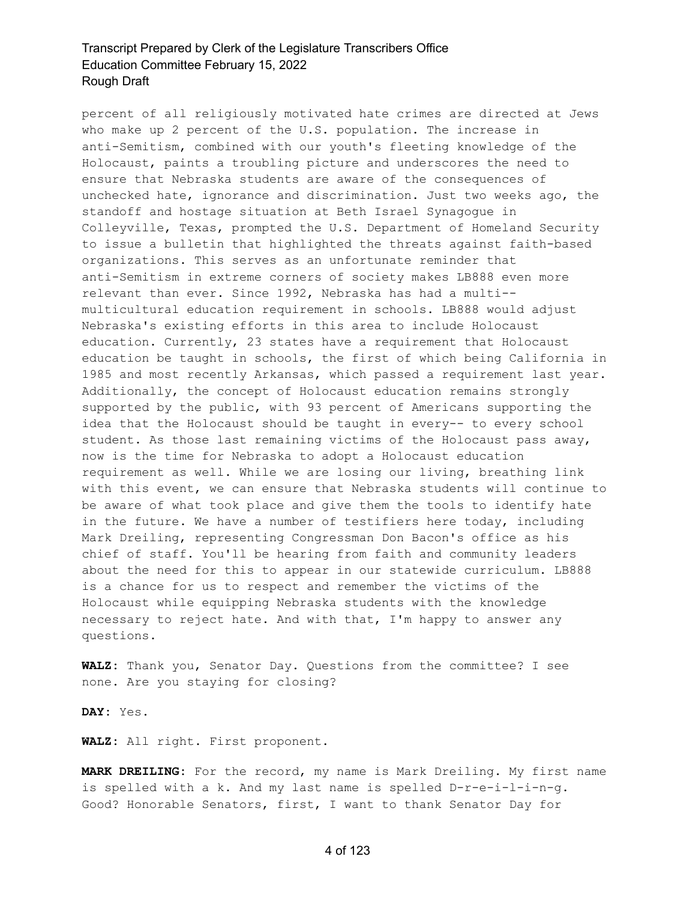percent of all religiously motivated hate crimes are directed at Jews who make up 2 percent of the U.S. population. The increase in anti-Semitism, combined with our youth's fleeting knowledge of the Holocaust, paints a troubling picture and underscores the need to ensure that Nebraska students are aware of the consequences of unchecked hate, ignorance and discrimination. Just two weeks ago, the standoff and hostage situation at Beth Israel Synagogue in Colleyville, Texas, prompted the U.S. Department of Homeland Security to issue a bulletin that highlighted the threats against faith-based organizations. This serves as an unfortunate reminder that anti-Semitism in extreme corners of society makes LB888 even more relevant than ever. Since 1992, Nebraska has had a multi- multicultural education requirement in schools. LB888 would adjust Nebraska's existing efforts in this area to include Holocaust education. Currently, 23 states have a requirement that Holocaust education be taught in schools, the first of which being California in 1985 and most recently Arkansas, which passed a requirement last year. Additionally, the concept of Holocaust education remains strongly supported by the public, with 93 percent of Americans supporting the idea that the Holocaust should be taught in every-- to every school student. As those last remaining victims of the Holocaust pass away, now is the time for Nebraska to adopt a Holocaust education requirement as well. While we are losing our living, breathing link with this event, we can ensure that Nebraska students will continue to be aware of what took place and give them the tools to identify hate in the future. We have a number of testifiers here today, including Mark Dreiling, representing Congressman Don Bacon's office as his chief of staff. You'll be hearing from faith and community leaders about the need for this to appear in our statewide curriculum. LB888 is a chance for us to respect and remember the victims of the Holocaust while equipping Nebraska students with the knowledge necessary to reject hate. And with that, I'm happy to answer any questions.

**WALZ:** Thank you, Senator Day. Questions from the committee? I see none. Are you staying for closing?

**DAY:** Yes.

**WALZ:** All right. First proponent.

**MARK DREILING:** For the record, my name is Mark Dreiling. My first name is spelled with a k. And my last name is spelled D-r-e-i-l-i-n-g. Good? Honorable Senators, first, I want to thank Senator Day for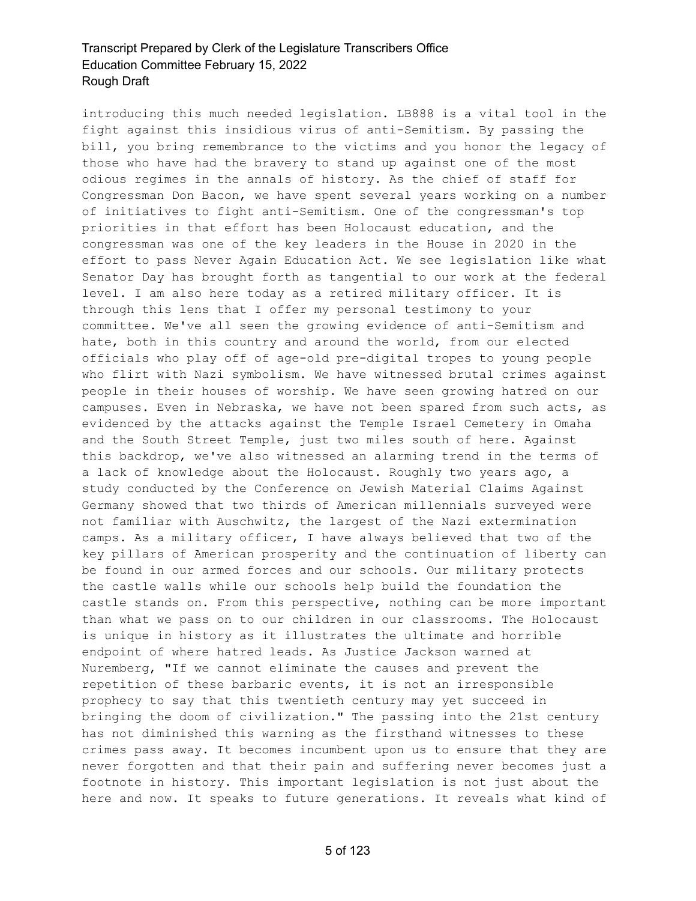introducing this much needed legislation. LB888 is a vital tool in the fight against this insidious virus of anti-Semitism. By passing the bill, you bring remembrance to the victims and you honor the legacy of those who have had the bravery to stand up against one of the most odious regimes in the annals of history. As the chief of staff for Congressman Don Bacon, we have spent several years working on a number of initiatives to fight anti-Semitism. One of the congressman's top priorities in that effort has been Holocaust education, and the congressman was one of the key leaders in the House in 2020 in the effort to pass Never Again Education Act. We see legislation like what Senator Day has brought forth as tangential to our work at the federal level. I am also here today as a retired military officer. It is through this lens that I offer my personal testimony to your committee. We've all seen the growing evidence of anti-Semitism and hate, both in this country and around the world, from our elected officials who play off of age-old pre-digital tropes to young people who flirt with Nazi symbolism. We have witnessed brutal crimes against people in their houses of worship. We have seen growing hatred on our campuses. Even in Nebraska, we have not been spared from such acts, as evidenced by the attacks against the Temple Israel Cemetery in Omaha and the South Street Temple, just two miles south of here. Against this backdrop, we've also witnessed an alarming trend in the terms of a lack of knowledge about the Holocaust. Roughly two years ago, a study conducted by the Conference on Jewish Material Claims Against Germany showed that two thirds of American millennials surveyed were not familiar with Auschwitz, the largest of the Nazi extermination camps. As a military officer, I have always believed that two of the key pillars of American prosperity and the continuation of liberty can be found in our armed forces and our schools. Our military protects the castle walls while our schools help build the foundation the castle stands on. From this perspective, nothing can be more important than what we pass on to our children in our classrooms. The Holocaust is unique in history as it illustrates the ultimate and horrible endpoint of where hatred leads. As Justice Jackson warned at Nuremberg, "If we cannot eliminate the causes and prevent the repetition of these barbaric events, it is not an irresponsible prophecy to say that this twentieth century may yet succeed in bringing the doom of civilization." The passing into the 21st century has not diminished this warning as the firsthand witnesses to these crimes pass away. It becomes incumbent upon us to ensure that they are never forgotten and that their pain and suffering never becomes just a footnote in history. This important legislation is not just about the here and now. It speaks to future generations. It reveals what kind of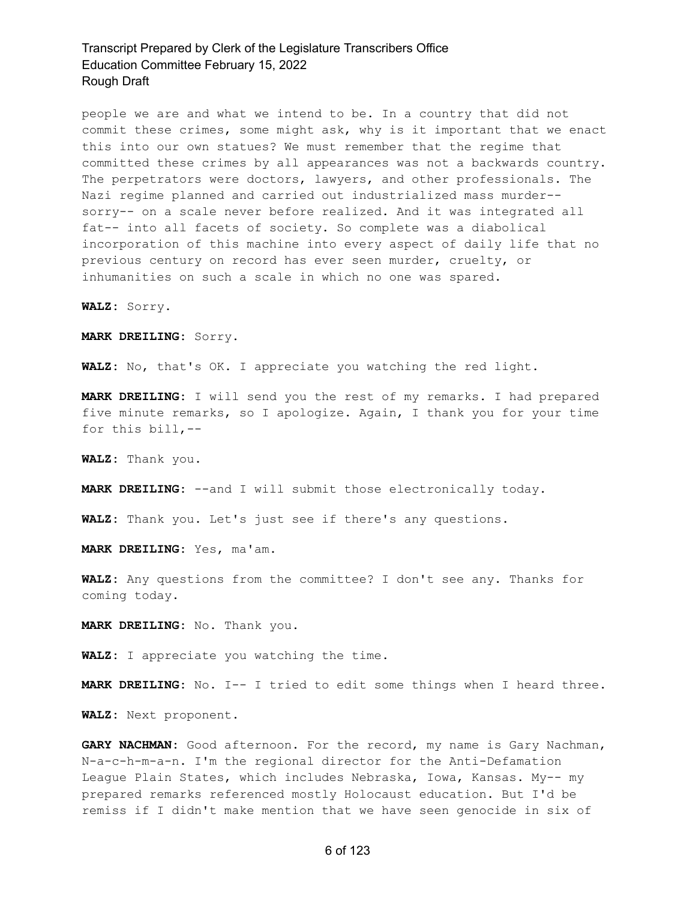people we are and what we intend to be. In a country that did not commit these crimes, some might ask, why is it important that we enact this into our own statues? We must remember that the regime that committed these crimes by all appearances was not a backwards country. The perpetrators were doctors, lawyers, and other professionals. The Nazi regime planned and carried out industrialized mass murder- sorry-- on a scale never before realized. And it was integrated all fat-- into all facets of society. So complete was a diabolical incorporation of this machine into every aspect of daily life that no previous century on record has ever seen murder, cruelty, or inhumanities on such a scale in which no one was spared.

**WALZ:** Sorry.

**MARK DREILING:** Sorry.

**WALZ:** No, that's OK. I appreciate you watching the red light.

**MARK DREILING:** I will send you the rest of my remarks. I had prepared five minute remarks, so I apologize. Again, I thank you for your time for this bill,--

**WALZ:** Thank you.

**MARK DREILING:** --and I will submit those electronically today.

**WALZ:** Thank you. Let's just see if there's any questions.

**MARK DREILING:** Yes, ma'am.

**WALZ:** Any questions from the committee? I don't see any. Thanks for coming today.

**MARK DREILING:** No. Thank you.

**WALZ:** I appreciate you watching the time.

**MARK DREILING:** No. I-- I tried to edit some things when I heard three.

**WALZ:** Next proponent.

**GARY NACHMAN:** Good afternoon. For the record, my name is Gary Nachman, N-a-c-h-m-a-n. I'm the regional director for the Anti-Defamation League Plain States, which includes Nebraska, Iowa, Kansas. My-- my prepared remarks referenced mostly Holocaust education. But I'd be remiss if I didn't make mention that we have seen genocide in six of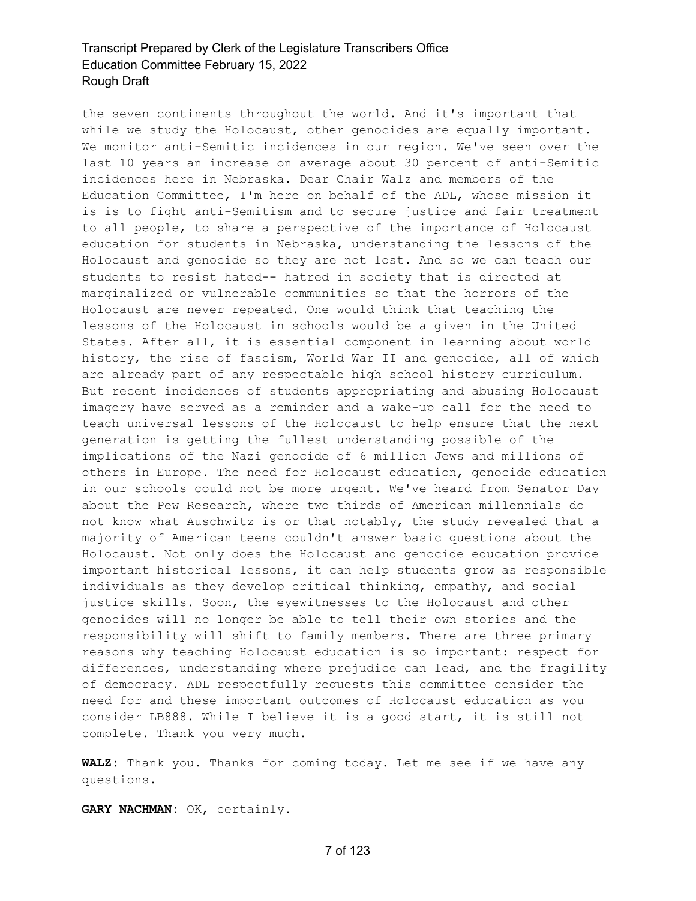the seven continents throughout the world. And it's important that while we study the Holocaust, other genocides are equally important. We monitor anti-Semitic incidences in our region. We've seen over the last 10 years an increase on average about 30 percent of anti-Semitic incidences here in Nebraska. Dear Chair Walz and members of the Education Committee, I'm here on behalf of the ADL, whose mission it is is to fight anti-Semitism and to secure justice and fair treatment to all people, to share a perspective of the importance of Holocaust education for students in Nebraska, understanding the lessons of the Holocaust and genocide so they are not lost. And so we can teach our students to resist hated-- hatred in society that is directed at marginalized or vulnerable communities so that the horrors of the Holocaust are never repeated. One would think that teaching the lessons of the Holocaust in schools would be a given in the United States. After all, it is essential component in learning about world history, the rise of fascism, World War II and genocide, all of which are already part of any respectable high school history curriculum. But recent incidences of students appropriating and abusing Holocaust imagery have served as a reminder and a wake-up call for the need to teach universal lessons of the Holocaust to help ensure that the next generation is getting the fullest understanding possible of the implications of the Nazi genocide of 6 million Jews and millions of others in Europe. The need for Holocaust education, genocide education in our schools could not be more urgent. We've heard from Senator Day about the Pew Research, where two thirds of American millennials do not know what Auschwitz is or that notably, the study revealed that a majority of American teens couldn't answer basic questions about the Holocaust. Not only does the Holocaust and genocide education provide important historical lessons, it can help students grow as responsible individuals as they develop critical thinking, empathy, and social justice skills. Soon, the eyewitnesses to the Holocaust and other genocides will no longer be able to tell their own stories and the responsibility will shift to family members. There are three primary reasons why teaching Holocaust education is so important: respect for differences, understanding where prejudice can lead, and the fragility of democracy. ADL respectfully requests this committee consider the need for and these important outcomes of Holocaust education as you consider LB888. While I believe it is a good start, it is still not complete. Thank you very much.

**WALZ:** Thank you. Thanks for coming today. Let me see if we have any questions.

**GARY NACHMAN:** OK, certainly.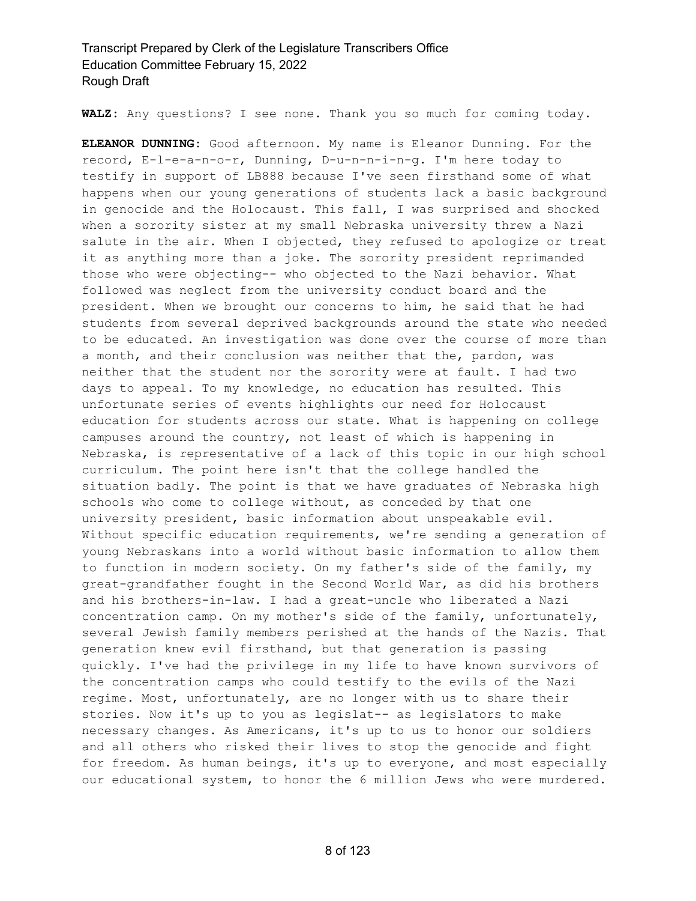**WALZ:** Any questions? I see none. Thank you so much for coming today.

**ELEANOR DUNNING:** Good afternoon. My name is Eleanor Dunning. For the record, E-l-e-a-n-o-r, Dunning, D-u-n-n-i-n-g. I'm here today to testify in support of LB888 because I've seen firsthand some of what happens when our young generations of students lack a basic background in genocide and the Holocaust. This fall, I was surprised and shocked when a sorority sister at my small Nebraska university threw a Nazi salute in the air. When I objected, they refused to apologize or treat it as anything more than a joke. The sorority president reprimanded those who were objecting-- who objected to the Nazi behavior. What followed was neglect from the university conduct board and the president. When we brought our concerns to him, he said that he had students from several deprived backgrounds around the state who needed to be educated. An investigation was done over the course of more than a month, and their conclusion was neither that the, pardon, was neither that the student nor the sorority were at fault. I had two days to appeal. To my knowledge, no education has resulted. This unfortunate series of events highlights our need for Holocaust education for students across our state. What is happening on college campuses around the country, not least of which is happening in Nebraska, is representative of a lack of this topic in our high school curriculum. The point here isn't that the college handled the situation badly. The point is that we have graduates of Nebraska high schools who come to college without, as conceded by that one university president, basic information about unspeakable evil. Without specific education requirements, we're sending a generation of young Nebraskans into a world without basic information to allow them to function in modern society. On my father's side of the family, my great-grandfather fought in the Second World War, as did his brothers and his brothers-in-law. I had a great-uncle who liberated a Nazi concentration camp. On my mother's side of the family, unfortunately, several Jewish family members perished at the hands of the Nazis. That generation knew evil firsthand, but that generation is passing quickly. I've had the privilege in my life to have known survivors of the concentration camps who could testify to the evils of the Nazi regime. Most, unfortunately, are no longer with us to share their stories. Now it's up to you as legislat-- as legislators to make necessary changes. As Americans, it's up to us to honor our soldiers and all others who risked their lives to stop the genocide and fight for freedom. As human beings, it's up to everyone, and most especially our educational system, to honor the 6 million Jews who were murdered.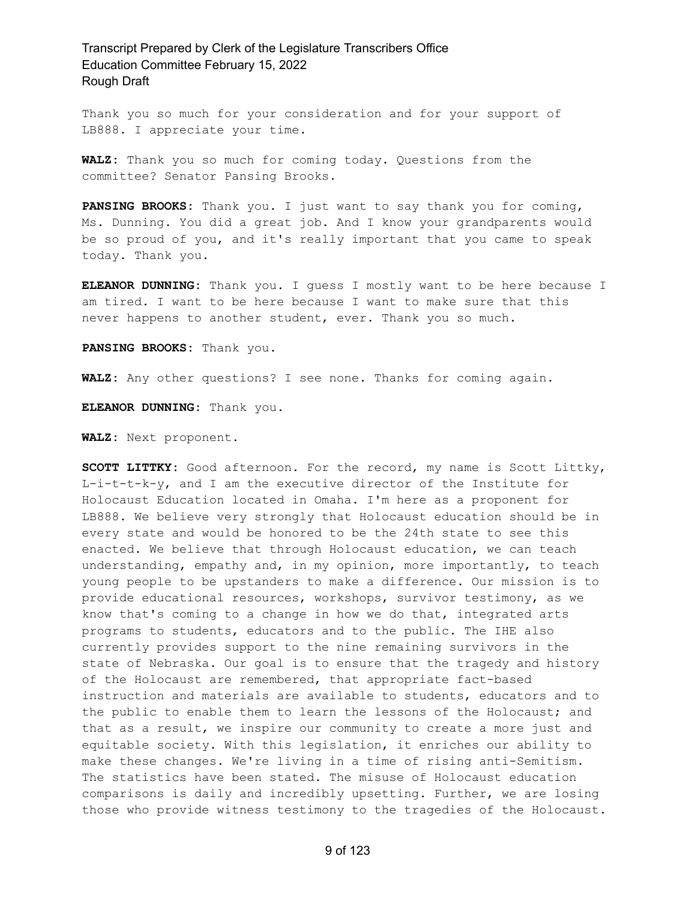Thank you so much for your consideration and for your support of LB888. I appreciate your time.

**WALZ:** Thank you so much for coming today. Questions from the committee? Senator Pansing Brooks.

**PANSING BROOKS:** Thank you. I just want to say thank you for coming, Ms. Dunning. You did a great job. And I know your grandparents would be so proud of you, and it's really important that you came to speak today. Thank you.

**ELEANOR DUNNING:** Thank you. I guess I mostly want to be here because I am tired. I want to be here because I want to make sure that this never happens to another student, ever. Thank you so much.

**PANSING BROOKS:** Thank you.

**WALZ:** Any other questions? I see none. Thanks for coming again.

**ELEANOR DUNNING:** Thank you.

**WALZ:** Next proponent.

**SCOTT LITTKY:** Good afternoon. For the record, my name is Scott Littky, L-i-t-t-k-y, and I am the executive director of the Institute for Holocaust Education located in Omaha. I'm here as a proponent for LB888. We believe very strongly that Holocaust education should be in every state and would be honored to be the 24th state to see this enacted. We believe that through Holocaust education, we can teach understanding, empathy and, in my opinion, more importantly, to teach young people to be upstanders to make a difference. Our mission is to provide educational resources, workshops, survivor testimony, as we know that's coming to a change in how we do that, integrated arts programs to students, educators and to the public. The IHE also currently provides support to the nine remaining survivors in the state of Nebraska. Our goal is to ensure that the tragedy and history of the Holocaust are remembered, that appropriate fact-based instruction and materials are available to students, educators and to the public to enable them to learn the lessons of the Holocaust; and that as a result, we inspire our community to create a more just and equitable society. With this legislation, it enriches our ability to make these changes. We're living in a time of rising anti-Semitism. The statistics have been stated. The misuse of Holocaust education comparisons is daily and incredibly upsetting. Further, we are losing those who provide witness testimony to the tragedies of the Holocaust.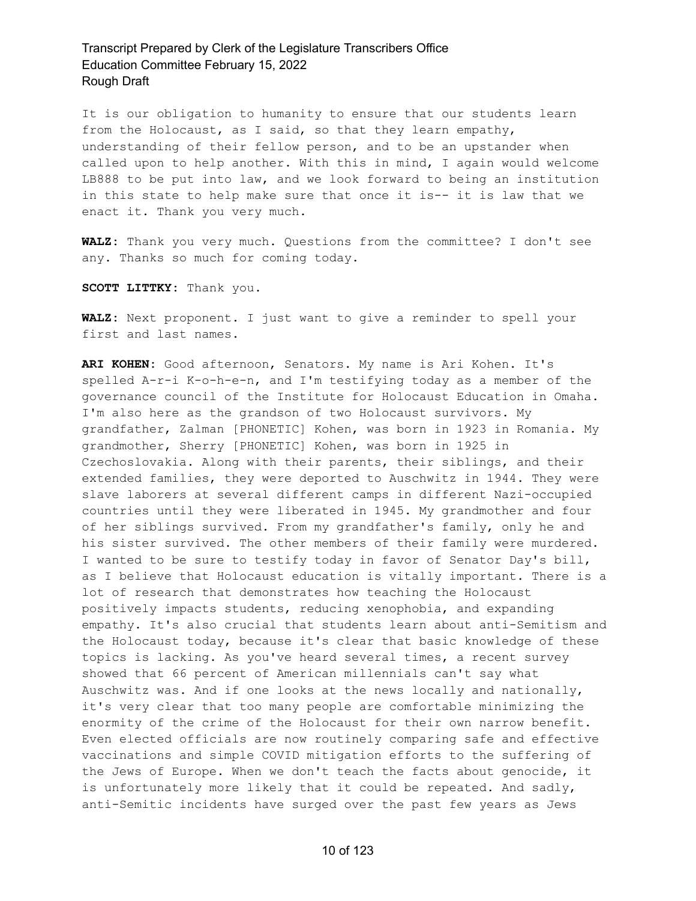It is our obligation to humanity to ensure that our students learn from the Holocaust, as I said, so that they learn empathy, understanding of their fellow person, and to be an upstander when called upon to help another. With this in mind, I again would welcome LB888 to be put into law, and we look forward to being an institution in this state to help make sure that once it is-- it is law that we enact it. Thank you very much.

**WALZ:** Thank you very much. Questions from the committee? I don't see any. Thanks so much for coming today.

**SCOTT LITTKY:** Thank you.

**WALZ:** Next proponent. I just want to give a reminder to spell your first and last names.

**ARI KOHEN:** Good afternoon, Senators. My name is Ari Kohen. It's spelled A-r-i K-o-h-e-n, and I'm testifying today as a member of the governance council of the Institute for Holocaust Education in Omaha. I'm also here as the grandson of two Holocaust survivors. My grandfather, Zalman [PHONETIC] Kohen, was born in 1923 in Romania. My grandmother, Sherry [PHONETIC] Kohen, was born in 1925 in Czechoslovakia. Along with their parents, their siblings, and their extended families, they were deported to Auschwitz in 1944. They were slave laborers at several different camps in different Nazi-occupied countries until they were liberated in 1945. My grandmother and four of her siblings survived. From my grandfather's family, only he and his sister survived. The other members of their family were murdered. I wanted to be sure to testify today in favor of Senator Day's bill, as I believe that Holocaust education is vitally important. There is a lot of research that demonstrates how teaching the Holocaust positively impacts students, reducing xenophobia, and expanding empathy. It's also crucial that students learn about anti-Semitism and the Holocaust today, because it's clear that basic knowledge of these topics is lacking. As you've heard several times, a recent survey showed that 66 percent of American millennials can't say what Auschwitz was. And if one looks at the news locally and nationally, it's very clear that too many people are comfortable minimizing the enormity of the crime of the Holocaust for their own narrow benefit. Even elected officials are now routinely comparing safe and effective vaccinations and simple COVID mitigation efforts to the suffering of the Jews of Europe. When we don't teach the facts about genocide, it is unfortunately more likely that it could be repeated. And sadly, anti-Semitic incidents have surged over the past few years as Jews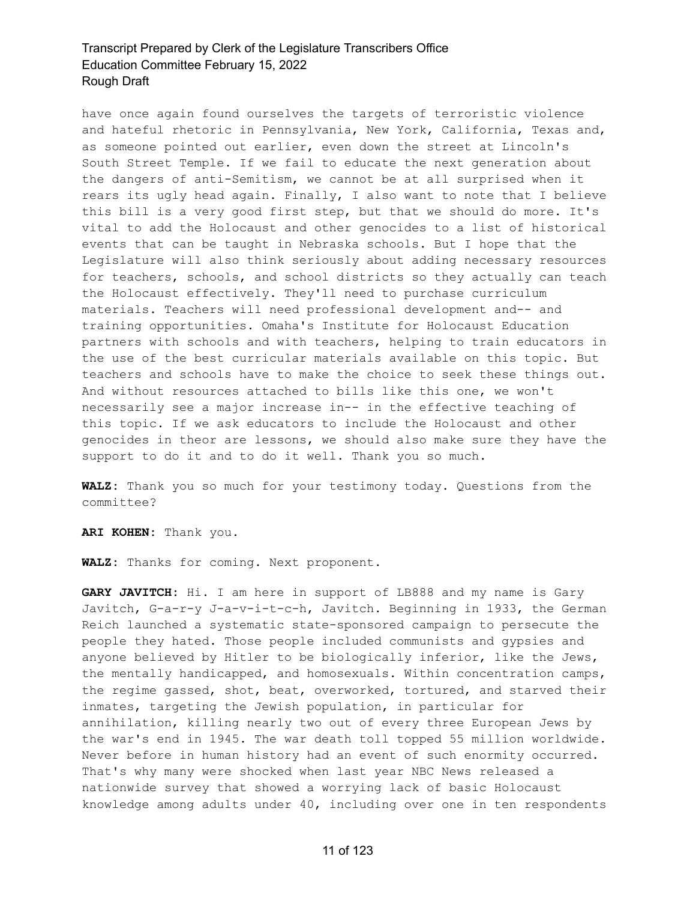have once again found ourselves the targets of terroristic violence and hateful rhetoric in Pennsylvania, New York, California, Texas and, as someone pointed out earlier, even down the street at Lincoln's South Street Temple. If we fail to educate the next generation about the dangers of anti-Semitism, we cannot be at all surprised when it rears its ugly head again. Finally, I also want to note that I believe this bill is a very good first step, but that we should do more. It's vital to add the Holocaust and other genocides to a list of historical events that can be taught in Nebraska schools. But I hope that the Legislature will also think seriously about adding necessary resources for teachers, schools, and school districts so they actually can teach the Holocaust effectively. They'll need to purchase curriculum materials. Teachers will need professional development and-- and training opportunities. Omaha's Institute for Holocaust Education partners with schools and with teachers, helping to train educators in the use of the best curricular materials available on this topic. But teachers and schools have to make the choice to seek these things out. And without resources attached to bills like this one, we won't necessarily see a major increase in-- in the effective teaching of this topic. If we ask educators to include the Holocaust and other genocides in theor are lessons, we should also make sure they have the support to do it and to do it well. Thank you so much.

**WALZ:** Thank you so much for your testimony today. Questions from the committee?

**ARI KOHEN:** Thank you.

**WALZ:** Thanks for coming. Next proponent.

**GARY JAVITCH:** Hi. I am here in support of LB888 and my name is Gary Javitch, G-a-r-y J-a-v-i-t-c-h, Javitch. Beginning in 1933, the German Reich launched a systematic state-sponsored campaign to persecute the people they hated. Those people included communists and gypsies and anyone believed by Hitler to be biologically inferior, like the Jews, the mentally handicapped, and homosexuals. Within concentration camps, the regime gassed, shot, beat, overworked, tortured, and starved their inmates, targeting the Jewish population, in particular for annihilation, killing nearly two out of every three European Jews by the war's end in 1945. The war death toll topped 55 million worldwide. Never before in human history had an event of such enormity occurred. That's why many were shocked when last year NBC News released a nationwide survey that showed a worrying lack of basic Holocaust knowledge among adults under 40, including over one in ten respondents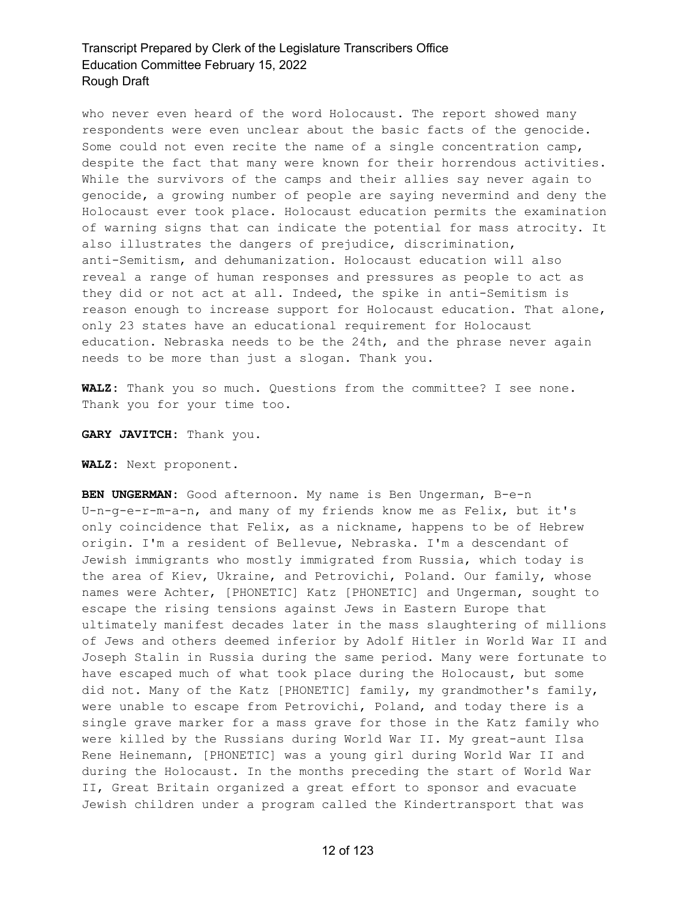who never even heard of the word Holocaust. The report showed many respondents were even unclear about the basic facts of the genocide. Some could not even recite the name of a single concentration camp, despite the fact that many were known for their horrendous activities. While the survivors of the camps and their allies say never again to genocide, a growing number of people are saying nevermind and deny the Holocaust ever took place. Holocaust education permits the examination of warning signs that can indicate the potential for mass atrocity. It also illustrates the dangers of prejudice, discrimination, anti-Semitism, and dehumanization. Holocaust education will also reveal a range of human responses and pressures as people to act as they did or not act at all. Indeed, the spike in anti-Semitism is reason enough to increase support for Holocaust education. That alone, only 23 states have an educational requirement for Holocaust education. Nebraska needs to be the 24th, and the phrase never again needs to be more than just a slogan. Thank you.

**WALZ:** Thank you so much. Questions from the committee? I see none. Thank you for your time too.

**GARY JAVITCH:** Thank you.

**WALZ:** Next proponent.

**BEN UNGERMAN:** Good afternoon. My name is Ben Ungerman, B-e-n U-n-g-e-r-m-a-n, and many of my friends know me as Felix, but it's only coincidence that Felix, as a nickname, happens to be of Hebrew origin. I'm a resident of Bellevue, Nebraska. I'm a descendant of Jewish immigrants who mostly immigrated from Russia, which today is the area of Kiev, Ukraine, and Petrovichi, Poland. Our family, whose names were Achter, [PHONETIC] Katz [PHONETIC] and Ungerman, sought to escape the rising tensions against Jews in Eastern Europe that ultimately manifest decades later in the mass slaughtering of millions of Jews and others deemed inferior by Adolf Hitler in World War II and Joseph Stalin in Russia during the same period. Many were fortunate to have escaped much of what took place during the Holocaust, but some did not. Many of the Katz [PHONETIC] family, my grandmother's family, were unable to escape from Petrovichi, Poland, and today there is a single grave marker for a mass grave for those in the Katz family who were killed by the Russians during World War II. My great-aunt Ilsa Rene Heinemann, [PHONETIC] was a young girl during World War II and during the Holocaust. In the months preceding the start of World War II, Great Britain organized a great effort to sponsor and evacuate Jewish children under a program called the Kindertransport that was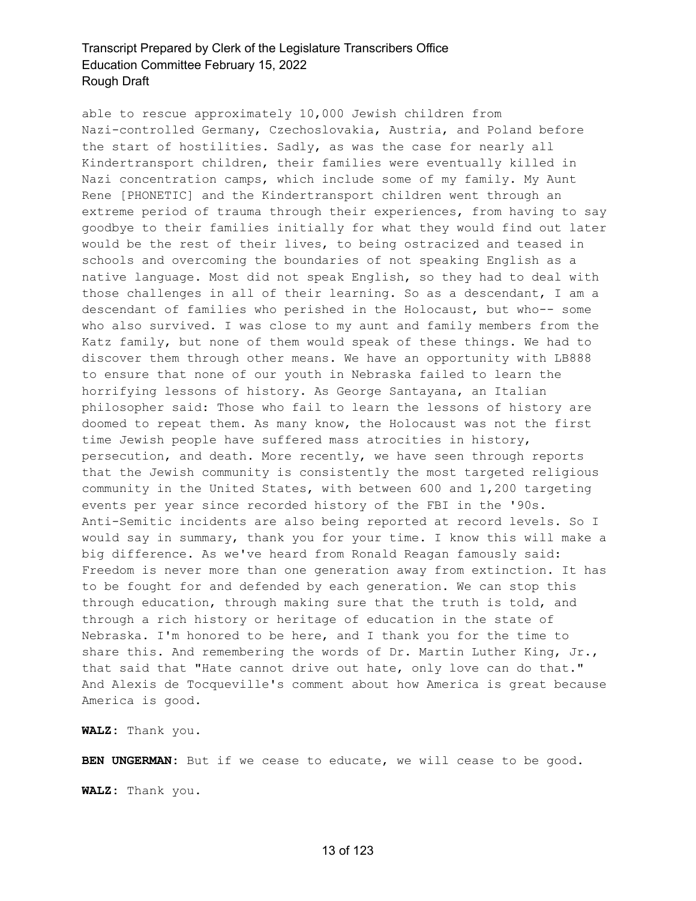able to rescue approximately 10,000 Jewish children from Nazi-controlled Germany, Czechoslovakia, Austria, and Poland before the start of hostilities. Sadly, as was the case for nearly all Kindertransport children, their families were eventually killed in Nazi concentration camps, which include some of my family. My Aunt Rene [PHONETIC] and the Kindertransport children went through an extreme period of trauma through their experiences, from having to say goodbye to their families initially for what they would find out later would be the rest of their lives, to being ostracized and teased in schools and overcoming the boundaries of not speaking English as a native language. Most did not speak English, so they had to deal with those challenges in all of their learning. So as a descendant, I am a descendant of families who perished in the Holocaust, but who-- some who also survived. I was close to my aunt and family members from the Katz family, but none of them would speak of these things. We had to discover them through other means. We have an opportunity with LB888 to ensure that none of our youth in Nebraska failed to learn the horrifying lessons of history. As George Santayana, an Italian philosopher said: Those who fail to learn the lessons of history are doomed to repeat them. As many know, the Holocaust was not the first time Jewish people have suffered mass atrocities in history, persecution, and death. More recently, we have seen through reports that the Jewish community is consistently the most targeted religious community in the United States, with between 600 and 1,200 targeting events per year since recorded history of the FBI in the '90s. Anti-Semitic incidents are also being reported at record levels. So I would say in summary, thank you for your time. I know this will make a big difference. As we've heard from Ronald Reagan famously said: Freedom is never more than one generation away from extinction. It has to be fought for and defended by each generation. We can stop this through education, through making sure that the truth is told, and through a rich history or heritage of education in the state of Nebraska. I'm honored to be here, and I thank you for the time to share this. And remembering the words of Dr. Martin Luther King, Jr., that said that "Hate cannot drive out hate, only love can do that." And Alexis de Tocqueville's comment about how America is great because America is good.

**WALZ:** Thank you.

**BEN UNGERMAN:** But if we cease to educate, we will cease to be good.

**WALZ:** Thank you.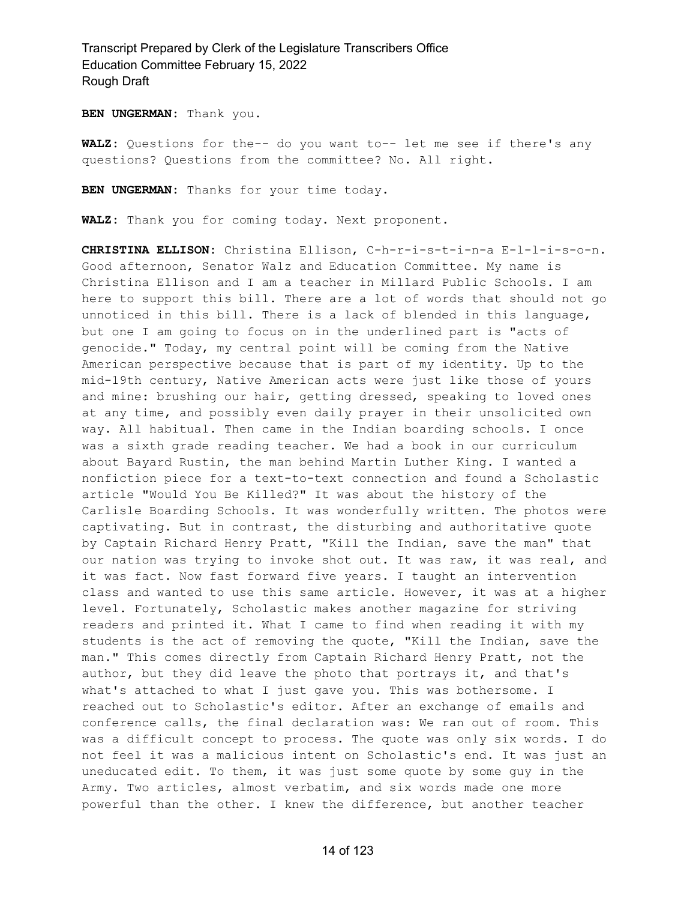**BEN UNGERMAN:** Thank you.

**WALZ:** Questions for the-- do you want to-- let me see if there's any questions? Questions from the committee? No. All right.

**BEN UNGERMAN:** Thanks for your time today.

**WALZ:** Thank you for coming today. Next proponent.

**CHRISTINA ELLISON:** Christina Ellison, C-h-r-i-s-t-i-n-a E-l-l-i-s-o-n. Good afternoon, Senator Walz and Education Committee. My name is Christina Ellison and I am a teacher in Millard Public Schools. I am here to support this bill. There are a lot of words that should not go unnoticed in this bill. There is a lack of blended in this language, but one I am going to focus on in the underlined part is "acts of genocide." Today, my central point will be coming from the Native American perspective because that is part of my identity. Up to the mid-19th century, Native American acts were just like those of yours and mine: brushing our hair, getting dressed, speaking to loved ones at any time, and possibly even daily prayer in their unsolicited own way. All habitual. Then came in the Indian boarding schools. I once was a sixth grade reading teacher. We had a book in our curriculum about Bayard Rustin, the man behind Martin Luther King. I wanted a nonfiction piece for a text-to-text connection and found a Scholastic article "Would You Be Killed?" It was about the history of the Carlisle Boarding Schools. It was wonderfully written. The photos were captivating. But in contrast, the disturbing and authoritative quote by Captain Richard Henry Pratt, "Kill the Indian, save the man" that our nation was trying to invoke shot out. It was raw, it was real, and it was fact. Now fast forward five years. I taught an intervention class and wanted to use this same article. However, it was at a higher level. Fortunately, Scholastic makes another magazine for striving readers and printed it. What I came to find when reading it with my students is the act of removing the quote, "Kill the Indian, save the man." This comes directly from Captain Richard Henry Pratt, not the author, but they did leave the photo that portrays it, and that's what's attached to what I just gave you. This was bothersome. I reached out to Scholastic's editor. After an exchange of emails and conference calls, the final declaration was: We ran out of room. This was a difficult concept to process. The quote was only six words. I do not feel it was a malicious intent on Scholastic's end. It was just an uneducated edit. To them, it was just some quote by some guy in the Army. Two articles, almost verbatim, and six words made one more powerful than the other. I knew the difference, but another teacher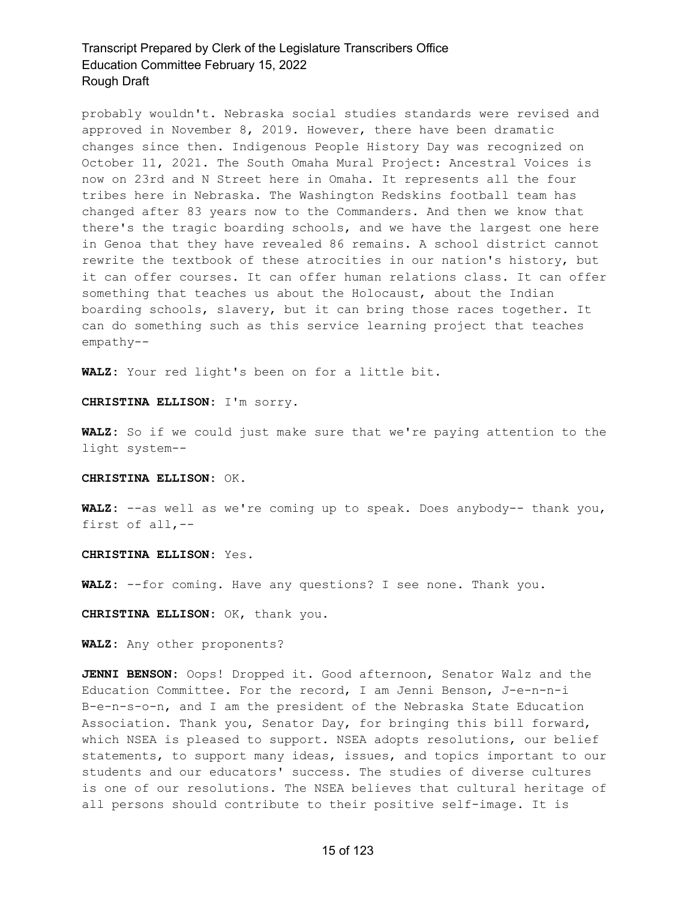probably wouldn't. Nebraska social studies standards were revised and approved in November 8, 2019. However, there have been dramatic changes since then. Indigenous People History Day was recognized on October 11, 2021. The South Omaha Mural Project: Ancestral Voices is now on 23rd and N Street here in Omaha. It represents all the four tribes here in Nebraska. The Washington Redskins football team has changed after 83 years now to the Commanders. And then we know that there's the tragic boarding schools, and we have the largest one here in Genoa that they have revealed 86 remains. A school district cannot rewrite the textbook of these atrocities in our nation's history, but it can offer courses. It can offer human relations class. It can offer something that teaches us about the Holocaust, about the Indian boarding schools, slavery, but it can bring those races together. It can do something such as this service learning project that teaches empathy--

**WALZ:** Your red light's been on for a little bit.

#### **CHRISTINA ELLISON:** I'm sorry.

**WALZ:** So if we could just make sure that we're paying attention to the light system--

#### **CHRISTINA ELLISON:** OK.

**WALZ:** --as well as we're coming up to speak. Does anybody-- thank you, first of all,--

#### **CHRISTINA ELLISON:** Yes.

**WALZ:** --for coming. Have any questions? I see none. Thank you.

**CHRISTINA ELLISON:** OK, thank you.

**WALZ:** Any other proponents?

**JENNI BENSON:** Oops! Dropped it. Good afternoon, Senator Walz and the Education Committee. For the record, I am Jenni Benson, J-e-n-n-i B-e-n-s-o-n, and I am the president of the Nebraska State Education Association. Thank you, Senator Day, for bringing this bill forward, which NSEA is pleased to support. NSEA adopts resolutions, our belief statements, to support many ideas, issues, and topics important to our students and our educators' success. The studies of diverse cultures is one of our resolutions. The NSEA believes that cultural heritage of all persons should contribute to their positive self-image. It is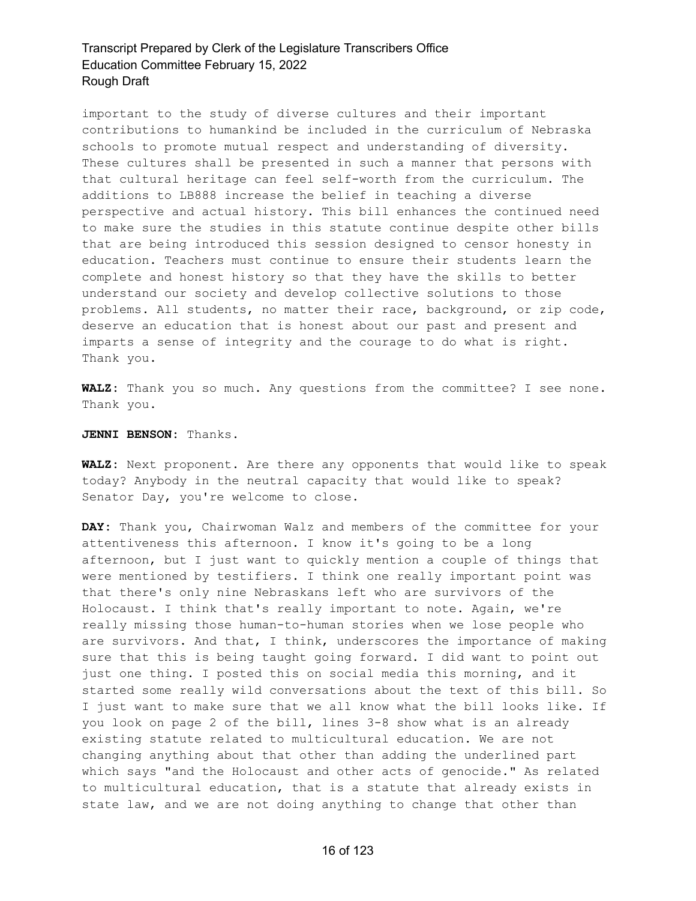important to the study of diverse cultures and their important contributions to humankind be included in the curriculum of Nebraska schools to promote mutual respect and understanding of diversity. These cultures shall be presented in such a manner that persons with that cultural heritage can feel self-worth from the curriculum. The additions to LB888 increase the belief in teaching a diverse perspective and actual history. This bill enhances the continued need to make sure the studies in this statute continue despite other bills that are being introduced this session designed to censor honesty in education. Teachers must continue to ensure their students learn the complete and honest history so that they have the skills to better understand our society and develop collective solutions to those problems. All students, no matter their race, background, or zip code, deserve an education that is honest about our past and present and imparts a sense of integrity and the courage to do what is right. Thank you.

**WALZ:** Thank you so much. Any questions from the committee? I see none. Thank you.

**JENNI BENSON:** Thanks.

**WALZ:** Next proponent. Are there any opponents that would like to speak today? Anybody in the neutral capacity that would like to speak? Senator Day, you're welcome to close.

**DAY:** Thank you, Chairwoman Walz and members of the committee for your attentiveness this afternoon. I know it's going to be a long afternoon, but I just want to quickly mention a couple of things that were mentioned by testifiers. I think one really important point was that there's only nine Nebraskans left who are survivors of the Holocaust. I think that's really important to note. Again, we're really missing those human-to-human stories when we lose people who are survivors. And that, I think, underscores the importance of making sure that this is being taught going forward. I did want to point out just one thing. I posted this on social media this morning, and it started some really wild conversations about the text of this bill. So I just want to make sure that we all know what the bill looks like. If you look on page 2 of the bill, lines 3-8 show what is an already existing statute related to multicultural education. We are not changing anything about that other than adding the underlined part which says "and the Holocaust and other acts of genocide." As related to multicultural education, that is a statute that already exists in state law, and we are not doing anything to change that other than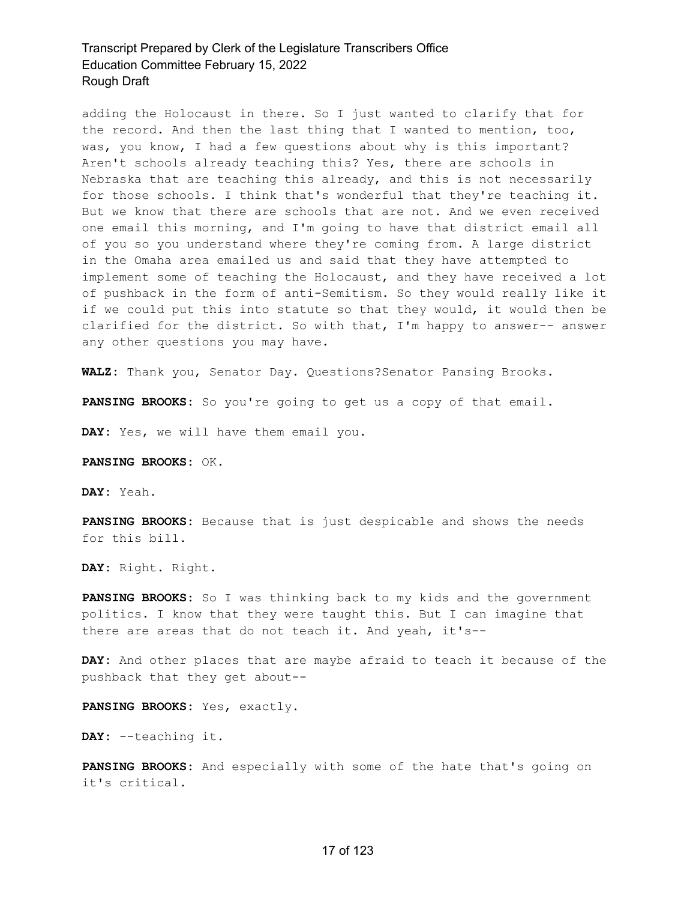adding the Holocaust in there. So I just wanted to clarify that for the record. And then the last thing that I wanted to mention, too, was, you know, I had a few questions about why is this important? Aren't schools already teaching this? Yes, there are schools in Nebraska that are teaching this already, and this is not necessarily for those schools. I think that's wonderful that they're teaching it. But we know that there are schools that are not. And we even received one email this morning, and I'm going to have that district email all of you so you understand where they're coming from. A large district in the Omaha area emailed us and said that they have attempted to implement some of teaching the Holocaust, and they have received a lot of pushback in the form of anti-Semitism. So they would really like it if we could put this into statute so that they would, it would then be clarified for the district. So with that, I'm happy to answer-- answer any other questions you may have.

**WALZ:** Thank you, Senator Day. Questions?Senator Pansing Brooks.

**PANSING BROOKS:** So you're going to get us a copy of that email.

**DAY:** Yes, we will have them email you.

**PANSING BROOKS:** OK.

**DAY:** Yeah.

**PANSING BROOKS:** Because that is just despicable and shows the needs for this bill.

**DAY:** Right. Right.

**PANSING BROOKS:** So I was thinking back to my kids and the government politics. I know that they were taught this. But I can imagine that there are areas that do not teach it. And yeah, it's--

**DAY:** And other places that are maybe afraid to teach it because of the pushback that they get about--

**PANSING BROOKS:** Yes, exactly.

**DAY:** --teaching it.

**PANSING BROOKS:** And especially with some of the hate that's going on it's critical.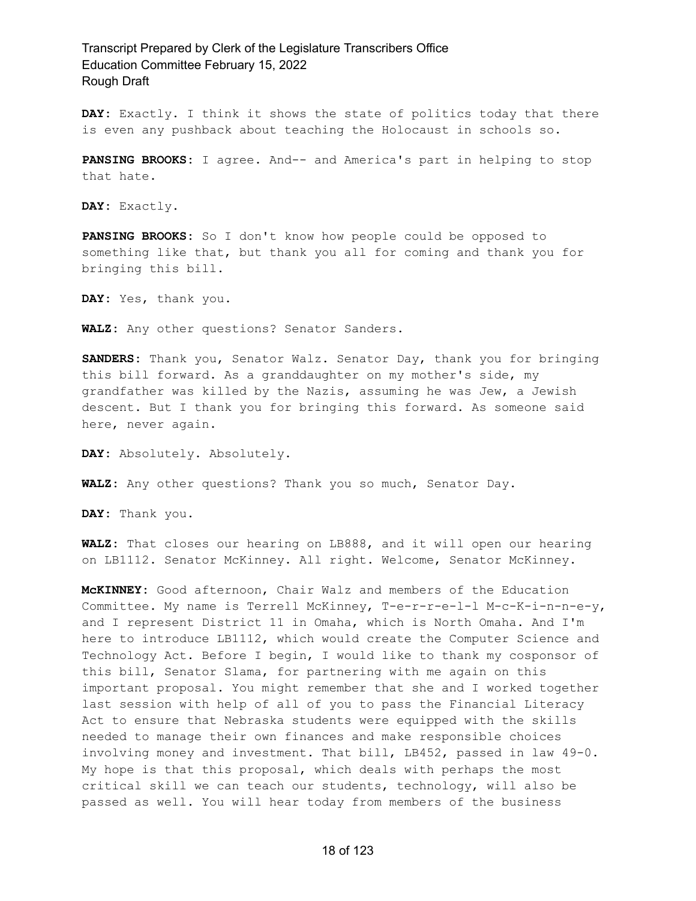**DAY:** Exactly. I think it shows the state of politics today that there is even any pushback about teaching the Holocaust in schools so.

**PANSING BROOKS:** I agree. And-- and America's part in helping to stop that hate.

**DAY:** Exactly.

**PANSING BROOKS:** So I don't know how people could be opposed to something like that, but thank you all for coming and thank you for bringing this bill.

**DAY:** Yes, thank you.

**WALZ:** Any other questions? Senator Sanders.

**SANDERS:** Thank you, Senator Walz. Senator Day, thank you for bringing this bill forward. As a granddaughter on my mother's side, my grandfather was killed by the Nazis, assuming he was Jew, a Jewish descent. But I thank you for bringing this forward. As someone said here, never again.

**DAY:** Absolutely. Absolutely.

**WALZ:** Any other questions? Thank you so much, Senator Day.

**DAY:** Thank you.

**WALZ:** That closes our hearing on LB888, and it will open our hearing on LB1112. Senator McKinney. All right. Welcome, Senator McKinney.

**McKINNEY:** Good afternoon, Chair Walz and members of the Education Committee. My name is Terrell McKinney, T-e-r-r-e-l-l M-c-K-i-n-n-e-y, and I represent District 11 in Omaha, which is North Omaha. And I'm here to introduce LB1112, which would create the Computer Science and Technology Act. Before I begin, I would like to thank my cosponsor of this bill, Senator Slama, for partnering with me again on this important proposal. You might remember that she and I worked together last session with help of all of you to pass the Financial Literacy Act to ensure that Nebraska students were equipped with the skills needed to manage their own finances and make responsible choices involving money and investment. That bill, LB452, passed in law 49-0. My hope is that this proposal, which deals with perhaps the most critical skill we can teach our students, technology, will also be passed as well. You will hear today from members of the business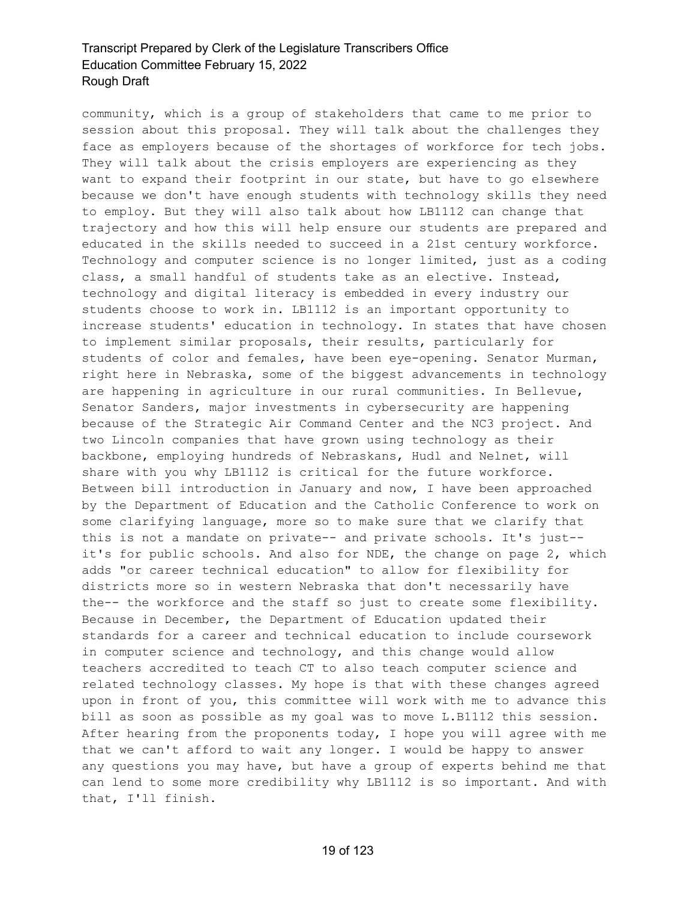community, which is a group of stakeholders that came to me prior to session about this proposal. They will talk about the challenges they face as employers because of the shortages of workforce for tech jobs. They will talk about the crisis employers are experiencing as they want to expand their footprint in our state, but have to go elsewhere because we don't have enough students with technology skills they need to employ. But they will also talk about how LB1112 can change that trajectory and how this will help ensure our students are prepared and educated in the skills needed to succeed in a 21st century workforce. Technology and computer science is no longer limited, just as a coding class, a small handful of students take as an elective. Instead, technology and digital literacy is embedded in every industry our students choose to work in. LB1112 is an important opportunity to increase students' education in technology. In states that have chosen to implement similar proposals, their results, particularly for students of color and females, have been eye-opening. Senator Murman, right here in Nebraska, some of the biggest advancements in technology are happening in agriculture in our rural communities. In Bellevue, Senator Sanders, major investments in cybersecurity are happening because of the Strategic Air Command Center and the NC3 project. And two Lincoln companies that have grown using technology as their backbone, employing hundreds of Nebraskans, Hudl and Nelnet, will share with you why LB1112 is critical for the future workforce. Between bill introduction in January and now, I have been approached by the Department of Education and the Catholic Conference to work on some clarifying language, more so to make sure that we clarify that this is not a mandate on private-- and private schools. It's just- it's for public schools. And also for NDE, the change on page 2, which adds "or career technical education" to allow for flexibility for districts more so in western Nebraska that don't necessarily have the-- the workforce and the staff so just to create some flexibility. Because in December, the Department of Education updated their standards for a career and technical education to include coursework in computer science and technology, and this change would allow teachers accredited to teach CT to also teach computer science and related technology classes. My hope is that with these changes agreed upon in front of you, this committee will work with me to advance this bill as soon as possible as my goal was to move L.B1112 this session. After hearing from the proponents today, I hope you will agree with me that we can't afford to wait any longer. I would be happy to answer any questions you may have, but have a group of experts behind me that can lend to some more credibility why LB1112 is so important. And with that, I'll finish.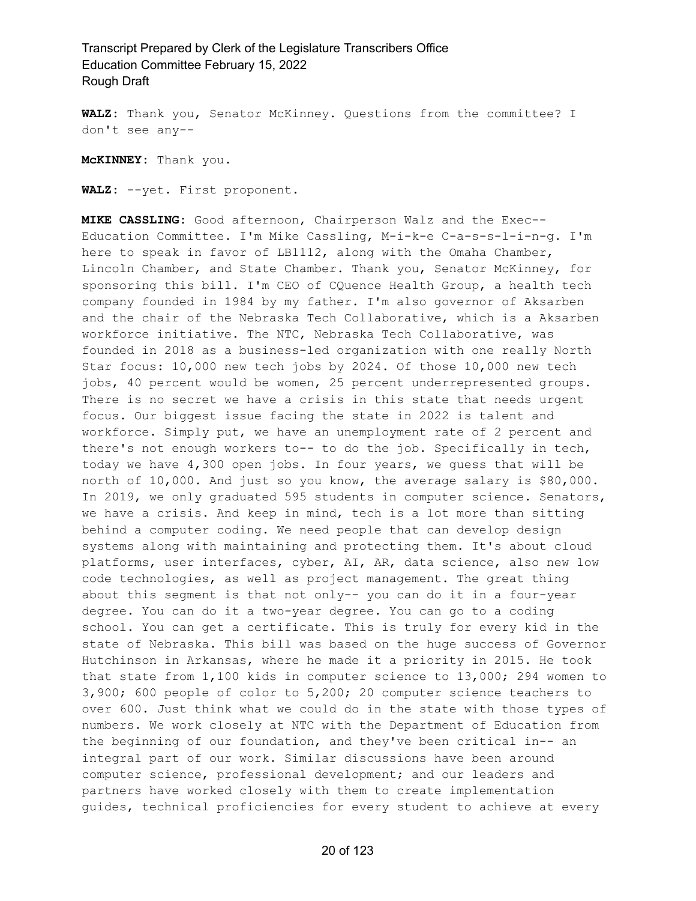**WALZ:** Thank you, Senator McKinney. Questions from the committee? I don't see any--

**McKINNEY:** Thank you.

**WALZ:** --yet. First proponent.

**MIKE CASSLING:** Good afternoon, Chairperson Walz and the Exec-- Education Committee. I'm Mike Cassling, M-i-k-e C-a-s-s-l-i-n-g. I'm here to speak in favor of LB1112, along with the Omaha Chamber, Lincoln Chamber, and State Chamber. Thank you, Senator McKinney, for sponsoring this bill. I'm CEO of CQuence Health Group, a health tech company founded in 1984 by my father. I'm also governor of Aksarben and the chair of the Nebraska Tech Collaborative, which is a Aksarben workforce initiative. The NTC, Nebraska Tech Collaborative, was founded in 2018 as a business-led organization with one really North Star focus: 10,000 new tech jobs by 2024. Of those 10,000 new tech jobs, 40 percent would be women, 25 percent underrepresented groups. There is no secret we have a crisis in this state that needs urgent focus. Our biggest issue facing the state in 2022 is talent and workforce. Simply put, we have an unemployment rate of 2 percent and there's not enough workers to-- to do the job. Specifically in tech, today we have 4,300 open jobs. In four years, we guess that will be north of 10,000. And just so you know, the average salary is \$80,000. In 2019, we only graduated 595 students in computer science. Senators, we have a crisis. And keep in mind, tech is a lot more than sitting behind a computer coding. We need people that can develop design systems along with maintaining and protecting them. It's about cloud platforms, user interfaces, cyber, AI, AR, data science, also new low code technologies, as well as project management. The great thing about this segment is that not only-- you can do it in a four-year degree. You can do it a two-year degree. You can go to a coding school. You can get a certificate. This is truly for every kid in the state of Nebraska. This bill was based on the huge success of Governor Hutchinson in Arkansas, where he made it a priority in 2015. He took that state from 1,100 kids in computer science to 13,000; 294 women to 3,900; 600 people of color to 5,200; 20 computer science teachers to over 600. Just think what we could do in the state with those types of numbers. We work closely at NTC with the Department of Education from the beginning of our foundation, and they've been critical in-- an integral part of our work. Similar discussions have been around computer science, professional development; and our leaders and partners have worked closely with them to create implementation guides, technical proficiencies for every student to achieve at every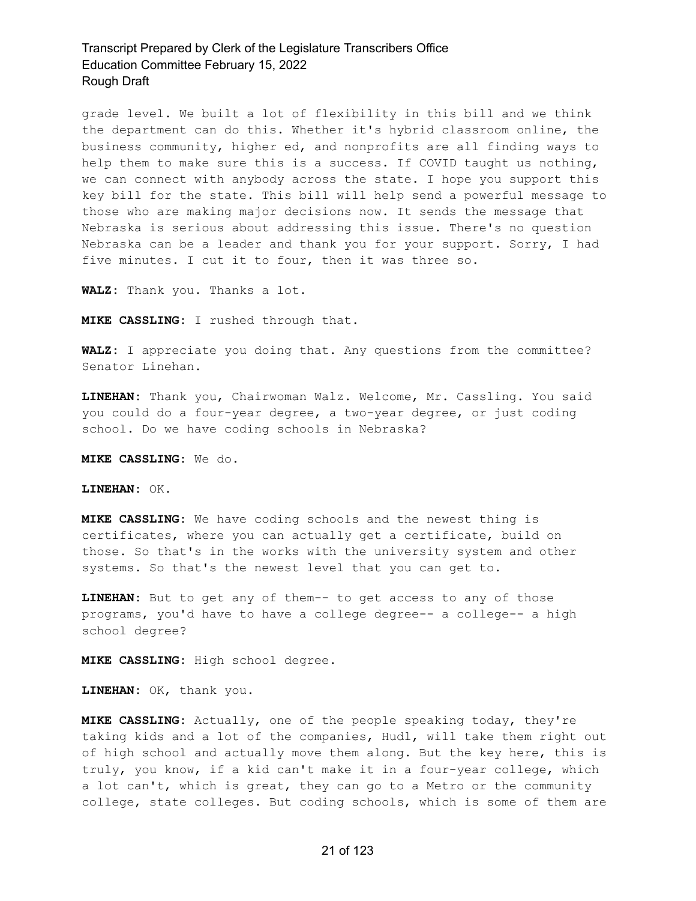grade level. We built a lot of flexibility in this bill and we think the department can do this. Whether it's hybrid classroom online, the business community, higher ed, and nonprofits are all finding ways to help them to make sure this is a success. If COVID taught us nothing, we can connect with anybody across the state. I hope you support this key bill for the state. This bill will help send a powerful message to those who are making major decisions now. It sends the message that Nebraska is serious about addressing this issue. There's no question Nebraska can be a leader and thank you for your support. Sorry, I had five minutes. I cut it to four, then it was three so.

**WALZ:** Thank you. Thanks a lot.

**MIKE CASSLING:** I rushed through that.

**WALZ:** I appreciate you doing that. Any questions from the committee? Senator Linehan.

**LINEHAN:** Thank you, Chairwoman Walz. Welcome, Mr. Cassling. You said you could do a four-year degree, a two-year degree, or just coding school. Do we have coding schools in Nebraska?

**MIKE CASSLING:** We do.

**LINEHAN:** OK.

**MIKE CASSLING:** We have coding schools and the newest thing is certificates, where you can actually get a certificate, build on those. So that's in the works with the university system and other systems. So that's the newest level that you can get to.

**LINEHAN:** But to get any of them-- to get access to any of those programs, you'd have to have a college degree-- a college-- a high school degree?

**MIKE CASSLING:** High school degree.

**LINEHAN:** OK, thank you.

**MIKE CASSLING:** Actually, one of the people speaking today, they're taking kids and a lot of the companies, Hudl, will take them right out of high school and actually move them along. But the key here, this is truly, you know, if a kid can't make it in a four-year college, which a lot can't, which is great, they can go to a Metro or the community college, state colleges. But coding schools, which is some of them are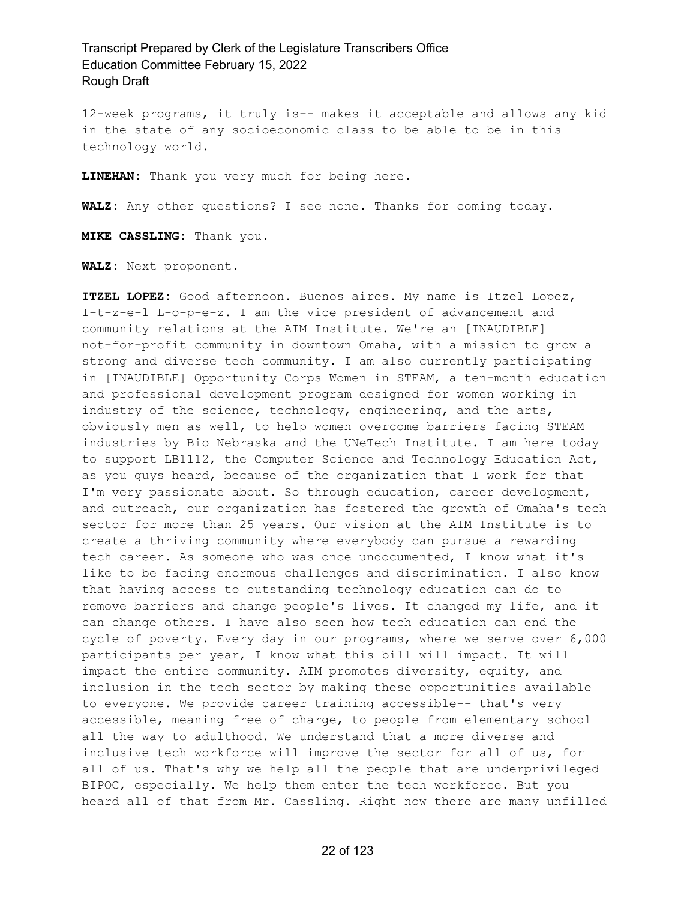12-week programs, it truly is-- makes it acceptable and allows any kid in the state of any socioeconomic class to be able to be in this technology world.

**LINEHAN:** Thank you very much for being here.

**WALZ:** Any other questions? I see none. Thanks for coming today.

**MIKE CASSLING:** Thank you.

**WALZ:** Next proponent.

**ITZEL LOPEZ:** Good afternoon. Buenos aires. My name is Itzel Lopez, I-t-z-e-l L-o-p-e-z. I am the vice president of advancement and community relations at the AIM Institute. We're an [INAUDIBLE] not-for-profit community in downtown Omaha, with a mission to grow a strong and diverse tech community. I am also currently participating in [INAUDIBLE] Opportunity Corps Women in STEAM, a ten-month education and professional development program designed for women working in industry of the science, technology, engineering, and the arts, obviously men as well, to help women overcome barriers facing STEAM industries by Bio Nebraska and the UNeTech Institute. I am here today to support LB1112, the Computer Science and Technology Education Act, as you guys heard, because of the organization that I work for that I'm very passionate about. So through education, career development, and outreach, our organization has fostered the growth of Omaha's tech sector for more than 25 years. Our vision at the AIM Institute is to create a thriving community where everybody can pursue a rewarding tech career. As someone who was once undocumented, I know what it's like to be facing enormous challenges and discrimination. I also know that having access to outstanding technology education can do to remove barriers and change people's lives. It changed my life, and it can change others. I have also seen how tech education can end the cycle of poverty. Every day in our programs, where we serve over 6,000 participants per year, I know what this bill will impact. It will impact the entire community. AIM promotes diversity, equity, and inclusion in the tech sector by making these opportunities available to everyone. We provide career training accessible-- that's very accessible, meaning free of charge, to people from elementary school all the way to adulthood. We understand that a more diverse and inclusive tech workforce will improve the sector for all of us, for all of us. That's why we help all the people that are underprivileged BIPOC, especially. We help them enter the tech workforce. But you heard all of that from Mr. Cassling. Right now there are many unfilled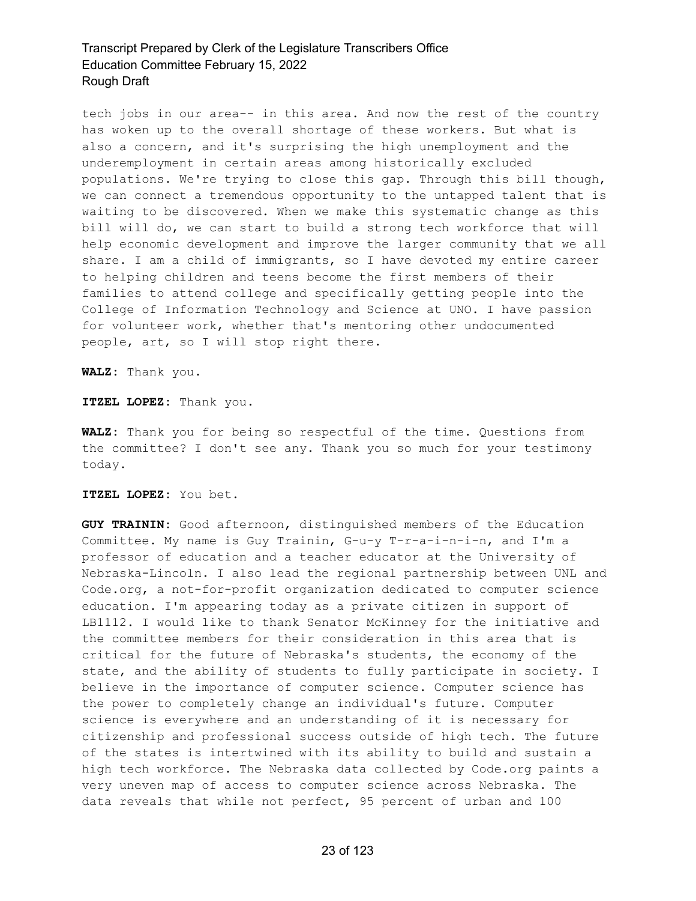tech jobs in our area-- in this area. And now the rest of the country has woken up to the overall shortage of these workers. But what is also a concern, and it's surprising the high unemployment and the underemployment in certain areas among historically excluded populations. We're trying to close this gap. Through this bill though, we can connect a tremendous opportunity to the untapped talent that is waiting to be discovered. When we make this systematic change as this bill will do, we can start to build a strong tech workforce that will help economic development and improve the larger community that we all share. I am a child of immigrants, so I have devoted my entire career to helping children and teens become the first members of their families to attend college and specifically getting people into the College of Information Technology and Science at UNO. I have passion for volunteer work, whether that's mentoring other undocumented people, art, so I will stop right there.

**WALZ:** Thank you.

**ITZEL LOPEZ:** Thank you.

**WALZ:** Thank you for being so respectful of the time. Questions from the committee? I don't see any. Thank you so much for your testimony today.

**ITZEL LOPEZ:** You bet.

**GUY TRAININ:** Good afternoon, distinguished members of the Education Committee. My name is Guy Trainin, G-u-y T-r-a-i-n-i-n, and I'm a professor of education and a teacher educator at the University of Nebraska-Lincoln. I also lead the regional partnership between UNL and Code.org, a not-for-profit organization dedicated to computer science education. I'm appearing today as a private citizen in support of LB1112. I would like to thank Senator McKinney for the initiative and the committee members for their consideration in this area that is critical for the future of Nebraska's students, the economy of the state, and the ability of students to fully participate in society. I believe in the importance of computer science. Computer science has the power to completely change an individual's future. Computer science is everywhere and an understanding of it is necessary for citizenship and professional success outside of high tech. The future of the states is intertwined with its ability to build and sustain a high tech workforce. The Nebraska data collected by Code.org paints a very uneven map of access to computer science across Nebraska. The data reveals that while not perfect, 95 percent of urban and 100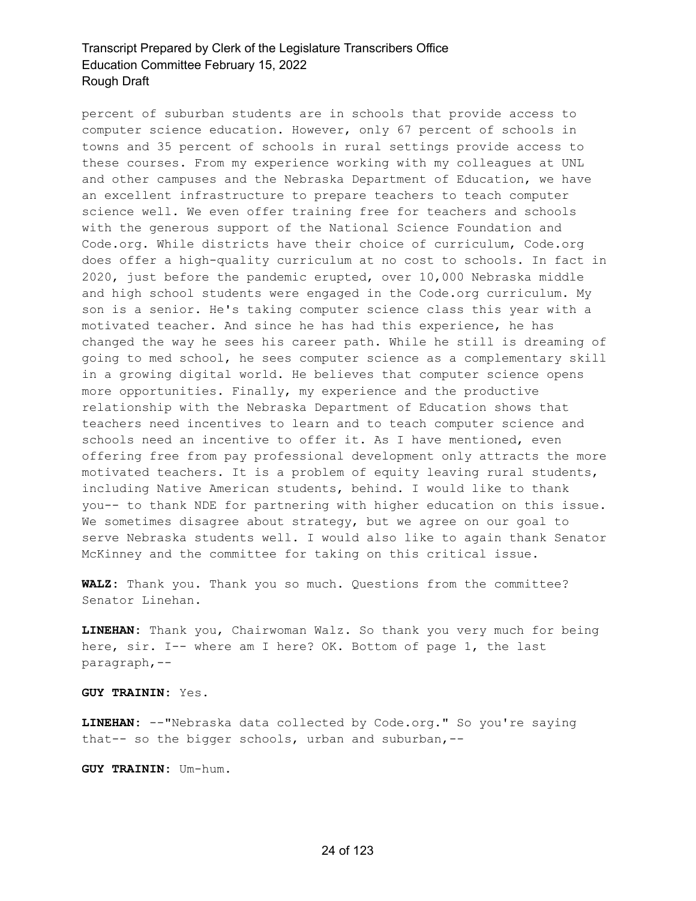percent of suburban students are in schools that provide access to computer science education. However, only 67 percent of schools in towns and 35 percent of schools in rural settings provide access to these courses. From my experience working with my colleagues at UNL and other campuses and the Nebraska Department of Education, we have an excellent infrastructure to prepare teachers to teach computer science well. We even offer training free for teachers and schools with the generous support of the National Science Foundation and Code.org. While districts have their choice of curriculum, Code.org does offer a high-quality curriculum at no cost to schools. In fact in 2020, just before the pandemic erupted, over 10,000 Nebraska middle and high school students were engaged in the Code.org curriculum. My son is a senior. He's taking computer science class this year with a motivated teacher. And since he has had this experience, he has changed the way he sees his career path. While he still is dreaming of going to med school, he sees computer science as a complementary skill in a growing digital world. He believes that computer science opens more opportunities. Finally, my experience and the productive relationship with the Nebraska Department of Education shows that teachers need incentives to learn and to teach computer science and schools need an incentive to offer it. As I have mentioned, even offering free from pay professional development only attracts the more motivated teachers. It is a problem of equity leaving rural students, including Native American students, behind. I would like to thank you-- to thank NDE for partnering with higher education on this issue. We sometimes disagree about strategy, but we agree on our goal to serve Nebraska students well. I would also like to again thank Senator McKinney and the committee for taking on this critical issue.

**WALZ:** Thank you. Thank you so much. Questions from the committee? Senator Linehan.

**LINEHAN:** Thank you, Chairwoman Walz. So thank you very much for being here, sir. I-- where am I here? OK. Bottom of page 1, the last paragraph,--

**GUY TRAININ:** Yes.

**LINEHAN:** --"Nebraska data collected by Code.org." So you're saying that-- so the bigger schools, urban and suburban,--

**GUY TRAININ:** Um-hum.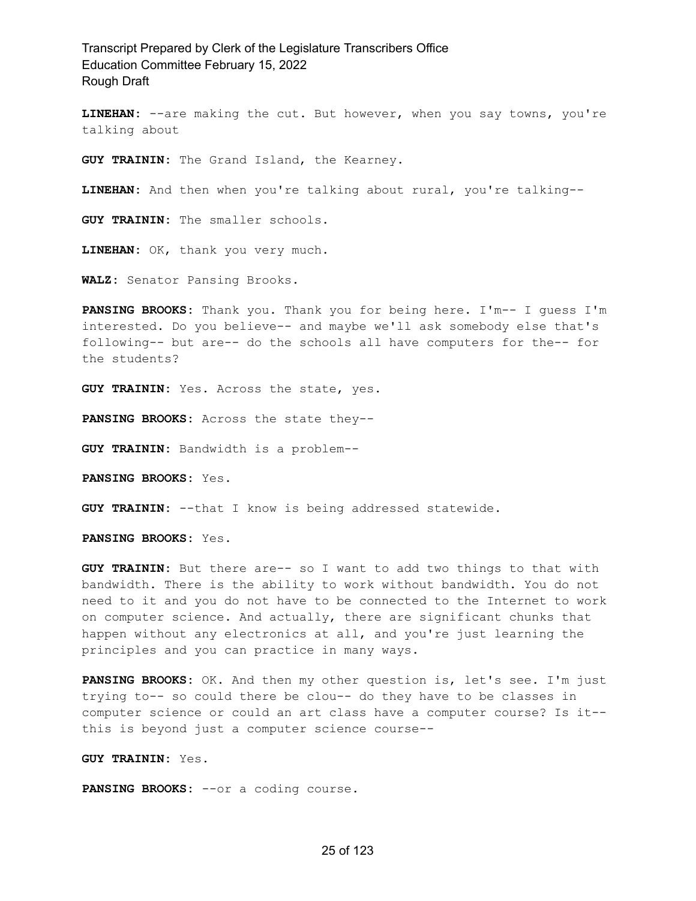**LINEHAN:** --are making the cut. But however, when you say towns, you're talking about

**GUY TRAININ:** The Grand Island, the Kearney.

**LINEHAN:** And then when you're talking about rural, you're talking--

**GUY TRAININ:** The smaller schools.

**LINEHAN:** OK, thank you very much.

**WALZ:** Senator Pansing Brooks.

**PANSING BROOKS:** Thank you. Thank you for being here. I'm-- I guess I'm interested. Do you believe-- and maybe we'll ask somebody else that's following-- but are-- do the schools all have computers for the-- for the students?

**GUY TRAININ:** Yes. Across the state, yes.

**PANSING BROOKS:** Across the state they--

**GUY TRAININ:** Bandwidth is a problem--

**PANSING BROOKS:** Yes.

**GUY TRAININ:** --that I know is being addressed statewide.

**PANSING BROOKS:** Yes.

**GUY TRAININ:** But there are-- so I want to add two things to that with bandwidth. There is the ability to work without bandwidth. You do not need to it and you do not have to be connected to the Internet to work on computer science. And actually, there are significant chunks that happen without any electronics at all, and you're just learning the principles and you can practice in many ways.

**PANSING BROOKS:** OK. And then my other question is, let's see. I'm just trying to-- so could there be clou-- do they have to be classes in computer science or could an art class have a computer course? Is it- this is beyond just a computer science course--

**GUY TRAININ:** Yes.

**PANSING BROOKS:** --or a coding course.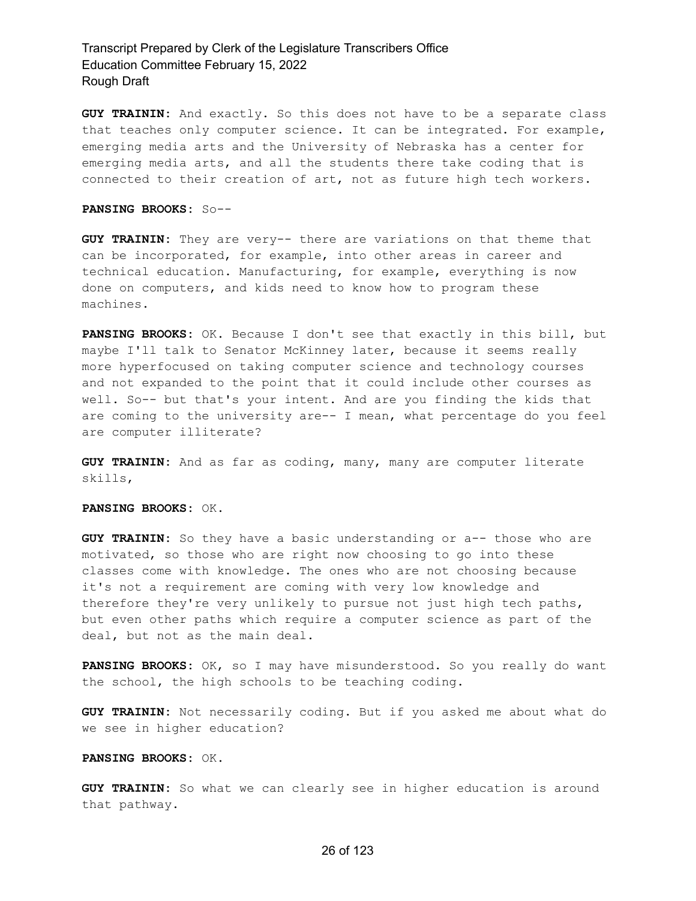**GUY TRAININ:** And exactly. So this does not have to be a separate class that teaches only computer science. It can be integrated. For example, emerging media arts and the University of Nebraska has a center for emerging media arts, and all the students there take coding that is connected to their creation of art, not as future high tech workers.

#### **PANSING BROOKS:** So--

**GUY TRAININ:** They are very-- there are variations on that theme that can be incorporated, for example, into other areas in career and technical education. Manufacturing, for example, everything is now done on computers, and kids need to know how to program these machines.

**PANSING BROOKS:** OK. Because I don't see that exactly in this bill, but maybe I'll talk to Senator McKinney later, because it seems really more hyperfocused on taking computer science and technology courses and not expanded to the point that it could include other courses as well. So-- but that's your intent. And are you finding the kids that are coming to the university are-- I mean, what percentage do you feel are computer illiterate?

**GUY TRAININ:** And as far as coding, many, many are computer literate skills,

**PANSING BROOKS:** OK.

**GUY TRAININ:** So they have a basic understanding or a-- those who are motivated, so those who are right now choosing to go into these classes come with knowledge. The ones who are not choosing because it's not a requirement are coming with very low knowledge and therefore they're very unlikely to pursue not just high tech paths, but even other paths which require a computer science as part of the deal, but not as the main deal.

**PANSING BROOKS:** OK, so I may have misunderstood. So you really do want the school, the high schools to be teaching coding.

**GUY TRAININ:** Not necessarily coding. But if you asked me about what do we see in higher education?

#### **PANSING BROOKS:** OK.

**GUY TRAININ:** So what we can clearly see in higher education is around that pathway.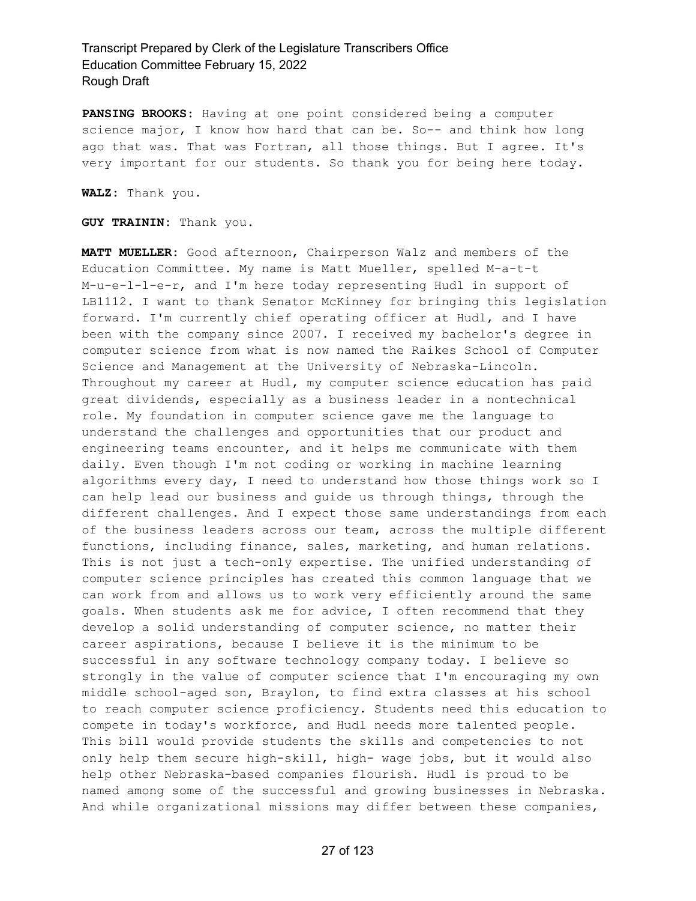**PANSING BROOKS:** Having at one point considered being a computer science major, I know how hard that can be. So-- and think how long ago that was. That was Fortran, all those things. But I agree. It's very important for our students. So thank you for being here today.

**WALZ:** Thank you.

**GUY TRAININ:** Thank you.

**MATT MUELLER:** Good afternoon, Chairperson Walz and members of the Education Committee. My name is Matt Mueller, spelled M-a-t-t M-u-e-l-l-e-r, and I'm here today representing Hudl in support of LB1112. I want to thank Senator McKinney for bringing this legislation forward. I'm currently chief operating officer at Hudl, and I have been with the company since 2007. I received my bachelor's degree in computer science from what is now named the Raikes School of Computer Science and Management at the University of Nebraska-Lincoln. Throughout my career at Hudl, my computer science education has paid great dividends, especially as a business leader in a nontechnical role. My foundation in computer science gave me the language to understand the challenges and opportunities that our product and engineering teams encounter, and it helps me communicate with them daily. Even though I'm not coding or working in machine learning algorithms every day, I need to understand how those things work so I can help lead our business and guide us through things, through the different challenges. And I expect those same understandings from each of the business leaders across our team, across the multiple different functions, including finance, sales, marketing, and human relations. This is not just a tech-only expertise. The unified understanding of computer science principles has created this common language that we can work from and allows us to work very efficiently around the same goals. When students ask me for advice, I often recommend that they develop a solid understanding of computer science, no matter their career aspirations, because I believe it is the minimum to be successful in any software technology company today. I believe so strongly in the value of computer science that I'm encouraging my own middle school-aged son, Braylon, to find extra classes at his school to reach computer science proficiency. Students need this education to compete in today's workforce, and Hudl needs more talented people. This bill would provide students the skills and competencies to not only help them secure high-skill, high- wage jobs, but it would also help other Nebraska-based companies flourish. Hudl is proud to be named among some of the successful and growing businesses in Nebraska. And while organizational missions may differ between these companies,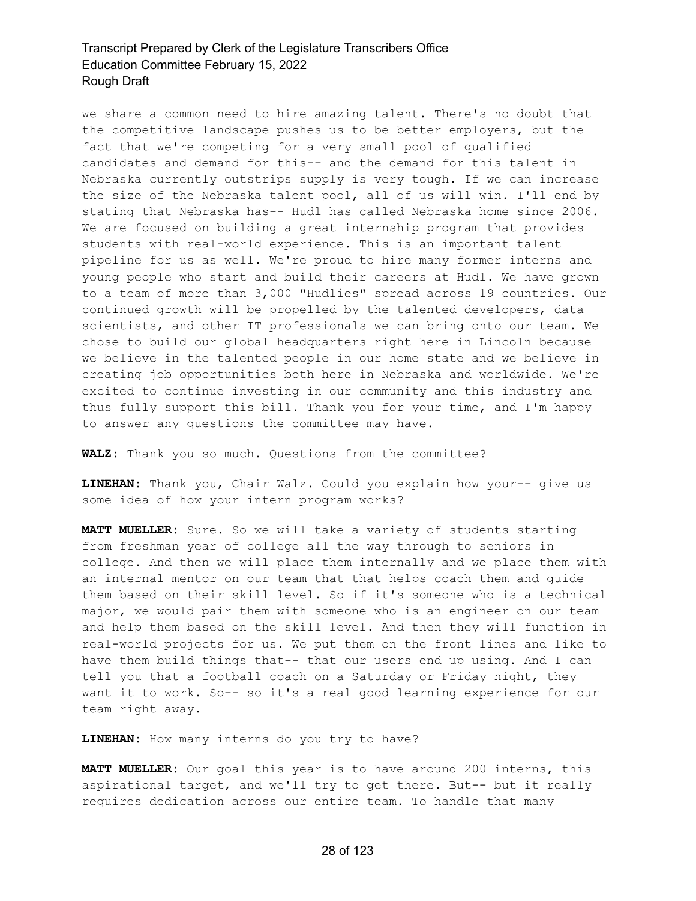we share a common need to hire amazing talent. There's no doubt that the competitive landscape pushes us to be better employers, but the fact that we're competing for a very small pool of qualified candidates and demand for this-- and the demand for this talent in Nebraska currently outstrips supply is very tough. If we can increase the size of the Nebraska talent pool, all of us will win. I'll end by stating that Nebraska has-- Hudl has called Nebraska home since 2006. We are focused on building a great internship program that provides students with real-world experience. This is an important talent pipeline for us as well. We're proud to hire many former interns and young people who start and build their careers at Hudl. We have grown to a team of more than 3,000 "Hudlies" spread across 19 countries. Our continued growth will be propelled by the talented developers, data scientists, and other IT professionals we can bring onto our team. We chose to build our global headquarters right here in Lincoln because we believe in the talented people in our home state and we believe in creating job opportunities both here in Nebraska and worldwide. We're excited to continue investing in our community and this industry and thus fully support this bill. Thank you for your time, and I'm happy to answer any questions the committee may have.

**WALZ:** Thank you so much. Questions from the committee?

**LINEHAN:** Thank you, Chair Walz. Could you explain how your-- give us some idea of how your intern program works?

**MATT MUELLER:** Sure. So we will take a variety of students starting from freshman year of college all the way through to seniors in college. And then we will place them internally and we place them with an internal mentor on our team that that helps coach them and guide them based on their skill level. So if it's someone who is a technical major, we would pair them with someone who is an engineer on our team and help them based on the skill level. And then they will function in real-world projects for us. We put them on the front lines and like to have them build things that-- that our users end up using. And I can tell you that a football coach on a Saturday or Friday night, they want it to work. So-- so it's a real good learning experience for our team right away.

**LINEHAN:** How many interns do you try to have?

**MATT MUELLER:** Our goal this year is to have around 200 interns, this aspirational target, and we'll try to get there. But-- but it really requires dedication across our entire team. To handle that many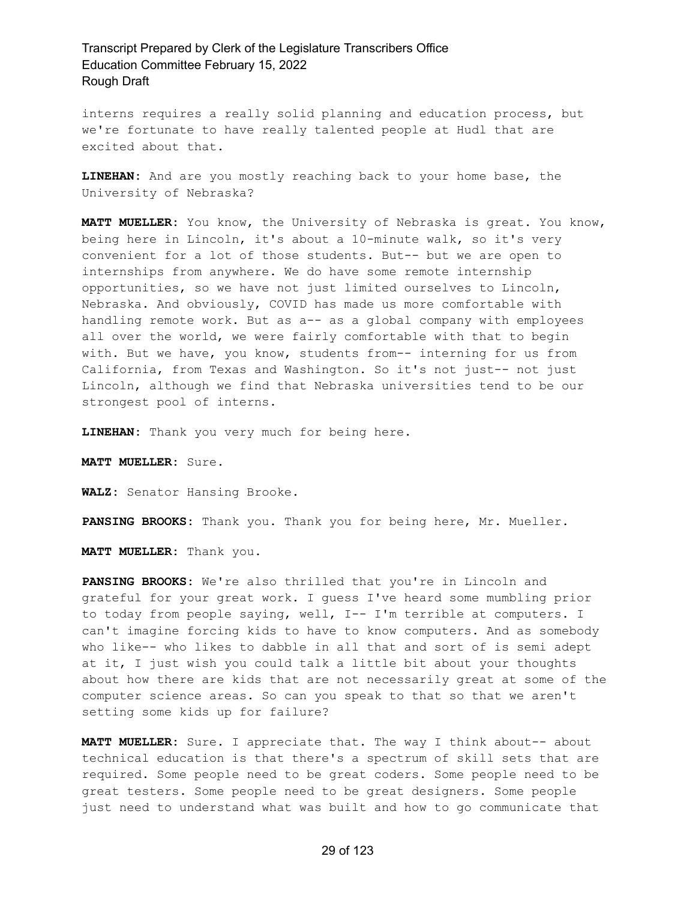interns requires a really solid planning and education process, but we're fortunate to have really talented people at Hudl that are excited about that.

**LINEHAN:** And are you mostly reaching back to your home base, the University of Nebraska?

**MATT MUELLER:** You know, the University of Nebraska is great. You know, being here in Lincoln, it's about a 10-minute walk, so it's very convenient for a lot of those students. But-- but we are open to internships from anywhere. We do have some remote internship opportunities, so we have not just limited ourselves to Lincoln, Nebraska. And obviously, COVID has made us more comfortable with handling remote work. But as a-- as a global company with employees all over the world, we were fairly comfortable with that to begin with. But we have, you know, students from-- interning for us from California, from Texas and Washington. So it's not just-- not just Lincoln, although we find that Nebraska universities tend to be our strongest pool of interns.

**LINEHAN:** Thank you very much for being here.

**MATT MUELLER:** Sure.

**WALZ:** Senator Hansing Brooke.

**PANSING BROOKS:** Thank you. Thank you for being here, Mr. Mueller.

**MATT MUELLER:** Thank you.

**PANSING BROOKS:** We're also thrilled that you're in Lincoln and grateful for your great work. I guess I've heard some mumbling prior to today from people saying, well, I-- I'm terrible at computers. I can't imagine forcing kids to have to know computers. And as somebody who like-- who likes to dabble in all that and sort of is semi adept at it, I just wish you could talk a little bit about your thoughts about how there are kids that are not necessarily great at some of the computer science areas. So can you speak to that so that we aren't setting some kids up for failure?

**MATT MUELLER:** Sure. I appreciate that. The way I think about-- about technical education is that there's a spectrum of skill sets that are required. Some people need to be great coders. Some people need to be great testers. Some people need to be great designers. Some people just need to understand what was built and how to go communicate that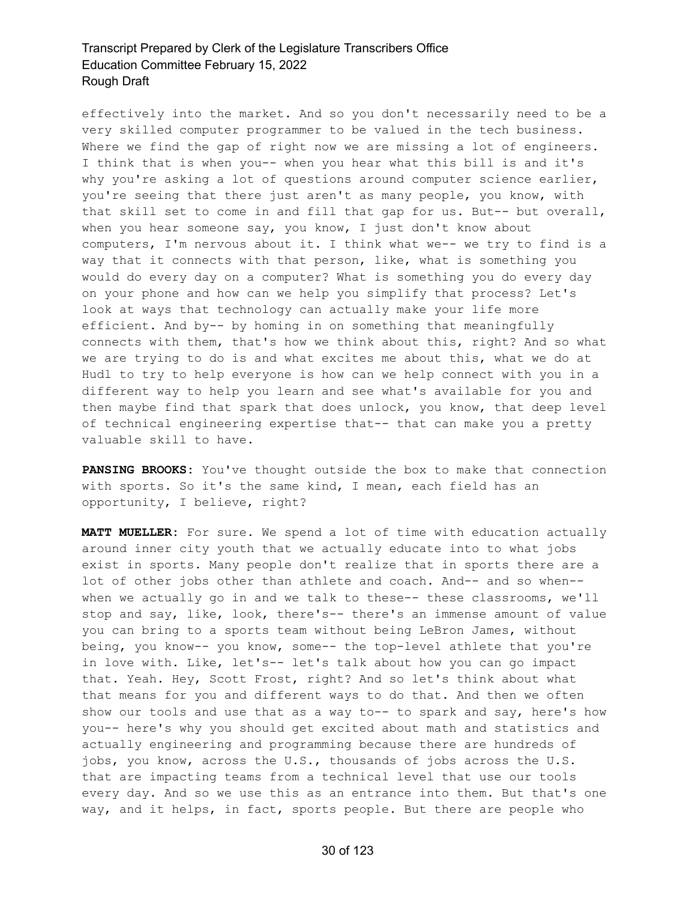effectively into the market. And so you don't necessarily need to be a very skilled computer programmer to be valued in the tech business. Where we find the gap of right now we are missing a lot of engineers. I think that is when you-- when you hear what this bill is and it's why you're asking a lot of questions around computer science earlier, you're seeing that there just aren't as many people, you know, with that skill set to come in and fill that gap for us. But-- but overall, when you hear someone say, you know, I just don't know about computers, I'm nervous about it. I think what we-- we try to find is a way that it connects with that person, like, what is something you would do every day on a computer? What is something you do every day on your phone and how can we help you simplify that process? Let's look at ways that technology can actually make your life more efficient. And by-- by homing in on something that meaningfully connects with them, that's how we think about this, right? And so what we are trying to do is and what excites me about this, what we do at Hudl to try to help everyone is how can we help connect with you in a different way to help you learn and see what's available for you and then maybe find that spark that does unlock, you know, that deep level of technical engineering expertise that-- that can make you a pretty valuable skill to have.

**PANSING BROOKS:** You've thought outside the box to make that connection with sports. So it's the same kind, I mean, each field has an opportunity, I believe, right?

**MATT MUELLER:** For sure. We spend a lot of time with education actually around inner city youth that we actually educate into to what jobs exist in sports. Many people don't realize that in sports there are a lot of other jobs other than athlete and coach. And-- and so when- when we actually go in and we talk to these-- these classrooms, we'll stop and say, like, look, there's-- there's an immense amount of value you can bring to a sports team without being LeBron James, without being, you know-- you know, some-- the top-level athlete that you're in love with. Like, let's-- let's talk about how you can go impact that. Yeah. Hey, Scott Frost, right? And so let's think about what that means for you and different ways to do that. And then we often show our tools and use that as a way to-- to spark and say, here's how you-- here's why you should get excited about math and statistics and actually engineering and programming because there are hundreds of jobs, you know, across the U.S., thousands of jobs across the U.S. that are impacting teams from a technical level that use our tools every day. And so we use this as an entrance into them. But that's one way, and it helps, in fact, sports people. But there are people who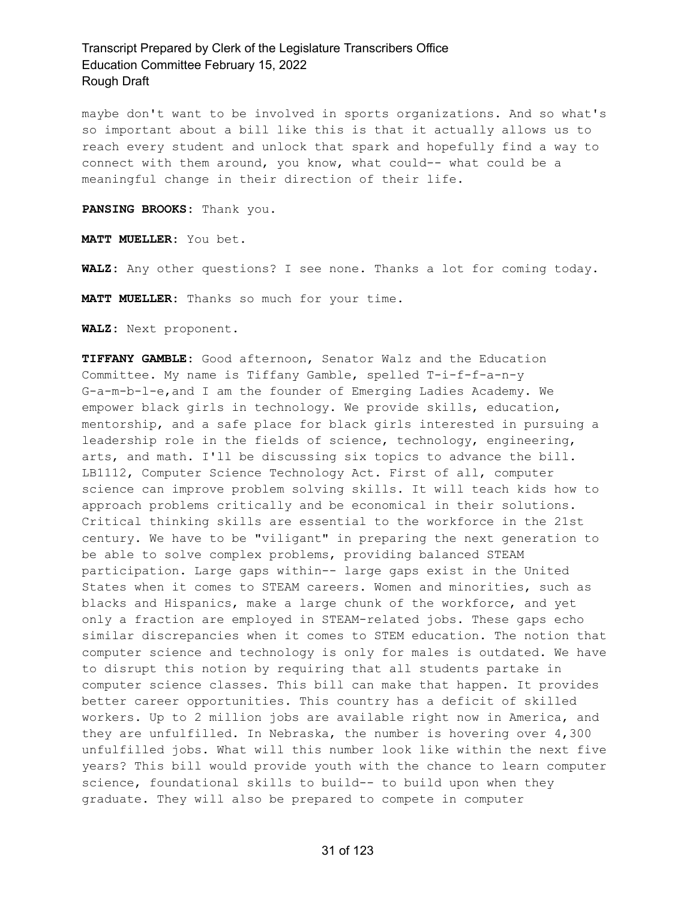maybe don't want to be involved in sports organizations. And so what's so important about a bill like this is that it actually allows us to reach every student and unlock that spark and hopefully find a way to connect with them around, you know, what could-- what could be a meaningful change in their direction of their life.

**PANSING BROOKS:** Thank you.

**MATT MUELLER:** You bet.

**WALZ:** Any other questions? I see none. Thanks a lot for coming today.

**MATT MUELLER:** Thanks so much for your time.

**WALZ:** Next proponent.

**TIFFANY GAMBLE:** Good afternoon, Senator Walz and the Education Committee. My name is Tiffany Gamble, spelled T-i-f-f-a-n-y G-a-m-b-l-e,and I am the founder of Emerging Ladies Academy. We empower black girls in technology. We provide skills, education, mentorship, and a safe place for black girls interested in pursuing a leadership role in the fields of science, technology, engineering, arts, and math. I'll be discussing six topics to advance the bill. LB1112, Computer Science Technology Act. First of all, computer science can improve problem solving skills. It will teach kids how to approach problems critically and be economical in their solutions. Critical thinking skills are essential to the workforce in the 21st century. We have to be "viligant" in preparing the next generation to be able to solve complex problems, providing balanced STEAM participation. Large gaps within-- large gaps exist in the United States when it comes to STEAM careers. Women and minorities, such as blacks and Hispanics, make a large chunk of the workforce, and yet only a fraction are employed in STEAM-related jobs. These gaps echo similar discrepancies when it comes to STEM education. The notion that computer science and technology is only for males is outdated. We have to disrupt this notion by requiring that all students partake in computer science classes. This bill can make that happen. It provides better career opportunities. This country has a deficit of skilled workers. Up to 2 million jobs are available right now in America, and they are unfulfilled. In Nebraska, the number is hovering over 4,300 unfulfilled jobs. What will this number look like within the next five years? This bill would provide youth with the chance to learn computer science, foundational skills to build-- to build upon when they graduate. They will also be prepared to compete in computer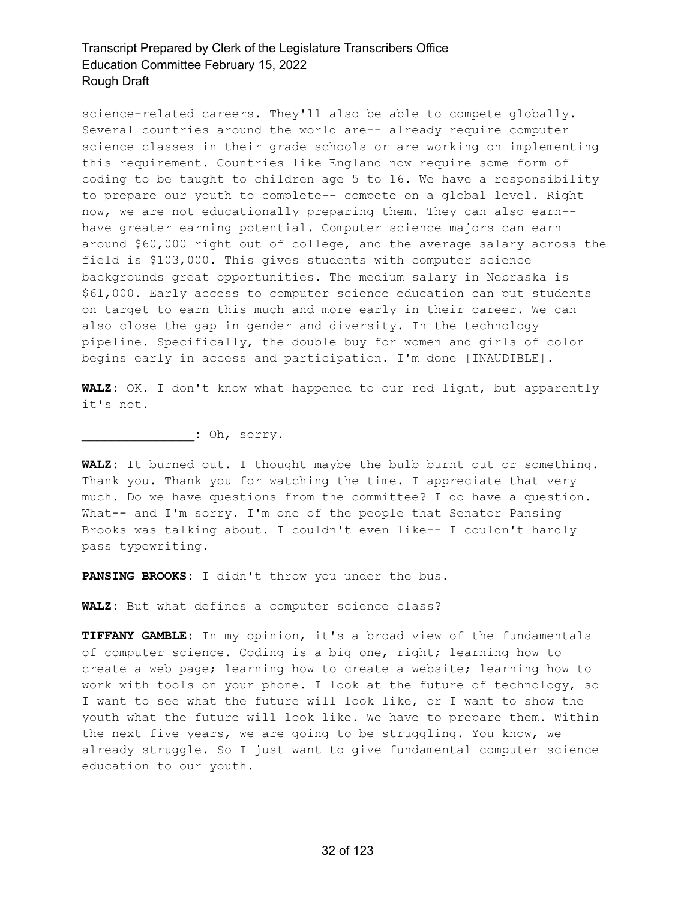science-related careers. They'll also be able to compete globally. Several countries around the world are-- already require computer science classes in their grade schools or are working on implementing this requirement. Countries like England now require some form of coding to be taught to children age 5 to 16. We have a responsibility to prepare our youth to complete-- compete on a global level. Right now, we are not educationally preparing them. They can also earn- have greater earning potential. Computer science majors can earn around \$60,000 right out of college, and the average salary across the field is \$103,000. This gives students with computer science backgrounds great opportunities. The medium salary in Nebraska is \$61,000. Early access to computer science education can put students on target to earn this much and more early in their career. We can also close the gap in gender and diversity. In the technology pipeline. Specifically, the double buy for women and girls of color begins early in access and participation. I'm done [INAUDIBLE].

**WALZ:** OK. I don't know what happened to our red light, but apparently it's not.

**\_\_\_\_\_\_\_\_\_\_\_\_\_\_\_:** Oh, sorry.

**WALZ:** It burned out. I thought maybe the bulb burnt out or something. Thank you. Thank you for watching the time. I appreciate that very much. Do we have questions from the committee? I do have a question. What-- and I'm sorry. I'm one of the people that Senator Pansing Brooks was talking about. I couldn't even like-- I couldn't hardly pass typewriting.

**PANSING BROOKS:** I didn't throw you under the bus.

**WALZ:** But what defines a computer science class?

**TIFFANY GAMBLE:** In my opinion, it's a broad view of the fundamentals of computer science. Coding is a big one, right; learning how to create a web page; learning how to create a website; learning how to work with tools on your phone. I look at the future of technology, so I want to see what the future will look like, or I want to show the youth what the future will look like. We have to prepare them. Within the next five years, we are going to be struggling. You know, we already struggle. So I just want to give fundamental computer science education to our youth.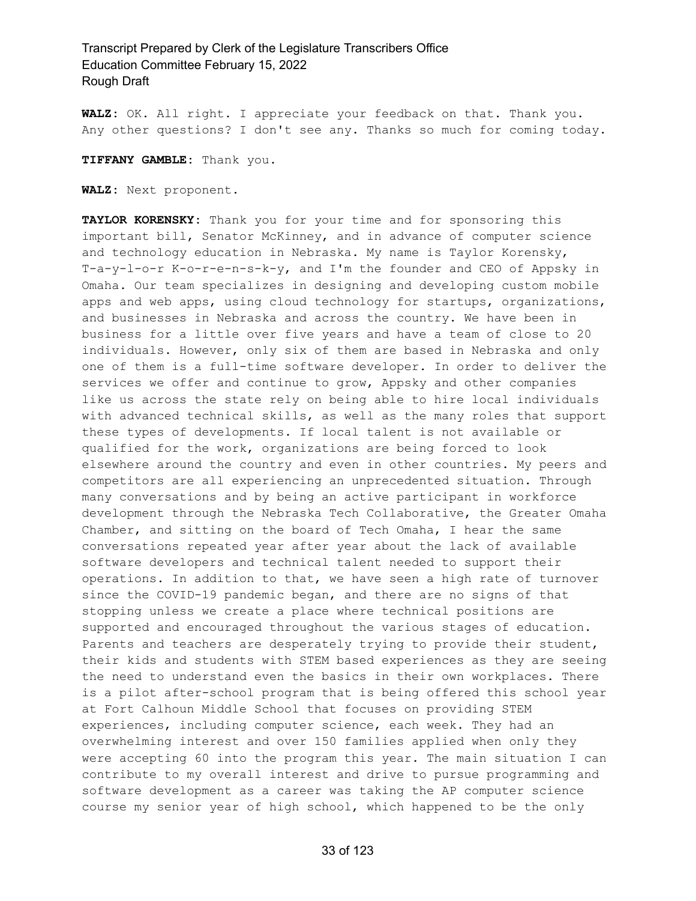**WALZ:** OK. All right. I appreciate your feedback on that. Thank you. Any other questions? I don't see any. Thanks so much for coming today.

**TIFFANY GAMBLE:** Thank you.

**WALZ:** Next proponent.

**TAYLOR KORENSKY:** Thank you for your time and for sponsoring this important bill, Senator McKinney, and in advance of computer science and technology education in Nebraska. My name is Taylor Korensky, T-a-y-l-o-r K-o-r-e-n-s-k-y, and I'm the founder and CEO of Appsky in Omaha. Our team specializes in designing and developing custom mobile apps and web apps, using cloud technology for startups, organizations, and businesses in Nebraska and across the country. We have been in business for a little over five years and have a team of close to 20 individuals. However, only six of them are based in Nebraska and only one of them is a full-time software developer. In order to deliver the services we offer and continue to grow, Appsky and other companies like us across the state rely on being able to hire local individuals with advanced technical skills, as well as the many roles that support these types of developments. If local talent is not available or qualified for the work, organizations are being forced to look elsewhere around the country and even in other countries. My peers and competitors are all experiencing an unprecedented situation. Through many conversations and by being an active participant in workforce development through the Nebraska Tech Collaborative, the Greater Omaha Chamber, and sitting on the board of Tech Omaha, I hear the same conversations repeated year after year about the lack of available software developers and technical talent needed to support their operations. In addition to that, we have seen a high rate of turnover since the COVID-19 pandemic began, and there are no signs of that stopping unless we create a place where technical positions are supported and encouraged throughout the various stages of education. Parents and teachers are desperately trying to provide their student, their kids and students with STEM based experiences as they are seeing the need to understand even the basics in their own workplaces. There is a pilot after-school program that is being offered this school year at Fort Calhoun Middle School that focuses on providing STEM experiences, including computer science, each week. They had an overwhelming interest and over 150 families applied when only they were accepting 60 into the program this year. The main situation I can contribute to my overall interest and drive to pursue programming and software development as a career was taking the AP computer science course my senior year of high school, which happened to be the only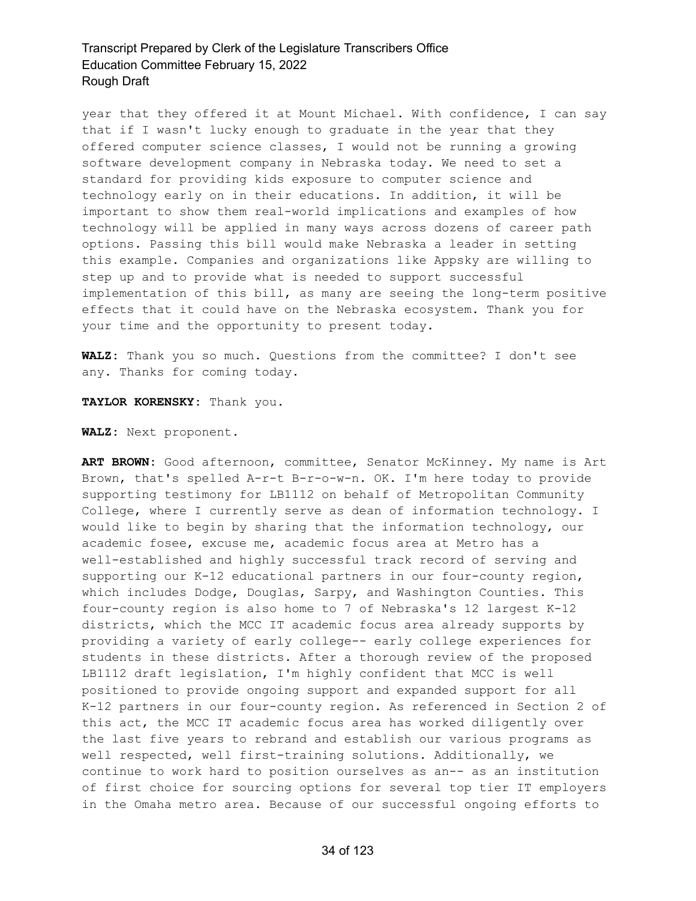year that they offered it at Mount Michael. With confidence, I can say that if I wasn't lucky enough to graduate in the year that they offered computer science classes, I would not be running a growing software development company in Nebraska today. We need to set a standard for providing kids exposure to computer science and technology early on in their educations. In addition, it will be important to show them real-world implications and examples of how technology will be applied in many ways across dozens of career path options. Passing this bill would make Nebraska a leader in setting this example. Companies and organizations like Appsky are willing to step up and to provide what is needed to support successful implementation of this bill, as many are seeing the long-term positive effects that it could have on the Nebraska ecosystem. Thank you for your time and the opportunity to present today.

**WALZ:** Thank you so much. Questions from the committee? I don't see any. Thanks for coming today.

**TAYLOR KORENSKY:** Thank you.

**WALZ:** Next proponent.

**ART BROWN:** Good afternoon, committee, Senator McKinney. My name is Art Brown, that's spelled A-r-t B-r-o-w-n. OK. I'm here today to provide supporting testimony for LB1112 on behalf of Metropolitan Community College, where I currently serve as dean of information technology. I would like to begin by sharing that the information technology, our academic fosee, excuse me, academic focus area at Metro has a well-established and highly successful track record of serving and supporting our K-12 educational partners in our four-county region, which includes Dodge, Douglas, Sarpy, and Washington Counties. This four-county region is also home to 7 of Nebraska's 12 largest K-12 districts, which the MCC IT academic focus area already supports by providing a variety of early college-- early college experiences for students in these districts. After a thorough review of the proposed LB1112 draft legislation, I'm highly confident that MCC is well positioned to provide ongoing support and expanded support for all K-12 partners in our four-county region. As referenced in Section 2 of this act, the MCC IT academic focus area has worked diligently over the last five years to rebrand and establish our various programs as well respected, well first-training solutions. Additionally, we continue to work hard to position ourselves as an-- as an institution of first choice for sourcing options for several top tier IT employers in the Omaha metro area. Because of our successful ongoing efforts to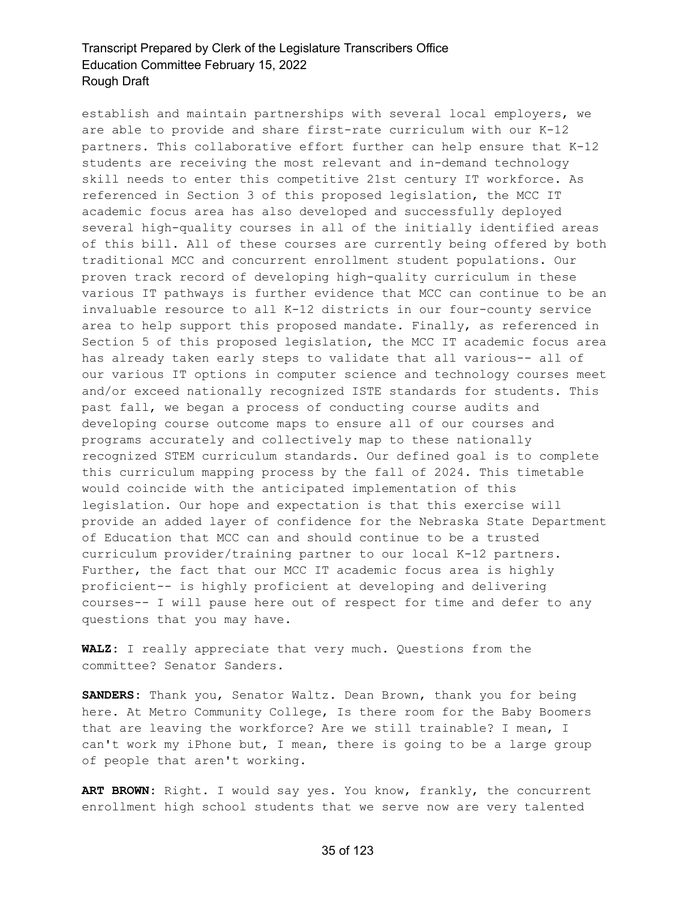establish and maintain partnerships with several local employers, we are able to provide and share first-rate curriculum with our K-12 partners. This collaborative effort further can help ensure that K-12 students are receiving the most relevant and in-demand technology skill needs to enter this competitive 21st century IT workforce. As referenced in Section 3 of this proposed legislation, the MCC IT academic focus area has also developed and successfully deployed several high-quality courses in all of the initially identified areas of this bill. All of these courses are currently being offered by both traditional MCC and concurrent enrollment student populations. Our proven track record of developing high-quality curriculum in these various IT pathways is further evidence that MCC can continue to be an invaluable resource to all K-12 districts in our four-county service area to help support this proposed mandate. Finally, as referenced in Section 5 of this proposed legislation, the MCC IT academic focus area has already taken early steps to validate that all various-- all of our various IT options in computer science and technology courses meet and/or exceed nationally recognized ISTE standards for students. This past fall, we began a process of conducting course audits and developing course outcome maps to ensure all of our courses and programs accurately and collectively map to these nationally recognized STEM curriculum standards. Our defined goal is to complete this curriculum mapping process by the fall of 2024. This timetable would coincide with the anticipated implementation of this legislation. Our hope and expectation is that this exercise will provide an added layer of confidence for the Nebraska State Department of Education that MCC can and should continue to be a trusted curriculum provider/training partner to our local K-12 partners. Further, the fact that our MCC IT academic focus area is highly proficient-- is highly proficient at developing and delivering courses-- I will pause here out of respect for time and defer to any questions that you may have.

**WALZ:** I really appreciate that very much. Questions from the committee? Senator Sanders.

**SANDERS:** Thank you, Senator Waltz. Dean Brown, thank you for being here. At Metro Community College, Is there room for the Baby Boomers that are leaving the workforce? Are we still trainable? I mean, I can't work my iPhone but, I mean, there is going to be a large group of people that aren't working.

**ART BROWN:** Right. I would say yes. You know, frankly, the concurrent enrollment high school students that we serve now are very talented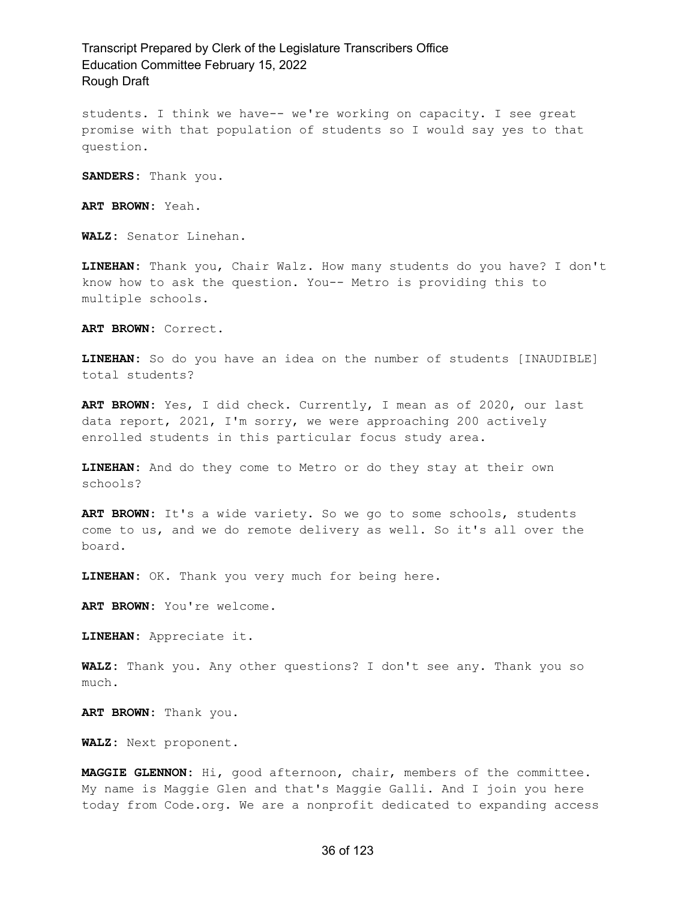students. I think we have-- we're working on capacity. I see great promise with that population of students so I would say yes to that question.

**SANDERS:** Thank you.

**ART BROWN:** Yeah.

**WALZ:** Senator Linehan.

**LINEHAN:** Thank you, Chair Walz. How many students do you have? I don't know how to ask the question. You-- Metro is providing this to multiple schools.

**ART BROWN:** Correct.

**LINEHAN:** So do you have an idea on the number of students [INAUDIBLE] total students?

**ART BROWN:** Yes, I did check. Currently, I mean as of 2020, our last data report, 2021, I'm sorry, we were approaching 200 actively enrolled students in this particular focus study area.

**LINEHAN:** And do they come to Metro or do they stay at their own schools?

**ART BROWN:** It's a wide variety. So we go to some schools, students come to us, and we do remote delivery as well. So it's all over the board.

**LINEHAN:** OK. Thank you very much for being here.

**ART BROWN:** You're welcome.

**LINEHAN:** Appreciate it.

**WALZ:** Thank you. Any other questions? I don't see any. Thank you so much.

**ART BROWN:** Thank you.

**WALZ:** Next proponent.

**MAGGIE GLENNON:** Hi, good afternoon, chair, members of the committee. My name is Maggie Glen and that's Maggie Galli. And I join you here today from Code.org. We are a nonprofit dedicated to expanding access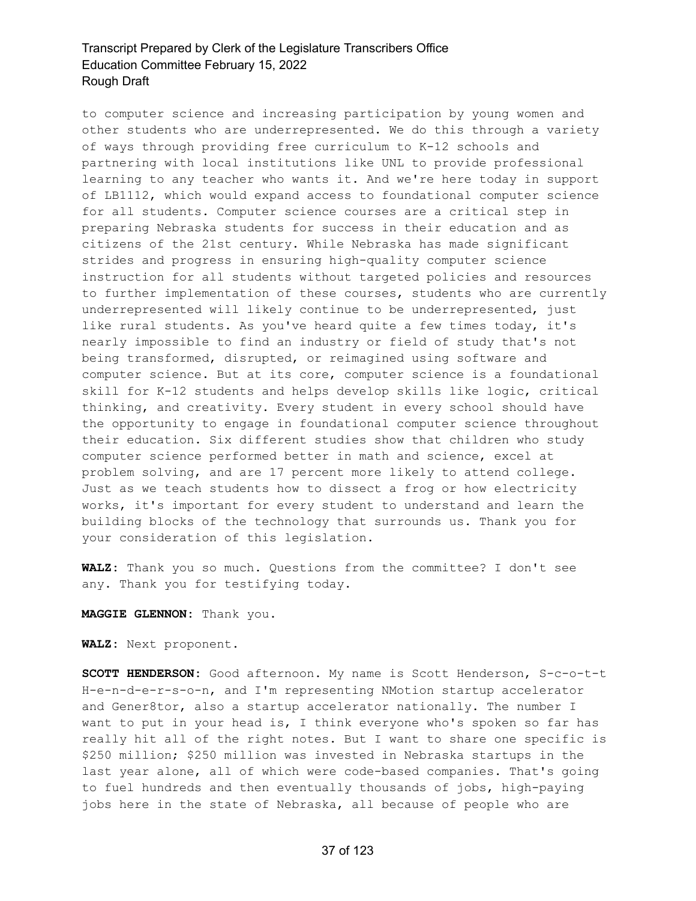to computer science and increasing participation by young women and other students who are underrepresented. We do this through a variety of ways through providing free curriculum to K-12 schools and partnering with local institutions like UNL to provide professional learning to any teacher who wants it. And we're here today in support of LB1112, which would expand access to foundational computer science for all students. Computer science courses are a critical step in preparing Nebraska students for success in their education and as citizens of the 21st century. While Nebraska has made significant strides and progress in ensuring high-quality computer science instruction for all students without targeted policies and resources to further implementation of these courses, students who are currently underrepresented will likely continue to be underrepresented, just like rural students. As you've heard quite a few times today, it's nearly impossible to find an industry or field of study that's not being transformed, disrupted, or reimagined using software and computer science. But at its core, computer science is a foundational skill for K-12 students and helps develop skills like logic, critical thinking, and creativity. Every student in every school should have the opportunity to engage in foundational computer science throughout their education. Six different studies show that children who study computer science performed better in math and science, excel at problem solving, and are 17 percent more likely to attend college. Just as we teach students how to dissect a frog or how electricity works, it's important for every student to understand and learn the building blocks of the technology that surrounds us. Thank you for your consideration of this legislation.

**WALZ:** Thank you so much. Questions from the committee? I don't see any. Thank you for testifying today.

**MAGGIE GLENNON:** Thank you.

**WALZ:** Next proponent.

**SCOTT HENDERSON:** Good afternoon. My name is Scott Henderson, S-c-o-t-t H-e-n-d-e-r-s-o-n, and I'm representing NMotion startup accelerator and Gener8tor, also a startup accelerator nationally. The number I want to put in your head is, I think everyone who's spoken so far has really hit all of the right notes. But I want to share one specific is \$250 million; \$250 million was invested in Nebraska startups in the last year alone, all of which were code-based companies. That's going to fuel hundreds and then eventually thousands of jobs, high-paying jobs here in the state of Nebraska, all because of people who are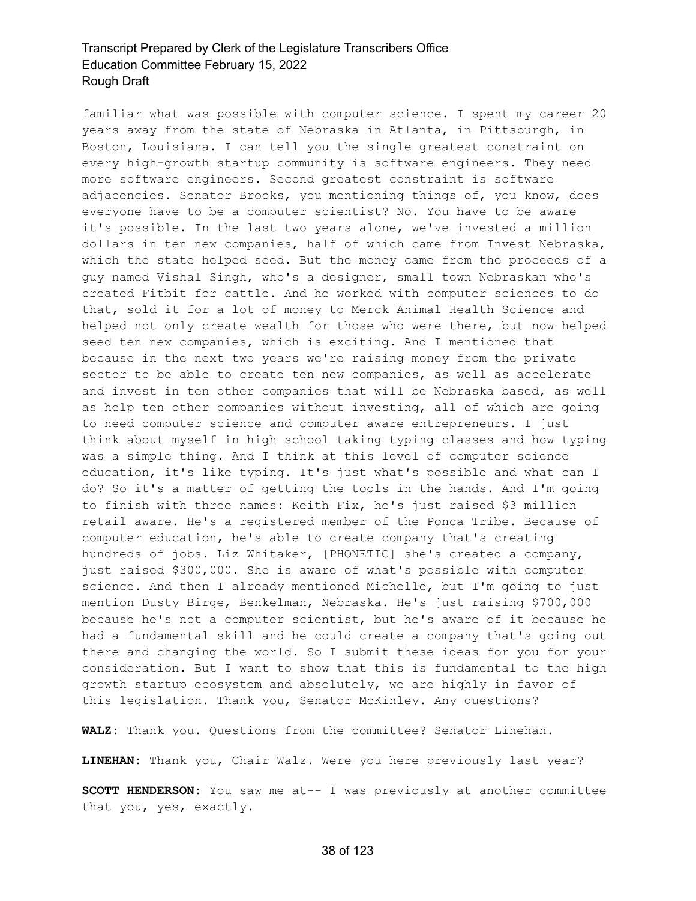familiar what was possible with computer science. I spent my career 20 years away from the state of Nebraska in Atlanta, in Pittsburgh, in Boston, Louisiana. I can tell you the single greatest constraint on every high-growth startup community is software engineers. They need more software engineers. Second greatest constraint is software adjacencies. Senator Brooks, you mentioning things of, you know, does everyone have to be a computer scientist? No. You have to be aware it's possible. In the last two years alone, we've invested a million dollars in ten new companies, half of which came from Invest Nebraska, which the state helped seed. But the money came from the proceeds of a guy named Vishal Singh, who's a designer, small town Nebraskan who's created Fitbit for cattle. And he worked with computer sciences to do that, sold it for a lot of money to Merck Animal Health Science and helped not only create wealth for those who were there, but now helped seed ten new companies, which is exciting. And I mentioned that because in the next two years we're raising money from the private sector to be able to create ten new companies, as well as accelerate and invest in ten other companies that will be Nebraska based, as well as help ten other companies without investing, all of which are going to need computer science and computer aware entrepreneurs. I just think about myself in high school taking typing classes and how typing was a simple thing. And I think at this level of computer science education, it's like typing. It's just what's possible and what can I do? So it's a matter of getting the tools in the hands. And I'm going to finish with three names: Keith Fix, he's just raised \$3 million retail aware. He's a registered member of the Ponca Tribe. Because of computer education, he's able to create company that's creating hundreds of jobs. Liz Whitaker, [PHONETIC] she's created a company, just raised \$300,000. She is aware of what's possible with computer science. And then I already mentioned Michelle, but I'm going to just mention Dusty Birge, Benkelman, Nebraska. He's just raising \$700,000 because he's not a computer scientist, but he's aware of it because he had a fundamental skill and he could create a company that's going out there and changing the world. So I submit these ideas for you for your consideration. But I want to show that this is fundamental to the high growth startup ecosystem and absolutely, we are highly in favor of this legislation. Thank you, Senator McKinley. Any questions?

**WALZ:** Thank you. Questions from the committee? Senator Linehan.

**LINEHAN:** Thank you, Chair Walz. Were you here previously last year?

**SCOTT HENDERSON:** You saw me at-- I was previously at another committee that you, yes, exactly.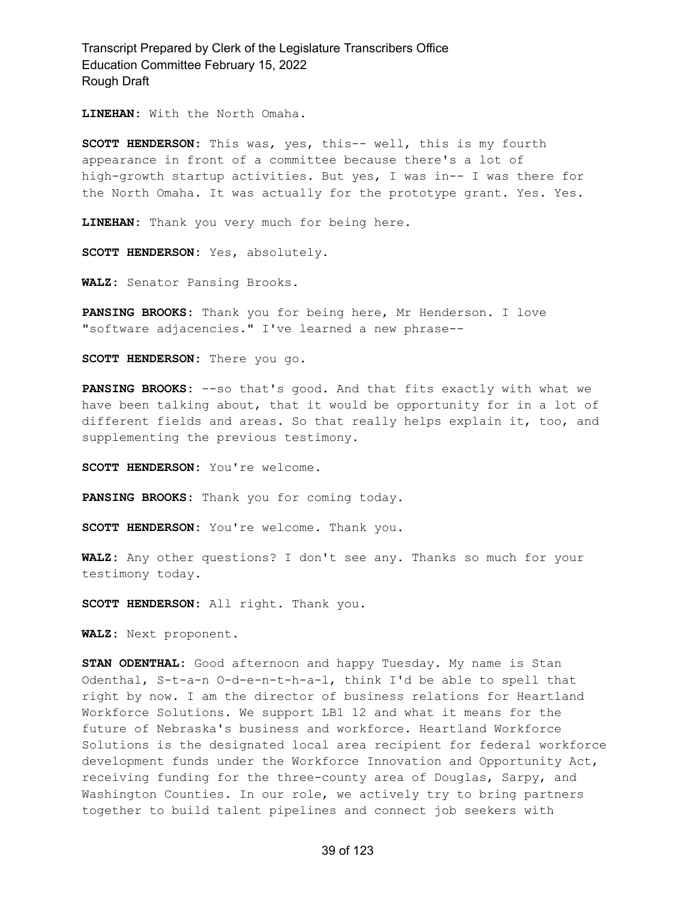**LINEHAN:** With the North Omaha.

**SCOTT HENDERSON:** This was, yes, this-- well, this is my fourth appearance in front of a committee because there's a lot of high-growth startup activities. But yes, I was in-- I was there for the North Omaha. It was actually for the prototype grant. Yes. Yes.

**LINEHAN:** Thank you very much for being here.

**SCOTT HENDERSON:** Yes, absolutely.

**WALZ:** Senator Pansing Brooks.

**PANSING BROOKS:** Thank you for being here, Mr Henderson. I love "software adjacencies." I've learned a new phrase--

**SCOTT HENDERSON:** There you go.

**PANSING BROOKS:** --so that's good. And that fits exactly with what we have been talking about, that it would be opportunity for in a lot of different fields and areas. So that really helps explain it, too, and supplementing the previous testimony.

**SCOTT HENDERSON:** You're welcome.

**PANSING BROOKS:** Thank you for coming today.

**SCOTT HENDERSON:** You're welcome. Thank you.

**WALZ:** Any other questions? I don't see any. Thanks so much for your testimony today.

**SCOTT HENDERSON:** All right. Thank you.

**WALZ:** Next proponent.

**STAN ODENTHAL:** Good afternoon and happy Tuesday. My name is Stan Odenthal, S-t-a-n O-d-e-n-t-h-a-l, think I'd be able to spell that right by now. I am the director of business relations for Heartland Workforce Solutions. We support LB1 12 and what it means for the future of Nebraska's business and workforce. Heartland Workforce Solutions is the designated local area recipient for federal workforce development funds under the Workforce Innovation and Opportunity Act, receiving funding for the three-county area of Douglas, Sarpy, and Washington Counties. In our role, we actively try to bring partners together to build talent pipelines and connect job seekers with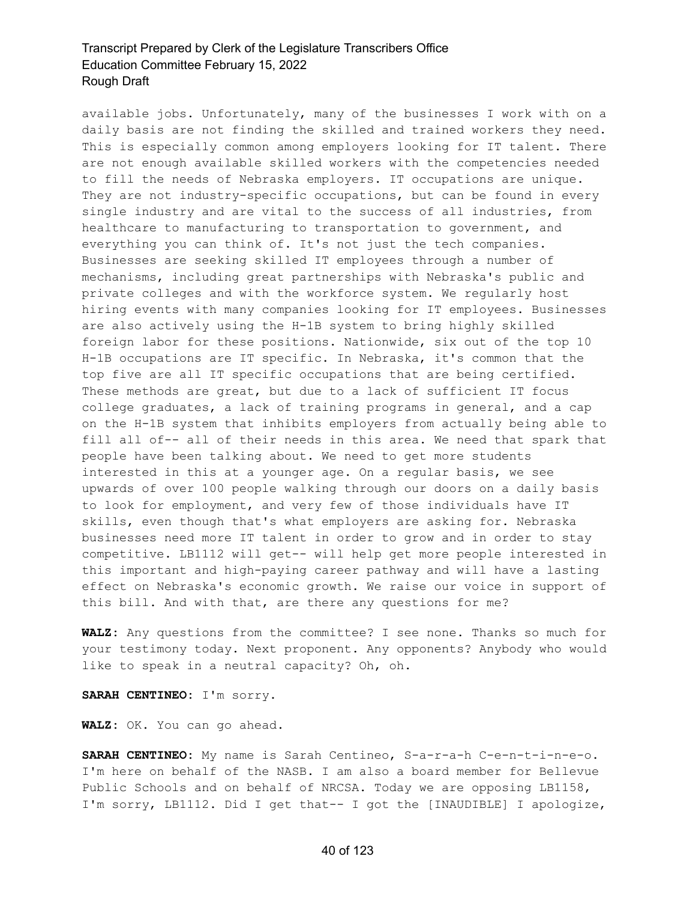available jobs. Unfortunately, many of the businesses I work with on a daily basis are not finding the skilled and trained workers they need. This is especially common among employers looking for IT talent. There are not enough available skilled workers with the competencies needed to fill the needs of Nebraska employers. IT occupations are unique. They are not industry-specific occupations, but can be found in every single industry and are vital to the success of all industries, from healthcare to manufacturing to transportation to government, and everything you can think of. It's not just the tech companies. Businesses are seeking skilled IT employees through a number of mechanisms, including great partnerships with Nebraska's public and private colleges and with the workforce system. We regularly host hiring events with many companies looking for IT employees. Businesses are also actively using the H-1B system to bring highly skilled foreign labor for these positions. Nationwide, six out of the top 10 H-1B occupations are IT specific. In Nebraska, it's common that the top five are all IT specific occupations that are being certified. These methods are great, but due to a lack of sufficient IT focus college graduates, a lack of training programs in general, and a cap on the H-1B system that inhibits employers from actually being able to fill all of-- all of their needs in this area. We need that spark that people have been talking about. We need to get more students interested in this at a younger age. On a regular basis, we see upwards of over 100 people walking through our doors on a daily basis to look for employment, and very few of those individuals have IT skills, even though that's what employers are asking for. Nebraska businesses need more IT talent in order to grow and in order to stay competitive. LB1112 will get-- will help get more people interested in this important and high-paying career pathway and will have a lasting effect on Nebraska's economic growth. We raise our voice in support of this bill. And with that, are there any questions for me?

**WALZ:** Any questions from the committee? I see none. Thanks so much for your testimony today. Next proponent. Any opponents? Anybody who would like to speak in a neutral capacity? Oh, oh.

**SARAH CENTINEO:** I'm sorry.

**WALZ:** OK. You can go ahead.

**SARAH CENTINEO:** My name is Sarah Centineo, S-a-r-a-h C-e-n-t-i-n-e-o. I'm here on behalf of the NASB. I am also a board member for Bellevue Public Schools and on behalf of NRCSA. Today we are opposing LB1158, I'm sorry, LB1112. Did I get that-- I got the [INAUDIBLE] I apologize,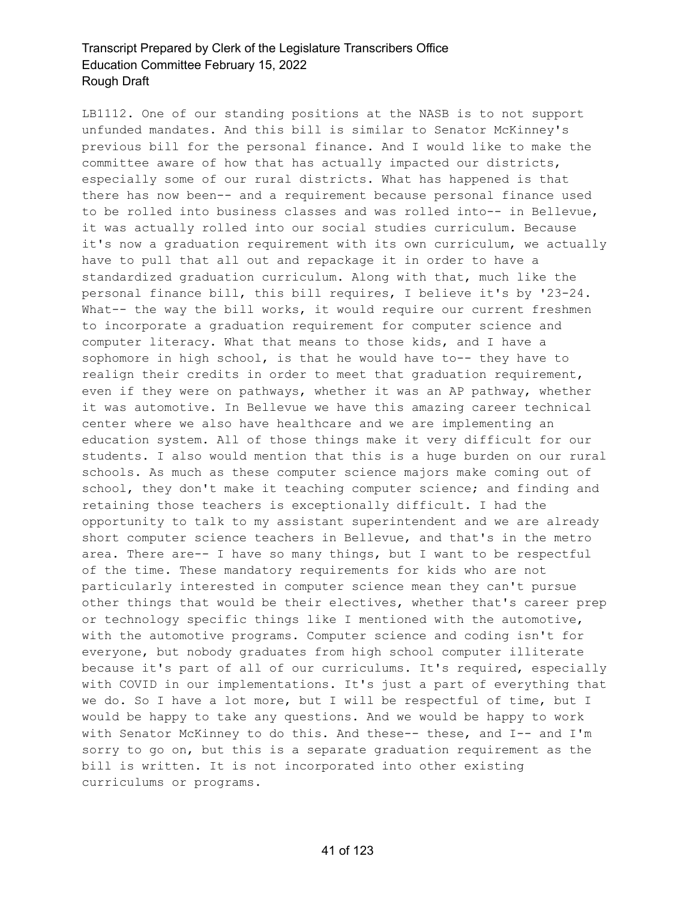LB1112. One of our standing positions at the NASB is to not support unfunded mandates. And this bill is similar to Senator McKinney's previous bill for the personal finance. And I would like to make the committee aware of how that has actually impacted our districts, especially some of our rural districts. What has happened is that there has now been-- and a requirement because personal finance used to be rolled into business classes and was rolled into-- in Bellevue, it was actually rolled into our social studies curriculum. Because it's now a graduation requirement with its own curriculum, we actually have to pull that all out and repackage it in order to have a standardized graduation curriculum. Along with that, much like the personal finance bill, this bill requires, I believe it's by '23-24. What-- the way the bill works, it would require our current freshmen to incorporate a graduation requirement for computer science and computer literacy. What that means to those kids, and I have a sophomore in high school, is that he would have to-- they have to realign their credits in order to meet that graduation requirement, even if they were on pathways, whether it was an AP pathway, whether it was automotive. In Bellevue we have this amazing career technical center where we also have healthcare and we are implementing an education system. All of those things make it very difficult for our students. I also would mention that this is a huge burden on our rural schools. As much as these computer science majors make coming out of school, they don't make it teaching computer science; and finding and retaining those teachers is exceptionally difficult. I had the opportunity to talk to my assistant superintendent and we are already short computer science teachers in Bellevue, and that's in the metro area. There are-- I have so many things, but I want to be respectful of the time. These mandatory requirements for kids who are not particularly interested in computer science mean they can't pursue other things that would be their electives, whether that's career prep or technology specific things like I mentioned with the automotive, with the automotive programs. Computer science and coding isn't for everyone, but nobody graduates from high school computer illiterate because it's part of all of our curriculums. It's required, especially with COVID in our implementations. It's just a part of everything that we do. So I have a lot more, but I will be respectful of time, but I would be happy to take any questions. And we would be happy to work with Senator McKinney to do this. And these-- these, and I-- and I'm sorry to go on, but this is a separate graduation requirement as the bill is written. It is not incorporated into other existing curriculums or programs.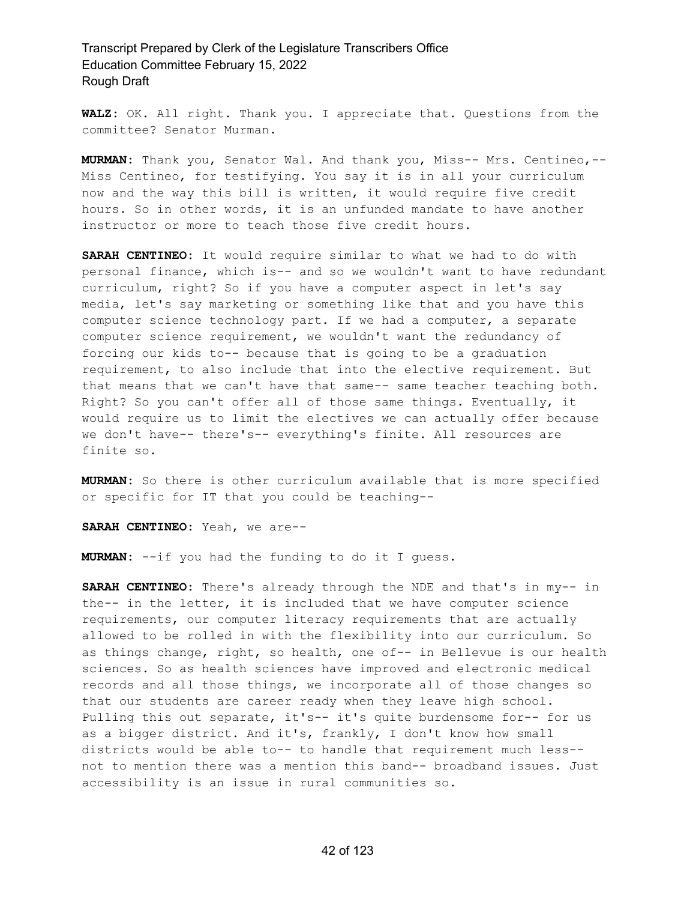**WALZ:** OK. All right. Thank you. I appreciate that. Questions from the committee? Senator Murman.

**MURMAN:** Thank you, Senator Wal. And thank you, Miss-- Mrs. Centineo,-- Miss Centineo, for testifying. You say it is in all your curriculum now and the way this bill is written, it would require five credit hours. So in other words, it is an unfunded mandate to have another instructor or more to teach those five credit hours.

**SARAH CENTINEO:** It would require similar to what we had to do with personal finance, which is-- and so we wouldn't want to have redundant curriculum, right? So if you have a computer aspect in let's say media, let's say marketing or something like that and you have this computer science technology part. If we had a computer, a separate computer science requirement, we wouldn't want the redundancy of forcing our kids to-- because that is going to be a graduation requirement, to also include that into the elective requirement. But that means that we can't have that same-- same teacher teaching both. Right? So you can't offer all of those same things. Eventually, it would require us to limit the electives we can actually offer because we don't have-- there's-- everything's finite. All resources are finite so.

**MURMAN:** So there is other curriculum available that is more specified or specific for IT that you could be teaching--

**SARAH CENTINEO:** Yeah, we are--

**MURMAN:** --if you had the funding to do it I guess.

**SARAH CENTINEO:** There's already through the NDE and that's in my-- in the-- in the letter, it is included that we have computer science requirements, our computer literacy requirements that are actually allowed to be rolled in with the flexibility into our curriculum. So as things change, right, so health, one of-- in Bellevue is our health sciences. So as health sciences have improved and electronic medical records and all those things, we incorporate all of those changes so that our students are career ready when they leave high school. Pulling this out separate, it's-- it's quite burdensome for-- for us as a bigger district. And it's, frankly, I don't know how small districts would be able to-- to handle that requirement much less- not to mention there was a mention this band-- broadband issues. Just accessibility is an issue in rural communities so.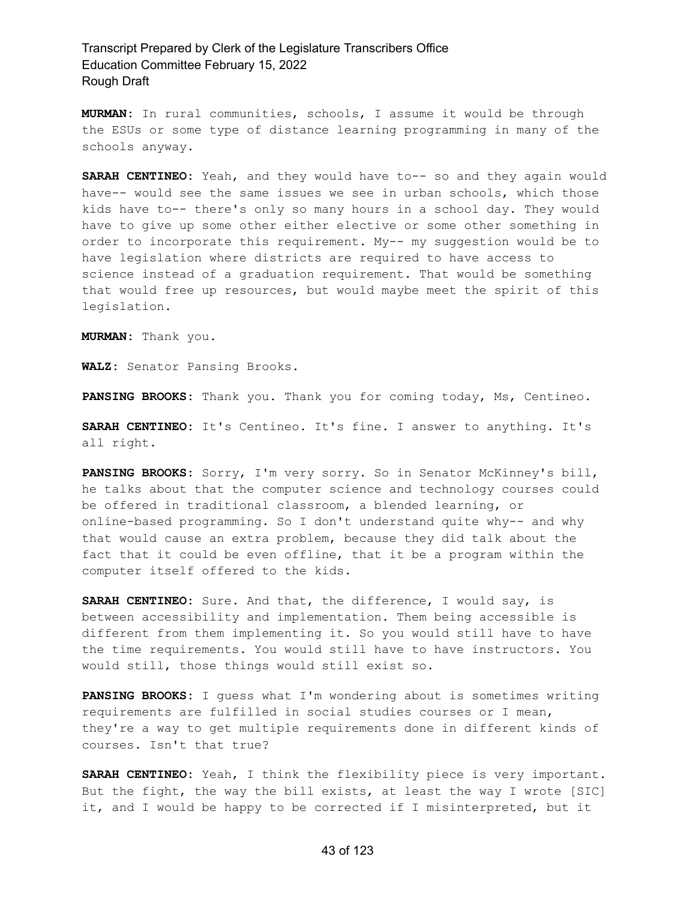**MURMAN:** In rural communities, schools, I assume it would be through the ESUs or some type of distance learning programming in many of the schools anyway.

**SARAH CENTINEO:** Yeah, and they would have to-- so and they again would have-- would see the same issues we see in urban schools, which those kids have to-- there's only so many hours in a school day. They would have to give up some other either elective or some other something in order to incorporate this requirement. My-- my suggestion would be to have legislation where districts are required to have access to science instead of a graduation requirement. That would be something that would free up resources, but would maybe meet the spirit of this legislation.

**MURMAN:** Thank you.

**WALZ:** Senator Pansing Brooks.

**PANSING BROOKS:** Thank you. Thank you for coming today, Ms, Centineo.

**SARAH CENTINEO:** It's Centineo. It's fine. I answer to anything. It's all right.

**PANSING BROOKS:** Sorry, I'm very sorry. So in Senator McKinney's bill, he talks about that the computer science and technology courses could be offered in traditional classroom, a blended learning, or online-based programming. So I don't understand quite why-- and why that would cause an extra problem, because they did talk about the fact that it could be even offline, that it be a program within the computer itself offered to the kids.

**SARAH CENTINEO:** Sure. And that, the difference, I would say, is between accessibility and implementation. Them being accessible is different from them implementing it. So you would still have to have the time requirements. You would still have to have instructors. You would still, those things would still exist so.

**PANSING BROOKS:** I guess what I'm wondering about is sometimes writing requirements are fulfilled in social studies courses or I mean, they're a way to get multiple requirements done in different kinds of courses. Isn't that true?

**SARAH CENTINEO:** Yeah, I think the flexibility piece is very important. But the fight, the way the bill exists, at least the way I wrote [SIC] it, and I would be happy to be corrected if I misinterpreted, but it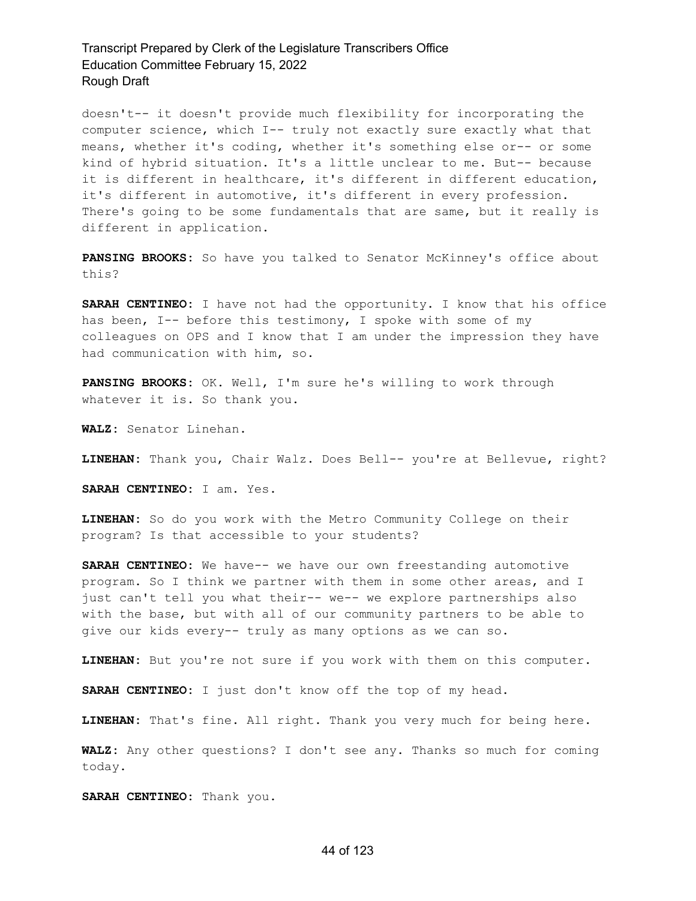doesn't-- it doesn't provide much flexibility for incorporating the computer science, which I-- truly not exactly sure exactly what that means, whether it's coding, whether it's something else or-- or some kind of hybrid situation. It's a little unclear to me. But-- because it is different in healthcare, it's different in different education, it's different in automotive, it's different in every profession. There's going to be some fundamentals that are same, but it really is different in application.

**PANSING BROOKS:** So have you talked to Senator McKinney's office about this?

**SARAH CENTINEO:** I have not had the opportunity. I know that his office has been, I-- before this testimony, I spoke with some of my colleagues on OPS and I know that I am under the impression they have had communication with him, so.

**PANSING BROOKS:** OK. Well, I'm sure he's willing to work through whatever it is. So thank you.

**WALZ:** Senator Linehan.

**LINEHAN:** Thank you, Chair Walz. Does Bell-- you're at Bellevue, right?

**SARAH CENTINEO:** I am. Yes.

**LINEHAN:** So do you work with the Metro Community College on their program? Is that accessible to your students?

**SARAH CENTINEO:** We have-- we have our own freestanding automotive program. So I think we partner with them in some other areas, and I just can't tell you what their-- we-- we explore partnerships also with the base, but with all of our community partners to be able to give our kids every-- truly as many options as we can so.

**LINEHAN:** But you're not sure if you work with them on this computer.

**SARAH CENTINEO:** I just don't know off the top of my head.

**LINEHAN:** That's fine. All right. Thank you very much for being here.

**WALZ:** Any other questions? I don't see any. Thanks so much for coming today.

**SARAH CENTINEO:** Thank you.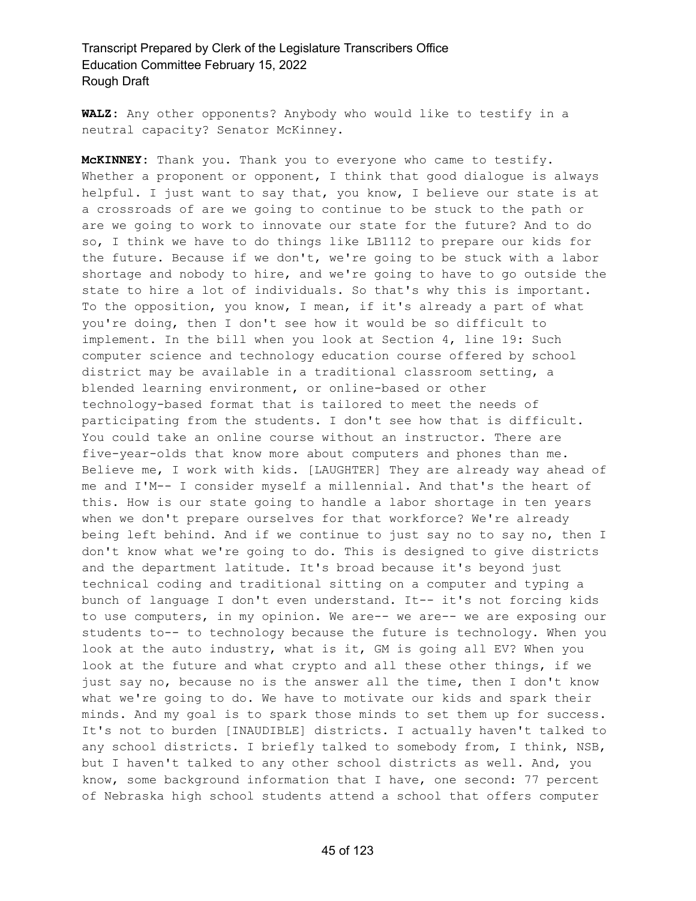**WALZ:** Any other opponents? Anybody who would like to testify in a neutral capacity? Senator McKinney.

**McKINNEY:** Thank you. Thank you to everyone who came to testify. Whether a proponent or opponent, I think that good dialogue is always helpful. I just want to say that, you know, I believe our state is at a crossroads of are we going to continue to be stuck to the path or are we going to work to innovate our state for the future? And to do so, I think we have to do things like LB1112 to prepare our kids for the future. Because if we don't, we're going to be stuck with a labor shortage and nobody to hire, and we're going to have to go outside the state to hire a lot of individuals. So that's why this is important. To the opposition, you know, I mean, if it's already a part of what you're doing, then I don't see how it would be so difficult to implement. In the bill when you look at Section 4, line 19: Such computer science and technology education course offered by school district may be available in a traditional classroom setting, a blended learning environment, or online-based or other technology-based format that is tailored to meet the needs of participating from the students. I don't see how that is difficult. You could take an online course without an instructor. There are five-year-olds that know more about computers and phones than me. Believe me, I work with kids. [LAUGHTER] They are already way ahead of me and I'M-- I consider myself a millennial. And that's the heart of this. How is our state going to handle a labor shortage in ten years when we don't prepare ourselves for that workforce? We're already being left behind. And if we continue to just say no to say no, then I don't know what we're going to do. This is designed to give districts and the department latitude. It's broad because it's beyond just technical coding and traditional sitting on a computer and typing a bunch of language I don't even understand. It-- it's not forcing kids to use computers, in my opinion. We are-- we are-- we are exposing our students to-- to technology because the future is technology. When you look at the auto industry, what is it, GM is going all EV? When you look at the future and what crypto and all these other things, if we just say no, because no is the answer all the time, then I don't know what we're going to do. We have to motivate our kids and spark their minds. And my goal is to spark those minds to set them up for success. It's not to burden [INAUDIBLE] districts. I actually haven't talked to any school districts. I briefly talked to somebody from, I think, NSB, but I haven't talked to any other school districts as well. And, you know, some background information that I have, one second: 77 percent of Nebraska high school students attend a school that offers computer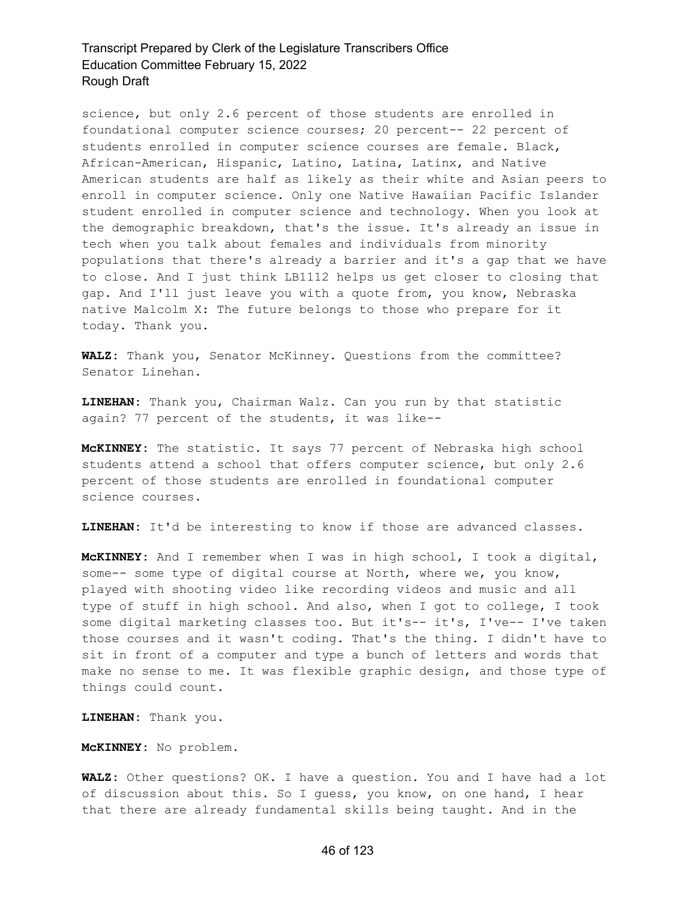science, but only 2.6 percent of those students are enrolled in foundational computer science courses; 20 percent-- 22 percent of students enrolled in computer science courses are female. Black, African-American, Hispanic, Latino, Latina, Latinx, and Native American students are half as likely as their white and Asian peers to enroll in computer science. Only one Native Hawaiian Pacific Islander student enrolled in computer science and technology. When you look at the demographic breakdown, that's the issue. It's already an issue in tech when you talk about females and individuals from minority populations that there's already a barrier and it's a gap that we have to close. And I just think LB1112 helps us get closer to closing that gap. And I'll just leave you with a quote from, you know, Nebraska native Malcolm X: The future belongs to those who prepare for it today. Thank you.

**WALZ:** Thank you, Senator McKinney. Questions from the committee? Senator Linehan.

**LINEHAN:** Thank you, Chairman Walz. Can you run by that statistic again? 77 percent of the students, it was like--

**McKINNEY:** The statistic. It says 77 percent of Nebraska high school students attend a school that offers computer science, but only 2.6 percent of those students are enrolled in foundational computer science courses.

**LINEHAN:** It'd be interesting to know if those are advanced classes.

**McKINNEY:** And I remember when I was in high school, I took a digital, some-- some type of digital course at North, where we, you know, played with shooting video like recording videos and music and all type of stuff in high school. And also, when I got to college, I took some digital marketing classes too. But it's-- it's, I've-- I've taken those courses and it wasn't coding. That's the thing. I didn't have to sit in front of a computer and type a bunch of letters and words that make no sense to me. It was flexible graphic design, and those type of things could count.

**LINEHAN:** Thank you.

**McKINNEY:** No problem.

**WALZ:** Other questions? OK. I have a question. You and I have had a lot of discussion about this. So I guess, you know, on one hand, I hear that there are already fundamental skills being taught. And in the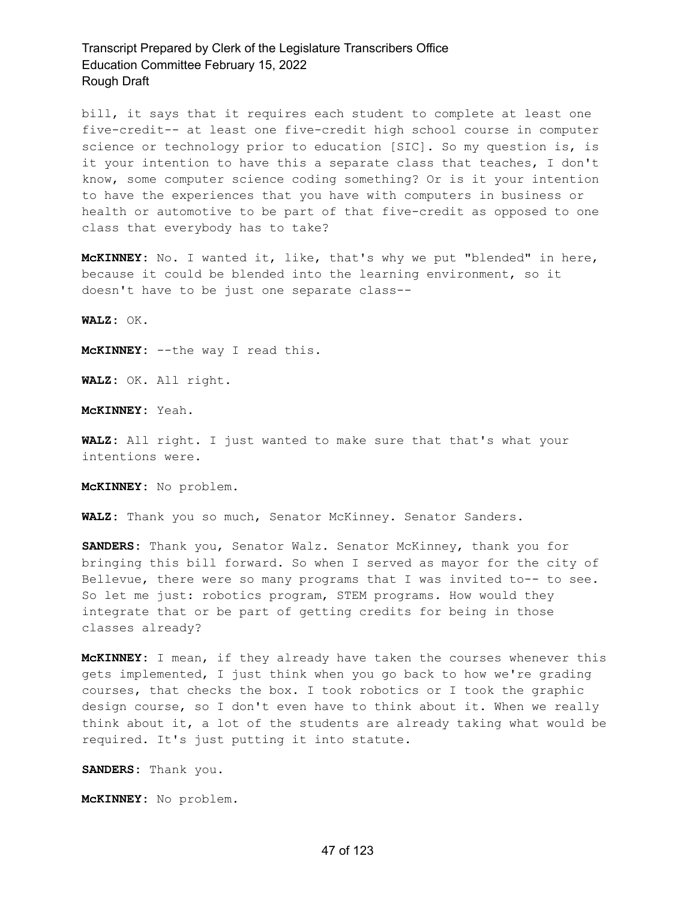bill, it says that it requires each student to complete at least one five-credit-- at least one five-credit high school course in computer science or technology prior to education [SIC]. So my question is, is it your intention to have this a separate class that teaches, I don't know, some computer science coding something? Or is it your intention to have the experiences that you have with computers in business or health or automotive to be part of that five-credit as opposed to one class that everybody has to take?

**McKINNEY:** No. I wanted it, like, that's why we put "blended" in here, because it could be blended into the learning environment, so it doesn't have to be just one separate class--

**WALZ:** OK.

**McKINNEY:** --the way I read this.

**WALZ:** OK. All right.

**McKINNEY:** Yeah.

**WALZ:** All right. I just wanted to make sure that that's what your intentions were.

**McKINNEY:** No problem.

**WALZ:** Thank you so much, Senator McKinney. Senator Sanders.

**SANDERS:** Thank you, Senator Walz. Senator McKinney, thank you for bringing this bill forward. So when I served as mayor for the city of Bellevue, there were so many programs that I was invited to-- to see. So let me just: robotics program, STEM programs. How would they integrate that or be part of getting credits for being in those classes already?

**McKINNEY:** I mean, if they already have taken the courses whenever this gets implemented, I just think when you go back to how we're grading courses, that checks the box. I took robotics or I took the graphic design course, so I don't even have to think about it. When we really think about it, a lot of the students are already taking what would be required. It's just putting it into statute.

**SANDERS:** Thank you.

**McKINNEY:** No problem.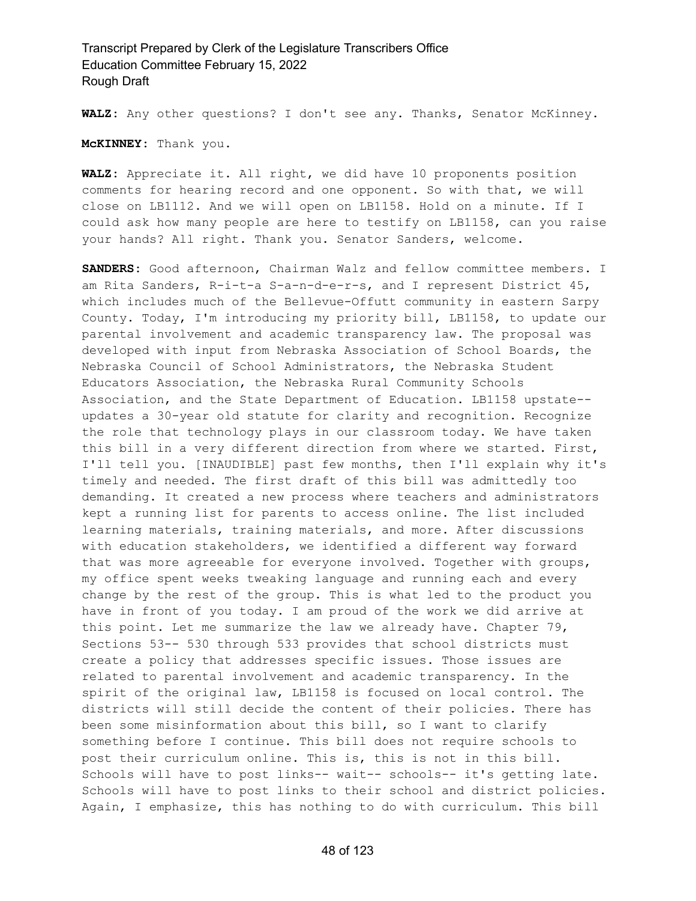**WALZ:** Any other questions? I don't see any. Thanks, Senator McKinney.

**McKINNEY:** Thank you.

**WALZ:** Appreciate it. All right, we did have 10 proponents position comments for hearing record and one opponent. So with that, we will close on LB1112. And we will open on LB1158. Hold on a minute. If I could ask how many people are here to testify on LB1158, can you raise your hands? All right. Thank you. Senator Sanders, welcome.

**SANDERS:** Good afternoon, Chairman Walz and fellow committee members. I am Rita Sanders, R-i-t-a S-a-n-d-e-r-s, and I represent District 45, which includes much of the Bellevue-Offutt community in eastern Sarpy County. Today, I'm introducing my priority bill, LB1158, to update our parental involvement and academic transparency law. The proposal was developed with input from Nebraska Association of School Boards, the Nebraska Council of School Administrators, the Nebraska Student Educators Association, the Nebraska Rural Community Schools Association, and the State Department of Education. LB1158 upstate- updates a 30-year old statute for clarity and recognition. Recognize the role that technology plays in our classroom today. We have taken this bill in a very different direction from where we started. First, I'll tell you. [INAUDIBLE] past few months, then I'll explain why it's timely and needed. The first draft of this bill was admittedly too demanding. It created a new process where teachers and administrators kept a running list for parents to access online. The list included learning materials, training materials, and more. After discussions with education stakeholders, we identified a different way forward that was more agreeable for everyone involved. Together with groups, my office spent weeks tweaking language and running each and every change by the rest of the group. This is what led to the product you have in front of you today. I am proud of the work we did arrive at this point. Let me summarize the law we already have. Chapter 79, Sections 53-- 530 through 533 provides that school districts must create a policy that addresses specific issues. Those issues are related to parental involvement and academic transparency. In the spirit of the original law, LB1158 is focused on local control. The districts will still decide the content of their policies. There has been some misinformation about this bill, so I want to clarify something before I continue. This bill does not require schools to post their curriculum online. This is, this is not in this bill. Schools will have to post links-- wait-- schools-- it's getting late. Schools will have to post links to their school and district policies. Again, I emphasize, this has nothing to do with curriculum. This bill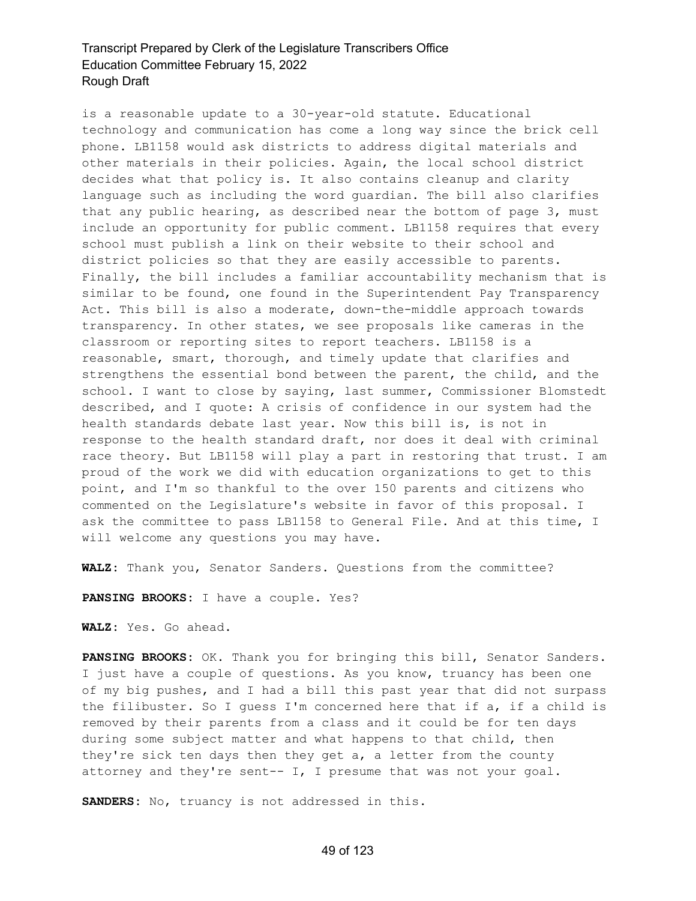is a reasonable update to a 30-year-old statute. Educational technology and communication has come a long way since the brick cell phone. LB1158 would ask districts to address digital materials and other materials in their policies. Again, the local school district decides what that policy is. It also contains cleanup and clarity language such as including the word guardian. The bill also clarifies that any public hearing, as described near the bottom of page 3, must include an opportunity for public comment. LB1158 requires that every school must publish a link on their website to their school and district policies so that they are easily accessible to parents. Finally, the bill includes a familiar accountability mechanism that is similar to be found, one found in the Superintendent Pay Transparency Act. This bill is also a moderate, down-the-middle approach towards transparency. In other states, we see proposals like cameras in the classroom or reporting sites to report teachers. LB1158 is a reasonable, smart, thorough, and timely update that clarifies and strengthens the essential bond between the parent, the child, and the school. I want to close by saying, last summer, Commissioner Blomstedt described, and I quote: A crisis of confidence in our system had the health standards debate last year. Now this bill is, is not in response to the health standard draft, nor does it deal with criminal race theory. But LB1158 will play a part in restoring that trust. I am proud of the work we did with education organizations to get to this point, and I'm so thankful to the over 150 parents and citizens who commented on the Legislature's website in favor of this proposal. I ask the committee to pass LB1158 to General File. And at this time, I will welcome any questions you may have.

**WALZ:** Thank you, Senator Sanders. Questions from the committee?

**PANSING BROOKS:** I have a couple. Yes?

**WALZ:** Yes. Go ahead.

**PANSING BROOKS:** OK. Thank you for bringing this bill, Senator Sanders. I just have a couple of questions. As you know, truancy has been one of my big pushes, and I had a bill this past year that did not surpass the filibuster. So I guess I'm concerned here that if a, if a child is removed by their parents from a class and it could be for ten days during some subject matter and what happens to that child, then they're sick ten days then they get a, a letter from the county attorney and they're sent-- I, I presume that was not your goal.

**SANDERS:** No, truancy is not addressed in this.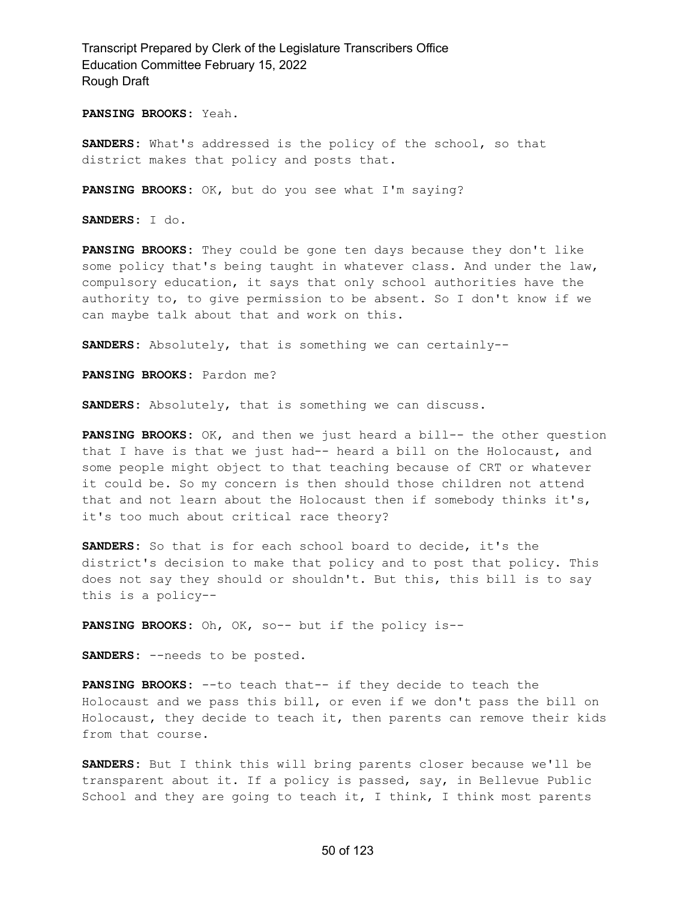**PANSING BROOKS:** Yeah.

**SANDERS:** What's addressed is the policy of the school, so that district makes that policy and posts that.

**PANSING BROOKS:** OK, but do you see what I'm saying?

**SANDERS:** I do.

**PANSING BROOKS:** They could be gone ten days because they don't like some policy that's being taught in whatever class. And under the law, compulsory education, it says that only school authorities have the authority to, to give permission to be absent. So I don't know if we can maybe talk about that and work on this.

**SANDERS:** Absolutely, that is something we can certainly--

**PANSING BROOKS:** Pardon me?

**SANDERS:** Absolutely, that is something we can discuss.

**PANSING BROOKS:** OK, and then we just heard a bill-- the other question that I have is that we just had-- heard a bill on the Holocaust, and some people might object to that teaching because of CRT or whatever it could be. So my concern is then should those children not attend that and not learn about the Holocaust then if somebody thinks it's, it's too much about critical race theory?

**SANDERS:** So that is for each school board to decide, it's the district's decision to make that policy and to post that policy. This does not say they should or shouldn't. But this, this bill is to say this is a policy--

**PANSING BROOKS:** Oh, OK, so-- but if the policy is--

**SANDERS:** --needs to be posted.

**PANSING BROOKS:** --to teach that-- if they decide to teach the Holocaust and we pass this bill, or even if we don't pass the bill on Holocaust, they decide to teach it, then parents can remove their kids from that course.

**SANDERS:** But I think this will bring parents closer because we'll be transparent about it. If a policy is passed, say, in Bellevue Public School and they are going to teach it, I think, I think most parents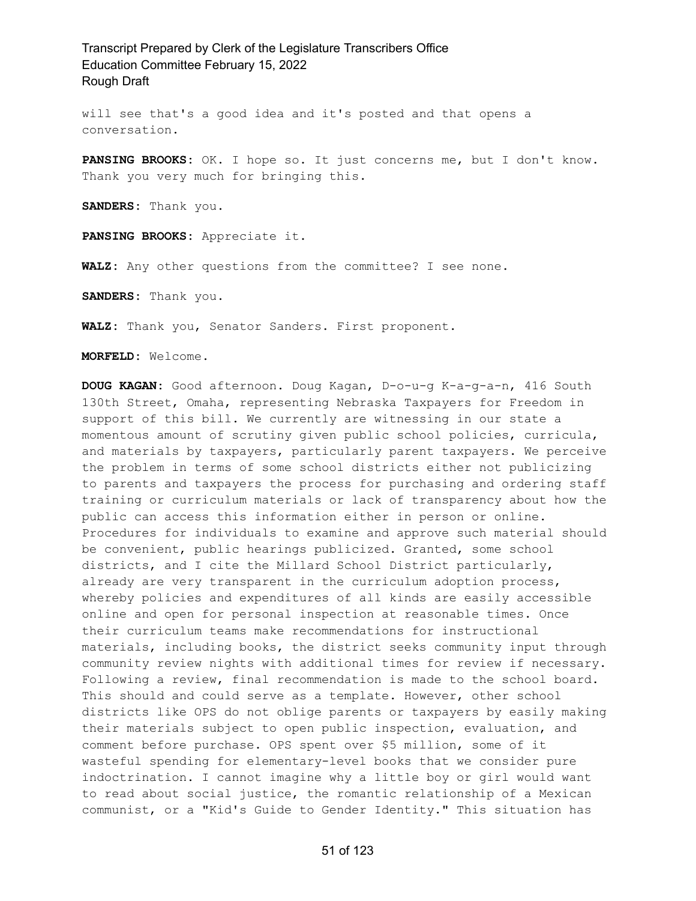will see that's a good idea and it's posted and that opens a conversation.

**PANSING BROOKS:** OK. I hope so. It just concerns me, but I don't know. Thank you very much for bringing this.

**SANDERS:** Thank you.

**PANSING BROOKS:** Appreciate it.

**WALZ:** Any other questions from the committee? I see none.

**SANDERS:** Thank you.

**WALZ:** Thank you, Senator Sanders. First proponent.

**MORFELD:** Welcome.

**DOUG KAGAN:** Good afternoon. Doug Kagan, D-o-u-g K-a-g-a-n, 416 South 130th Street, Omaha, representing Nebraska Taxpayers for Freedom in support of this bill. We currently are witnessing in our state a momentous amount of scrutiny given public school policies, curricula, and materials by taxpayers, particularly parent taxpayers. We perceive the problem in terms of some school districts either not publicizing to parents and taxpayers the process for purchasing and ordering staff training or curriculum materials or lack of transparency about how the public can access this information either in person or online. Procedures for individuals to examine and approve such material should be convenient, public hearings publicized. Granted, some school districts, and I cite the Millard School District particularly, already are very transparent in the curriculum adoption process, whereby policies and expenditures of all kinds are easily accessible online and open for personal inspection at reasonable times. Once their curriculum teams make recommendations for instructional materials, including books, the district seeks community input through community review nights with additional times for review if necessary. Following a review, final recommendation is made to the school board. This should and could serve as a template. However, other school districts like OPS do not oblige parents or taxpayers by easily making their materials subject to open public inspection, evaluation, and comment before purchase. OPS spent over \$5 million, some of it wasteful spending for elementary-level books that we consider pure indoctrination. I cannot imagine why a little boy or girl would want to read about social justice, the romantic relationship of a Mexican communist, or a "Kid's Guide to Gender Identity." This situation has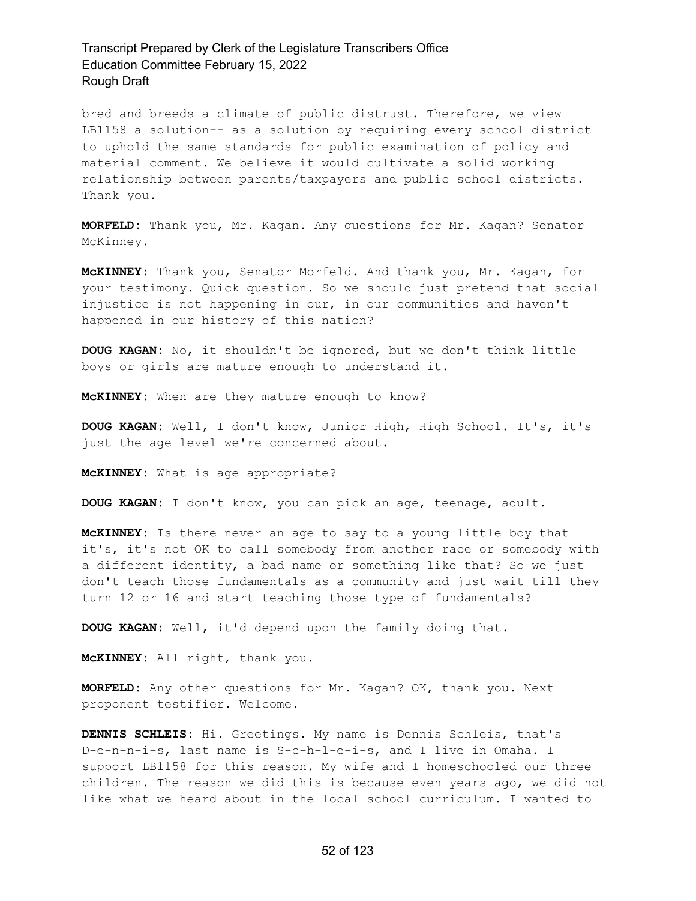bred and breeds a climate of public distrust. Therefore, we view LB1158 a solution-- as a solution by requiring every school district to uphold the same standards for public examination of policy and material comment. We believe it would cultivate a solid working relationship between parents/taxpayers and public school districts. Thank you.

**MORFELD:** Thank you, Mr. Kagan. Any questions for Mr. Kagan? Senator McKinney.

**McKINNEY:** Thank you, Senator Morfeld. And thank you, Mr. Kagan, for your testimony. Quick question. So we should just pretend that social injustice is not happening in our, in our communities and haven't happened in our history of this nation?

**DOUG KAGAN:** No, it shouldn't be ignored, but we don't think little boys or girls are mature enough to understand it.

**McKINNEY:** When are they mature enough to know?

**DOUG KAGAN:** Well, I don't know, Junior High, High School. It's, it's just the age level we're concerned about.

**McKINNEY:** What is age appropriate?

**DOUG KAGAN:** I don't know, you can pick an age, teenage, adult.

**McKINNEY:** Is there never an age to say to a young little boy that it's, it's not OK to call somebody from another race or somebody with a different identity, a bad name or something like that? So we just don't teach those fundamentals as a community and just wait till they turn 12 or 16 and start teaching those type of fundamentals?

**DOUG KAGAN:** Well, it'd depend upon the family doing that.

**McKINNEY:** All right, thank you.

**MORFELD:** Any other questions for Mr. Kagan? OK, thank you. Next proponent testifier. Welcome.

**DENNIS SCHLEIS:** Hi. Greetings. My name is Dennis Schleis, that's D-e-n-n-i-s, last name is S-c-h-l-e-i-s, and I live in Omaha. I support LB1158 for this reason. My wife and I homeschooled our three children. The reason we did this is because even years ago, we did not like what we heard about in the local school curriculum. I wanted to

#### 52 of 123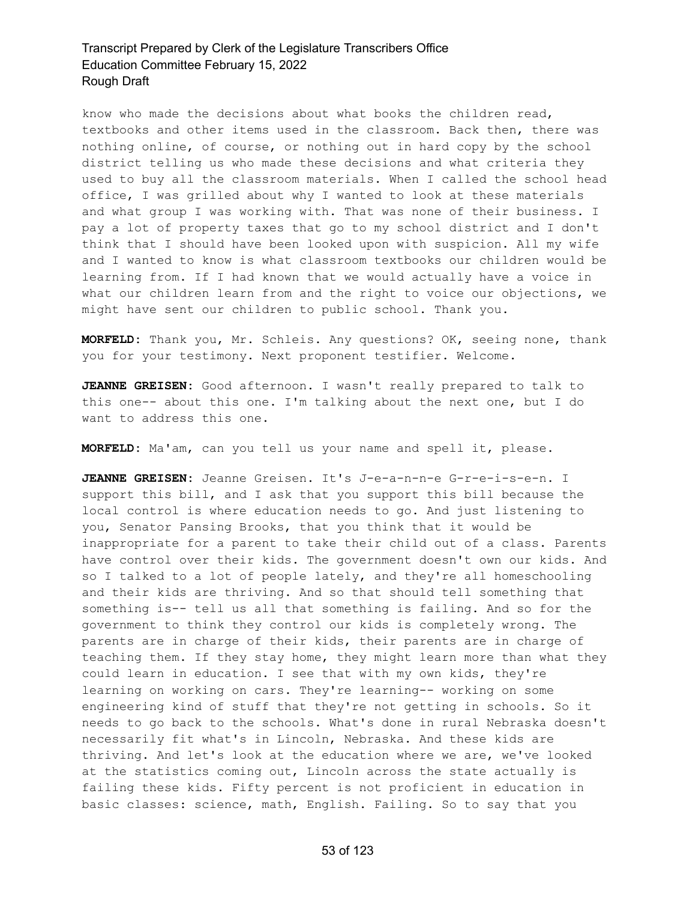know who made the decisions about what books the children read, textbooks and other items used in the classroom. Back then, there was nothing online, of course, or nothing out in hard copy by the school district telling us who made these decisions and what criteria they used to buy all the classroom materials. When I called the school head office, I was grilled about why I wanted to look at these materials and what group I was working with. That was none of their business. I pay a lot of property taxes that go to my school district and I don't think that I should have been looked upon with suspicion. All my wife and I wanted to know is what classroom textbooks our children would be learning from. If I had known that we would actually have a voice in what our children learn from and the right to voice our objections, we might have sent our children to public school. Thank you.

**MORFELD:** Thank you, Mr. Schleis. Any questions? OK, seeing none, thank you for your testimony. Next proponent testifier. Welcome.

**JEANNE GREISEN:** Good afternoon. I wasn't really prepared to talk to this one-- about this one. I'm talking about the next one, but I do want to address this one.

**MORFELD:** Ma'am, can you tell us your name and spell it, please.

**JEANNE GREISEN:** Jeanne Greisen. It's J-e-a-n-n-e G-r-e-i-s-e-n. I support this bill, and I ask that you support this bill because the local control is where education needs to go. And just listening to you, Senator Pansing Brooks, that you think that it would be inappropriate for a parent to take their child out of a class. Parents have control over their kids. The government doesn't own our kids. And so I talked to a lot of people lately, and they're all homeschooling and their kids are thriving. And so that should tell something that something is-- tell us all that something is failing. And so for the government to think they control our kids is completely wrong. The parents are in charge of their kids, their parents are in charge of teaching them. If they stay home, they might learn more than what they could learn in education. I see that with my own kids, they're learning on working on cars. They're learning-- working on some engineering kind of stuff that they're not getting in schools. So it needs to go back to the schools. What's done in rural Nebraska doesn't necessarily fit what's in Lincoln, Nebraska. And these kids are thriving. And let's look at the education where we are, we've looked at the statistics coming out, Lincoln across the state actually is failing these kids. Fifty percent is not proficient in education in basic classes: science, math, English. Failing. So to say that you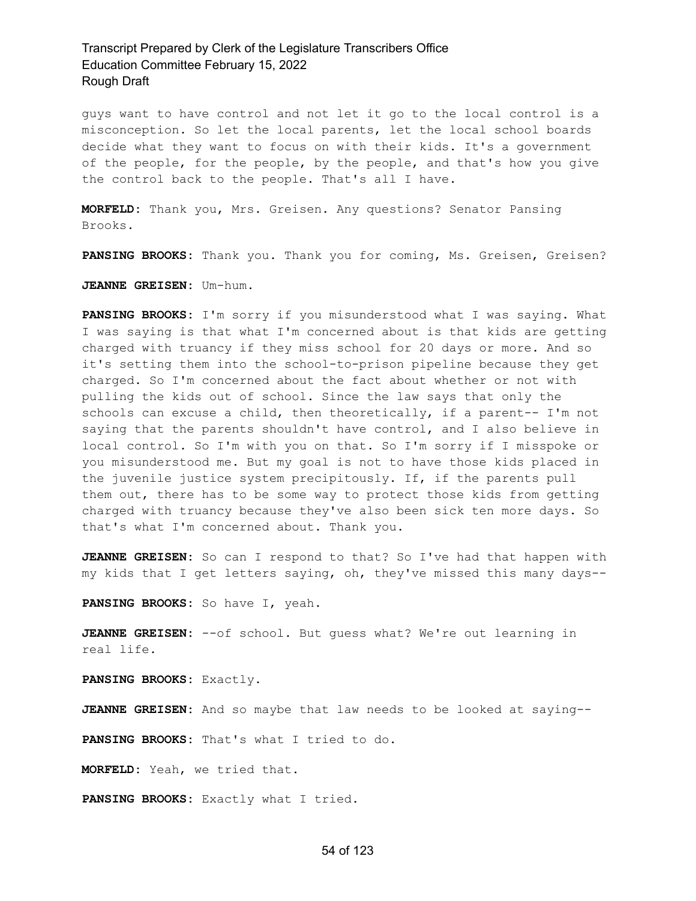guys want to have control and not let it go to the local control is a misconception. So let the local parents, let the local school boards decide what they want to focus on with their kids. It's a government of the people, for the people, by the people, and that's how you give the control back to the people. That's all I have.

**MORFELD:** Thank you, Mrs. Greisen. Any questions? Senator Pansing Brooks.

**PANSING BROOKS:** Thank you. Thank you for coming, Ms. Greisen, Greisen?

**JEANNE GREISEN:** Um-hum.

**PANSING BROOKS:** I'm sorry if you misunderstood what I was saying. What I was saying is that what I'm concerned about is that kids are getting charged with truancy if they miss school for 20 days or more. And so it's setting them into the school-to-prison pipeline because they get charged. So I'm concerned about the fact about whether or not with pulling the kids out of school. Since the law says that only the schools can excuse a child, then theoretically, if a parent-- I'm not saying that the parents shouldn't have control, and I also believe in local control. So I'm with you on that. So I'm sorry if I misspoke or you misunderstood me. But my goal is not to have those kids placed in the juvenile justice system precipitously. If, if the parents pull them out, there has to be some way to protect those kids from getting charged with truancy because they've also been sick ten more days. So that's what I'm concerned about. Thank you.

**JEANNE GREISEN:** So can I respond to that? So I've had that happen with my kids that I get letters saying, oh, they've missed this many days--

**PANSING BROOKS:** So have I, yeah.

**JEANNE GREISEN:** --of school. But guess what? We're out learning in real life.

**PANSING BROOKS:** Exactly.

**JEANNE GREISEN:** And so maybe that law needs to be looked at saying--

**PANSING BROOKS:** That's what I tried to do.

**MORFELD:** Yeah, we tried that.

**PANSING BROOKS:** Exactly what I tried.

#### 54 of 123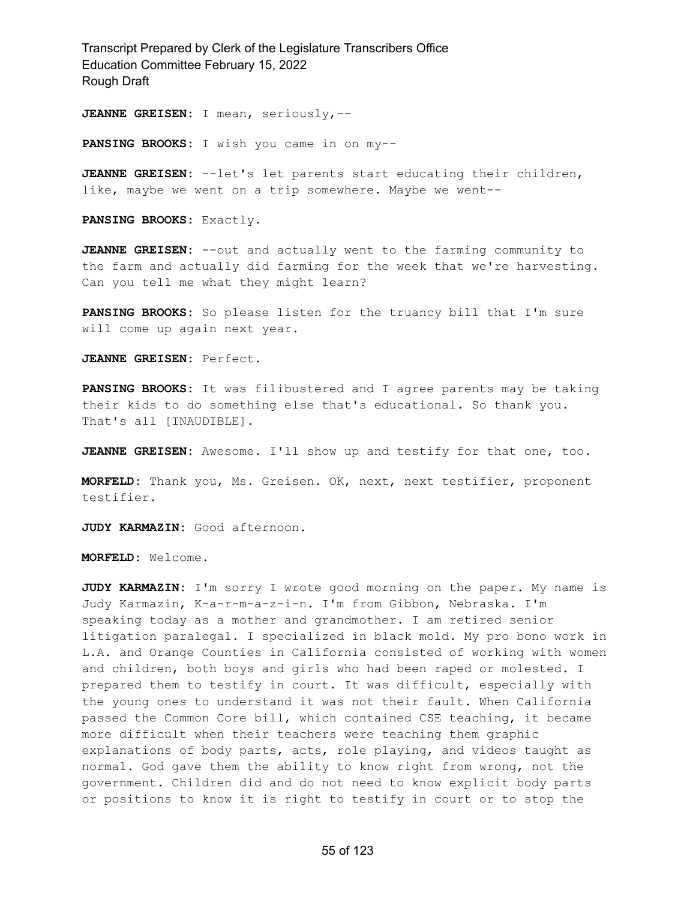**JEANNE GREISEN:** I mean, seriously,--

**PANSING BROOKS:** I wish you came in on my--

**JEANNE GREISEN:** --let's let parents start educating their children, like, maybe we went on a trip somewhere. Maybe we went--

**PANSING BROOKS:** Exactly.

**JEANNE GREISEN:** --out and actually went to the farming community to the farm and actually did farming for the week that we're harvesting. Can you tell me what they might learn?

**PANSING BROOKS:** So please listen for the truancy bill that I'm sure will come up again next year.

**JEANNE GREISEN:** Perfect.

**PANSING BROOKS:** It was filibustered and I agree parents may be taking their kids to do something else that's educational. So thank you. That's all [INAUDIBLE].

**JEANNE GREISEN:** Awesome. I'll show up and testify for that one, too.

**MORFELD:** Thank you, Ms. Greisen. OK, next, next testifier, proponent testifier.

**JUDY KARMAZIN:** Good afternoon.

**MORFELD:** Welcome.

**JUDY KARMAZIN:** I'm sorry I wrote good morning on the paper. My name is Judy Karmazin, K-a-r-m-a-z-i-n. I'm from Gibbon, Nebraska. I'm speaking today as a mother and grandmother. I am retired senior litigation paralegal. I specialized in black mold. My pro bono work in L.A. and Orange Counties in California consisted of working with women and children, both boys and girls who had been raped or molested. I prepared them to testify in court. It was difficult, especially with the young ones to understand it was not their fault. When California passed the Common Core bill, which contained CSE teaching, it became more difficult when their teachers were teaching them graphic explanations of body parts, acts, role playing, and videos taught as normal. God gave them the ability to know right from wrong, not the government. Children did and do not need to know explicit body parts or positions to know it is right to testify in court or to stop the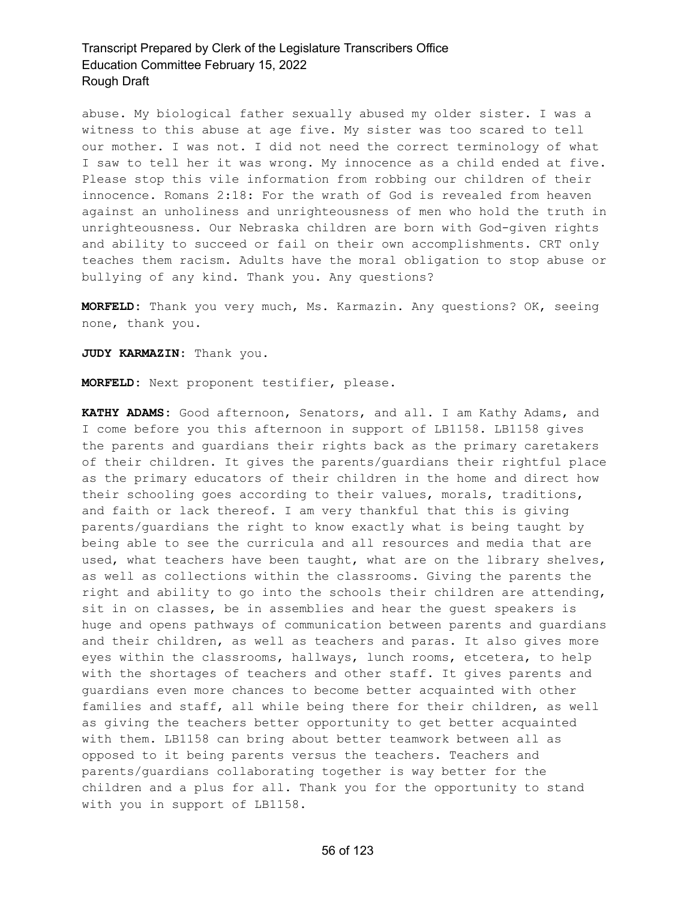abuse. My biological father sexually abused my older sister. I was a witness to this abuse at age five. My sister was too scared to tell our mother. I was not. I did not need the correct terminology of what I saw to tell her it was wrong. My innocence as a child ended at five. Please stop this vile information from robbing our children of their innocence. Romans 2:18: For the wrath of God is revealed from heaven against an unholiness and unrighteousness of men who hold the truth in unrighteousness. Our Nebraska children are born with God-given rights and ability to succeed or fail on their own accomplishments. CRT only teaches them racism. Adults have the moral obligation to stop abuse or bullying of any kind. Thank you. Any questions?

**MORFELD:** Thank you very much, Ms. Karmazin. Any questions? OK, seeing none, thank you.

**JUDY KARMAZIN:** Thank you.

**MORFELD:** Next proponent testifier, please.

**KATHY ADAMS:** Good afternoon, Senators, and all. I am Kathy Adams, and I come before you this afternoon in support of LB1158. LB1158 gives the parents and guardians their rights back as the primary caretakers of their children. It gives the parents/guardians their rightful place as the primary educators of their children in the home and direct how their schooling goes according to their values, morals, traditions, and faith or lack thereof. I am very thankful that this is giving parents/guardians the right to know exactly what is being taught by being able to see the curricula and all resources and media that are used, what teachers have been taught, what are on the library shelves, as well as collections within the classrooms. Giving the parents the right and ability to go into the schools their children are attending, sit in on classes, be in assemblies and hear the guest speakers is huge and opens pathways of communication between parents and guardians and their children, as well as teachers and paras. It also gives more eyes within the classrooms, hallways, lunch rooms, etcetera, to help with the shortages of teachers and other staff. It gives parents and guardians even more chances to become better acquainted with other families and staff, all while being there for their children, as well as giving the teachers better opportunity to get better acquainted with them. LB1158 can bring about better teamwork between all as opposed to it being parents versus the teachers. Teachers and parents/guardians collaborating together is way better for the children and a plus for all. Thank you for the opportunity to stand with you in support of LB1158.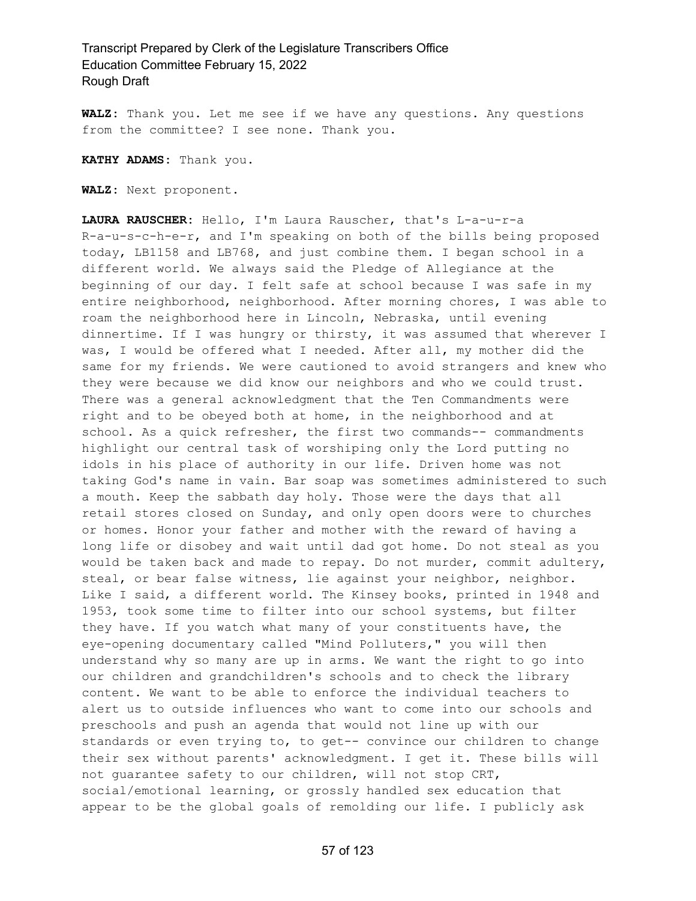**WALZ:** Thank you. Let me see if we have any questions. Any questions from the committee? I see none. Thank you.

**KATHY ADAMS:** Thank you.

**WALZ:** Next proponent.

**LAURA RAUSCHER:** Hello, I'm Laura Rauscher, that's L-a-u-r-a R-a-u-s-c-h-e-r, and I'm speaking on both of the bills being proposed today, LB1158 and LB768, and just combine them. I began school in a different world. We always said the Pledge of Allegiance at the beginning of our day. I felt safe at school because I was safe in my entire neighborhood, neighborhood. After morning chores, I was able to roam the neighborhood here in Lincoln, Nebraska, until evening dinnertime. If I was hungry or thirsty, it was assumed that wherever I was, I would be offered what I needed. After all, my mother did the same for my friends. We were cautioned to avoid strangers and knew who they were because we did know our neighbors and who we could trust. There was a general acknowledgment that the Ten Commandments were right and to be obeyed both at home, in the neighborhood and at school. As a quick refresher, the first two commands-- commandments highlight our central task of worshiping only the Lord putting no idols in his place of authority in our life. Driven home was not taking God's name in vain. Bar soap was sometimes administered to such a mouth. Keep the sabbath day holy. Those were the days that all retail stores closed on Sunday, and only open doors were to churches or homes. Honor your father and mother with the reward of having a long life or disobey and wait until dad got home. Do not steal as you would be taken back and made to repay. Do not murder, commit adultery, steal, or bear false witness, lie against your neighbor, neighbor. Like I said, a different world. The Kinsey books, printed in 1948 and 1953, took some time to filter into our school systems, but filter they have. If you watch what many of your constituents have, the eye-opening documentary called "Mind Polluters," you will then understand why so many are up in arms. We want the right to go into our children and grandchildren's schools and to check the library content. We want to be able to enforce the individual teachers to alert us to outside influences who want to come into our schools and preschools and push an agenda that would not line up with our standards or even trying to, to get-- convince our children to change their sex without parents' acknowledgment. I get it. These bills will not guarantee safety to our children, will not stop CRT, social/emotional learning, or grossly handled sex education that appear to be the global goals of remolding our life. I publicly ask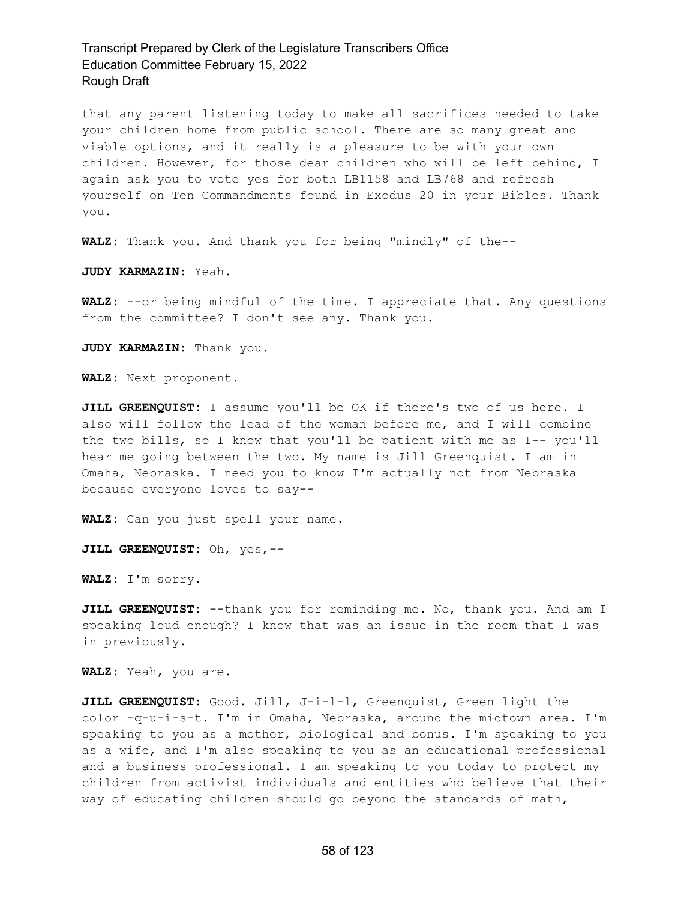that any parent listening today to make all sacrifices needed to take your children home from public school. There are so many great and viable options, and it really is a pleasure to be with your own children. However, for those dear children who will be left behind, I again ask you to vote yes for both LB1158 and LB768 and refresh yourself on Ten Commandments found in Exodus 20 in your Bibles. Thank you.

**WALZ:** Thank you. And thank you for being "mindly" of the--

**JUDY KARMAZIN:** Yeah.

**WALZ:** --or being mindful of the time. I appreciate that. Any questions from the committee? I don't see any. Thank you.

**JUDY KARMAZIN:** Thank you.

**WALZ:** Next proponent.

**JILL GREENQUIST:** I assume you'll be OK if there's two of us here. I also will follow the lead of the woman before me, and I will combine the two bills, so I know that you'll be patient with me as I-- you'll hear me going between the two. My name is Jill Greenquist. I am in Omaha, Nebraska. I need you to know I'm actually not from Nebraska because everyone loves to say--

**WALZ:** Can you just spell your name.

**JILL GREENQUIST:** Oh, yes,--

**WALZ:** I'm sorry.

**JILL GREENQUIST:** --thank you for reminding me. No, thank you. And am I speaking loud enough? I know that was an issue in the room that I was in previously.

**WALZ:** Yeah, you are.

**JILL GREENQUIST:** Good. Jill, J-i-l-l, Greenquist, Green light the color -q-u-i-s-t. I'm in Omaha, Nebraska, around the midtown area. I'm speaking to you as a mother, biological and bonus. I'm speaking to you as a wife, and I'm also speaking to you as an educational professional and a business professional. I am speaking to you today to protect my children from activist individuals and entities who believe that their way of educating children should go beyond the standards of math,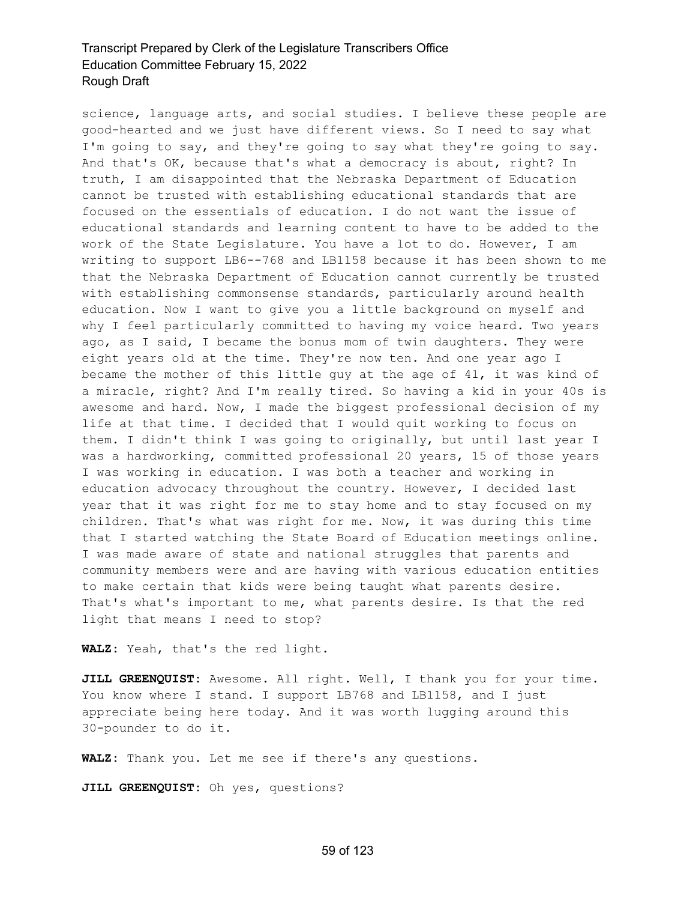science, language arts, and social studies. I believe these people are good-hearted and we just have different views. So I need to say what I'm going to say, and they're going to say what they're going to say. And that's OK, because that's what a democracy is about, right? In truth, I am disappointed that the Nebraska Department of Education cannot be trusted with establishing educational standards that are focused on the essentials of education. I do not want the issue of educational standards and learning content to have to be added to the work of the State Legislature. You have a lot to do. However, I am writing to support LB6--768 and LB1158 because it has been shown to me that the Nebraska Department of Education cannot currently be trusted with establishing commonsense standards, particularly around health education. Now I want to give you a little background on myself and why I feel particularly committed to having my voice heard. Two years ago, as I said, I became the bonus mom of twin daughters. They were eight years old at the time. They're now ten. And one year ago I became the mother of this little guy at the age of 41, it was kind of a miracle, right? And I'm really tired. So having a kid in your 40s is awesome and hard. Now, I made the biggest professional decision of my life at that time. I decided that I would quit working to focus on them. I didn't think I was going to originally, but until last year I was a hardworking, committed professional 20 years, 15 of those years I was working in education. I was both a teacher and working in education advocacy throughout the country. However, I decided last year that it was right for me to stay home and to stay focused on my children. That's what was right for me. Now, it was during this time that I started watching the State Board of Education meetings online. I was made aware of state and national struggles that parents and community members were and are having with various education entities to make certain that kids were being taught what parents desire. That's what's important to me, what parents desire. Is that the red light that means I need to stop?

**WALZ:** Yeah, that's the red light.

**JILL GREENQUIST:** Awesome. All right. Well, I thank you for your time. You know where I stand. I support LB768 and LB1158, and I just appreciate being here today. And it was worth lugging around this 30-pounder to do it.

**WALZ:** Thank you. Let me see if there's any questions.

**JILL GREENQUIST:** Oh yes, questions?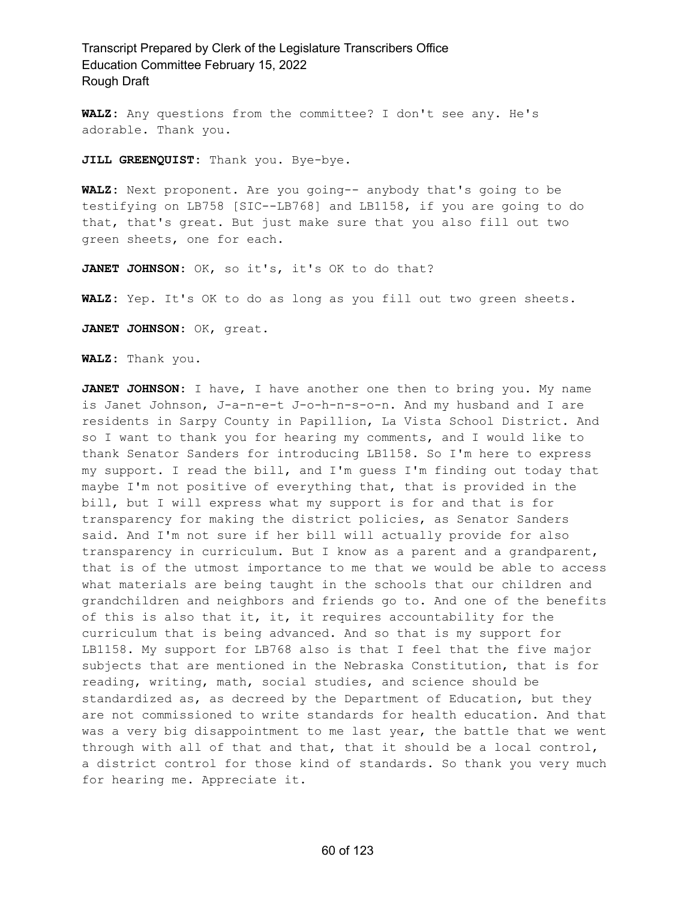**WALZ:** Any questions from the committee? I don't see any. He's adorable. Thank you.

**JILL GREENQUIST:** Thank you. Bye-bye.

**WALZ:** Next proponent. Are you going-- anybody that's going to be testifying on LB758 [SIC--LB768] and LB1158, if you are going to do that, that's great. But just make sure that you also fill out two green sheets, one for each.

**JANET JOHNSON:** OK, so it's, it's OK to do that?

**WALZ:** Yep. It's OK to do as long as you fill out two green sheets.

**JANET JOHNSON:** OK, great.

**WALZ:** Thank you.

**JANET JOHNSON:** I have, I have another one then to bring you. My name is Janet Johnson, J-a-n-e-t J-o-h-n-s-o-n. And my husband and I are residents in Sarpy County in Papillion, La Vista School District. And so I want to thank you for hearing my comments, and I would like to thank Senator Sanders for introducing LB1158. So I'm here to express my support. I read the bill, and I'm guess I'm finding out today that maybe I'm not positive of everything that, that is provided in the bill, but I will express what my support is for and that is for transparency for making the district policies, as Senator Sanders said. And I'm not sure if her bill will actually provide for also transparency in curriculum. But I know as a parent and a grandparent, that is of the utmost importance to me that we would be able to access what materials are being taught in the schools that our children and grandchildren and neighbors and friends go to. And one of the benefits of this is also that it, it, it requires accountability for the curriculum that is being advanced. And so that is my support for LB1158. My support for LB768 also is that I feel that the five major subjects that are mentioned in the Nebraska Constitution, that is for reading, writing, math, social studies, and science should be standardized as, as decreed by the Department of Education, but they are not commissioned to write standards for health education. And that was a very big disappointment to me last year, the battle that we went through with all of that and that, that it should be a local control, a district control for those kind of standards. So thank you very much for hearing me. Appreciate it.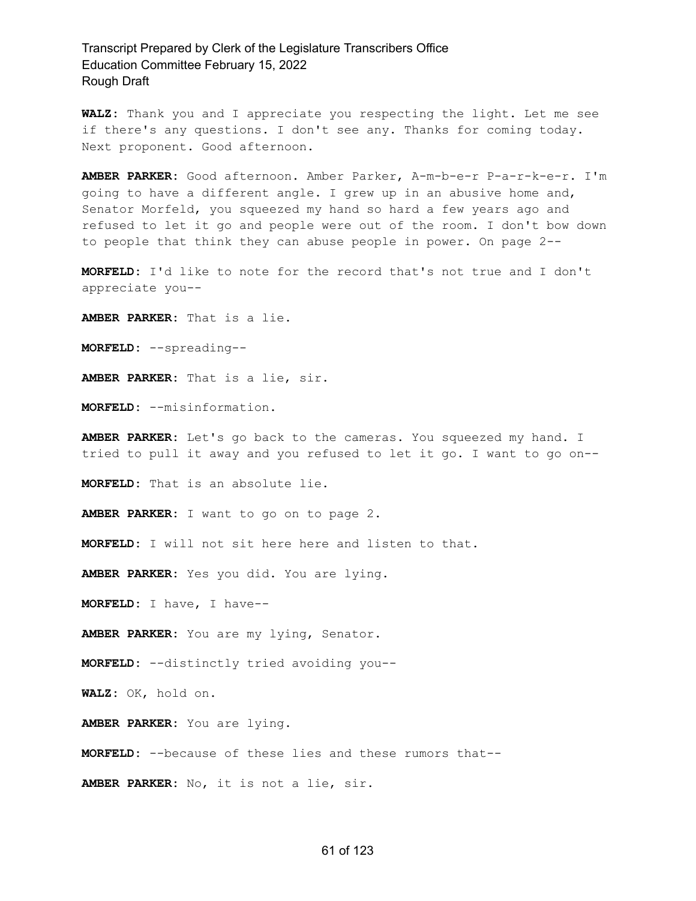**WALZ:** Thank you and I appreciate you respecting the light. Let me see if there's any questions. I don't see any. Thanks for coming today. Next proponent. Good afternoon.

**AMBER PARKER:** Good afternoon. Amber Parker, A-m-b-e-r P-a-r-k-e-r. I'm going to have a different angle. I grew up in an abusive home and, Senator Morfeld, you squeezed my hand so hard a few years ago and refused to let it go and people were out of the room. I don't bow down to people that think they can abuse people in power. On page 2--

**MORFELD:** I'd like to note for the record that's not true and I don't appreciate you--

**AMBER PARKER:** That is a lie.

**MORFELD:** --spreading--

**AMBER PARKER:** That is a lie, sir.

**MORFELD:** --misinformation.

**AMBER PARKER:** Let's go back to the cameras. You squeezed my hand. I tried to pull it away and you refused to let it go. I want to go on--

**MORFELD:** That is an absolute lie.

**AMBER PARKER:** I want to go on to page 2.

**MORFELD:** I will not sit here here and listen to that.

**AMBER PARKER:** Yes you did. You are lying.

**MORFELD:** I have, I have--

**AMBER PARKER:** You are my lying, Senator.

**MORFELD:** --distinctly tried avoiding you--

**WALZ:** OK, hold on.

**AMBER PARKER:** You are lying.

**MORFELD:** --because of these lies and these rumors that--

**AMBER PARKER:** No, it is not a lie, sir.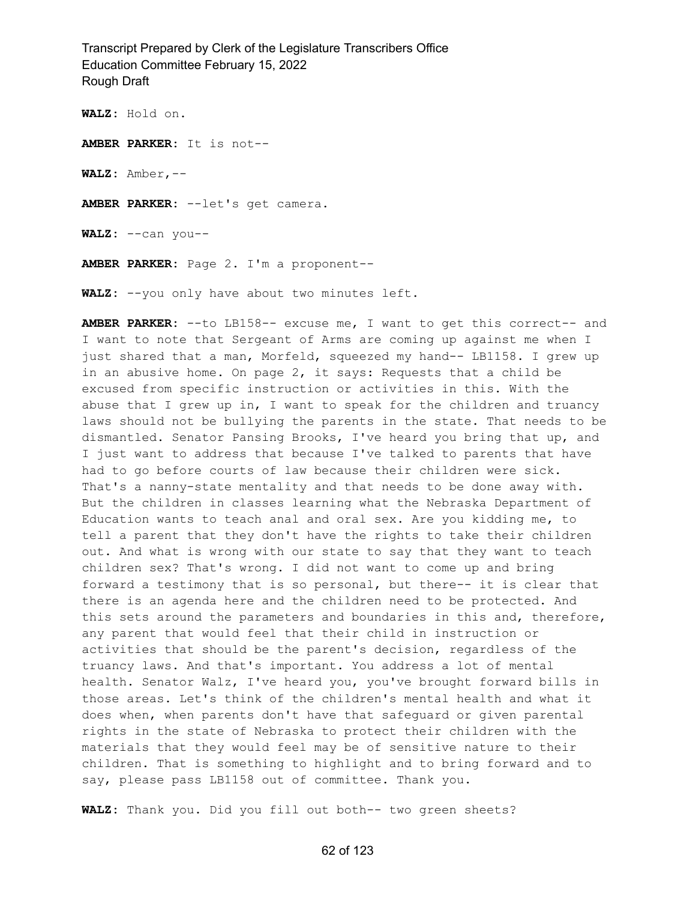**WALZ:** Hold on.

**AMBER PARKER:** It is not--

**WALZ:** Amber,--

**AMBER PARKER:** --let's get camera.

**WALZ:** --can you--

**AMBER PARKER:** Page 2. I'm a proponent--

**WALZ:** --you only have about two minutes left.

**AMBER PARKER:** --to LB158-- excuse me, I want to get this correct-- and I want to note that Sergeant of Arms are coming up against me when I just shared that a man, Morfeld, squeezed my hand-- LB1158. I grew up in an abusive home. On page 2, it says: Requests that a child be excused from specific instruction or activities in this. With the abuse that I grew up in, I want to speak for the children and truancy laws should not be bullying the parents in the state. That needs to be dismantled. Senator Pansing Brooks, I've heard you bring that up, and I just want to address that because I've talked to parents that have had to go before courts of law because their children were sick. That's a nanny-state mentality and that needs to be done away with. But the children in classes learning what the Nebraska Department of Education wants to teach anal and oral sex. Are you kidding me, to tell a parent that they don't have the rights to take their children out. And what is wrong with our state to say that they want to teach children sex? That's wrong. I did not want to come up and bring forward a testimony that is so personal, but there-- it is clear that there is an agenda here and the children need to be protected. And this sets around the parameters and boundaries in this and, therefore, any parent that would feel that their child in instruction or activities that should be the parent's decision, regardless of the truancy laws. And that's important. You address a lot of mental health. Senator Walz, I've heard you, you've brought forward bills in those areas. Let's think of the children's mental health and what it does when, when parents don't have that safeguard or given parental rights in the state of Nebraska to protect their children with the materials that they would feel may be of sensitive nature to their children. That is something to highlight and to bring forward and to say, please pass LB1158 out of committee. Thank you.

**WALZ:** Thank you. Did you fill out both-- two green sheets?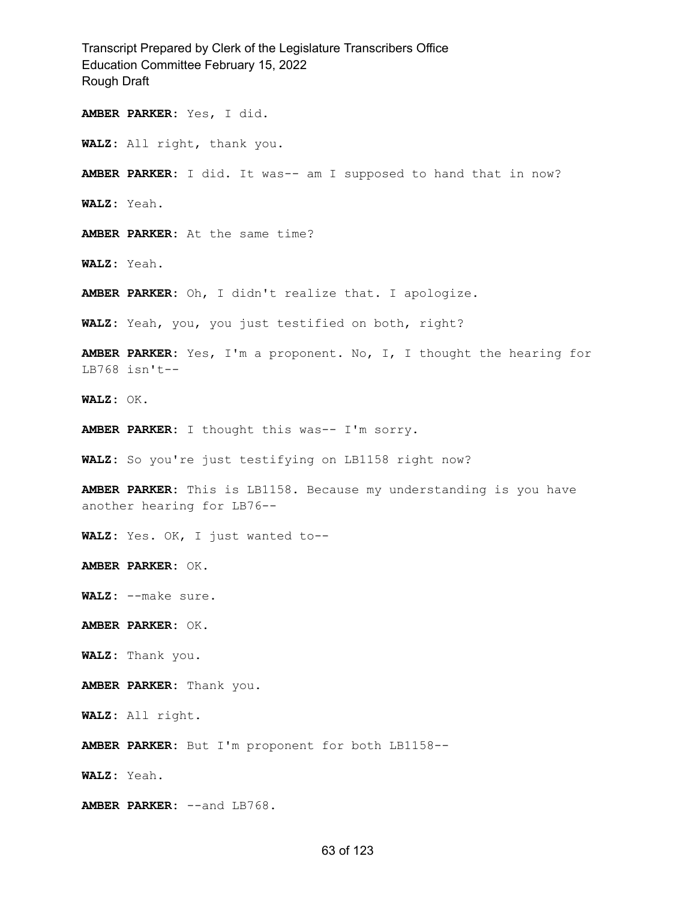Transcript Prepared by Clerk of the Legislature Transcribers Office Education Committee February 15, 2022 Rough Draft **AMBER PARKER:** Yes, I did. **WALZ:** All right, thank you. **AMBER PARKER:** I did. It was-- am I supposed to hand that in now? **WALZ:** Yeah. **AMBER PARKER:** At the same time? **WALZ:** Yeah. **AMBER PARKER:** Oh, I didn't realize that. I apologize. **WALZ:** Yeah, you, you just testified on both, right? **AMBER PARKER:** Yes, I'm a proponent. No, I, I thought the hearing for LB768 isn't-- **WALZ:** OK. **AMBER PARKER:** I thought this was-- I'm sorry. **WALZ:** So you're just testifying on LB1158 right now? **AMBER PARKER:** This is LB1158. Because my understanding is you have another hearing for LB76-- **WALZ:** Yes. OK, I just wanted to-- **AMBER PARKER:** OK. **WALZ:** --make sure. **AMBER PARKER:** OK. **WALZ:** Thank you. **AMBER PARKER:** Thank you. **WALZ:** All right. **AMBER PARKER:** But I'm proponent for both LB1158-- **WALZ:** Yeah. **AMBER PARKER:** --and LB768.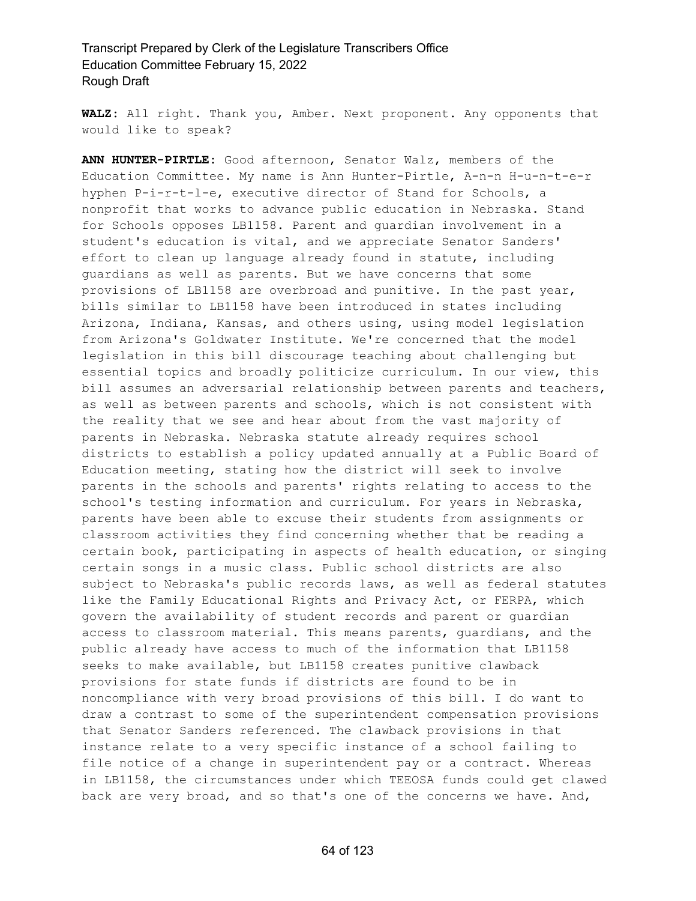**WALZ:** All right. Thank you, Amber. Next proponent. Any opponents that would like to speak?

**ANN HUNTER-PIRTLE:** Good afternoon, Senator Walz, members of the Education Committee. My name is Ann Hunter-Pirtle, A-n-n H-u-n-t-e-r hyphen P-i-r-t-l-e, executive director of Stand for Schools, a nonprofit that works to advance public education in Nebraska. Stand for Schools opposes LB1158. Parent and guardian involvement in a student's education is vital, and we appreciate Senator Sanders' effort to clean up language already found in statute, including guardians as well as parents. But we have concerns that some provisions of LB1158 are overbroad and punitive. In the past year, bills similar to LB1158 have been introduced in states including Arizona, Indiana, Kansas, and others using, using model legislation from Arizona's Goldwater Institute. We're concerned that the model legislation in this bill discourage teaching about challenging but essential topics and broadly politicize curriculum. In our view, this bill assumes an adversarial relationship between parents and teachers, as well as between parents and schools, which is not consistent with the reality that we see and hear about from the vast majority of parents in Nebraska. Nebraska statute already requires school districts to establish a policy updated annually at a Public Board of Education meeting, stating how the district will seek to involve parents in the schools and parents' rights relating to access to the school's testing information and curriculum. For years in Nebraska, parents have been able to excuse their students from assignments or classroom activities they find concerning whether that be reading a certain book, participating in aspects of health education, or singing certain songs in a music class. Public school districts are also subject to Nebraska's public records laws, as well as federal statutes like the Family Educational Rights and Privacy Act, or FERPA, which govern the availability of student records and parent or guardian access to classroom material. This means parents, guardians, and the public already have access to much of the information that LB1158 seeks to make available, but LB1158 creates punitive clawback provisions for state funds if districts are found to be in noncompliance with very broad provisions of this bill. I do want to draw a contrast to some of the superintendent compensation provisions that Senator Sanders referenced. The clawback provisions in that instance relate to a very specific instance of a school failing to file notice of a change in superintendent pay or a contract. Whereas in LB1158, the circumstances under which TEEOSA funds could get clawed back are very broad, and so that's one of the concerns we have. And,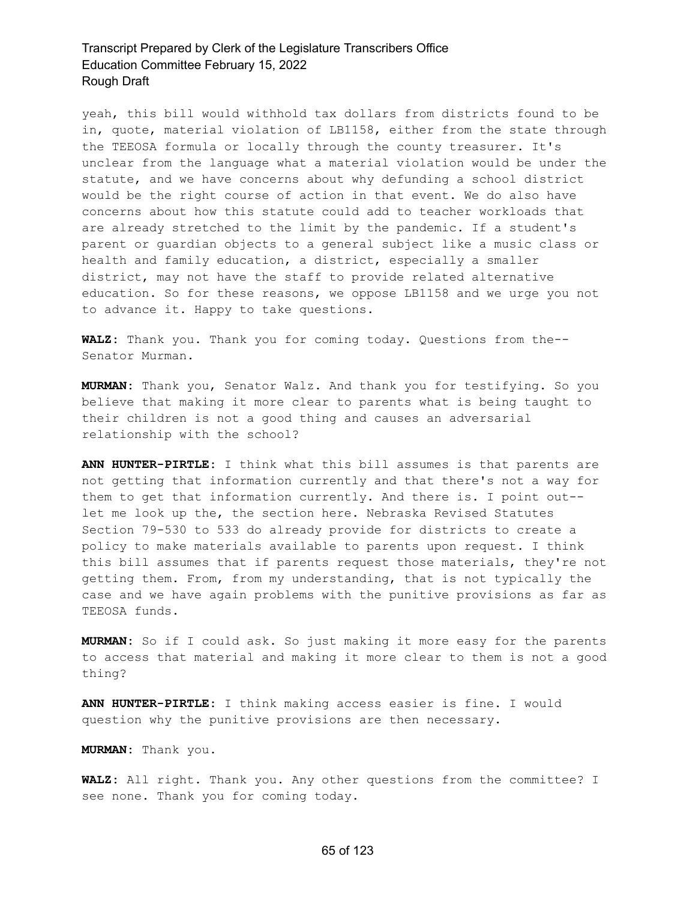yeah, this bill would withhold tax dollars from districts found to be in, quote, material violation of LB1158, either from the state through the TEEOSA formula or locally through the county treasurer. It's unclear from the language what a material violation would be under the statute, and we have concerns about why defunding a school district would be the right course of action in that event. We do also have concerns about how this statute could add to teacher workloads that are already stretched to the limit by the pandemic. If a student's parent or guardian objects to a general subject like a music class or health and family education, a district, especially a smaller district, may not have the staff to provide related alternative education. So for these reasons, we oppose LB1158 and we urge you not to advance it. Happy to take questions.

**WALZ:** Thank you. Thank you for coming today. Questions from the-- Senator Murman.

**MURMAN:** Thank you, Senator Walz. And thank you for testifying. So you believe that making it more clear to parents what is being taught to their children is not a good thing and causes an adversarial relationship with the school?

**ANN HUNTER-PIRTLE:** I think what this bill assumes is that parents are not getting that information currently and that there's not a way for them to get that information currently. And there is. I point out- let me look up the, the section here. Nebraska Revised Statutes Section 79-530 to 533 do already provide for districts to create a policy to make materials available to parents upon request. I think this bill assumes that if parents request those materials, they're not getting them. From, from my understanding, that is not typically the case and we have again problems with the punitive provisions as far as TEEOSA funds.

**MURMAN:** So if I could ask. So just making it more easy for the parents to access that material and making it more clear to them is not a good thing?

**ANN HUNTER-PIRTLE:** I think making access easier is fine. I would question why the punitive provisions are then necessary.

**MURMAN:** Thank you.

**WALZ:** All right. Thank you. Any other questions from the committee? I see none. Thank you for coming today.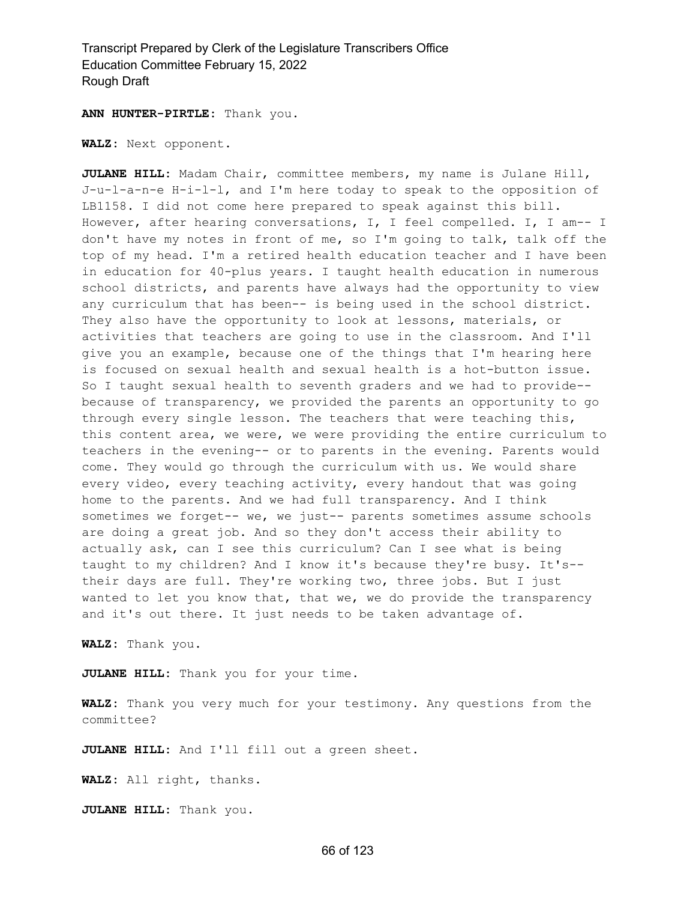**ANN HUNTER-PIRTLE:** Thank you.

**WALZ:** Next opponent.

**JULANE HILL:** Madam Chair, committee members, my name is Julane Hill, J-u-l-a-n-e H-i-l-l, and I'm here today to speak to the opposition of LB1158. I did not come here prepared to speak against this bill. However, after hearing conversations, I, I feel compelled. I, I am-- I don't have my notes in front of me, so I'm going to talk, talk off the top of my head. I'm a retired health education teacher and I have been in education for 40-plus years. I taught health education in numerous school districts, and parents have always had the opportunity to view any curriculum that has been-- is being used in the school district. They also have the opportunity to look at lessons, materials, or activities that teachers are going to use in the classroom. And I'll give you an example, because one of the things that I'm hearing here is focused on sexual health and sexual health is a hot-button issue. So I taught sexual health to seventh graders and we had to provide- because of transparency, we provided the parents an opportunity to go through every single lesson. The teachers that were teaching this, this content area, we were, we were providing the entire curriculum to teachers in the evening-- or to parents in the evening. Parents would come. They would go through the curriculum with us. We would share every video, every teaching activity, every handout that was going home to the parents. And we had full transparency. And I think sometimes we forget-- we, we just-- parents sometimes assume schools are doing a great job. And so they don't access their ability to actually ask, can I see this curriculum? Can I see what is being taught to my children? And I know it's because they're busy. It's- their days are full. They're working two, three jobs. But I just wanted to let you know that, that we, we do provide the transparency and it's out there. It just needs to be taken advantage of.

**WALZ:** Thank you.

**JULANE HILL:** Thank you for your time.

**WALZ:** Thank you very much for your testimony. Any questions from the committee?

**JULANE HILL:** And I'll fill out a green sheet.

**WALZ:** All right, thanks.

**JULANE HILL:** Thank you.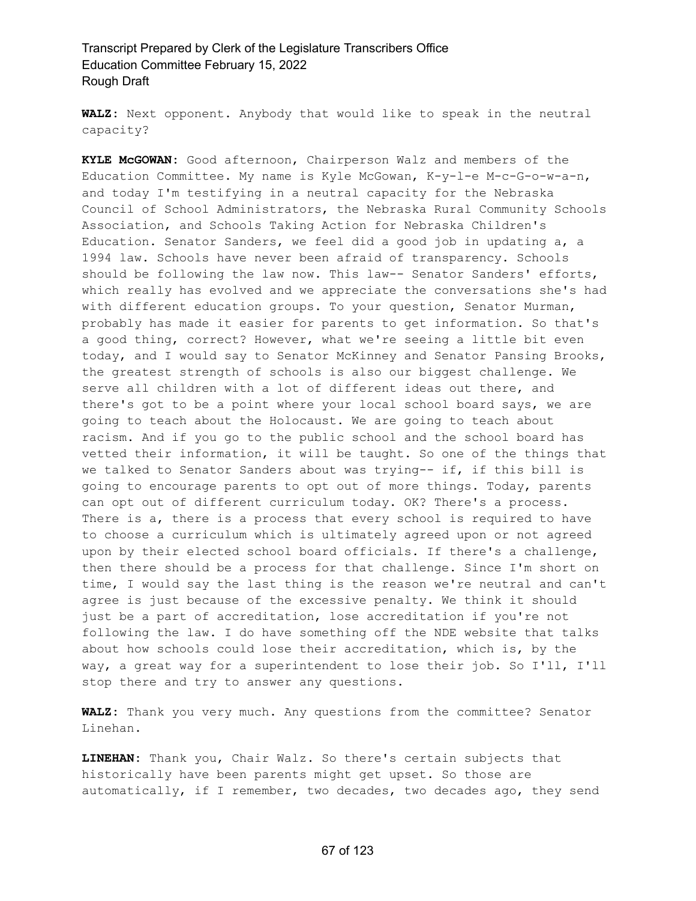**WALZ:** Next opponent. Anybody that would like to speak in the neutral capacity?

**KYLE McGOWAN:** Good afternoon, Chairperson Walz and members of the Education Committee. My name is Kyle McGowan, K-y-l-e M-c-G-o-w-a-n, and today I'm testifying in a neutral capacity for the Nebraska Council of School Administrators, the Nebraska Rural Community Schools Association, and Schools Taking Action for Nebraska Children's Education. Senator Sanders, we feel did a good job in updating a, a 1994 law. Schools have never been afraid of transparency. Schools should be following the law now. This law-- Senator Sanders' efforts, which really has evolved and we appreciate the conversations she's had with different education groups. To your question, Senator Murman, probably has made it easier for parents to get information. So that's a good thing, correct? However, what we're seeing a little bit even today, and I would say to Senator McKinney and Senator Pansing Brooks, the greatest strength of schools is also our biggest challenge. We serve all children with a lot of different ideas out there, and there's got to be a point where your local school board says, we are going to teach about the Holocaust. We are going to teach about racism. And if you go to the public school and the school board has vetted their information, it will be taught. So one of the things that we talked to Senator Sanders about was trying-- if, if this bill is going to encourage parents to opt out of more things. Today, parents can opt out of different curriculum today. OK? There's a process. There is a, there is a process that every school is required to have to choose a curriculum which is ultimately agreed upon or not agreed upon by their elected school board officials. If there's a challenge, then there should be a process for that challenge. Since I'm short on time, I would say the last thing is the reason we're neutral and can't agree is just because of the excessive penalty. We think it should just be a part of accreditation, lose accreditation if you're not following the law. I do have something off the NDE website that talks about how schools could lose their accreditation, which is, by the way, a great way for a superintendent to lose their job. So I'll, I'll stop there and try to answer any questions.

**WALZ:** Thank you very much. Any questions from the committee? Senator Linehan.

**LINEHAN:** Thank you, Chair Walz. So there's certain subjects that historically have been parents might get upset. So those are automatically, if I remember, two decades, two decades ago, they send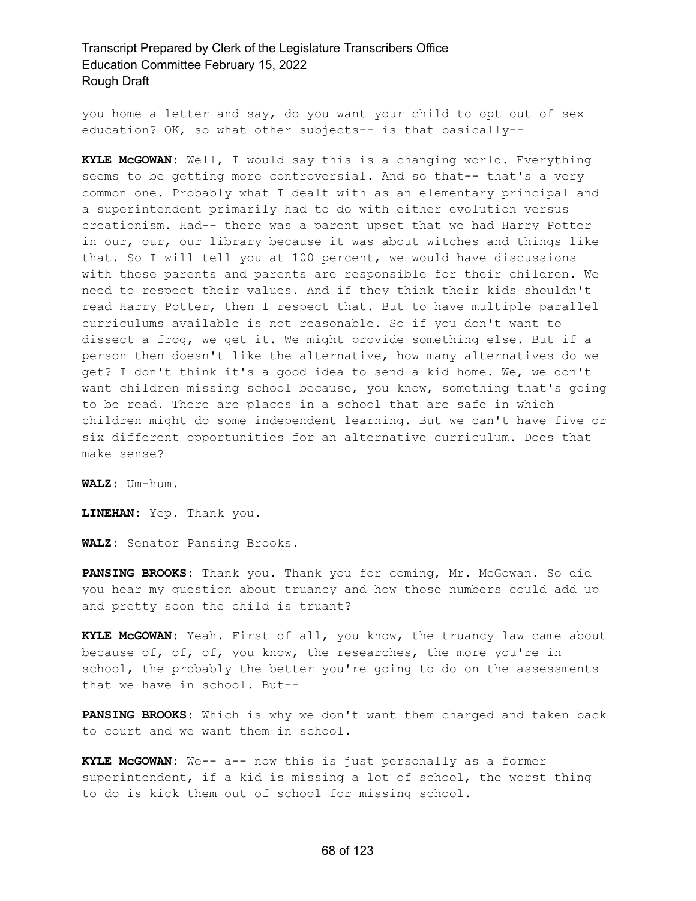you home a letter and say, do you want your child to opt out of sex education? OK, so what other subjects-- is that basically--

**KYLE McGOWAN:** Well, I would say this is a changing world. Everything seems to be getting more controversial. And so that-- that's a very common one. Probably what I dealt with as an elementary principal and a superintendent primarily had to do with either evolution versus creationism. Had-- there was a parent upset that we had Harry Potter in our, our, our library because it was about witches and things like that. So I will tell you at 100 percent, we would have discussions with these parents and parents are responsible for their children. We need to respect their values. And if they think their kids shouldn't read Harry Potter, then I respect that. But to have multiple parallel curriculums available is not reasonable. So if you don't want to dissect a frog, we get it. We might provide something else. But if a person then doesn't like the alternative, how many alternatives do we get? I don't think it's a good idea to send a kid home. We, we don't want children missing school because, you know, something that's going to be read. There are places in a school that are safe in which children might do some independent learning. But we can't have five or six different opportunities for an alternative curriculum. Does that make sense?

**WALZ:** Um-hum.

**LINEHAN:** Yep. Thank you.

**WALZ:** Senator Pansing Brooks.

**PANSING BROOKS:** Thank you. Thank you for coming, Mr. McGowan. So did you hear my question about truancy and how those numbers could add up and pretty soon the child is truant?

**KYLE McGOWAN:** Yeah. First of all, you know, the truancy law came about because of, of, of, you know, the researches, the more you're in school, the probably the better you're going to do on the assessments that we have in school. But--

**PANSING BROOKS:** Which is why we don't want them charged and taken back to court and we want them in school.

**KYLE McGOWAN:** We-- a-- now this is just personally as a former superintendent, if a kid is missing a lot of school, the worst thing to do is kick them out of school for missing school.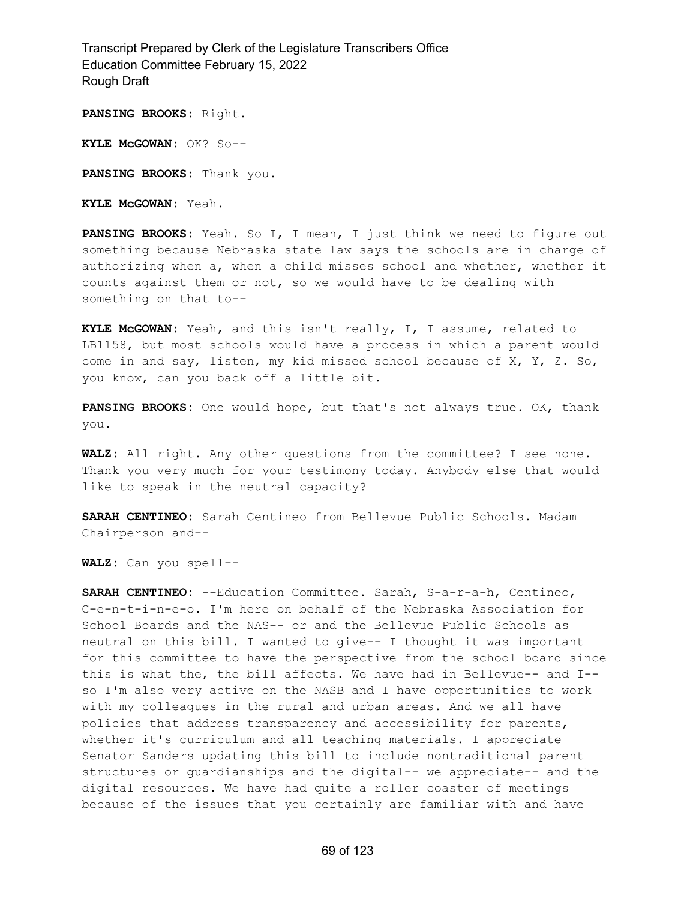**PANSING BROOKS:** Right.

**KYLE McGOWAN:** OK? So--

**PANSING BROOKS:** Thank you.

**KYLE McGOWAN:** Yeah.

**PANSING BROOKS:** Yeah. So I, I mean, I just think we need to figure out something because Nebraska state law says the schools are in charge of authorizing when a, when a child misses school and whether, whether it counts against them or not, so we would have to be dealing with something on that to--

**KYLE McGOWAN:** Yeah, and this isn't really, I, I assume, related to LB1158, but most schools would have a process in which a parent would come in and say, listen, my kid missed school because of X, Y, Z. So, you know, can you back off a little bit.

**PANSING BROOKS:** One would hope, but that's not always true. OK, thank you.

**WALZ:** All right. Any other questions from the committee? I see none. Thank you very much for your testimony today. Anybody else that would like to speak in the neutral capacity?

**SARAH CENTINEO:** Sarah Centineo from Bellevue Public Schools. Madam Chairperson and--

**WALZ:** Can you spell--

**SARAH CENTINEO:** --Education Committee. Sarah, S-a-r-a-h, Centineo, C-e-n-t-i-n-e-o. I'm here on behalf of the Nebraska Association for School Boards and the NAS-- or and the Bellevue Public Schools as neutral on this bill. I wanted to give-- I thought it was important for this committee to have the perspective from the school board since this is what the, the bill affects. We have had in Bellevue-- and I- so I'm also very active on the NASB and I have opportunities to work with my colleagues in the rural and urban areas. And we all have policies that address transparency and accessibility for parents, whether it's curriculum and all teaching materials. I appreciate Senator Sanders updating this bill to include nontraditional parent structures or guardianships and the digital-- we appreciate-- and the digital resources. We have had quite a roller coaster of meetings because of the issues that you certainly are familiar with and have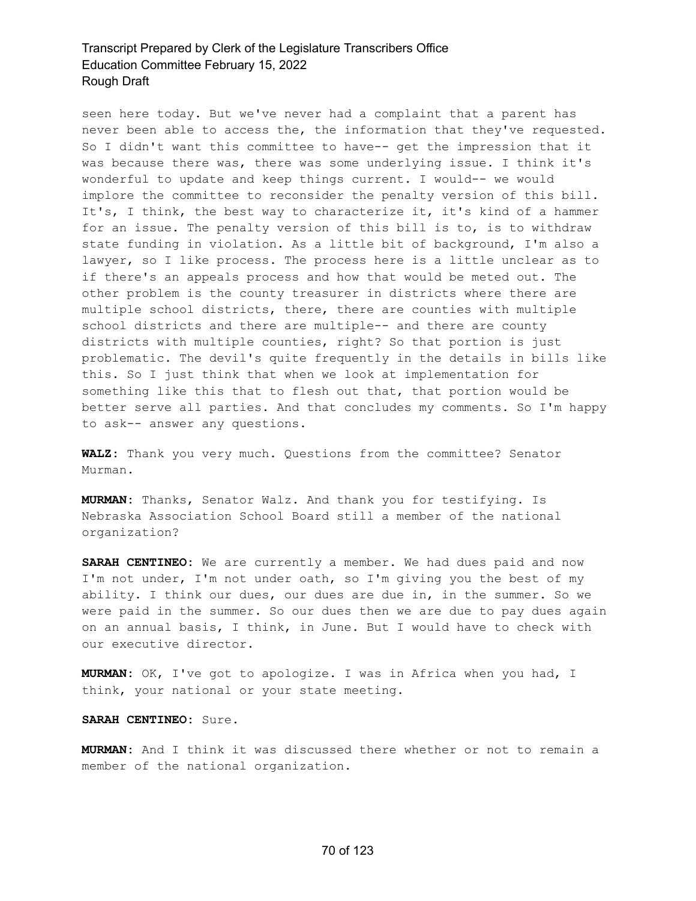seen here today. But we've never had a complaint that a parent has never been able to access the, the information that they've requested. So I didn't want this committee to have-- get the impression that it was because there was, there was some underlying issue. I think it's wonderful to update and keep things current. I would-- we would implore the committee to reconsider the penalty version of this bill. It's, I think, the best way to characterize it, it's kind of a hammer for an issue. The penalty version of this bill is to, is to withdraw state funding in violation. As a little bit of background, I'm also a lawyer, so I like process. The process here is a little unclear as to if there's an appeals process and how that would be meted out. The other problem is the county treasurer in districts where there are multiple school districts, there, there are counties with multiple school districts and there are multiple-- and there are county districts with multiple counties, right? So that portion is just problematic. The devil's quite frequently in the details in bills like this. So I just think that when we look at implementation for something like this that to flesh out that, that portion would be better serve all parties. And that concludes my comments. So I'm happy to ask-- answer any questions.

**WALZ:** Thank you very much. Questions from the committee? Senator Murman.

**MURMAN:** Thanks, Senator Walz. And thank you for testifying. Is Nebraska Association School Board still a member of the national organization?

**SARAH CENTINEO:** We are currently a member. We had dues paid and now I'm not under, I'm not under oath, so I'm giving you the best of my ability. I think our dues, our dues are due in, in the summer. So we were paid in the summer. So our dues then we are due to pay dues again on an annual basis, I think, in June. But I would have to check with our executive director.

**MURMAN:** OK, I've got to apologize. I was in Africa when you had, I think, your national or your state meeting.

**SARAH CENTINEO:** Sure.

**MURMAN:** And I think it was discussed there whether or not to remain a member of the national organization.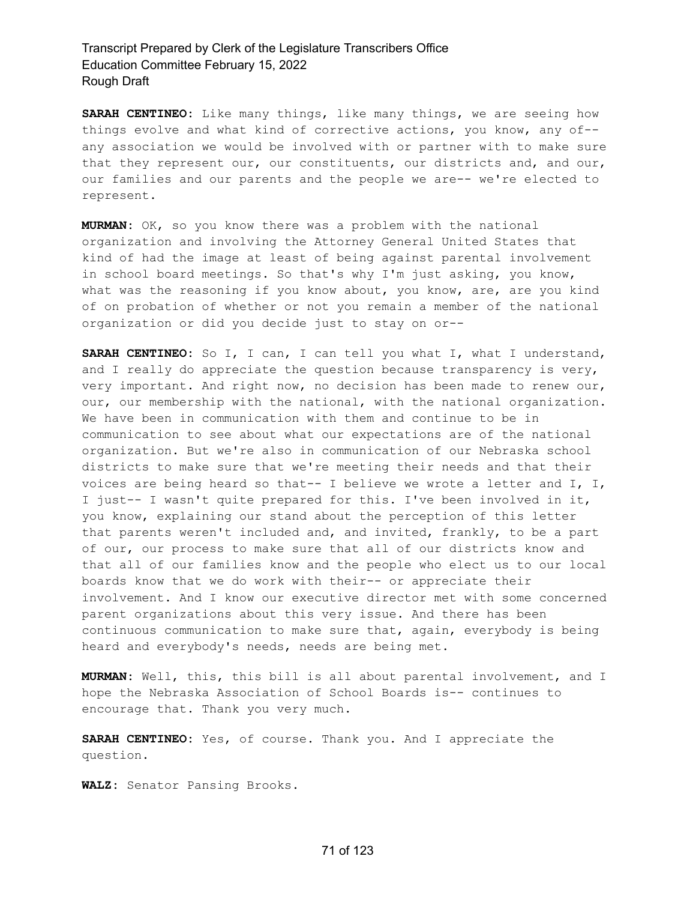**SARAH CENTINEO:** Like many things, like many things, we are seeing how things evolve and what kind of corrective actions, you know, any of- any association we would be involved with or partner with to make sure that they represent our, our constituents, our districts and, and our, our families and our parents and the people we are-- we're elected to represent.

**MURMAN:** OK, so you know there was a problem with the national organization and involving the Attorney General United States that kind of had the image at least of being against parental involvement in school board meetings. So that's why I'm just asking, you know, what was the reasoning if you know about, you know, are, are you kind of on probation of whether or not you remain a member of the national organization or did you decide just to stay on or--

**SARAH CENTINEO:** So I, I can, I can tell you what I, what I understand, and I really do appreciate the question because transparency is very, very important. And right now, no decision has been made to renew our, our, our membership with the national, with the national organization. We have been in communication with them and continue to be in communication to see about what our expectations are of the national organization. But we're also in communication of our Nebraska school districts to make sure that we're meeting their needs and that their voices are being heard so that-- I believe we wrote a letter and I, I, I just-- I wasn't quite prepared for this. I've been involved in it, you know, explaining our stand about the perception of this letter that parents weren't included and, and invited, frankly, to be a part of our, our process to make sure that all of our districts know and that all of our families know and the people who elect us to our local boards know that we do work with their-- or appreciate their involvement. And I know our executive director met with some concerned parent organizations about this very issue. And there has been continuous communication to make sure that, again, everybody is being heard and everybody's needs, needs are being met.

**MURMAN:** Well, this, this bill is all about parental involvement, and I hope the Nebraska Association of School Boards is-- continues to encourage that. Thank you very much.

**SARAH CENTINEO:** Yes, of course. Thank you. And I appreciate the question.

**WALZ:** Senator Pansing Brooks.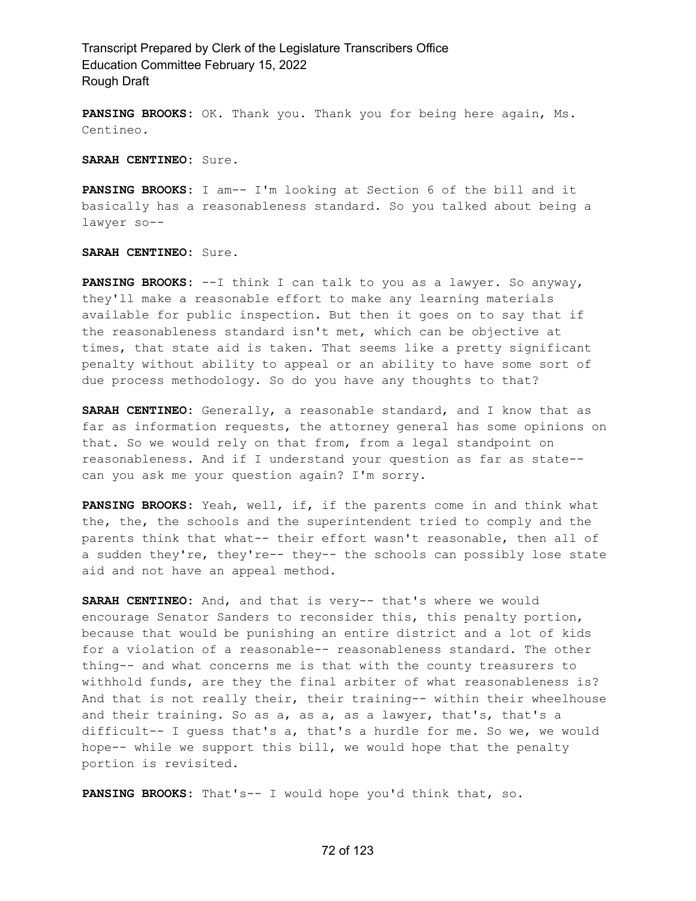**PANSING BROOKS:** OK. Thank you. Thank you for being here again, Ms. Centineo.

**SARAH CENTINEO:** Sure.

**PANSING BROOKS:** I am-- I'm looking at Section 6 of the bill and it basically has a reasonableness standard. So you talked about being a lawyer so--

**SARAH CENTINEO:** Sure.

**PANSING BROOKS:** --I think I can talk to you as a lawyer. So anyway, they'll make a reasonable effort to make any learning materials available for public inspection. But then it goes on to say that if the reasonableness standard isn't met, which can be objective at times, that state aid is taken. That seems like a pretty significant penalty without ability to appeal or an ability to have some sort of due process methodology. So do you have any thoughts to that?

**SARAH CENTINEO:** Generally, a reasonable standard, and I know that as far as information requests, the attorney general has some opinions on that. So we would rely on that from, from a legal standpoint on reasonableness. And if I understand your question as far as state- can you ask me your question again? I'm sorry.

**PANSING BROOKS:** Yeah, well, if, if the parents come in and think what the, the, the schools and the superintendent tried to comply and the parents think that what-- their effort wasn't reasonable, then all of a sudden they're, they're-- they-- the schools can possibly lose state aid and not have an appeal method.

**SARAH CENTINEO:** And, and that is very-- that's where we would encourage Senator Sanders to reconsider this, this penalty portion, because that would be punishing an entire district and a lot of kids for a violation of a reasonable-- reasonableness standard. The other thing-- and what concerns me is that with the county treasurers to withhold funds, are they the final arbiter of what reasonableness is? And that is not really their, their training-- within their wheelhouse and their training. So as a, as a, as a lawyer, that's, that's a difficult-- I guess that's a, that's a hurdle for me. So we, we would hope-- while we support this bill, we would hope that the penalty portion is revisited.

**PANSING BROOKS:** That's-- I would hope you'd think that, so.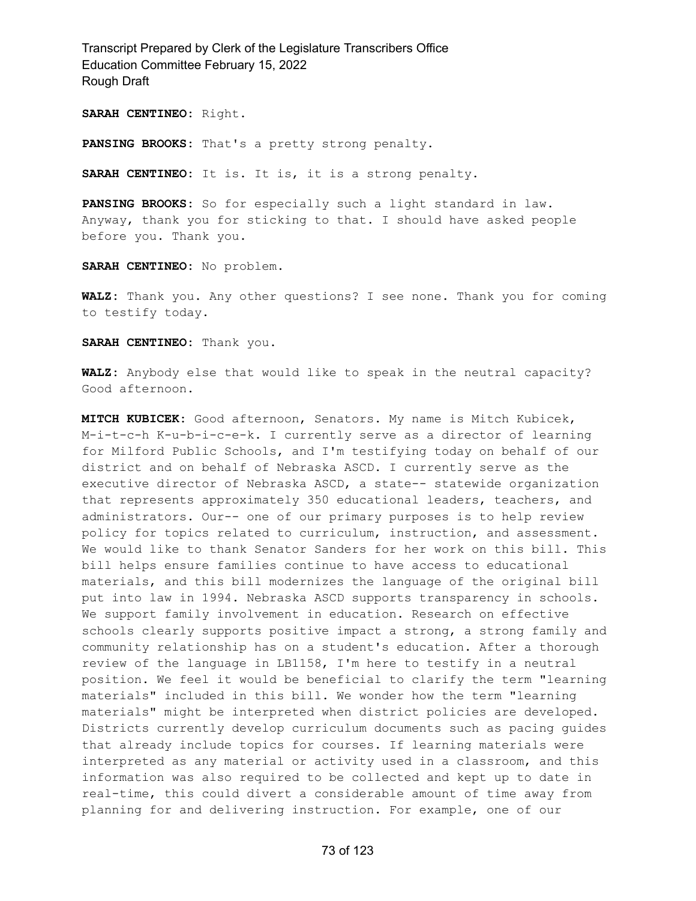**SARAH CENTINEO:** Right.

**PANSING BROOKS:** That's a pretty strong penalty.

**SARAH CENTINEO:** It is. It is, it is a strong penalty.

**PANSING BROOKS:** So for especially such a light standard in law. Anyway, thank you for sticking to that. I should have asked people before you. Thank you.

**SARAH CENTINEO:** No problem.

**WALZ:** Thank you. Any other questions? I see none. Thank you for coming to testify today.

**SARAH CENTINEO:** Thank you.

**WALZ:** Anybody else that would like to speak in the neutral capacity? Good afternoon.

**MITCH KUBICEK:** Good afternoon, Senators. My name is Mitch Kubicek, M-i-t-c-h K-u-b-i-c-e-k. I currently serve as a director of learning for Milford Public Schools, and I'm testifying today on behalf of our district and on behalf of Nebraska ASCD. I currently serve as the executive director of Nebraska ASCD, a state-- statewide organization that represents approximately 350 educational leaders, teachers, and administrators. Our-- one of our primary purposes is to help review policy for topics related to curriculum, instruction, and assessment. We would like to thank Senator Sanders for her work on this bill. This bill helps ensure families continue to have access to educational materials, and this bill modernizes the language of the original bill put into law in 1994. Nebraska ASCD supports transparency in schools. We support family involvement in education. Research on effective schools clearly supports positive impact a strong, a strong family and community relationship has on a student's education. After a thorough review of the language in LB1158, I'm here to testify in a neutral position. We feel it would be beneficial to clarify the term "learning materials" included in this bill. We wonder how the term "learning materials" might be interpreted when district policies are developed. Districts currently develop curriculum documents such as pacing guides that already include topics for courses. If learning materials were interpreted as any material or activity used in a classroom, and this information was also required to be collected and kept up to date in real-time, this could divert a considerable amount of time away from planning for and delivering instruction. For example, one of our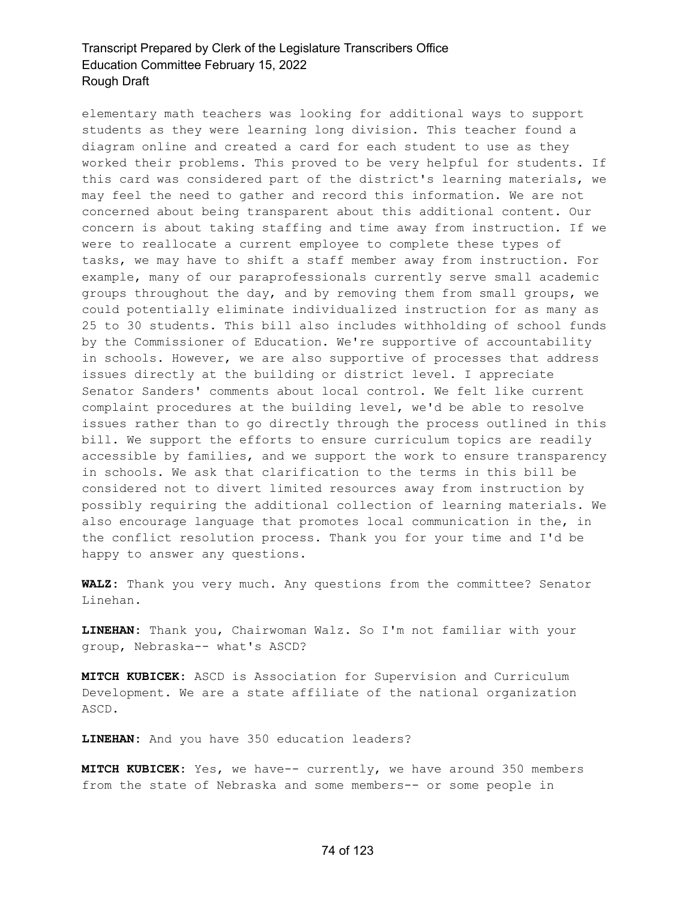elementary math teachers was looking for additional ways to support students as they were learning long division. This teacher found a diagram online and created a card for each student to use as they worked their problems. This proved to be very helpful for students. If this card was considered part of the district's learning materials, we may feel the need to gather and record this information. We are not concerned about being transparent about this additional content. Our concern is about taking staffing and time away from instruction. If we were to reallocate a current employee to complete these types of tasks, we may have to shift a staff member away from instruction. For example, many of our paraprofessionals currently serve small academic groups throughout the day, and by removing them from small groups, we could potentially eliminate individualized instruction for as many as 25 to 30 students. This bill also includes withholding of school funds by the Commissioner of Education. We're supportive of accountability in schools. However, we are also supportive of processes that address issues directly at the building or district level. I appreciate Senator Sanders' comments about local control. We felt like current complaint procedures at the building level, we'd be able to resolve issues rather than to go directly through the process outlined in this bill. We support the efforts to ensure curriculum topics are readily accessible by families, and we support the work to ensure transparency in schools. We ask that clarification to the terms in this bill be considered not to divert limited resources away from instruction by possibly requiring the additional collection of learning materials. We also encourage language that promotes local communication in the, in the conflict resolution process. Thank you for your time and I'd be happy to answer any questions.

**WALZ:** Thank you very much. Any questions from the committee? Senator Linehan.

**LINEHAN:** Thank you, Chairwoman Walz. So I'm not familiar with your group, Nebraska-- what's ASCD?

**MITCH KUBICEK:** ASCD is Association for Supervision and Curriculum Development. We are a state affiliate of the national organization ASCD.

**LINEHAN:** And you have 350 education leaders?

**MITCH KUBICEK:** Yes, we have-- currently, we have around 350 members from the state of Nebraska and some members-- or some people in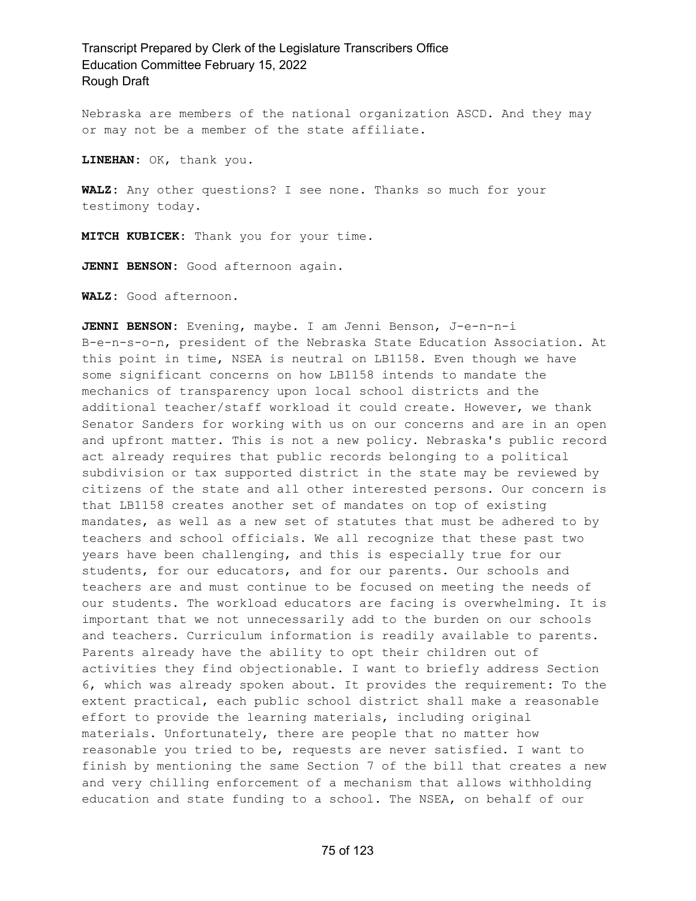Nebraska are members of the national organization ASCD. And they may or may not be a member of the state affiliate.

**LINEHAN:** OK, thank you.

**WALZ:** Any other questions? I see none. Thanks so much for your testimony today.

**MITCH KUBICEK:** Thank you for your time.

**JENNI BENSON:** Good afternoon again.

**WALZ:** Good afternoon.

**JENNI BENSON:** Evening, maybe. I am Jenni Benson, J-e-n-n-i B-e-n-s-o-n, president of the Nebraska State Education Association. At this point in time, NSEA is neutral on LB1158. Even though we have some significant concerns on how LB1158 intends to mandate the mechanics of transparency upon local school districts and the additional teacher/staff workload it could create. However, we thank Senator Sanders for working with us on our concerns and are in an open and upfront matter. This is not a new policy. Nebraska's public record act already requires that public records belonging to a political subdivision or tax supported district in the state may be reviewed by citizens of the state and all other interested persons. Our concern is that LB1158 creates another set of mandates on top of existing mandates, as well as a new set of statutes that must be adhered to by teachers and school officials. We all recognize that these past two years have been challenging, and this is especially true for our students, for our educators, and for our parents. Our schools and teachers are and must continue to be focused on meeting the needs of our students. The workload educators are facing is overwhelming. It is important that we not unnecessarily add to the burden on our schools and teachers. Curriculum information is readily available to parents. Parents already have the ability to opt their children out of activities they find objectionable. I want to briefly address Section 6, which was already spoken about. It provides the requirement: To the extent practical, each public school district shall make a reasonable effort to provide the learning materials, including original materials. Unfortunately, there are people that no matter how reasonable you tried to be, requests are never satisfied. I want to finish by mentioning the same Section 7 of the bill that creates a new and very chilling enforcement of a mechanism that allows withholding education and state funding to a school. The NSEA, on behalf of our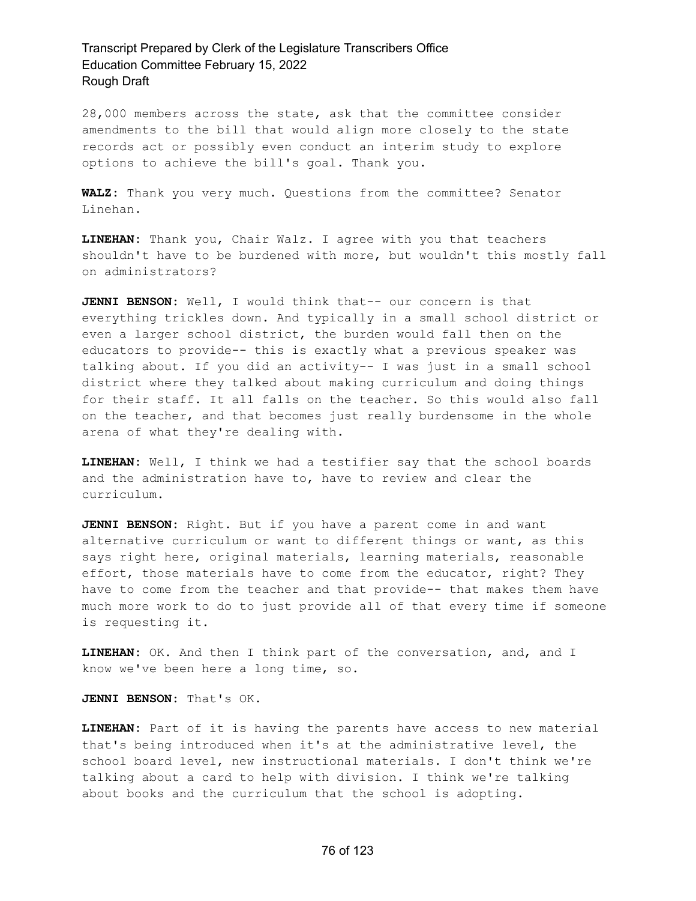28,000 members across the state, ask that the committee consider amendments to the bill that would align more closely to the state records act or possibly even conduct an interim study to explore options to achieve the bill's goal. Thank you.

**WALZ:** Thank you very much. Questions from the committee? Senator Linehan.

**LINEHAN:** Thank you, Chair Walz. I agree with you that teachers shouldn't have to be burdened with more, but wouldn't this mostly fall on administrators?

**JENNI BENSON:** Well, I would think that-- our concern is that everything trickles down. And typically in a small school district or even a larger school district, the burden would fall then on the educators to provide-- this is exactly what a previous speaker was talking about. If you did an activity-- I was just in a small school district where they talked about making curriculum and doing things for their staff. It all falls on the teacher. So this would also fall on the teacher, and that becomes just really burdensome in the whole arena of what they're dealing with.

**LINEHAN:** Well, I think we had a testifier say that the school boards and the administration have to, have to review and clear the curriculum.

**JENNI BENSON:** Right. But if you have a parent come in and want alternative curriculum or want to different things or want, as this says right here, original materials, learning materials, reasonable effort, those materials have to come from the educator, right? They have to come from the teacher and that provide-- that makes them have much more work to do to just provide all of that every time if someone is requesting it.

**LINEHAN:** OK. And then I think part of the conversation, and, and I know we've been here a long time, so.

**JENNI BENSON:** That's OK.

**LINEHAN:** Part of it is having the parents have access to new material that's being introduced when it's at the administrative level, the school board level, new instructional materials. I don't think we're talking about a card to help with division. I think we're talking about books and the curriculum that the school is adopting.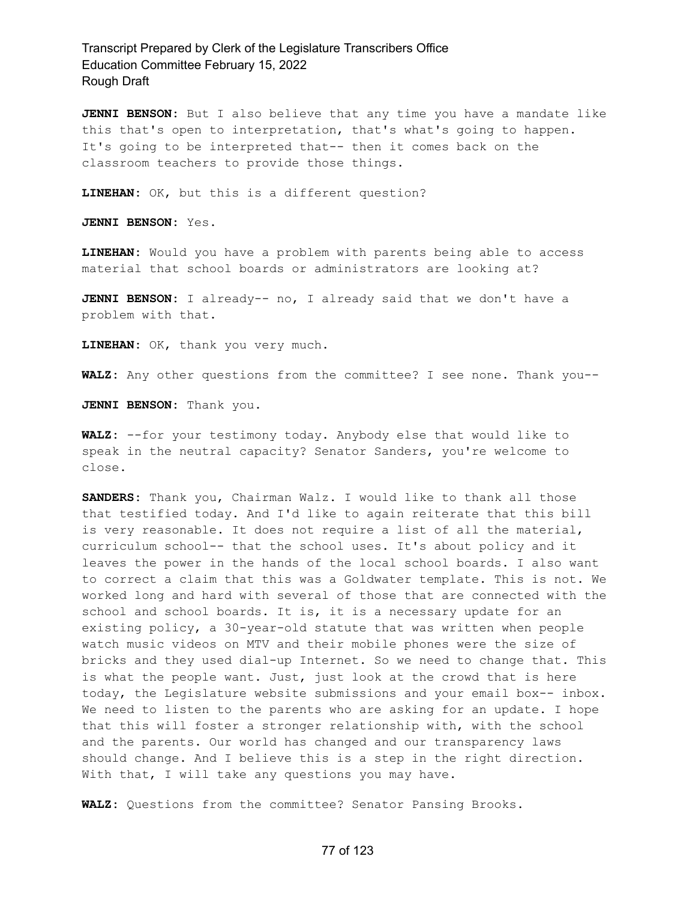**JENNI BENSON:** But I also believe that any time you have a mandate like this that's open to interpretation, that's what's going to happen. It's going to be interpreted that-- then it comes back on the classroom teachers to provide those things.

**LINEHAN:** OK, but this is a different question?

**JENNI BENSON:** Yes.

**LINEHAN:** Would you have a problem with parents being able to access material that school boards or administrators are looking at?

**JENNI BENSON:** I already-- no, I already said that we don't have a problem with that.

**LINEHAN:** OK, thank you very much.

**WALZ:** Any other questions from the committee? I see none. Thank you--

**JENNI BENSON:** Thank you.

**WALZ:** --for your testimony today. Anybody else that would like to speak in the neutral capacity? Senator Sanders, you're welcome to close.

**SANDERS:** Thank you, Chairman Walz. I would like to thank all those that testified today. And I'd like to again reiterate that this bill is very reasonable. It does not require a list of all the material, curriculum school-- that the school uses. It's about policy and it leaves the power in the hands of the local school boards. I also want to correct a claim that this was a Goldwater template. This is not. We worked long and hard with several of those that are connected with the school and school boards. It is, it is a necessary update for an existing policy, a 30-year-old statute that was written when people watch music videos on MTV and their mobile phones were the size of bricks and they used dial-up Internet. So we need to change that. This is what the people want. Just, just look at the crowd that is here today, the Legislature website submissions and your email box-- inbox. We need to listen to the parents who are asking for an update. I hope that this will foster a stronger relationship with, with the school and the parents. Our world has changed and our transparency laws should change. And I believe this is a step in the right direction. With that, I will take any questions you may have.

**WALZ:** Questions from the committee? Senator Pansing Brooks.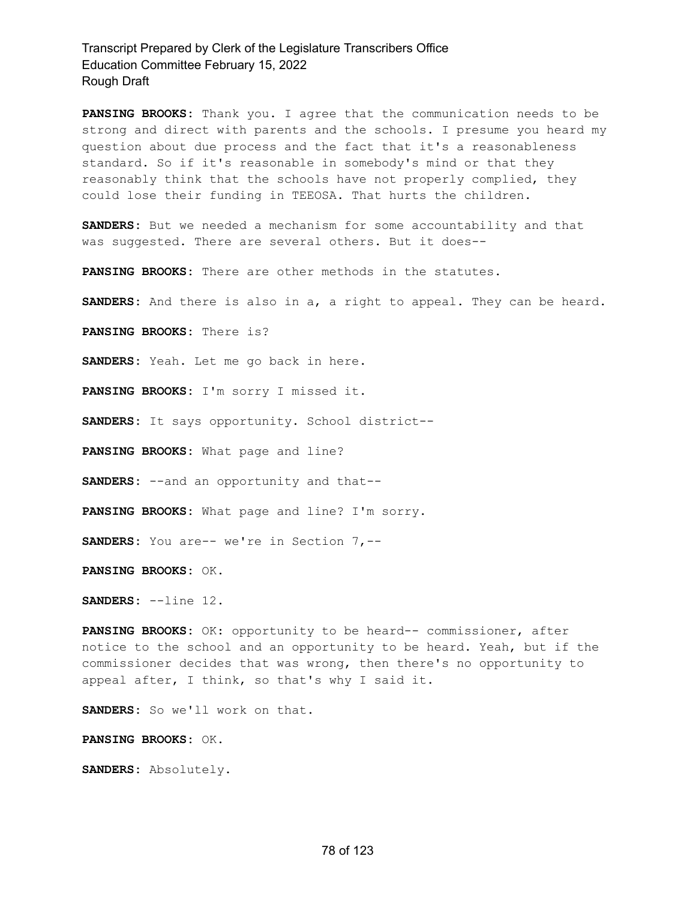**PANSING BROOKS:** Thank you. I agree that the communication needs to be strong and direct with parents and the schools. I presume you heard my question about due process and the fact that it's a reasonableness standard. So if it's reasonable in somebody's mind or that they reasonably think that the schools have not properly complied, they could lose their funding in TEEOSA. That hurts the children.

**SANDERS:** But we needed a mechanism for some accountability and that was suggested. There are several others. But it does--

**PANSING BROOKS:** There are other methods in the statutes.

**SANDERS:** And there is also in a, a right to appeal. They can be heard.

**PANSING BROOKS:** There is?

**SANDERS:** Yeah. Let me go back in here.

**PANSING BROOKS:** I'm sorry I missed it.

**SANDERS:** It says opportunity. School district--

**PANSING BROOKS:** What page and line?

**SANDERS:** --and an opportunity and that--

**PANSING BROOKS:** What page and line? I'm sorry.

**SANDERS:** You are-- we're in Section 7,--

**PANSING BROOKS:** OK.

**SANDERS:** --line 12.

**PANSING BROOKS:** OK: opportunity to be heard-- commissioner, after notice to the school and an opportunity to be heard. Yeah, but if the commissioner decides that was wrong, then there's no opportunity to appeal after, I think, so that's why I said it.

**SANDERS:** So we'll work on that.

**PANSING BROOKS:** OK.

**SANDERS:** Absolutely.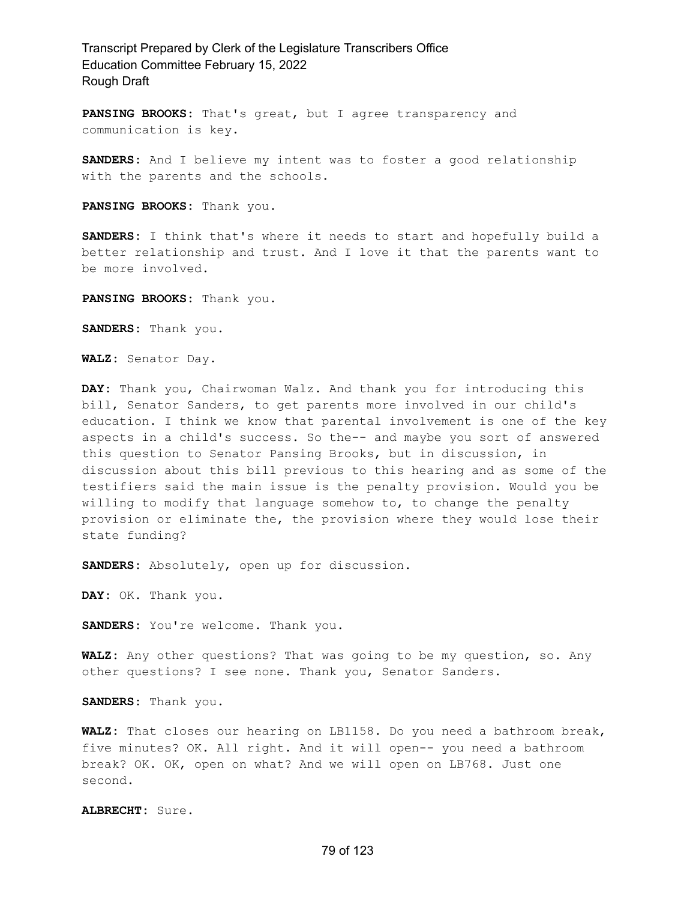**PANSING BROOKS:** That's great, but I agree transparency and communication is key.

**SANDERS:** And I believe my intent was to foster a good relationship with the parents and the schools.

**PANSING BROOKS:** Thank you.

**SANDERS:** I think that's where it needs to start and hopefully build a better relationship and trust. And I love it that the parents want to be more involved.

**PANSING BROOKS:** Thank you.

**SANDERS:** Thank you.

**WALZ:** Senator Day.

**DAY:** Thank you, Chairwoman Walz. And thank you for introducing this bill, Senator Sanders, to get parents more involved in our child's education. I think we know that parental involvement is one of the key aspects in a child's success. So the-- and maybe you sort of answered this question to Senator Pansing Brooks, but in discussion, in discussion about this bill previous to this hearing and as some of the testifiers said the main issue is the penalty provision. Would you be willing to modify that language somehow to, to change the penalty provision or eliminate the, the provision where they would lose their state funding?

**SANDERS:** Absolutely, open up for discussion.

**DAY:** OK. Thank you.

**SANDERS:** You're welcome. Thank you.

**WALZ:** Any other questions? That was going to be my question, so. Any other questions? I see none. Thank you, Senator Sanders.

**SANDERS:** Thank you.

**WALZ:** That closes our hearing on LB1158. Do you need a bathroom break, five minutes? OK. All right. And it will open-- you need a bathroom break? OK. OK, open on what? And we will open on LB768. Just one second.

**ALBRECHT:** Sure.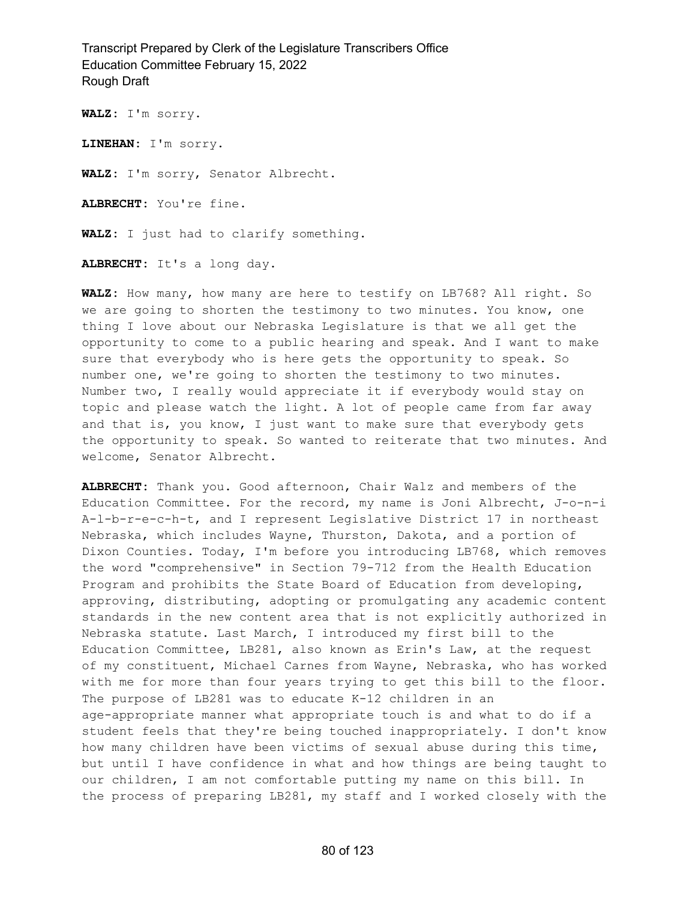**WALZ:** I'm sorry.

**LINEHAN:** I'm sorry.

**WALZ:** I'm sorry, Senator Albrecht.

**ALBRECHT:** You're fine.

**WALZ:** I just had to clarify something.

**ALBRECHT:** It's a long day.

**WALZ:** How many, how many are here to testify on LB768? All right. So we are going to shorten the testimony to two minutes. You know, one thing I love about our Nebraska Legislature is that we all get the opportunity to come to a public hearing and speak. And I want to make sure that everybody who is here gets the opportunity to speak. So number one, we're going to shorten the testimony to two minutes. Number two, I really would appreciate it if everybody would stay on topic and please watch the light. A lot of people came from far away and that is, you know, I just want to make sure that everybody gets the opportunity to speak. So wanted to reiterate that two minutes. And welcome, Senator Albrecht.

**ALBRECHT:** Thank you. Good afternoon, Chair Walz and members of the Education Committee. For the record, my name is Joni Albrecht, J-o-n-i A-l-b-r-e-c-h-t, and I represent Legislative District 17 in northeast Nebraska, which includes Wayne, Thurston, Dakota, and a portion of Dixon Counties. Today, I'm before you introducing LB768, which removes the word "comprehensive" in Section 79-712 from the Health Education Program and prohibits the State Board of Education from developing, approving, distributing, adopting or promulgating any academic content standards in the new content area that is not explicitly authorized in Nebraska statute. Last March, I introduced my first bill to the Education Committee, LB281, also known as Erin's Law, at the request of my constituent, Michael Carnes from Wayne, Nebraska, who has worked with me for more than four years trying to get this bill to the floor. The purpose of LB281 was to educate K-12 children in an age-appropriate manner what appropriate touch is and what to do if a student feels that they're being touched inappropriately. I don't know how many children have been victims of sexual abuse during this time, but until I have confidence in what and how things are being taught to our children, I am not comfortable putting my name on this bill. In the process of preparing LB281, my staff and I worked closely with the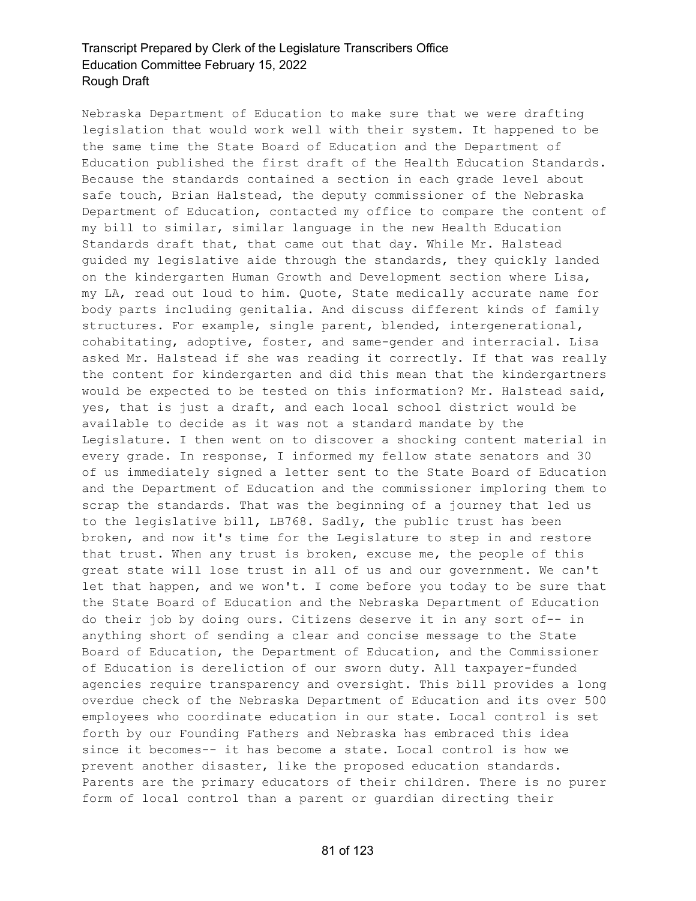Nebraska Department of Education to make sure that we were drafting legislation that would work well with their system. It happened to be the same time the State Board of Education and the Department of Education published the first draft of the Health Education Standards. Because the standards contained a section in each grade level about safe touch, Brian Halstead, the deputy commissioner of the Nebraska Department of Education, contacted my office to compare the content of my bill to similar, similar language in the new Health Education Standards draft that, that came out that day. While Mr. Halstead guided my legislative aide through the standards, they quickly landed on the kindergarten Human Growth and Development section where Lisa, my LA, read out loud to him. Quote, State medically accurate name for body parts including genitalia. And discuss different kinds of family structures. For example, single parent, blended, intergenerational, cohabitating, adoptive, foster, and same-gender and interracial. Lisa asked Mr. Halstead if she was reading it correctly. If that was really the content for kindergarten and did this mean that the kindergartners would be expected to be tested on this information? Mr. Halstead said, yes, that is just a draft, and each local school district would be available to decide as it was not a standard mandate by the Legislature. I then went on to discover a shocking content material in every grade. In response, I informed my fellow state senators and 30 of us immediately signed a letter sent to the State Board of Education and the Department of Education and the commissioner imploring them to scrap the standards. That was the beginning of a journey that led us to the legislative bill, LB768. Sadly, the public trust has been broken, and now it's time for the Legislature to step in and restore that trust. When any trust is broken, excuse me, the people of this great state will lose trust in all of us and our government. We can't let that happen, and we won't. I come before you today to be sure that the State Board of Education and the Nebraska Department of Education do their job by doing ours. Citizens deserve it in any sort of-- in anything short of sending a clear and concise message to the State Board of Education, the Department of Education, and the Commissioner of Education is dereliction of our sworn duty. All taxpayer-funded agencies require transparency and oversight. This bill provides a long overdue check of the Nebraska Department of Education and its over 500 employees who coordinate education in our state. Local control is set forth by our Founding Fathers and Nebraska has embraced this idea since it becomes-- it has become a state. Local control is how we prevent another disaster, like the proposed education standards. Parents are the primary educators of their children. There is no purer form of local control than a parent or guardian directing their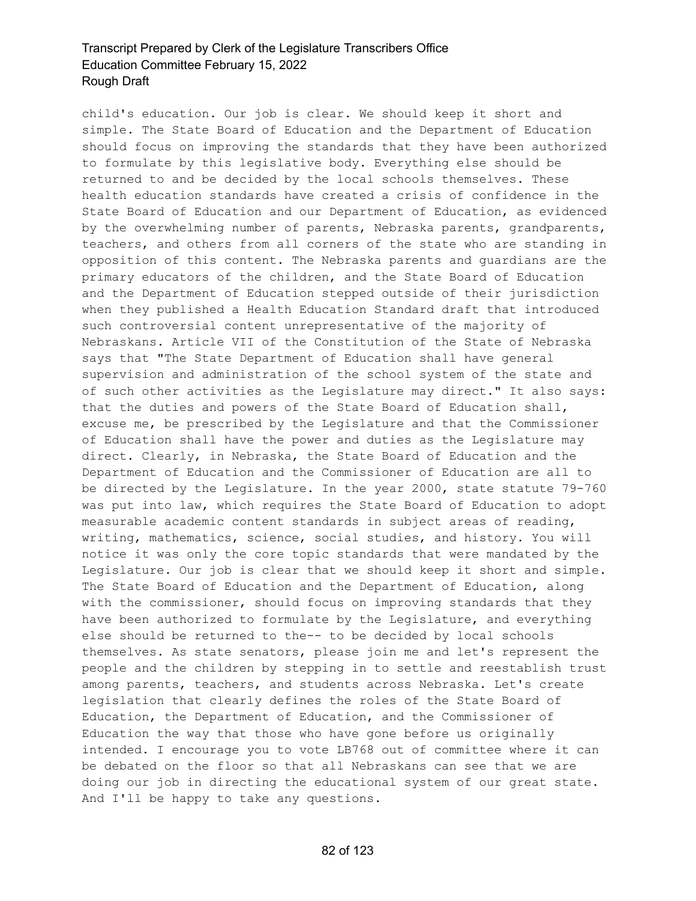child's education. Our job is clear. We should keep it short and simple. The State Board of Education and the Department of Education should focus on improving the standards that they have been authorized to formulate by this legislative body. Everything else should be returned to and be decided by the local schools themselves. These health education standards have created a crisis of confidence in the State Board of Education and our Department of Education, as evidenced by the overwhelming number of parents, Nebraska parents, grandparents, teachers, and others from all corners of the state who are standing in opposition of this content. The Nebraska parents and guardians are the primary educators of the children, and the State Board of Education and the Department of Education stepped outside of their jurisdiction when they published a Health Education Standard draft that introduced such controversial content unrepresentative of the majority of Nebraskans. Article VII of the Constitution of the State of Nebraska says that "The State Department of Education shall have general supervision and administration of the school system of the state and of such other activities as the Legislature may direct." It also says: that the duties and powers of the State Board of Education shall, excuse me, be prescribed by the Legislature and that the Commissioner of Education shall have the power and duties as the Legislature may direct. Clearly, in Nebraska, the State Board of Education and the Department of Education and the Commissioner of Education are all to be directed by the Legislature. In the year 2000, state statute 79-760 was put into law, which requires the State Board of Education to adopt measurable academic content standards in subject areas of reading, writing, mathematics, science, social studies, and history. You will notice it was only the core topic standards that were mandated by the Legislature. Our job is clear that we should keep it short and simple. The State Board of Education and the Department of Education, along with the commissioner, should focus on improving standards that they have been authorized to formulate by the Legislature, and everything else should be returned to the-- to be decided by local schools themselves. As state senators, please join me and let's represent the people and the children by stepping in to settle and reestablish trust among parents, teachers, and students across Nebraska. Let's create legislation that clearly defines the roles of the State Board of Education, the Department of Education, and the Commissioner of Education the way that those who have gone before us originally intended. I encourage you to vote LB768 out of committee where it can be debated on the floor so that all Nebraskans can see that we are doing our job in directing the educational system of our great state. And I'll be happy to take any questions.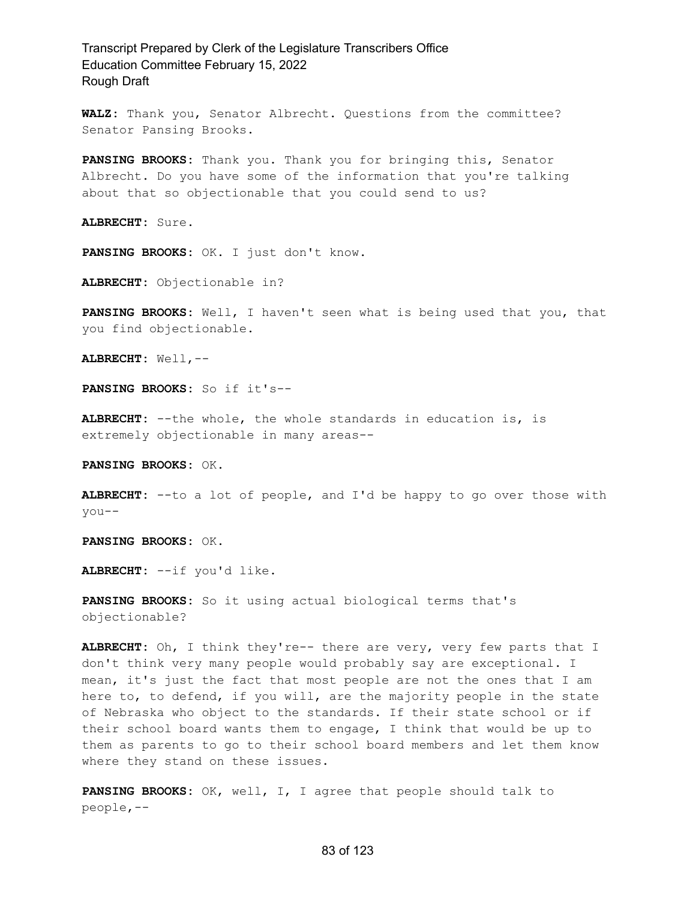**WALZ:** Thank you, Senator Albrecht. Questions from the committee? Senator Pansing Brooks.

**PANSING BROOKS:** Thank you. Thank you for bringing this, Senator Albrecht. Do you have some of the information that you're talking about that so objectionable that you could send to us?

**ALBRECHT:** Sure.

**PANSING BROOKS:** OK. I just don't know.

**ALBRECHT:** Objectionable in?

**PANSING BROOKS:** Well, I haven't seen what is being used that you, that you find objectionable.

**ALBRECHT:** Well,--

**PANSING BROOKS:** So if it's--

**ALBRECHT:** --the whole, the whole standards in education is, is extremely objectionable in many areas--

**PANSING BROOKS:** OK.

**ALBRECHT:** --to a lot of people, and I'd be happy to go over those with you--

**PANSING BROOKS:** OK.

**ALBRECHT:** --if you'd like.

**PANSING BROOKS:** So it using actual biological terms that's objectionable?

**ALBRECHT:** Oh, I think they're-- there are very, very few parts that I don't think very many people would probably say are exceptional. I mean, it's just the fact that most people are not the ones that I am here to, to defend, if you will, are the majority people in the state of Nebraska who object to the standards. If their state school or if their school board wants them to engage, I think that would be up to them as parents to go to their school board members and let them know where they stand on these issues.

**PANSING BROOKS:** OK, well, I, I agree that people should talk to people,--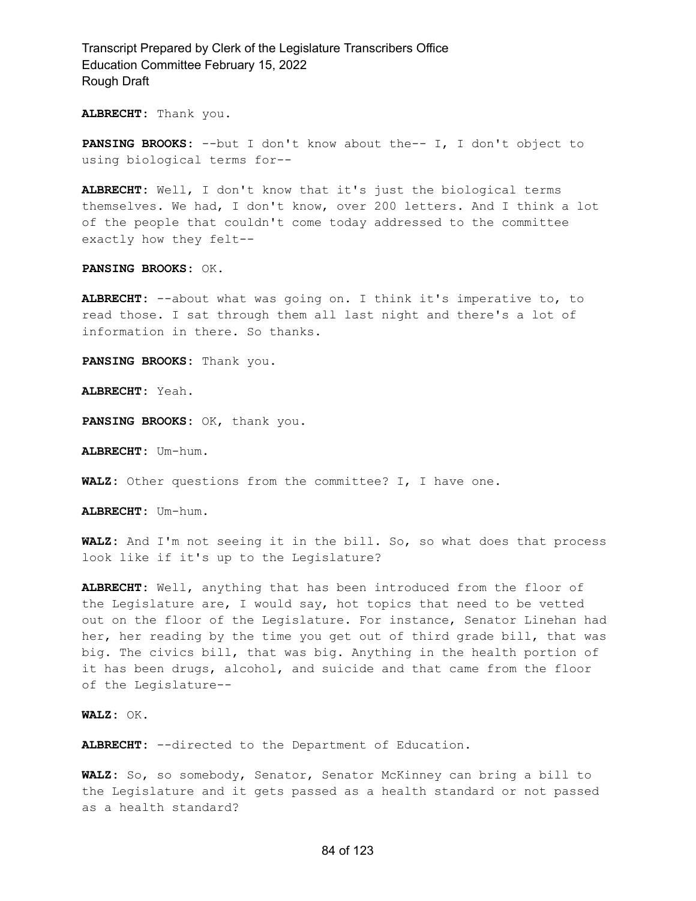**ALBRECHT:** Thank you.

**PANSING BROOKS:** --but I don't know about the-- I, I don't object to using biological terms for--

**ALBRECHT:** Well, I don't know that it's just the biological terms themselves. We had, I don't know, over 200 letters. And I think a lot of the people that couldn't come today addressed to the committee exactly how they felt--

**PANSING BROOKS:** OK.

**ALBRECHT:** --about what was going on. I think it's imperative to, to read those. I sat through them all last night and there's a lot of information in there. So thanks.

**PANSING BROOKS:** Thank you.

**ALBRECHT:** Yeah.

**PANSING BROOKS:** OK, thank you.

**ALBRECHT:** Um-hum.

**WALZ:** Other questions from the committee? I, I have one.

**ALBRECHT:** Um-hum.

**WALZ:** And I'm not seeing it in the bill. So, so what does that process look like if it's up to the Legislature?

**ALBRECHT:** Well, anything that has been introduced from the floor of the Legislature are, I would say, hot topics that need to be vetted out on the floor of the Legislature. For instance, Senator Linehan had her, her reading by the time you get out of third grade bill, that was big. The civics bill, that was big. Anything in the health portion of it has been drugs, alcohol, and suicide and that came from the floor of the Legislature--

**WALZ:** OK.

**ALBRECHT:** --directed to the Department of Education.

**WALZ:** So, so somebody, Senator, Senator McKinney can bring a bill to the Legislature and it gets passed as a health standard or not passed as a health standard?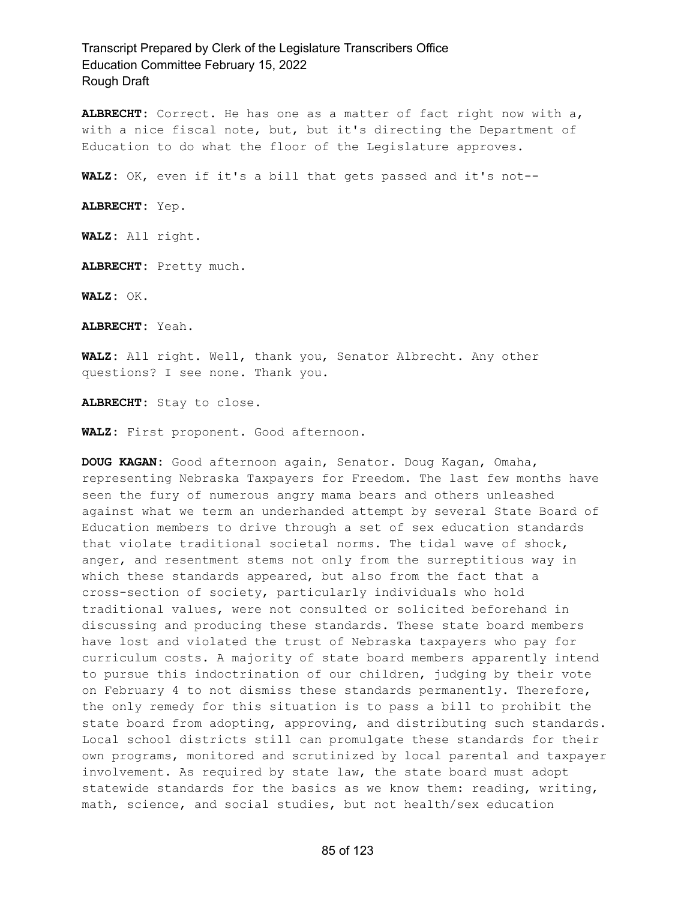**ALBRECHT:** Correct. He has one as a matter of fact right now with a, with a nice fiscal note, but, but it's directing the Department of Education to do what the floor of the Legislature approves.

**WALZ:** OK, even if it's a bill that gets passed and it's not--

**ALBRECHT:** Yep.

**WALZ:** All right.

**ALBRECHT:** Pretty much.

**WALZ:** OK.

**ALBRECHT:** Yeah.

**WALZ:** All right. Well, thank you, Senator Albrecht. Any other questions? I see none. Thank you.

**ALBRECHT:** Stay to close.

**WALZ:** First proponent. Good afternoon.

**DOUG KAGAN:** Good afternoon again, Senator. Doug Kagan, Omaha, representing Nebraska Taxpayers for Freedom. The last few months have seen the fury of numerous angry mama bears and others unleashed against what we term an underhanded attempt by several State Board of Education members to drive through a set of sex education standards that violate traditional societal norms. The tidal wave of shock, anger, and resentment stems not only from the surreptitious way in which these standards appeared, but also from the fact that a cross-section of society, particularly individuals who hold traditional values, were not consulted or solicited beforehand in discussing and producing these standards. These state board members have lost and violated the trust of Nebraska taxpayers who pay for curriculum costs. A majority of state board members apparently intend to pursue this indoctrination of our children, judging by their vote on February 4 to not dismiss these standards permanently. Therefore, the only remedy for this situation is to pass a bill to prohibit the state board from adopting, approving, and distributing such standards. Local school districts still can promulgate these standards for their own programs, monitored and scrutinized by local parental and taxpayer involvement. As required by state law, the state board must adopt statewide standards for the basics as we know them: reading, writing, math, science, and social studies, but not health/sex education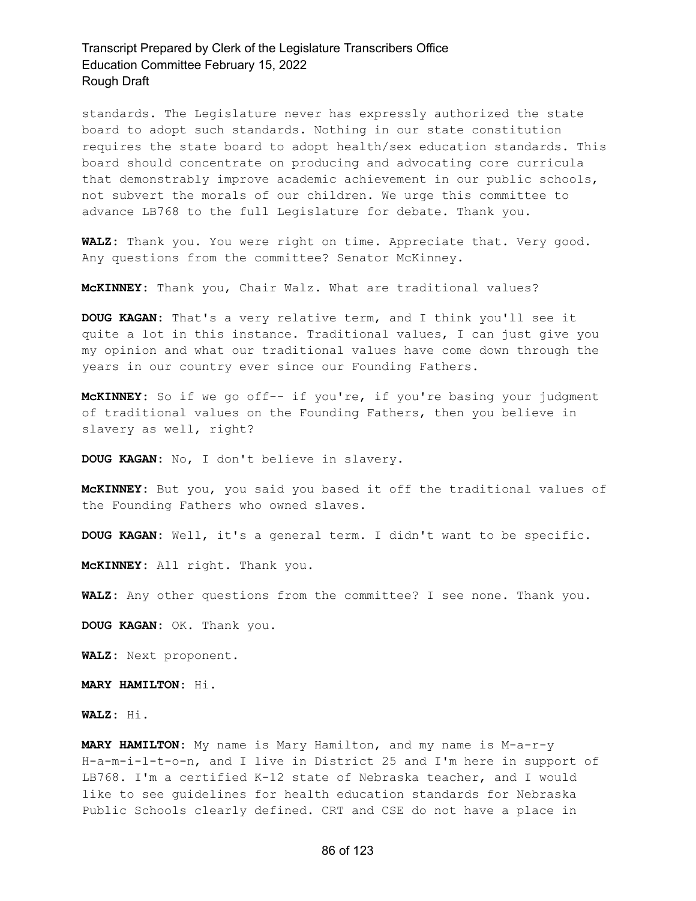standards. The Legislature never has expressly authorized the state board to adopt such standards. Nothing in our state constitution requires the state board to adopt health/sex education standards. This board should concentrate on producing and advocating core curricula that demonstrably improve academic achievement in our public schools, not subvert the morals of our children. We urge this committee to advance LB768 to the full Legislature for debate. Thank you.

**WALZ:** Thank you. You were right on time. Appreciate that. Very good. Any questions from the committee? Senator McKinney.

**McKINNEY:** Thank you, Chair Walz. What are traditional values?

**DOUG KAGAN:** That's a very relative term, and I think you'll see it quite a lot in this instance. Traditional values, I can just give you my opinion and what our traditional values have come down through the years in our country ever since our Founding Fathers.

**McKINNEY:** So if we go off-- if you're, if you're basing your judgment of traditional values on the Founding Fathers, then you believe in slavery as well, right?

**DOUG KAGAN:** No, I don't believe in slavery.

**McKINNEY:** But you, you said you based it off the traditional values of the Founding Fathers who owned slaves.

**DOUG KAGAN:** Well, it's a general term. I didn't want to be specific.

**McKINNEY:** All right. Thank you.

**WALZ:** Any other questions from the committee? I see none. Thank you.

**DOUG KAGAN:** OK. Thank you.

**WALZ:** Next proponent.

**MARY HAMILTON:** Hi.

**WALZ:** Hi.

**MARY HAMILTON:** My name is Mary Hamilton, and my name is M-a-r-y H-a-m-i-l-t-o-n, and I live in District 25 and I'm here in support of LB768. I'm a certified K-12 state of Nebraska teacher, and I would like to see guidelines for health education standards for Nebraska Public Schools clearly defined. CRT and CSE do not have a place in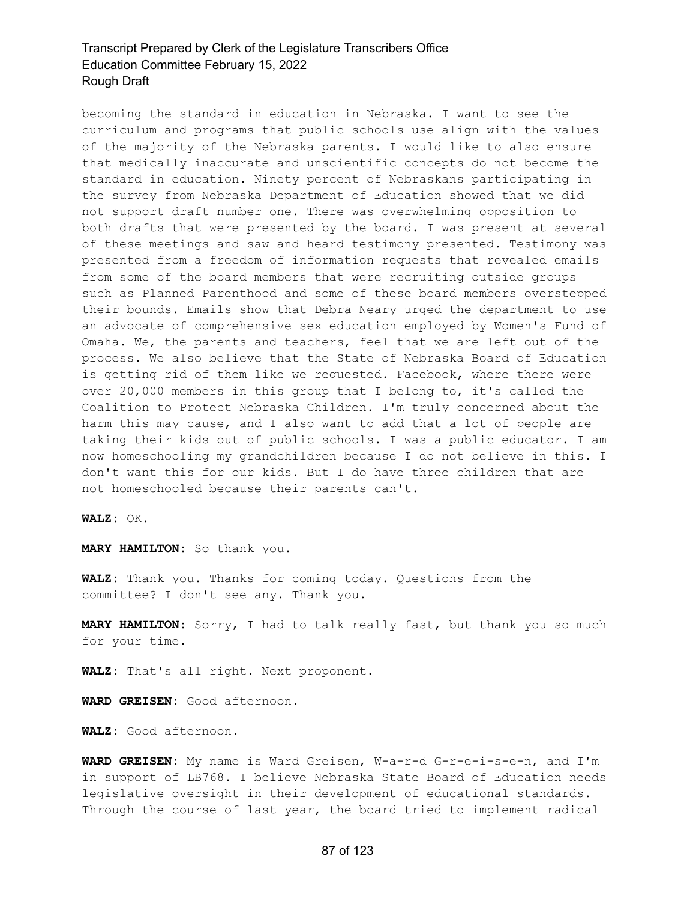becoming the standard in education in Nebraska. I want to see the curriculum and programs that public schools use align with the values of the majority of the Nebraska parents. I would like to also ensure that medically inaccurate and unscientific concepts do not become the standard in education. Ninety percent of Nebraskans participating in the survey from Nebraska Department of Education showed that we did not support draft number one. There was overwhelming opposition to both drafts that were presented by the board. I was present at several of these meetings and saw and heard testimony presented. Testimony was presented from a freedom of information requests that revealed emails from some of the board members that were recruiting outside groups such as Planned Parenthood and some of these board members overstepped their bounds. Emails show that Debra Neary urged the department to use an advocate of comprehensive sex education employed by Women's Fund of Omaha. We, the parents and teachers, feel that we are left out of the process. We also believe that the State of Nebraska Board of Education is getting rid of them like we requested. Facebook, where there were over 20,000 members in this group that I belong to, it's called the Coalition to Protect Nebraska Children. I'm truly concerned about the harm this may cause, and I also want to add that a lot of people are taking their kids out of public schools. I was a public educator. I am now homeschooling my grandchildren because I do not believe in this. I don't want this for our kids. But I do have three children that are not homeschooled because their parents can't.

**WALZ:** OK.

**MARY HAMILTON:** So thank you.

**WALZ:** Thank you. Thanks for coming today. Questions from the committee? I don't see any. Thank you.

**MARY HAMILTON:** Sorry, I had to talk really fast, but thank you so much for your time.

**WALZ:** That's all right. Next proponent.

**WARD GREISEN:** Good afternoon.

**WALZ:** Good afternoon.

**WARD GREISEN:** My name is Ward Greisen, W-a-r-d G-r-e-i-s-e-n, and I'm in support of LB768. I believe Nebraska State Board of Education needs legislative oversight in their development of educational standards. Through the course of last year, the board tried to implement radical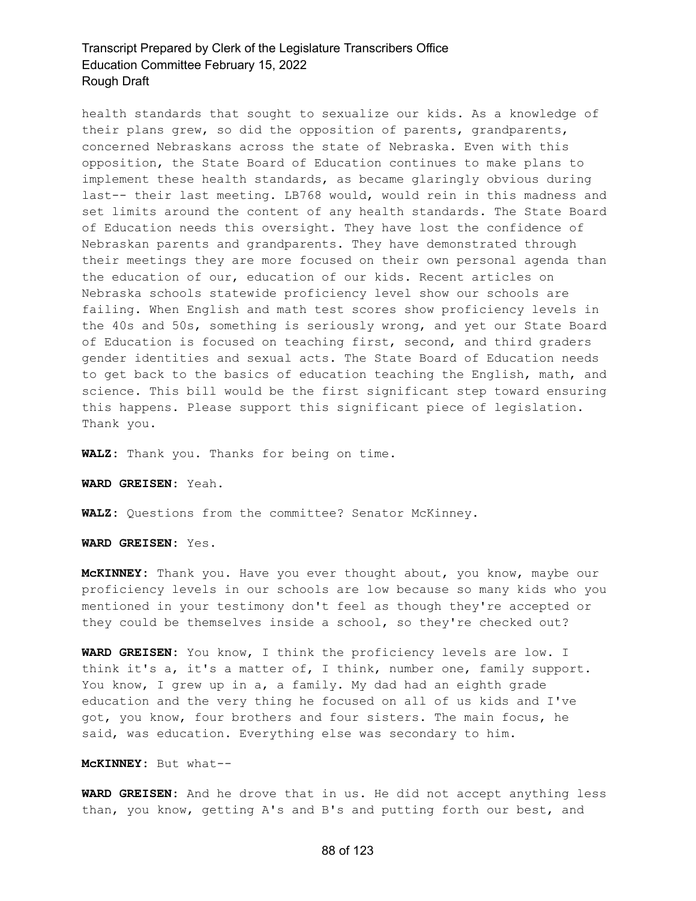health standards that sought to sexualize our kids. As a knowledge of their plans grew, so did the opposition of parents, grandparents, concerned Nebraskans across the state of Nebraska. Even with this opposition, the State Board of Education continues to make plans to implement these health standards, as became glaringly obvious during last-- their last meeting. LB768 would, would rein in this madness and set limits around the content of any health standards. The State Board of Education needs this oversight. They have lost the confidence of Nebraskan parents and grandparents. They have demonstrated through their meetings they are more focused on their own personal agenda than the education of our, education of our kids. Recent articles on Nebraska schools statewide proficiency level show our schools are failing. When English and math test scores show proficiency levels in the 40s and 50s, something is seriously wrong, and yet our State Board of Education is focused on teaching first, second, and third graders gender identities and sexual acts. The State Board of Education needs to get back to the basics of education teaching the English, math, and science. This bill would be the first significant step toward ensuring this happens. Please support this significant piece of legislation. Thank you.

**WALZ:** Thank you. Thanks for being on time.

**WARD GREISEN:** Yeah.

**WALZ:** Questions from the committee? Senator McKinney.

**WARD GREISEN:** Yes.

**McKINNEY:** Thank you. Have you ever thought about, you know, maybe our proficiency levels in our schools are low because so many kids who you mentioned in your testimony don't feel as though they're accepted or they could be themselves inside a school, so they're checked out?

**WARD GREISEN:** You know, I think the proficiency levels are low. I think it's a, it's a matter of, I think, number one, family support. You know, I grew up in a, a family. My dad had an eighth grade education and the very thing he focused on all of us kids and I've got, you know, four brothers and four sisters. The main focus, he said, was education. Everything else was secondary to him.

**McKINNEY:** But what--

**WARD GREISEN:** And he drove that in us. He did not accept anything less than, you know, getting A's and B's and putting forth our best, and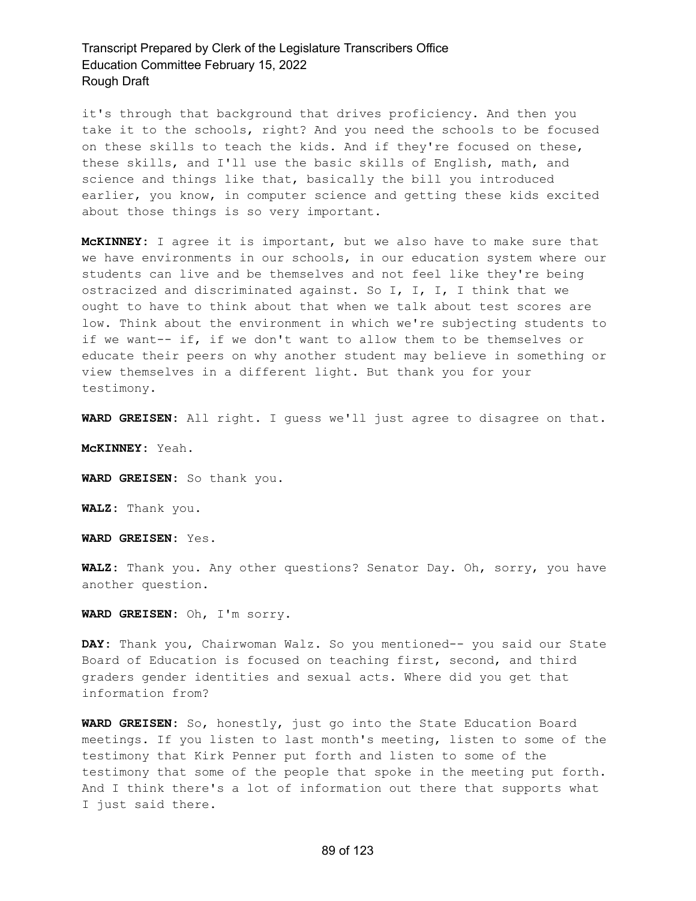it's through that background that drives proficiency. And then you take it to the schools, right? And you need the schools to be focused on these skills to teach the kids. And if they're focused on these, these skills, and I'll use the basic skills of English, math, and science and things like that, basically the bill you introduced earlier, you know, in computer science and getting these kids excited about those things is so very important.

**McKINNEY:** I agree it is important, but we also have to make sure that we have environments in our schools, in our education system where our students can live and be themselves and not feel like they're being ostracized and discriminated against. So I, I, I, I think that we ought to have to think about that when we talk about test scores are low. Think about the environment in which we're subjecting students to if we want-- if, if we don't want to allow them to be themselves or educate their peers on why another student may believe in something or view themselves in a different light. But thank you for your testimony.

**WARD GREISEN:** All right. I guess we'll just agree to disagree on that.

**McKINNEY:** Yeah.

**WARD GREISEN:** So thank you.

**WALZ:** Thank you.

**WARD GREISEN:** Yes.

**WALZ:** Thank you. Any other questions? Senator Day. Oh, sorry, you have another question.

**WARD GREISEN:** Oh, I'm sorry.

**DAY:** Thank you, Chairwoman Walz. So you mentioned-- you said our State Board of Education is focused on teaching first, second, and third graders gender identities and sexual acts. Where did you get that information from?

**WARD GREISEN:** So, honestly, just go into the State Education Board meetings. If you listen to last month's meeting, listen to some of the testimony that Kirk Penner put forth and listen to some of the testimony that some of the people that spoke in the meeting put forth. And I think there's a lot of information out there that supports what I just said there.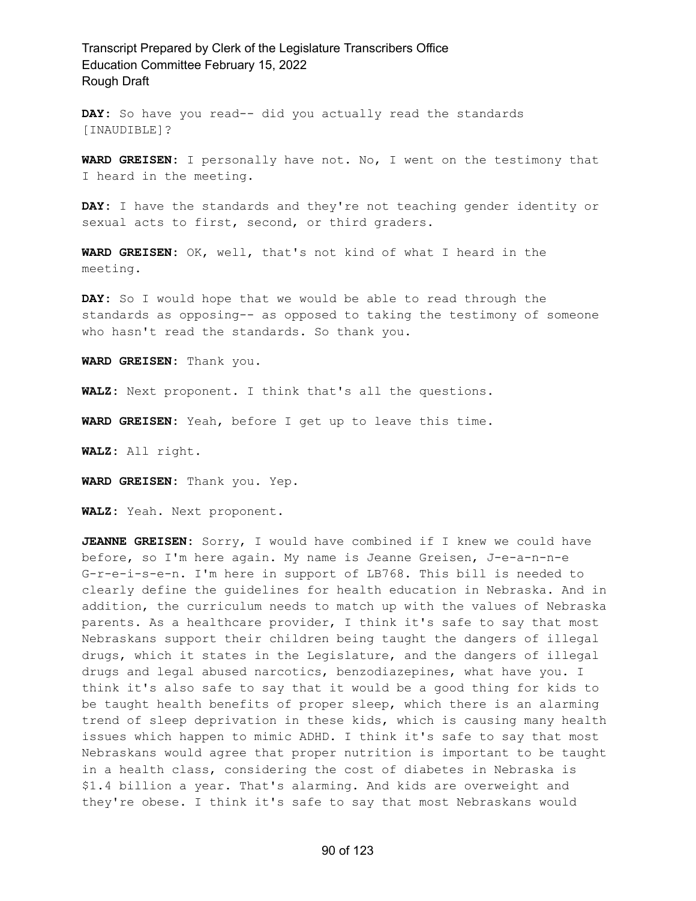**DAY:** So have you read-- did you actually read the standards [INAUDIBLE]?

**WARD GREISEN:** I personally have not. No, I went on the testimony that I heard in the meeting.

**DAY:** I have the standards and they're not teaching gender identity or sexual acts to first, second, or third graders.

**WARD GREISEN:** OK, well, that's not kind of what I heard in the meeting.

**DAY:** So I would hope that we would be able to read through the standards as opposing-- as opposed to taking the testimony of someone who hasn't read the standards. So thank you.

**WARD GREISEN:** Thank you.

**WALZ:** Next proponent. I think that's all the questions.

**WARD GREISEN:** Yeah, before I get up to leave this time.

**WALZ:** All right.

**WARD GREISEN:** Thank you. Yep.

**WALZ:** Yeah. Next proponent.

**JEANNE GREISEN:** Sorry, I would have combined if I knew we could have before, so I'm here again. My name is Jeanne Greisen, J-e-a-n-n-e G-r-e-i-s-e-n. I'm here in support of LB768. This bill is needed to clearly define the guidelines for health education in Nebraska. And in addition, the curriculum needs to match up with the values of Nebraska parents. As a healthcare provider, I think it's safe to say that most Nebraskans support their children being taught the dangers of illegal drugs, which it states in the Legislature, and the dangers of illegal drugs and legal abused narcotics, benzodiazepines, what have you. I think it's also safe to say that it would be a good thing for kids to be taught health benefits of proper sleep, which there is an alarming trend of sleep deprivation in these kids, which is causing many health issues which happen to mimic ADHD. I think it's safe to say that most Nebraskans would agree that proper nutrition is important to be taught in a health class, considering the cost of diabetes in Nebraska is \$1.4 billion a year. That's alarming. And kids are overweight and they're obese. I think it's safe to say that most Nebraskans would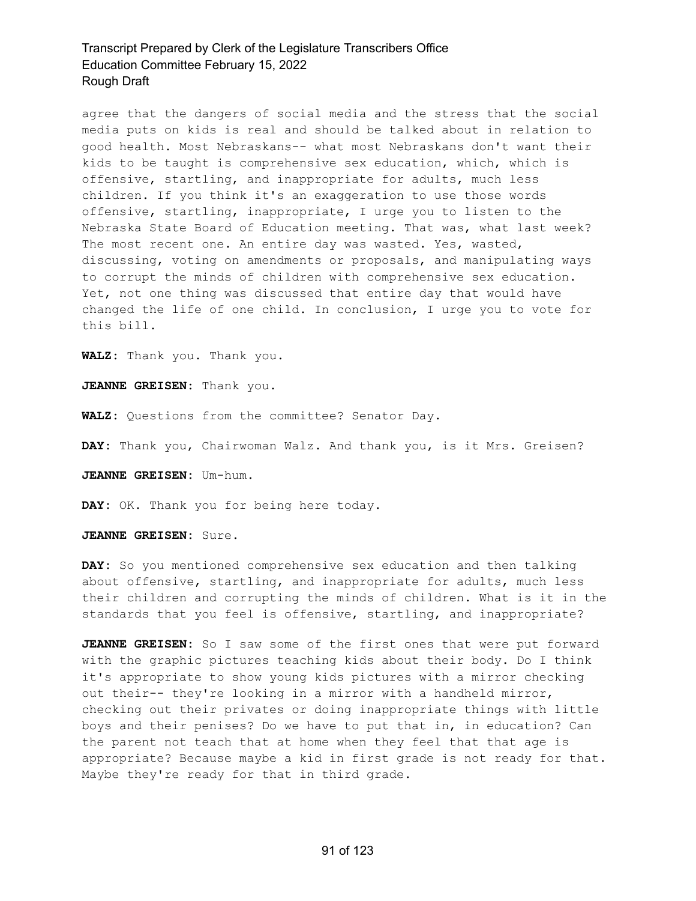agree that the dangers of social media and the stress that the social media puts on kids is real and should be talked about in relation to good health. Most Nebraskans-- what most Nebraskans don't want their kids to be taught is comprehensive sex education, which, which is offensive, startling, and inappropriate for adults, much less children. If you think it's an exaggeration to use those words offensive, startling, inappropriate, I urge you to listen to the Nebraska State Board of Education meeting. That was, what last week? The most recent one. An entire day was wasted. Yes, wasted, discussing, voting on amendments or proposals, and manipulating ways to corrupt the minds of children with comprehensive sex education. Yet, not one thing was discussed that entire day that would have changed the life of one child. In conclusion, I urge you to vote for this bill.

**WALZ:** Thank you. Thank you.

**JEANNE GREISEN:** Thank you.

**WALZ:** Questions from the committee? Senator Day.

**DAY:** Thank you, Chairwoman Walz. And thank you, is it Mrs. Greisen?

**JEANNE GREISEN:** Um-hum.

**DAY:** OK. Thank you for being here today.

**JEANNE GREISEN:** Sure.

**DAY:** So you mentioned comprehensive sex education and then talking about offensive, startling, and inappropriate for adults, much less their children and corrupting the minds of children. What is it in the standards that you feel is offensive, startling, and inappropriate?

**JEANNE GREISEN:** So I saw some of the first ones that were put forward with the graphic pictures teaching kids about their body. Do I think it's appropriate to show young kids pictures with a mirror checking out their-- they're looking in a mirror with a handheld mirror, checking out their privates or doing inappropriate things with little boys and their penises? Do we have to put that in, in education? Can the parent not teach that at home when they feel that that age is appropriate? Because maybe a kid in first grade is not ready for that. Maybe they're ready for that in third grade.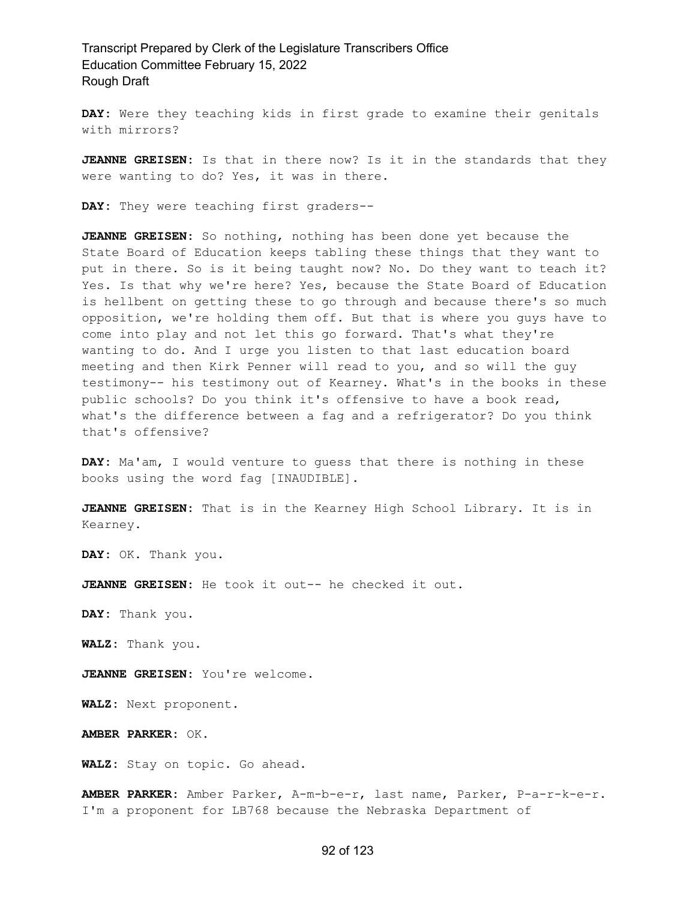**DAY:** Were they teaching kids in first grade to examine their genitals with mirrors?

**JEANNE GREISEN:** Is that in there now? Is it in the standards that they were wanting to do? Yes, it was in there.

**DAY:** They were teaching first graders--

**JEANNE GREISEN:** So nothing, nothing has been done yet because the State Board of Education keeps tabling these things that they want to put in there. So is it being taught now? No. Do they want to teach it? Yes. Is that why we're here? Yes, because the State Board of Education is hellbent on getting these to go through and because there's so much opposition, we're holding them off. But that is where you guys have to come into play and not let this go forward. That's what they're wanting to do. And I urge you listen to that last education board meeting and then Kirk Penner will read to you, and so will the guy testimony-- his testimony out of Kearney. What's in the books in these public schools? Do you think it's offensive to have a book read, what's the difference between a fag and a refrigerator? Do you think that's offensive?

**DAY:** Ma'am, I would venture to guess that there is nothing in these books using the word fag [INAUDIBLE].

**JEANNE GREISEN:** That is in the Kearney High School Library. It is in Kearney.

**DAY:** OK. Thank you.

**JEANNE GREISEN:** He took it out-- he checked it out.

**DAY:** Thank you.

**WALZ:** Thank you.

**JEANNE GREISEN:** You're welcome.

**WALZ:** Next proponent.

**AMBER PARKER:** OK.

**WALZ:** Stay on topic. Go ahead.

**AMBER PARKER:** Amber Parker, A-m-b-e-r, last name, Parker, P-a-r-k-e-r. I'm a proponent for LB768 because the Nebraska Department of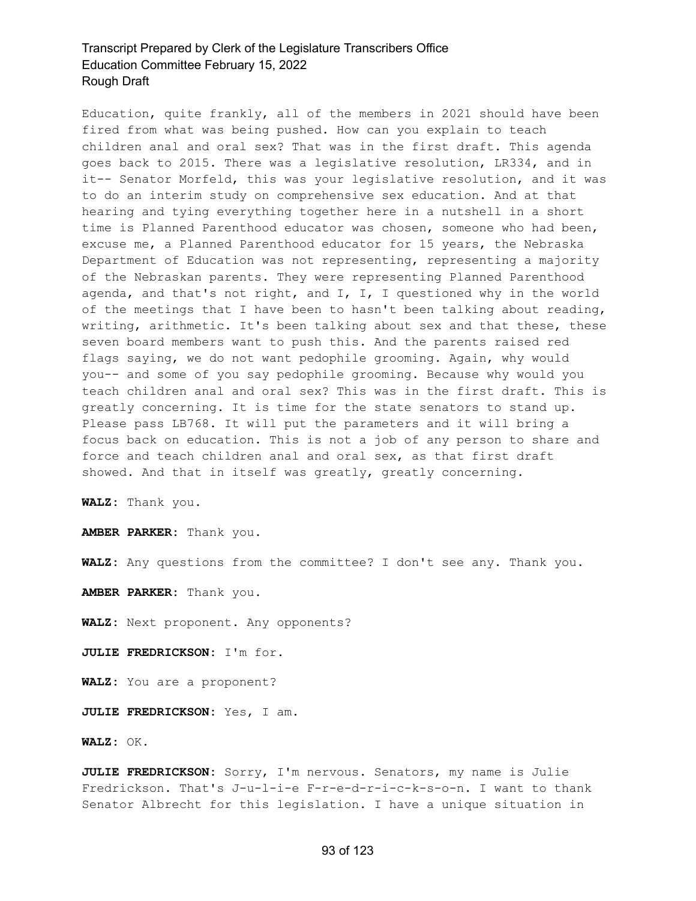Education, quite frankly, all of the members in 2021 should have been fired from what was being pushed. How can you explain to teach children anal and oral sex? That was in the first draft. This agenda goes back to 2015. There was a legislative resolution, LR334, and in it-- Senator Morfeld, this was your legislative resolution, and it was to do an interim study on comprehensive sex education. And at that hearing and tying everything together here in a nutshell in a short time is Planned Parenthood educator was chosen, someone who had been, excuse me, a Planned Parenthood educator for 15 years, the Nebraska Department of Education was not representing, representing a majority of the Nebraskan parents. They were representing Planned Parenthood agenda, and that's not right, and I, I, I questioned why in the world of the meetings that I have been to hasn't been talking about reading, writing, arithmetic. It's been talking about sex and that these, these seven board members want to push this. And the parents raised red flags saying, we do not want pedophile grooming. Again, why would you-- and some of you say pedophile grooming. Because why would you teach children anal and oral sex? This was in the first draft. This is greatly concerning. It is time for the state senators to stand up. Please pass LB768. It will put the parameters and it will bring a focus back on education. This is not a job of any person to share and force and teach children anal and oral sex, as that first draft showed. And that in itself was greatly, greatly concerning.

**WALZ:** Thank you.

**AMBER PARKER:** Thank you.

**WALZ:** Any questions from the committee? I don't see any. Thank you.

**AMBER PARKER:** Thank you.

**WALZ:** Next proponent. Any opponents?

**JULIE FREDRICKSON:** I'm for.

**WALZ:** You are a proponent?

**JULIE FREDRICKSON:** Yes, I am.

**WALZ:** OK.

**JULIE FREDRICKSON:** Sorry, I'm nervous. Senators, my name is Julie Fredrickson. That's J-u-l-i-e F-r-e-d-r-i-c-k-s-o-n. I want to thank Senator Albrecht for this legislation. I have a unique situation in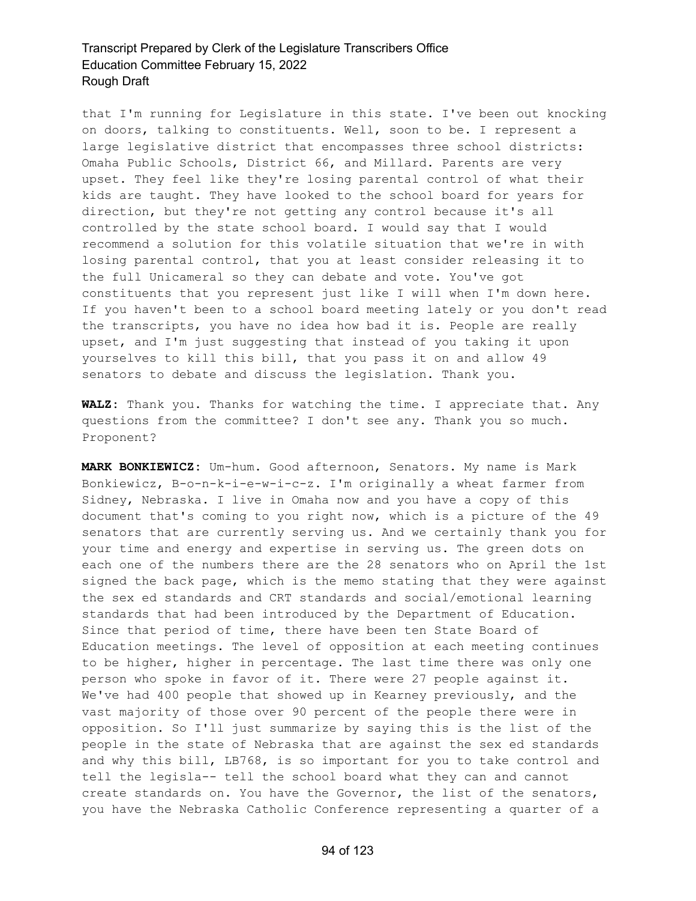that I'm running for Legislature in this state. I've been out knocking on doors, talking to constituents. Well, soon to be. I represent a large legislative district that encompasses three school districts: Omaha Public Schools, District 66, and Millard. Parents are very upset. They feel like they're losing parental control of what their kids are taught. They have looked to the school board for years for direction, but they're not getting any control because it's all controlled by the state school board. I would say that I would recommend a solution for this volatile situation that we're in with losing parental control, that you at least consider releasing it to the full Unicameral so they can debate and vote. You've got constituents that you represent just like I will when I'm down here. If you haven't been to a school board meeting lately or you don't read the transcripts, you have no idea how bad it is. People are really upset, and I'm just suggesting that instead of you taking it upon yourselves to kill this bill, that you pass it on and allow 49 senators to debate and discuss the legislation. Thank you.

**WALZ:** Thank you. Thanks for watching the time. I appreciate that. Any questions from the committee? I don't see any. Thank you so much. Proponent?

**MARK BONKIEWICZ:** Um-hum. Good afternoon, Senators. My name is Mark Bonkiewicz, B-o-n-k-i-e-w-i-c-z. I'm originally a wheat farmer from Sidney, Nebraska. I live in Omaha now and you have a copy of this document that's coming to you right now, which is a picture of the 49 senators that are currently serving us. And we certainly thank you for your time and energy and expertise in serving us. The green dots on each one of the numbers there are the 28 senators who on April the 1st signed the back page, which is the memo stating that they were against the sex ed standards and CRT standards and social/emotional learning standards that had been introduced by the Department of Education. Since that period of time, there have been ten State Board of Education meetings. The level of opposition at each meeting continues to be higher, higher in percentage. The last time there was only one person who spoke in favor of it. There were 27 people against it. We've had 400 people that showed up in Kearney previously, and the vast majority of those over 90 percent of the people there were in opposition. So I'll just summarize by saying this is the list of the people in the state of Nebraska that are against the sex ed standards and why this bill, LB768, is so important for you to take control and tell the legisla-- tell the school board what they can and cannot create standards on. You have the Governor, the list of the senators, you have the Nebraska Catholic Conference representing a quarter of a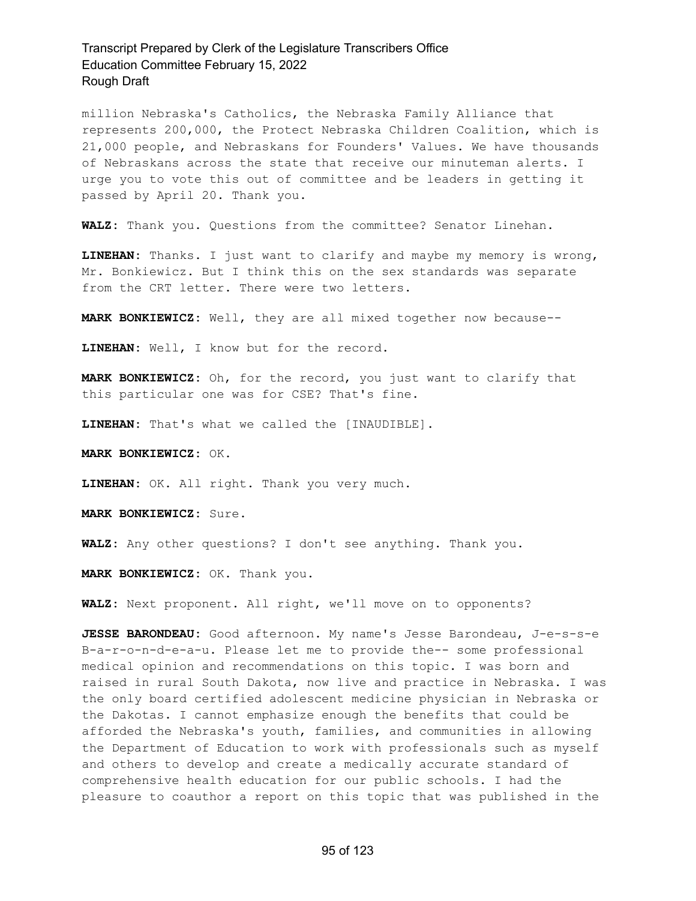million Nebraska's Catholics, the Nebraska Family Alliance that represents 200,000, the Protect Nebraska Children Coalition, which is 21,000 people, and Nebraskans for Founders' Values. We have thousands of Nebraskans across the state that receive our minuteman alerts. I urge you to vote this out of committee and be leaders in getting it passed by April 20. Thank you.

**WALZ:** Thank you. Questions from the committee? Senator Linehan.

**LINEHAN:** Thanks. I just want to clarify and maybe my memory is wrong, Mr. Bonkiewicz. But I think this on the sex standards was separate from the CRT letter. There were two letters.

**MARK BONKIEWICZ:** Well, they are all mixed together now because--

**LINEHAN:** Well, I know but for the record.

**MARK BONKIEWICZ:** Oh, for the record, you just want to clarify that this particular one was for CSE? That's fine.

**LINEHAN:** That's what we called the [INAUDIBLE].

**MARK BONKIEWICZ:** OK.

**LINEHAN:** OK. All right. Thank you very much.

**MARK BONKIEWICZ:** Sure.

**WALZ:** Any other questions? I don't see anything. Thank you.

**MARK BONKIEWICZ:** OK. Thank you.

**WALZ:** Next proponent. All right, we'll move on to opponents?

**JESSE BARONDEAU:** Good afternoon. My name's Jesse Barondeau, J-e-s-s-e B-a-r-o-n-d-e-a-u. Please let me to provide the-- some professional medical opinion and recommendations on this topic. I was born and raised in rural South Dakota, now live and practice in Nebraska. I was the only board certified adolescent medicine physician in Nebraska or the Dakotas. I cannot emphasize enough the benefits that could be afforded the Nebraska's youth, families, and communities in allowing the Department of Education to work with professionals such as myself and others to develop and create a medically accurate standard of comprehensive health education for our public schools. I had the pleasure to coauthor a report on this topic that was published in the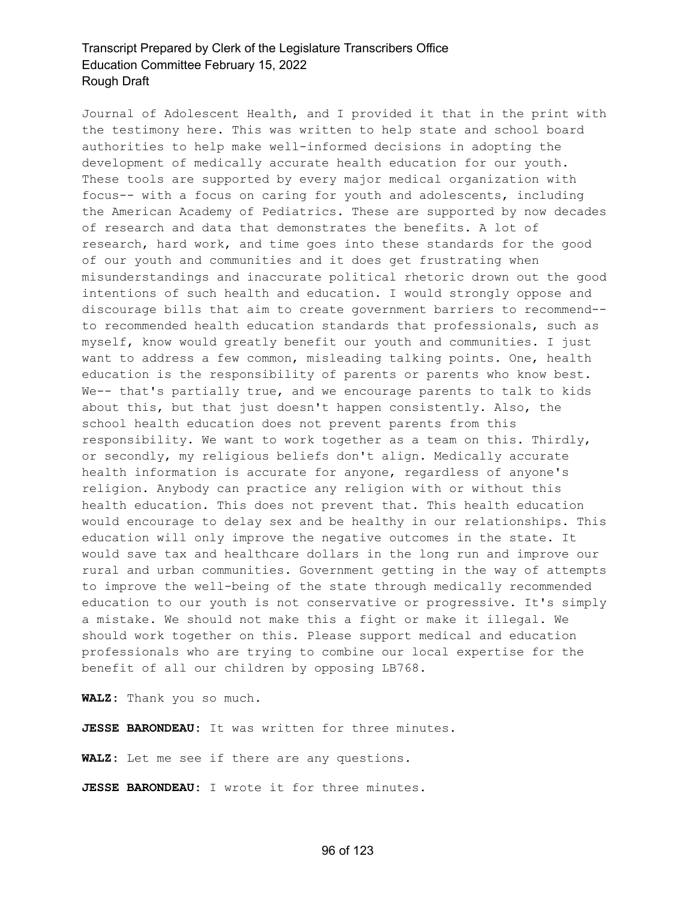Journal of Adolescent Health, and I provided it that in the print with the testimony here. This was written to help state and school board authorities to help make well-informed decisions in adopting the development of medically accurate health education for our youth. These tools are supported by every major medical organization with focus-- with a focus on caring for youth and adolescents, including the American Academy of Pediatrics. These are supported by now decades of research and data that demonstrates the benefits. A lot of research, hard work, and time goes into these standards for the good of our youth and communities and it does get frustrating when misunderstandings and inaccurate political rhetoric drown out the good intentions of such health and education. I would strongly oppose and discourage bills that aim to create government barriers to recommend- to recommended health education standards that professionals, such as myself, know would greatly benefit our youth and communities. I just want to address a few common, misleading talking points. One, health education is the responsibility of parents or parents who know best. We-- that's partially true, and we encourage parents to talk to kids about this, but that just doesn't happen consistently. Also, the school health education does not prevent parents from this responsibility. We want to work together as a team on this. Thirdly, or secondly, my religious beliefs don't align. Medically accurate health information is accurate for anyone, regardless of anyone's religion. Anybody can practice any religion with or without this health education. This does not prevent that. This health education would encourage to delay sex and be healthy in our relationships. This education will only improve the negative outcomes in the state. It would save tax and healthcare dollars in the long run and improve our rural and urban communities. Government getting in the way of attempts to improve the well-being of the state through medically recommended education to our youth is not conservative or progressive. It's simply a mistake. We should not make this a fight or make it illegal. We should work together on this. Please support medical and education professionals who are trying to combine our local expertise for the benefit of all our children by opposing LB768.

**WALZ:** Thank you so much.

**JESSE BARONDEAU:** It was written for three minutes.

**WALZ:** Let me see if there are any questions.

**JESSE BARONDEAU:** I wrote it for three minutes.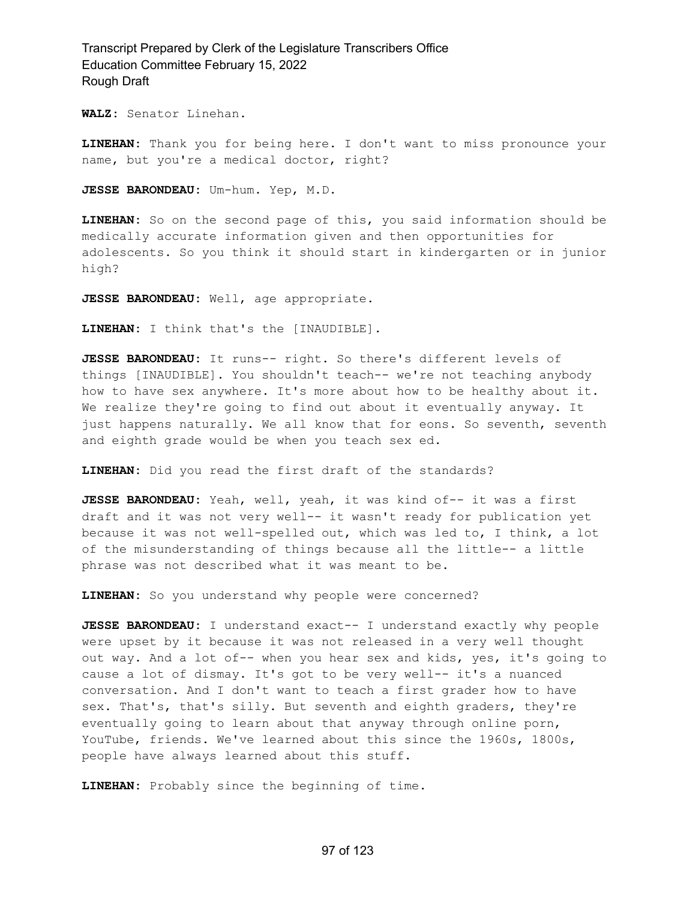**WALZ:** Senator Linehan.

**LINEHAN:** Thank you for being here. I don't want to miss pronounce your name, but you're a medical doctor, right?

**JESSE BARONDEAU:** Um-hum. Yep, M.D.

**LINEHAN:** So on the second page of this, you said information should be medically accurate information given and then opportunities for adolescents. So you think it should start in kindergarten or in junior high?

**JESSE BARONDEAU:** Well, age appropriate.

**LINEHAN:** I think that's the [INAUDIBLE].

**JESSE BARONDEAU:** It runs-- right. So there's different levels of things [INAUDIBLE]. You shouldn't teach-- we're not teaching anybody how to have sex anywhere. It's more about how to be healthy about it. We realize they're going to find out about it eventually anyway. It just happens naturally. We all know that for eons. So seventh, seventh and eighth grade would be when you teach sex ed.

**LINEHAN:** Did you read the first draft of the standards?

**JESSE BARONDEAU:** Yeah, well, yeah, it was kind of-- it was a first draft and it was not very well-- it wasn't ready for publication yet because it was not well-spelled out, which was led to, I think, a lot of the misunderstanding of things because all the little-- a little phrase was not described what it was meant to be.

**LINEHAN:** So you understand why people were concerned?

**JESSE BARONDEAU:** I understand exact-- I understand exactly why people were upset by it because it was not released in a very well thought out way. And a lot of-- when you hear sex and kids, yes, it's going to cause a lot of dismay. It's got to be very well-- it's a nuanced conversation. And I don't want to teach a first grader how to have sex. That's, that's silly. But seventh and eighth graders, they're eventually going to learn about that anyway through online porn, YouTube, friends. We've learned about this since the 1960s, 1800s, people have always learned about this stuff.

**LINEHAN:** Probably since the beginning of time.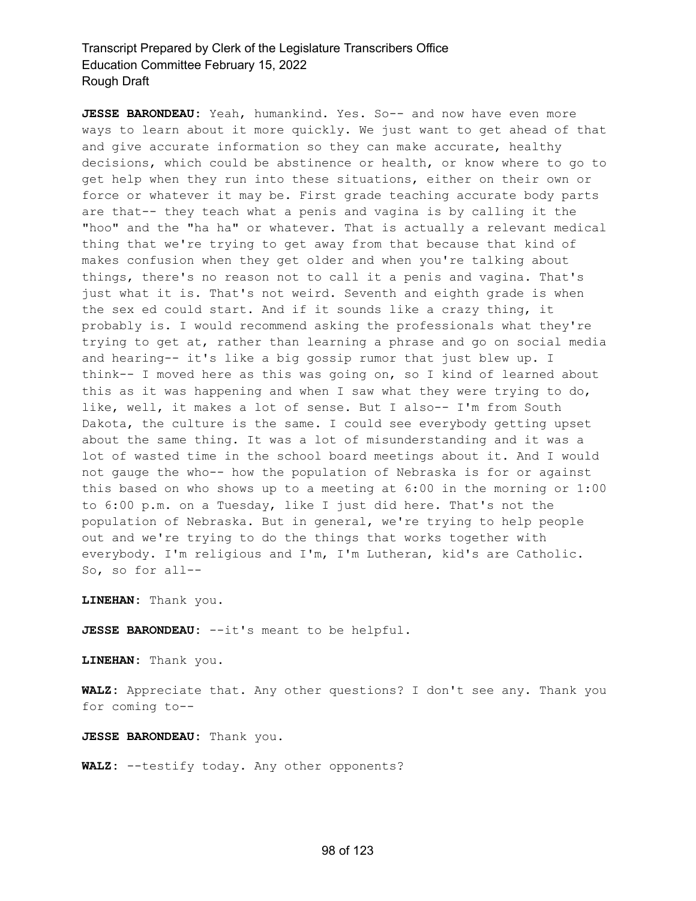**JESSE BARONDEAU:** Yeah, humankind. Yes. So-- and now have even more ways to learn about it more quickly. We just want to get ahead of that and give accurate information so they can make accurate, healthy decisions, which could be abstinence or health, or know where to go to get help when they run into these situations, either on their own or force or whatever it may be. First grade teaching accurate body parts are that-- they teach what a penis and vagina is by calling it the "hoo" and the "ha ha" or whatever. That is actually a relevant medical thing that we're trying to get away from that because that kind of makes confusion when they get older and when you're talking about things, there's no reason not to call it a penis and vagina. That's just what it is. That's not weird. Seventh and eighth grade is when the sex ed could start. And if it sounds like a crazy thing, it probably is. I would recommend asking the professionals what they're trying to get at, rather than learning a phrase and go on social media and hearing-- it's like a big gossip rumor that just blew up. I think-- I moved here as this was going on, so I kind of learned about this as it was happening and when I saw what they were trying to do, like, well, it makes a lot of sense. But I also-- I'm from South Dakota, the culture is the same. I could see everybody getting upset about the same thing. It was a lot of misunderstanding and it was a lot of wasted time in the school board meetings about it. And I would not gauge the who-- how the population of Nebraska is for or against this based on who shows up to a meeting at 6:00 in the morning or 1:00 to 6:00 p.m. on a Tuesday, like I just did here. That's not the population of Nebraska. But in general, we're trying to help people out and we're trying to do the things that works together with everybody. I'm religious and I'm, I'm Lutheran, kid's are Catholic. So, so for all--

**LINEHAN:** Thank you.

**JESSE BARONDEAU:** --it's meant to be helpful.

**LINEHAN:** Thank you.

**WALZ:** Appreciate that. Any other questions? I don't see any. Thank you for coming to--

**JESSE BARONDEAU:** Thank you.

**WALZ:** --testify today. Any other opponents?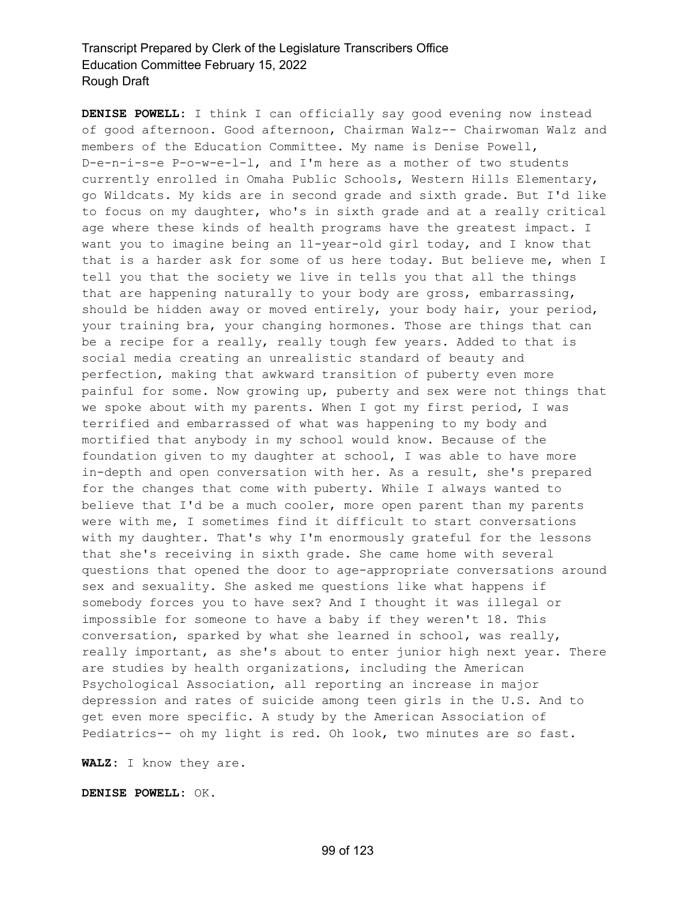**DENISE POWELL:** I think I can officially say good evening now instead of good afternoon. Good afternoon, Chairman Walz-- Chairwoman Walz and members of the Education Committee. My name is Denise Powell, D-e-n-i-s-e P-o-w-e-l-l, and I'm here as a mother of two students currently enrolled in Omaha Public Schools, Western Hills Elementary, go Wildcats. My kids are in second grade and sixth grade. But I'd like to focus on my daughter, who's in sixth grade and at a really critical age where these kinds of health programs have the greatest impact. I want you to imagine being an 11-year-old girl today, and I know that that is a harder ask for some of us here today. But believe me, when I tell you that the society we live in tells you that all the things that are happening naturally to your body are gross, embarrassing, should be hidden away or moved entirely, your body hair, your period, your training bra, your changing hormones. Those are things that can be a recipe for a really, really tough few years. Added to that is social media creating an unrealistic standard of beauty and perfection, making that awkward transition of puberty even more painful for some. Now growing up, puberty and sex were not things that we spoke about with my parents. When I got my first period, I was terrified and embarrassed of what was happening to my body and mortified that anybody in my school would know. Because of the foundation given to my daughter at school, I was able to have more in-depth and open conversation with her. As a result, she's prepared for the changes that come with puberty. While I always wanted to believe that I'd be a much cooler, more open parent than my parents were with me, I sometimes find it difficult to start conversations with my daughter. That's why I'm enormously grateful for the lessons that she's receiving in sixth grade. She came home with several questions that opened the door to age-appropriate conversations around sex and sexuality. She asked me questions like what happens if somebody forces you to have sex? And I thought it was illegal or impossible for someone to have a baby if they weren't 18. This conversation, sparked by what she learned in school, was really, really important, as she's about to enter junior high next year. There are studies by health organizations, including the American Psychological Association, all reporting an increase in major depression and rates of suicide among teen girls in the U.S. And to get even more specific. A study by the American Association of Pediatrics-- oh my light is red. Oh look, two minutes are so fast.

**WALZ:** I know they are.

**DENISE POWELL:** OK.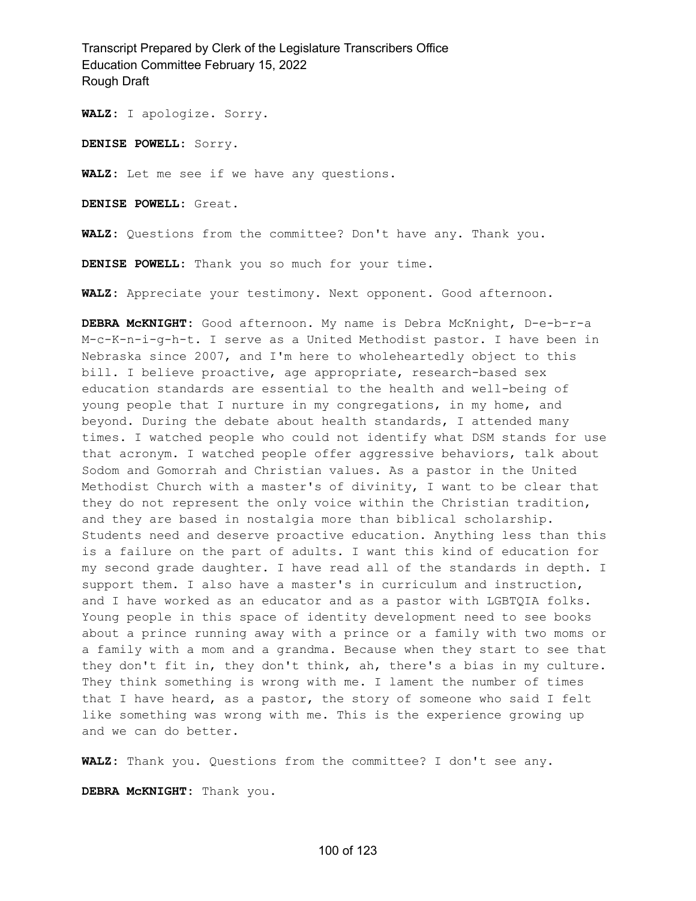**WALZ:** I apologize. Sorry.

**DENISE POWELL:** Sorry.

**WALZ:** Let me see if we have any questions.

**DENISE POWELL:** Great.

**WALZ:** Questions from the committee? Don't have any. Thank you.

**DENISE POWELL:** Thank you so much for your time.

**WALZ:** Appreciate your testimony. Next opponent. Good afternoon.

**DEBRA McKNIGHT:** Good afternoon. My name is Debra McKnight, D-e-b-r-a M-c-K-n-i-g-h-t. I serve as a United Methodist pastor. I have been in Nebraska since 2007, and I'm here to wholeheartedly object to this bill. I believe proactive, age appropriate, research-based sex education standards are essential to the health and well-being of young people that I nurture in my congregations, in my home, and beyond. During the debate about health standards, I attended many times. I watched people who could not identify what DSM stands for use that acronym. I watched people offer aggressive behaviors, talk about Sodom and Gomorrah and Christian values. As a pastor in the United Methodist Church with a master's of divinity, I want to be clear that they do not represent the only voice within the Christian tradition, and they are based in nostalgia more than biblical scholarship. Students need and deserve proactive education. Anything less than this is a failure on the part of adults. I want this kind of education for my second grade daughter. I have read all of the standards in depth. I support them. I also have a master's in curriculum and instruction, and I have worked as an educator and as a pastor with LGBTQIA folks. Young people in this space of identity development need to see books about a prince running away with a prince or a family with two moms or a family with a mom and a grandma. Because when they start to see that they don't fit in, they don't think, ah, there's a bias in my culture. They think something is wrong with me. I lament the number of times that I have heard, as a pastor, the story of someone who said I felt like something was wrong with me. This is the experience growing up and we can do better.

**WALZ:** Thank you. Questions from the committee? I don't see any.

**DEBRA McKNIGHT:** Thank you.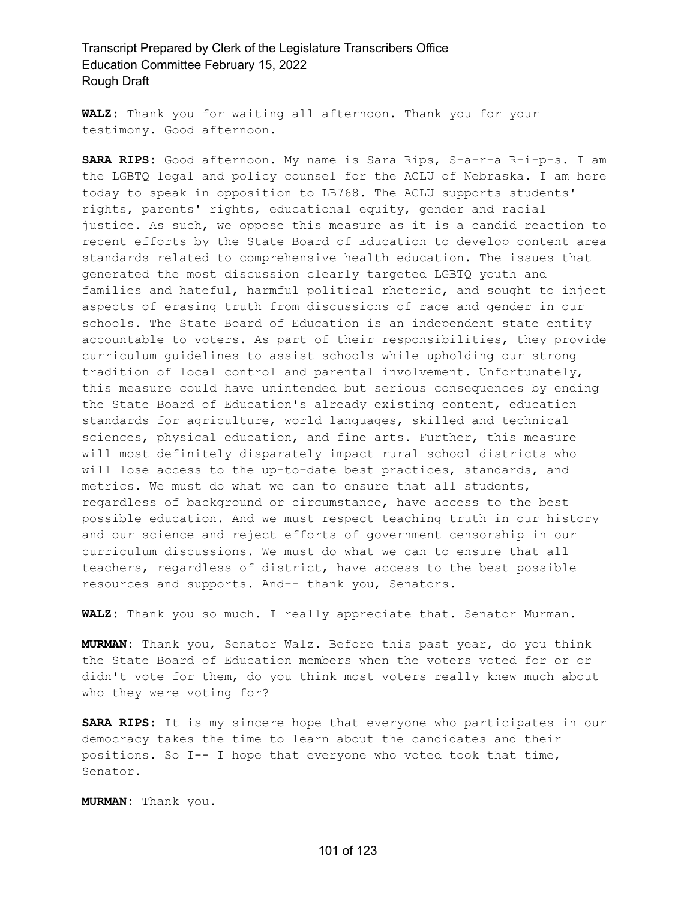**WALZ:** Thank you for waiting all afternoon. Thank you for your testimony. Good afternoon.

**SARA RIPS:** Good afternoon. My name is Sara Rips, S-a-r-a R-i-p-s. I am the LGBTQ legal and policy counsel for the ACLU of Nebraska. I am here today to speak in opposition to LB768. The ACLU supports students' rights, parents' rights, educational equity, gender and racial justice. As such, we oppose this measure as it is a candid reaction to recent efforts by the State Board of Education to develop content area standards related to comprehensive health education. The issues that generated the most discussion clearly targeted LGBTQ youth and families and hateful, harmful political rhetoric, and sought to inject aspects of erasing truth from discussions of race and gender in our schools. The State Board of Education is an independent state entity accountable to voters. As part of their responsibilities, they provide curriculum guidelines to assist schools while upholding our strong tradition of local control and parental involvement. Unfortunately, this measure could have unintended but serious consequences by ending the State Board of Education's already existing content, education standards for agriculture, world languages, skilled and technical sciences, physical education, and fine arts. Further, this measure will most definitely disparately impact rural school districts who will lose access to the up-to-date best practices, standards, and metrics. We must do what we can to ensure that all students, regardless of background or circumstance, have access to the best possible education. And we must respect teaching truth in our history and our science and reject efforts of government censorship in our curriculum discussions. We must do what we can to ensure that all teachers, regardless of district, have access to the best possible resources and supports. And-- thank you, Senators.

**WALZ:** Thank you so much. I really appreciate that. Senator Murman.

**MURMAN:** Thank you, Senator Walz. Before this past year, do you think the State Board of Education members when the voters voted for or or didn't vote for them, do you think most voters really knew much about who they were voting for?

**SARA RIPS:** It is my sincere hope that everyone who participates in our democracy takes the time to learn about the candidates and their positions. So I-- I hope that everyone who voted took that time, Senator.

**MURMAN:** Thank you.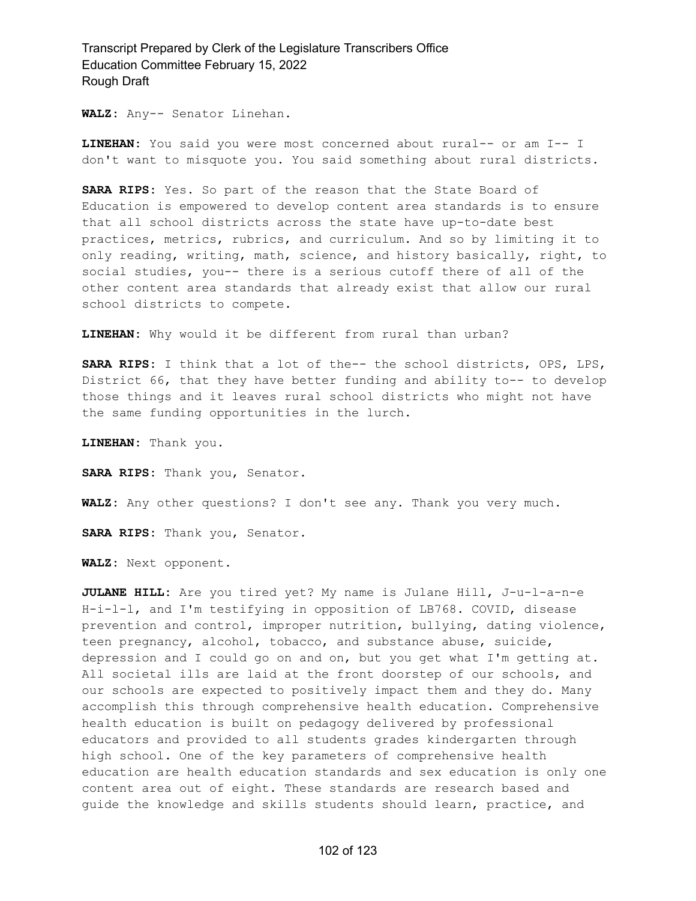**WALZ:** Any-- Senator Linehan.

**LINEHAN:** You said you were most concerned about rural-- or am I-- I don't want to misquote you. You said something about rural districts.

**SARA RIPS:** Yes. So part of the reason that the State Board of Education is empowered to develop content area standards is to ensure that all school districts across the state have up-to-date best practices, metrics, rubrics, and curriculum. And so by limiting it to only reading, writing, math, science, and history basically, right, to social studies, you-- there is a serious cutoff there of all of the other content area standards that already exist that allow our rural school districts to compete.

**LINEHAN:** Why would it be different from rural than urban?

**SARA RIPS:** I think that a lot of the-- the school districts, OPS, LPS, District 66, that they have better funding and ability to-- to develop those things and it leaves rural school districts who might not have the same funding opportunities in the lurch.

**LINEHAN:** Thank you.

**SARA RIPS:** Thank you, Senator.

**WALZ:** Any other questions? I don't see any. Thank you very much.

**SARA RIPS:** Thank you, Senator.

**WALZ:** Next opponent.

**JULANE HILL:** Are you tired yet? My name is Julane Hill, J-u-l-a-n-e H-i-l-l, and I'm testifying in opposition of LB768. COVID, disease prevention and control, improper nutrition, bullying, dating violence, teen pregnancy, alcohol, tobacco, and substance abuse, suicide, depression and I could go on and on, but you get what I'm getting at. All societal ills are laid at the front doorstep of our schools, and our schools are expected to positively impact them and they do. Many accomplish this through comprehensive health education. Comprehensive health education is built on pedagogy delivered by professional educators and provided to all students grades kindergarten through high school. One of the key parameters of comprehensive health education are health education standards and sex education is only one content area out of eight. These standards are research based and guide the knowledge and skills students should learn, practice, and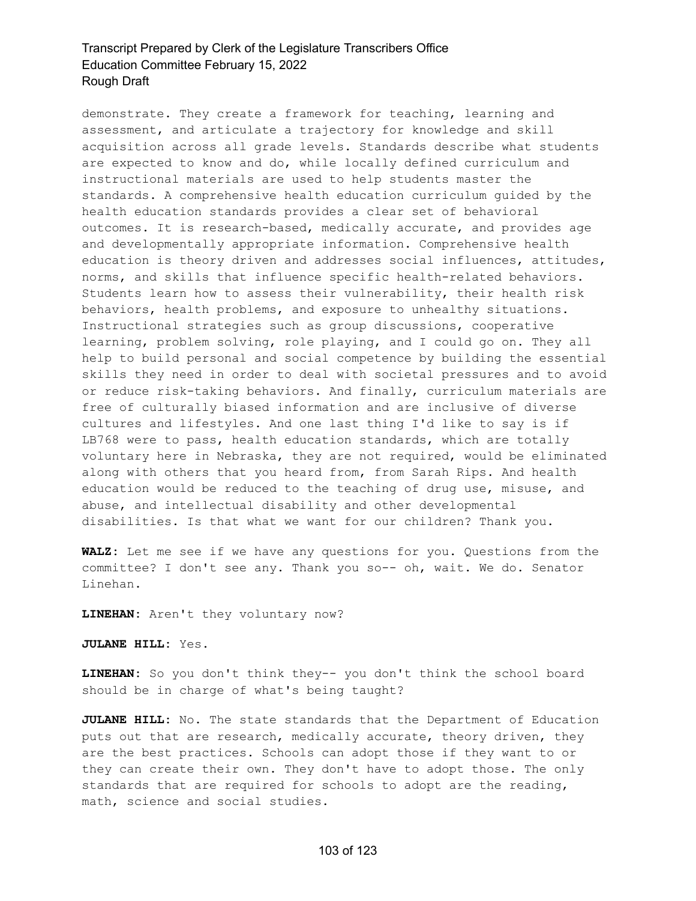demonstrate. They create a framework for teaching, learning and assessment, and articulate a trajectory for knowledge and skill acquisition across all grade levels. Standards describe what students are expected to know and do, while locally defined curriculum and instructional materials are used to help students master the standards. A comprehensive health education curriculum guided by the health education standards provides a clear set of behavioral outcomes. It is research-based, medically accurate, and provides age and developmentally appropriate information. Comprehensive health education is theory driven and addresses social influences, attitudes, norms, and skills that influence specific health-related behaviors. Students learn how to assess their vulnerability, their health risk behaviors, health problems, and exposure to unhealthy situations. Instructional strategies such as group discussions, cooperative learning, problem solving, role playing, and I could go on. They all help to build personal and social competence by building the essential skills they need in order to deal with societal pressures and to avoid or reduce risk-taking behaviors. And finally, curriculum materials are free of culturally biased information and are inclusive of diverse cultures and lifestyles. And one last thing I'd like to say is if LB768 were to pass, health education standards, which are totally voluntary here in Nebraska, they are not required, would be eliminated along with others that you heard from, from Sarah Rips. And health education would be reduced to the teaching of drug use, misuse, and abuse, and intellectual disability and other developmental disabilities. Is that what we want for our children? Thank you.

**WALZ:** Let me see if we have any questions for you. Questions from the committee? I don't see any. Thank you so-- oh, wait. We do. Senator Linehan.

**LINEHAN:** Aren't they voluntary now?

**JULANE HILL:** Yes.

**LINEHAN:** So you don't think they-- you don't think the school board should be in charge of what's being taught?

**JULANE HILL:** No. The state standards that the Department of Education puts out that are research, medically accurate, theory driven, they are the best practices. Schools can adopt those if they want to or they can create their own. They don't have to adopt those. The only standards that are required for schools to adopt are the reading, math, science and social studies.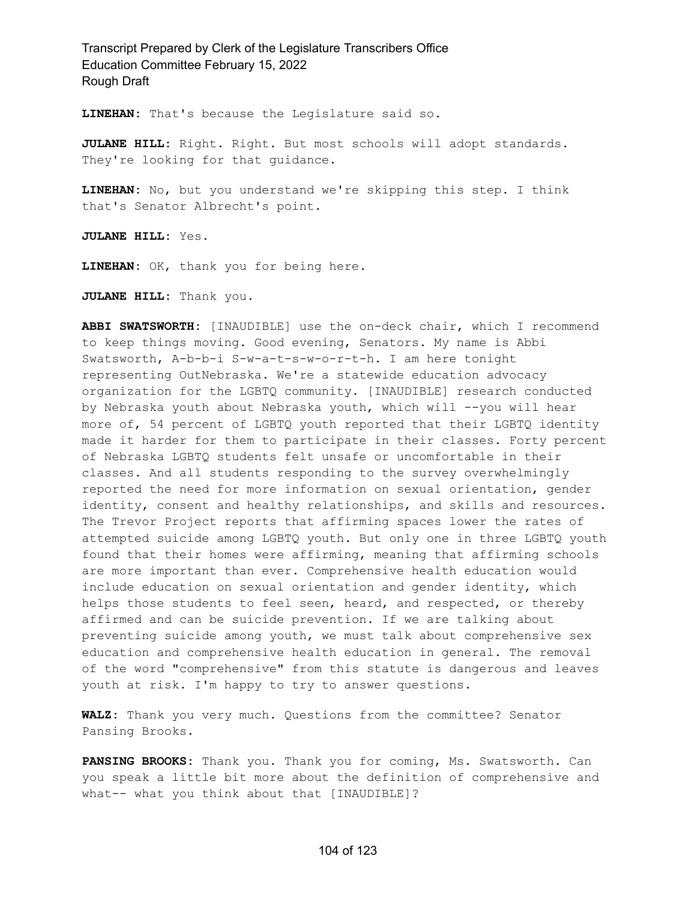**LINEHAN:** That's because the Legislature said so.

**JULANE HILL:** Right. Right. But most schools will adopt standards. They're looking for that guidance.

**LINEHAN:** No, but you understand we're skipping this step. I think that's Senator Albrecht's point.

**JULANE HILL:** Yes.

**LINEHAN:** OK, thank you for being here.

**JULANE HILL:** Thank you.

**ABBI SWATSWORTH:** [INAUDIBLE] use the on-deck chair, which I recommend to keep things moving. Good evening, Senators. My name is Abbi Swatsworth, A-b-b-i S-w-a-t-s-w-o-r-t-h. I am here tonight representing OutNebraska. We're a statewide education advocacy organization for the LGBTQ community. [INAUDIBLE] research conducted by Nebraska youth about Nebraska youth, which will --you will hear more of, 54 percent of LGBTQ youth reported that their LGBTQ identity made it harder for them to participate in their classes. Forty percent of Nebraska LGBTQ students felt unsafe or uncomfortable in their classes. And all students responding to the survey overwhelmingly reported the need for more information on sexual orientation, gender identity, consent and healthy relationships, and skills and resources. The Trevor Project reports that affirming spaces lower the rates of attempted suicide among LGBTQ youth. But only one in three LGBTQ youth found that their homes were affirming, meaning that affirming schools are more important than ever. Comprehensive health education would include education on sexual orientation and gender identity, which helps those students to feel seen, heard, and respected, or thereby affirmed and can be suicide prevention. If we are talking about preventing suicide among youth, we must talk about comprehensive sex education and comprehensive health education in general. The removal of the word "comprehensive" from this statute is dangerous and leaves youth at risk. I'm happy to try to answer questions.

**WALZ:** Thank you very much. Questions from the committee? Senator Pansing Brooks.

**PANSING BROOKS:** Thank you. Thank you for coming, Ms. Swatsworth. Can you speak a little bit more about the definition of comprehensive and what-- what you think about that [INAUDIBLE]?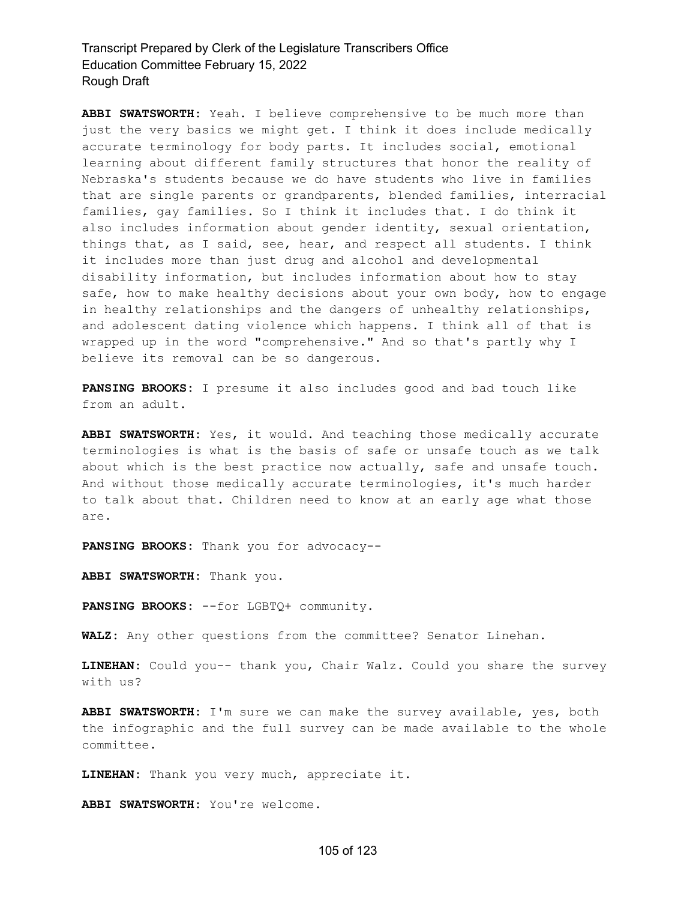**ABBI SWATSWORTH:** Yeah. I believe comprehensive to be much more than just the very basics we might get. I think it does include medically accurate terminology for body parts. It includes social, emotional learning about different family structures that honor the reality of Nebraska's students because we do have students who live in families that are single parents or grandparents, blended families, interracial families, gay families. So I think it includes that. I do think it also includes information about gender identity, sexual orientation, things that, as I said, see, hear, and respect all students. I think it includes more than just drug and alcohol and developmental disability information, but includes information about how to stay safe, how to make healthy decisions about your own body, how to engage in healthy relationships and the dangers of unhealthy relationships, and adolescent dating violence which happens. I think all of that is wrapped up in the word "comprehensive." And so that's partly why I believe its removal can be so dangerous.

**PANSING BROOKS:** I presume it also includes good and bad touch like from an adult.

**ABBI SWATSWORTH:** Yes, it would. And teaching those medically accurate terminologies is what is the basis of safe or unsafe touch as we talk about which is the best practice now actually, safe and unsafe touch. And without those medically accurate terminologies, it's much harder to talk about that. Children need to know at an early age what those are.

**PANSING BROOKS:** Thank you for advocacy--

**ABBI SWATSWORTH:** Thank you.

**PANSING BROOKS:** --for LGBTQ+ community.

**WALZ:** Any other questions from the committee? Senator Linehan.

**LINEHAN:** Could you-- thank you, Chair Walz. Could you share the survey with us?

**ABBI SWATSWORTH:** I'm sure we can make the survey available, yes, both the infographic and the full survey can be made available to the whole committee.

**LINEHAN:** Thank you very much, appreciate it.

**ABBI SWATSWORTH:** You're welcome.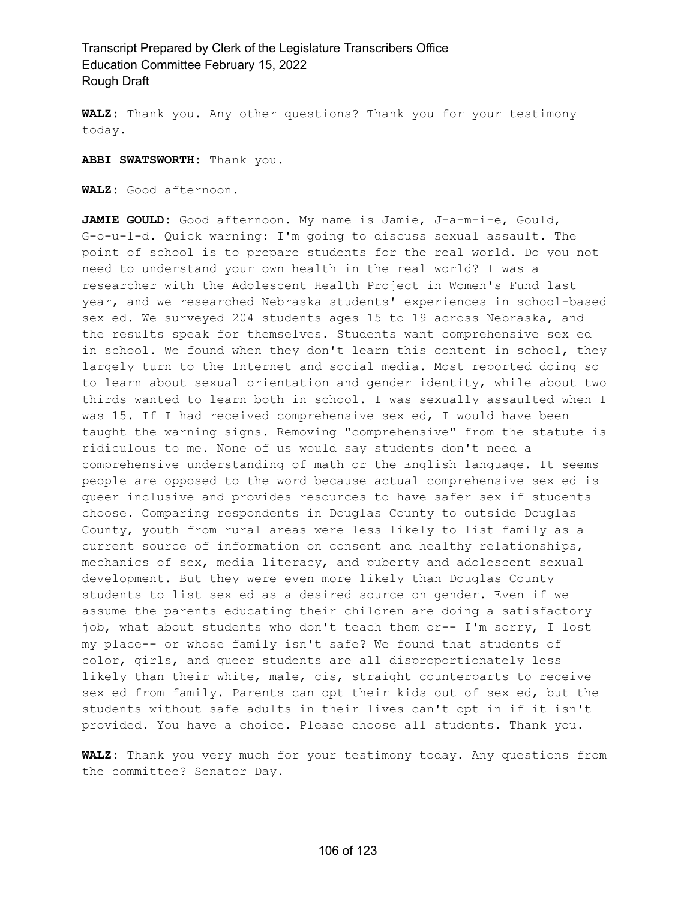**WALZ:** Thank you. Any other questions? Thank you for your testimony today.

**ABBI SWATSWORTH:** Thank you.

**WALZ:** Good afternoon.

**JAMIE GOULD:** Good afternoon. My name is Jamie, J-a-m-i-e, Gould, G-o-u-l-d. Quick warning: I'm going to discuss sexual assault. The point of school is to prepare students for the real world. Do you not need to understand your own health in the real world? I was a researcher with the Adolescent Health Project in Women's Fund last year, and we researched Nebraska students' experiences in school-based sex ed. We surveyed 204 students ages 15 to 19 across Nebraska, and the results speak for themselves. Students want comprehensive sex ed in school. We found when they don't learn this content in school, they largely turn to the Internet and social media. Most reported doing so to learn about sexual orientation and gender identity, while about two thirds wanted to learn both in school. I was sexually assaulted when I was 15. If I had received comprehensive sex ed, I would have been taught the warning signs. Removing "comprehensive" from the statute is ridiculous to me. None of us would say students don't need a comprehensive understanding of math or the English language. It seems people are opposed to the word because actual comprehensive sex ed is queer inclusive and provides resources to have safer sex if students choose. Comparing respondents in Douglas County to outside Douglas County, youth from rural areas were less likely to list family as a current source of information on consent and healthy relationships, mechanics of sex, media literacy, and puberty and adolescent sexual development. But they were even more likely than Douglas County students to list sex ed as a desired source on gender. Even if we assume the parents educating their children are doing a satisfactory job, what about students who don't teach them or-- I'm sorry, I lost my place-- or whose family isn't safe? We found that students of color, girls, and queer students are all disproportionately less likely than their white, male, cis, straight counterparts to receive sex ed from family. Parents can opt their kids out of sex ed, but the students without safe adults in their lives can't opt in if it isn't provided. You have a choice. Please choose all students. Thank you.

**WALZ:** Thank you very much for your testimony today. Any questions from the committee? Senator Day.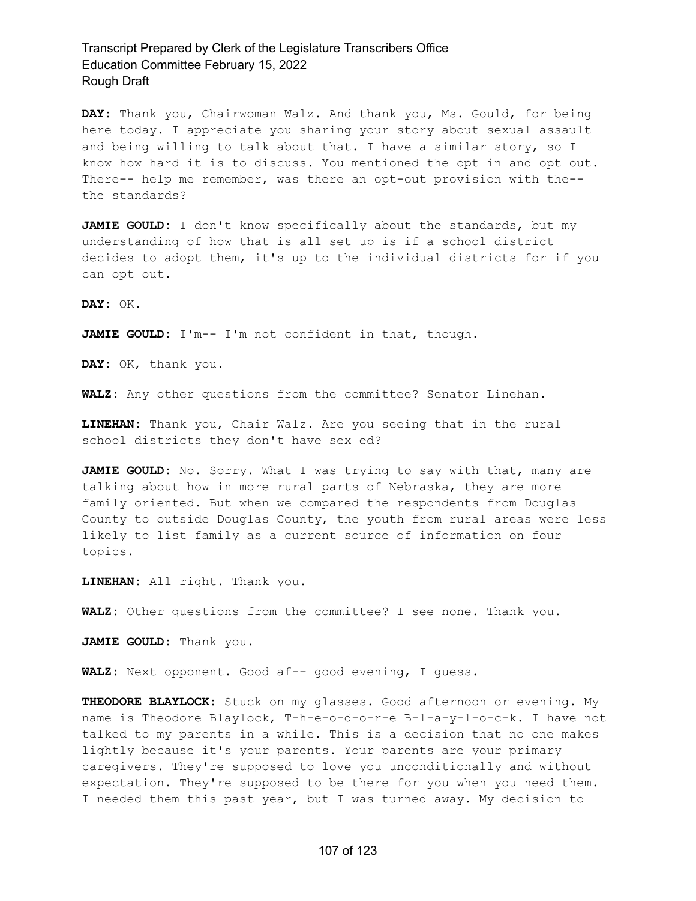**DAY:** Thank you, Chairwoman Walz. And thank you, Ms. Gould, for being here today. I appreciate you sharing your story about sexual assault and being willing to talk about that. I have a similar story, so I know how hard it is to discuss. You mentioned the opt in and opt out. There-- help me remember, was there an opt-out provision with the- the standards?

**JAMIE GOULD:** I don't know specifically about the standards, but my understanding of how that is all set up is if a school district decides to adopt them, it's up to the individual districts for if you can opt out.

**DAY:** OK.

**JAMIE GOULD:** I'm-- I'm not confident in that, though.

**DAY:** OK, thank you.

**WALZ:** Any other questions from the committee? Senator Linehan.

**LINEHAN:** Thank you, Chair Walz. Are you seeing that in the rural school districts they don't have sex ed?

**JAMIE GOULD:** No. Sorry. What I was trying to say with that, many are talking about how in more rural parts of Nebraska, they are more family oriented. But when we compared the respondents from Douglas County to outside Douglas County, the youth from rural areas were less likely to list family as a current source of information on four topics.

**LINEHAN:** All right. Thank you.

**WALZ:** Other questions from the committee? I see none. Thank you.

**JAMIE GOULD:** Thank you.

**WALZ:** Next opponent. Good af-- good evening, I guess.

**THEODORE BLAYLOCK:** Stuck on my glasses. Good afternoon or evening. My name is Theodore Blaylock, T-h-e-o-d-o-r-e B-l-a-y-l-o-c-k. I have not talked to my parents in a while. This is a decision that no one makes lightly because it's your parents. Your parents are your primary caregivers. They're supposed to love you unconditionally and without expectation. They're supposed to be there for you when you need them. I needed them this past year, but I was turned away. My decision to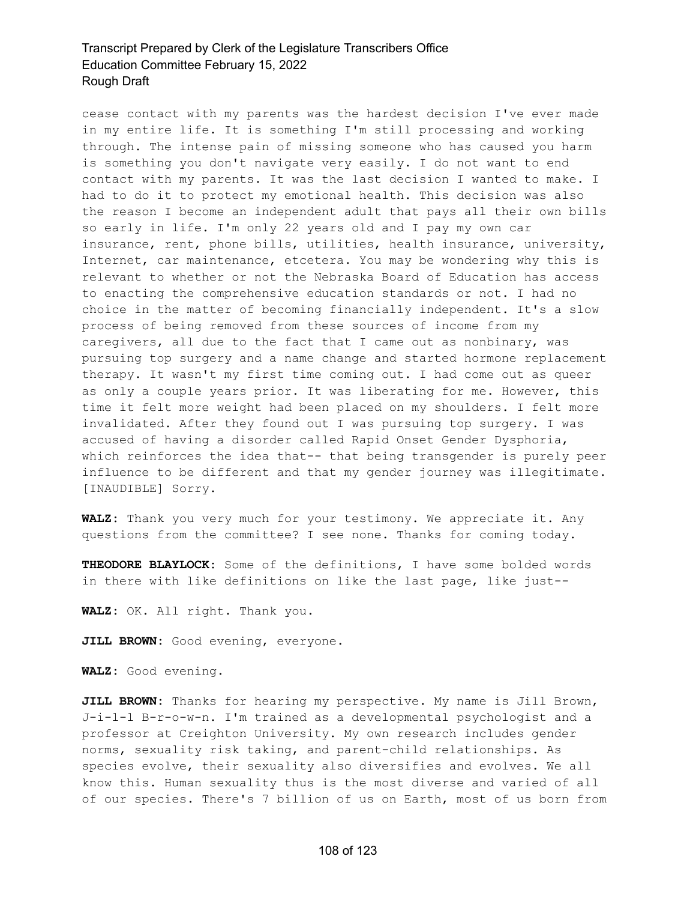cease contact with my parents was the hardest decision I've ever made in my entire life. It is something I'm still processing and working through. The intense pain of missing someone who has caused you harm is something you don't navigate very easily. I do not want to end contact with my parents. It was the last decision I wanted to make. I had to do it to protect my emotional health. This decision was also the reason I become an independent adult that pays all their own bills so early in life. I'm only 22 years old and I pay my own car insurance, rent, phone bills, utilities, health insurance, university, Internet, car maintenance, etcetera. You may be wondering why this is relevant to whether or not the Nebraska Board of Education has access to enacting the comprehensive education standards or not. I had no choice in the matter of becoming financially independent. It's a slow process of being removed from these sources of income from my caregivers, all due to the fact that I came out as nonbinary, was pursuing top surgery and a name change and started hormone replacement therapy. It wasn't my first time coming out. I had come out as queer as only a couple years prior. It was liberating for me. However, this time it felt more weight had been placed on my shoulders. I felt more invalidated. After they found out I was pursuing top surgery. I was accused of having a disorder called Rapid Onset Gender Dysphoria, which reinforces the idea that-- that being transgender is purely peer influence to be different and that my gender journey was illegitimate. [INAUDIBLE] Sorry.

**WALZ:** Thank you very much for your testimony. We appreciate it. Any questions from the committee? I see none. Thanks for coming today.

**THEODORE BLAYLOCK:** Some of the definitions, I have some bolded words in there with like definitions on like the last page, like just--

**WALZ:** OK. All right. Thank you.

**JILL BROWN:** Good evening, everyone.

**WALZ:** Good evening.

**JILL BROWN:** Thanks for hearing my perspective. My name is Jill Brown, J-i-l-l B-r-o-w-n. I'm trained as a developmental psychologist and a professor at Creighton University. My own research includes gender norms, sexuality risk taking, and parent-child relationships. As species evolve, their sexuality also diversifies and evolves. We all know this. Human sexuality thus is the most diverse and varied of all of our species. There's 7 billion of us on Earth, most of us born from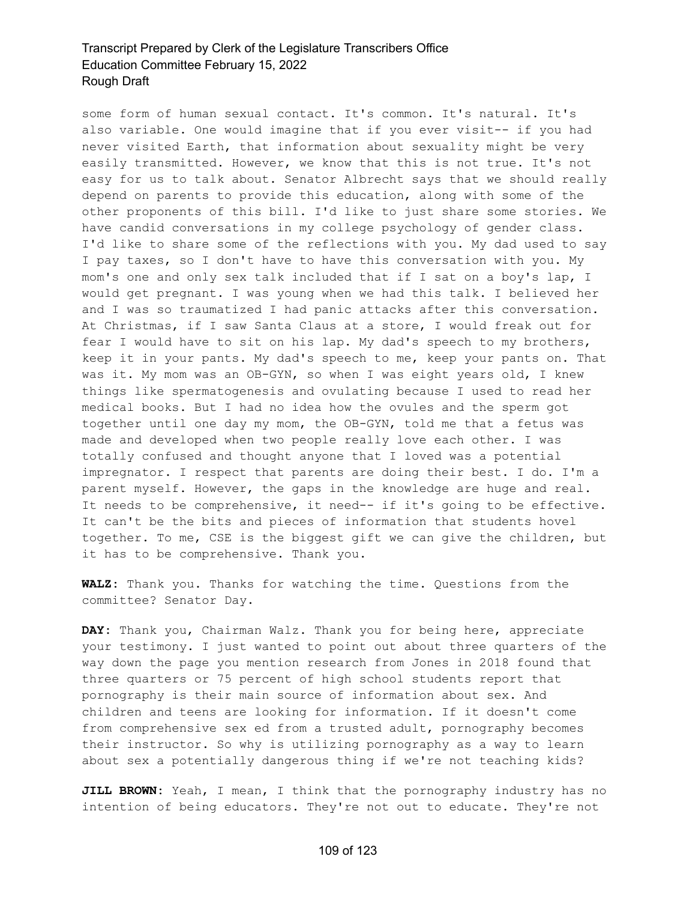some form of human sexual contact. It's common. It's natural. It's also variable. One would imagine that if you ever visit-- if you had never visited Earth, that information about sexuality might be very easily transmitted. However, we know that this is not true. It's not easy for us to talk about. Senator Albrecht says that we should really depend on parents to provide this education, along with some of the other proponents of this bill. I'd like to just share some stories. We have candid conversations in my college psychology of gender class. I'd like to share some of the reflections with you. My dad used to say I pay taxes, so I don't have to have this conversation with you. My mom's one and only sex talk included that if I sat on a boy's lap, I would get pregnant. I was young when we had this talk. I believed her and I was so traumatized I had panic attacks after this conversation. At Christmas, if I saw Santa Claus at a store, I would freak out for fear I would have to sit on his lap. My dad's speech to my brothers, keep it in your pants. My dad's speech to me, keep your pants on. That was it. My mom was an OB-GYN, so when I was eight years old, I knew things like spermatogenesis and ovulating because I used to read her medical books. But I had no idea how the ovules and the sperm got together until one day my mom, the OB-GYN, told me that a fetus was made and developed when two people really love each other. I was totally confused and thought anyone that I loved was a potential impregnator. I respect that parents are doing their best. I do. I'm a parent myself. However, the gaps in the knowledge are huge and real. It needs to be comprehensive, it need-- if it's going to be effective. It can't be the bits and pieces of information that students hovel together. To me, CSE is the biggest gift we can give the children, but it has to be comprehensive. Thank you.

**WALZ:** Thank you. Thanks for watching the time. Questions from the committee? Senator Day.

**DAY:** Thank you, Chairman Walz. Thank you for being here, appreciate your testimony. I just wanted to point out about three quarters of the way down the page you mention research from Jones in 2018 found that three quarters or 75 percent of high school students report that pornography is their main source of information about sex. And children and teens are looking for information. If it doesn't come from comprehensive sex ed from a trusted adult, pornography becomes their instructor. So why is utilizing pornography as a way to learn about sex a potentially dangerous thing if we're not teaching kids?

**JILL BROWN:** Yeah, I mean, I think that the pornography industry has no intention of being educators. They're not out to educate. They're not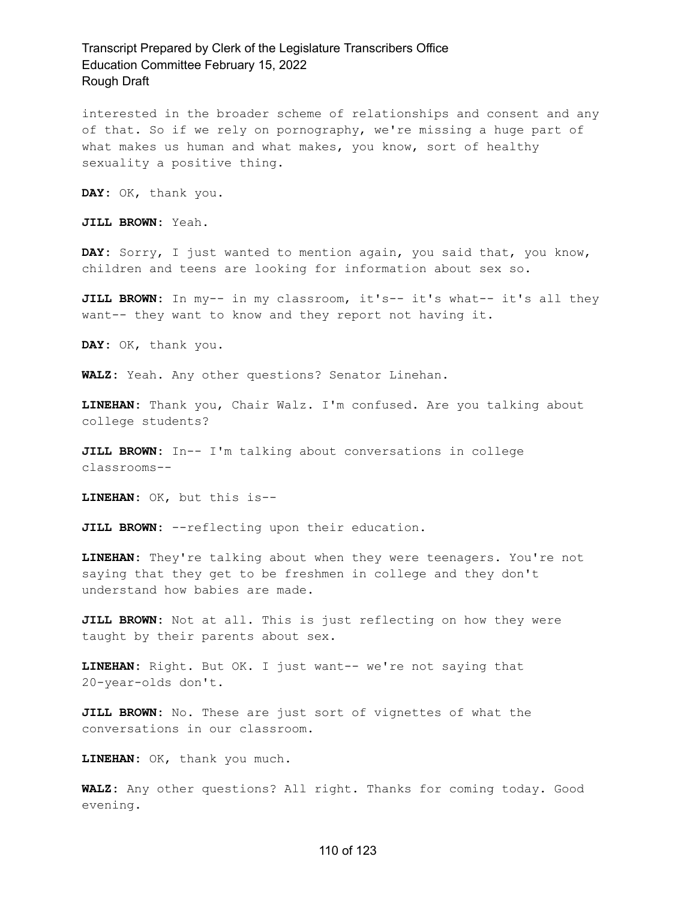interested in the broader scheme of relationships and consent and any of that. So if we rely on pornography, we're missing a huge part of what makes us human and what makes, you know, sort of healthy sexuality a positive thing.

**DAY:** OK, thank you.

**JILL BROWN:** Yeah.

**DAY:** Sorry, I just wanted to mention again, you said that, you know, children and teens are looking for information about sex so.

**JILL BROWN:** In my-- in my classroom, it's-- it's what-- it's all they want-- they want to know and they report not having it.

**DAY:** OK, thank you.

**WALZ:** Yeah. Any other questions? Senator Linehan.

**LINEHAN:** Thank you, Chair Walz. I'm confused. Are you talking about college students?

**JILL BROWN:** In-- I'm talking about conversations in college classrooms--

**LINEHAN:** OK, but this is--

**JILL BROWN:** --reflecting upon their education.

**LINEHAN:** They're talking about when they were teenagers. You're not saying that they get to be freshmen in college and they don't understand how babies are made.

**JILL BROWN:** Not at all. This is just reflecting on how they were taught by their parents about sex.

**LINEHAN:** Right. But OK. I just want-- we're not saying that 20-year-olds don't.

**JILL BROWN:** No. These are just sort of vignettes of what the conversations in our classroom.

**LINEHAN:** OK, thank you much.

**WALZ:** Any other questions? All right. Thanks for coming today. Good evening.

#### 110 of 123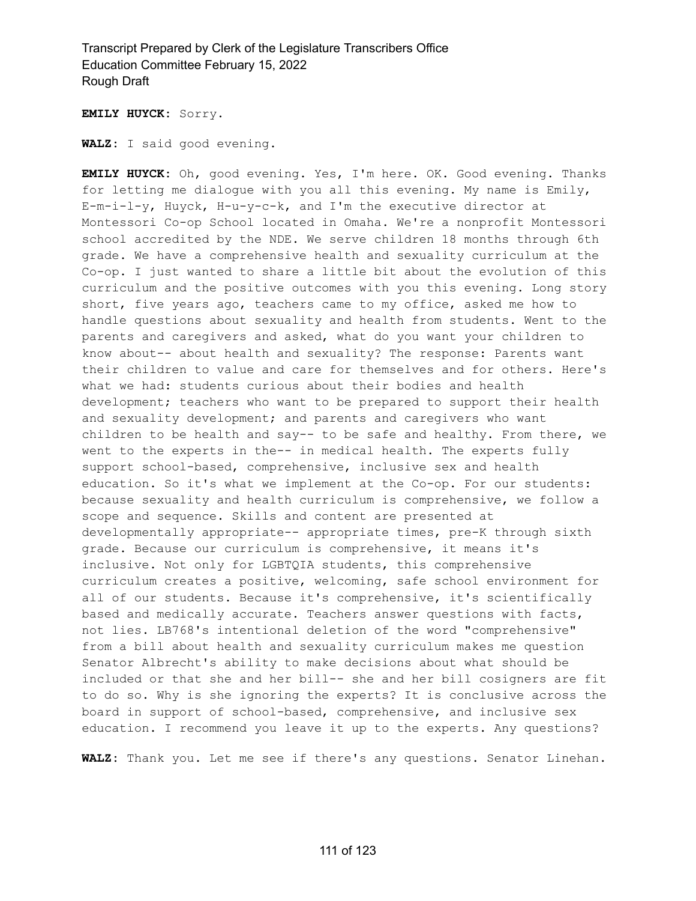**EMILY HUYCK:** Sorry.

**WALZ:** I said good evening.

**EMILY HUYCK:** Oh, good evening. Yes, I'm here. OK. Good evening. Thanks for letting me dialogue with you all this evening. My name is Emily, E-m-i-l-y, Huyck, H-u-y-c-k, and I'm the executive director at Montessori Co-op School located in Omaha. We're a nonprofit Montessori school accredited by the NDE. We serve children 18 months through 6th grade. We have a comprehensive health and sexuality curriculum at the Co-op. I just wanted to share a little bit about the evolution of this curriculum and the positive outcomes with you this evening. Long story short, five years ago, teachers came to my office, asked me how to handle questions about sexuality and health from students. Went to the parents and caregivers and asked, what do you want your children to know about-- about health and sexuality? The response: Parents want their children to value and care for themselves and for others. Here's what we had: students curious about their bodies and health development; teachers who want to be prepared to support their health and sexuality development; and parents and caregivers who want children to be health and say-- to be safe and healthy. From there, we went to the experts in the-- in medical health. The experts fully support school-based, comprehensive, inclusive sex and health education. So it's what we implement at the Co-op. For our students: because sexuality and health curriculum is comprehensive, we follow a scope and sequence. Skills and content are presented at developmentally appropriate-- appropriate times, pre-K through sixth grade. Because our curriculum is comprehensive, it means it's inclusive. Not only for LGBTQIA students, this comprehensive curriculum creates a positive, welcoming, safe school environment for all of our students. Because it's comprehensive, it's scientifically based and medically accurate. Teachers answer questions with facts, not lies. LB768's intentional deletion of the word "comprehensive" from a bill about health and sexuality curriculum makes me question Senator Albrecht's ability to make decisions about what should be included or that she and her bill-- she and her bill cosigners are fit to do so. Why is she ignoring the experts? It is conclusive across the board in support of school-based, comprehensive, and inclusive sex education. I recommend you leave it up to the experts. Any questions?

**WALZ:** Thank you. Let me see if there's any questions. Senator Linehan.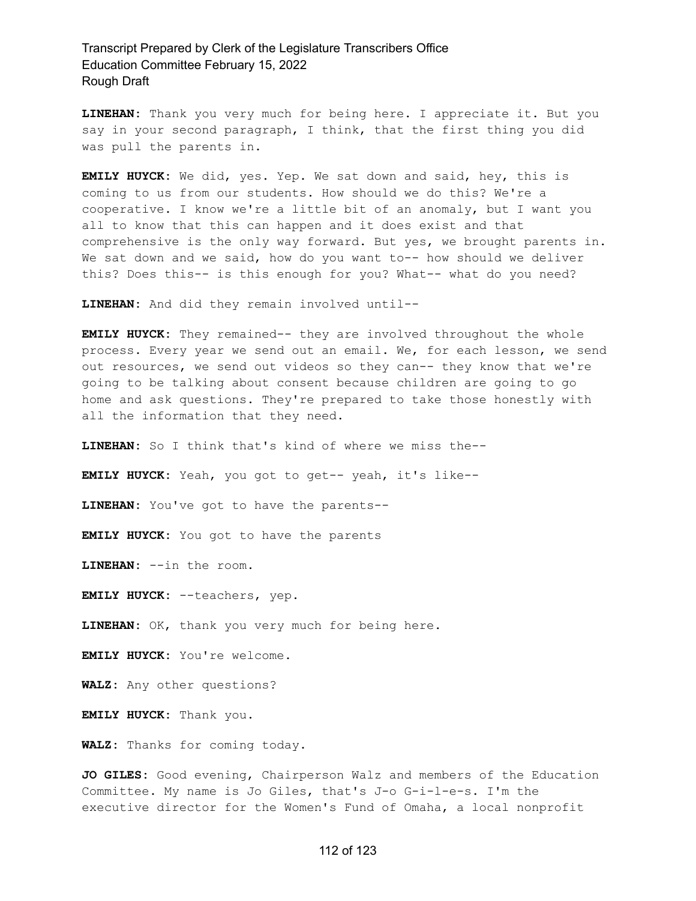**LINEHAN:** Thank you very much for being here. I appreciate it. But you say in your second paragraph, I think, that the first thing you did was pull the parents in.

**EMILY HUYCK:** We did, yes. Yep. We sat down and said, hey, this is coming to us from our students. How should we do this? We're a cooperative. I know we're a little bit of an anomaly, but I want you all to know that this can happen and it does exist and that comprehensive is the only way forward. But yes, we brought parents in. We sat down and we said, how do you want to-- how should we deliver this? Does this-- is this enough for you? What-- what do you need?

**LINEHAN:** And did they remain involved until--

**EMILY HUYCK:** They remained-- they are involved throughout the whole process. Every year we send out an email. We, for each lesson, we send out resources, we send out videos so they can-- they know that we're going to be talking about consent because children are going to go home and ask questions. They're prepared to take those honestly with all the information that they need.

**LINEHAN:** So I think that's kind of where we miss the--

**EMILY HUYCK:** Yeah, you got to get-- yeah, it's like--

**LINEHAN:** You've got to have the parents--

**EMILY HUYCK:** You got to have the parents

**LINEHAN:** --in the room.

**EMILY HUYCK:** --teachers, yep.

**LINEHAN:** OK, thank you very much for being here.

**EMILY HUYCK:** You're welcome.

**WALZ:** Any other questions?

**EMILY HUYCK:** Thank you.

**WALZ:** Thanks for coming today.

**JO GILES:** Good evening, Chairperson Walz and members of the Education Committee. My name is Jo Giles, that's J-o G-i-l-e-s. I'm the executive director for the Women's Fund of Omaha, a local nonprofit

#### 112 of 123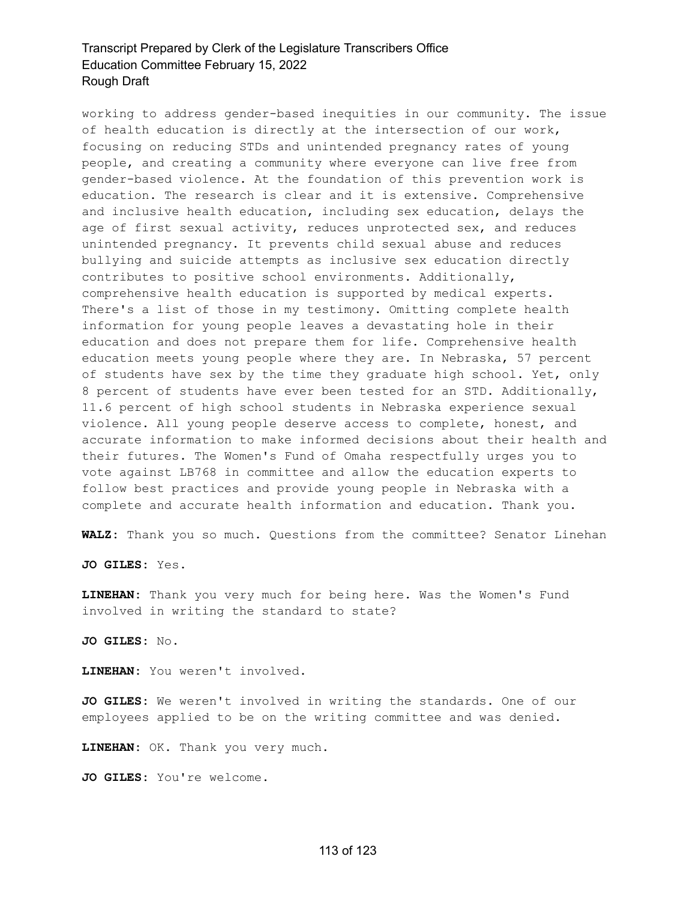working to address gender-based inequities in our community. The issue of health education is directly at the intersection of our work, focusing on reducing STDs and unintended pregnancy rates of young people, and creating a community where everyone can live free from gender-based violence. At the foundation of this prevention work is education. The research is clear and it is extensive. Comprehensive and inclusive health education, including sex education, delays the age of first sexual activity, reduces unprotected sex, and reduces unintended pregnancy. It prevents child sexual abuse and reduces bullying and suicide attempts as inclusive sex education directly contributes to positive school environments. Additionally, comprehensive health education is supported by medical experts. There's a list of those in my testimony. Omitting complete health information for young people leaves a devastating hole in their education and does not prepare them for life. Comprehensive health education meets young people where they are. In Nebraska, 57 percent of students have sex by the time they graduate high school. Yet, only 8 percent of students have ever been tested for an STD. Additionally, 11.6 percent of high school students in Nebraska experience sexual violence. All young people deserve access to complete, honest, and accurate information to make informed decisions about their health and their futures. The Women's Fund of Omaha respectfully urges you to vote against LB768 in committee and allow the education experts to follow best practices and provide young people in Nebraska with a complete and accurate health information and education. Thank you.

**WALZ:** Thank you so much. Questions from the committee? Senator Linehan

**JO GILES:** Yes.

**LINEHAN:** Thank you very much for being here. Was the Women's Fund involved in writing the standard to state?

**JO GILES:** No.

**LINEHAN:** You weren't involved.

**JO GILES:** We weren't involved in writing the standards. One of our employees applied to be on the writing committee and was denied.

**LINEHAN:** OK. Thank you very much.

**JO GILES:** You're welcome.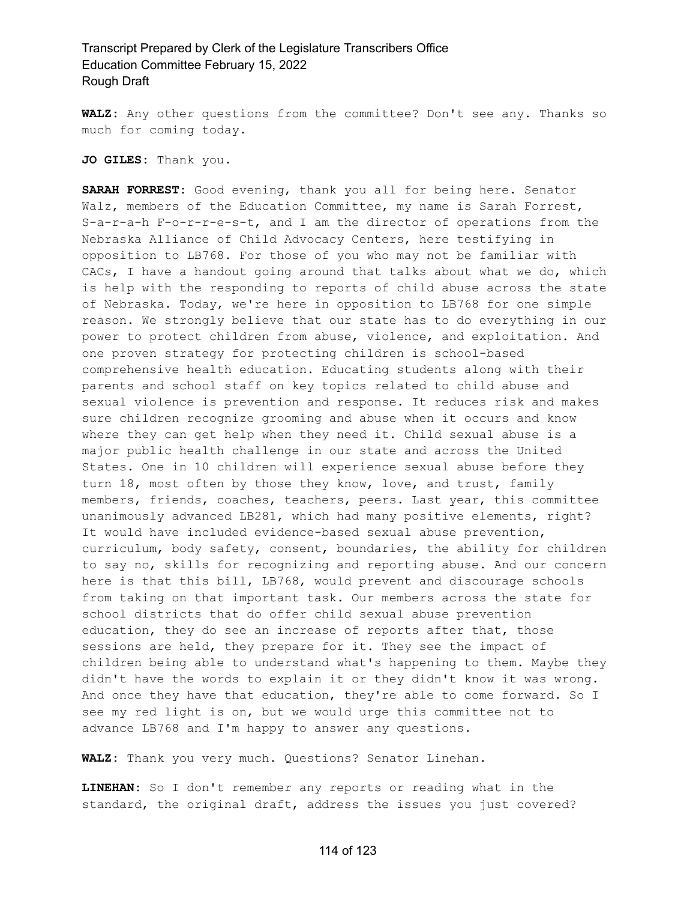**WALZ:** Any other questions from the committee? Don't see any. Thanks so much for coming today.

#### **JO GILES:** Thank you.

**SARAH FORREST:** Good evening, thank you all for being here. Senator Walz, members of the Education Committee, my name is Sarah Forrest, S-a-r-a-h F-o-r-r-e-s-t, and I am the director of operations from the Nebraska Alliance of Child Advocacy Centers, here testifying in opposition to LB768. For those of you who may not be familiar with CACs, I have a handout going around that talks about what we do, which is help with the responding to reports of child abuse across the state of Nebraska. Today, we're here in opposition to LB768 for one simple reason. We strongly believe that our state has to do everything in our power to protect children from abuse, violence, and exploitation. And one proven strategy for protecting children is school-based comprehensive health education. Educating students along with their parents and school staff on key topics related to child abuse and sexual violence is prevention and response. It reduces risk and makes sure children recognize grooming and abuse when it occurs and know where they can get help when they need it. Child sexual abuse is a major public health challenge in our state and across the United States. One in 10 children will experience sexual abuse before they turn 18, most often by those they know, love, and trust, family members, friends, coaches, teachers, peers. Last year, this committee unanimously advanced LB281, which had many positive elements, right? It would have included evidence-based sexual abuse prevention, curriculum, body safety, consent, boundaries, the ability for children to say no, skills for recognizing and reporting abuse. And our concern here is that this bill, LB768, would prevent and discourage schools from taking on that important task. Our members across the state for school districts that do offer child sexual abuse prevention education, they do see an increase of reports after that, those sessions are held, they prepare for it. They see the impact of children being able to understand what's happening to them. Maybe they didn't have the words to explain it or they didn't know it was wrong. And once they have that education, they're able to come forward. So I see my red light is on, but we would urge this committee not to advance LB768 and I'm happy to answer any questions.

**WALZ:** Thank you very much. Questions? Senator Linehan.

**LINEHAN:** So I don't remember any reports or reading what in the standard, the original draft, address the issues you just covered?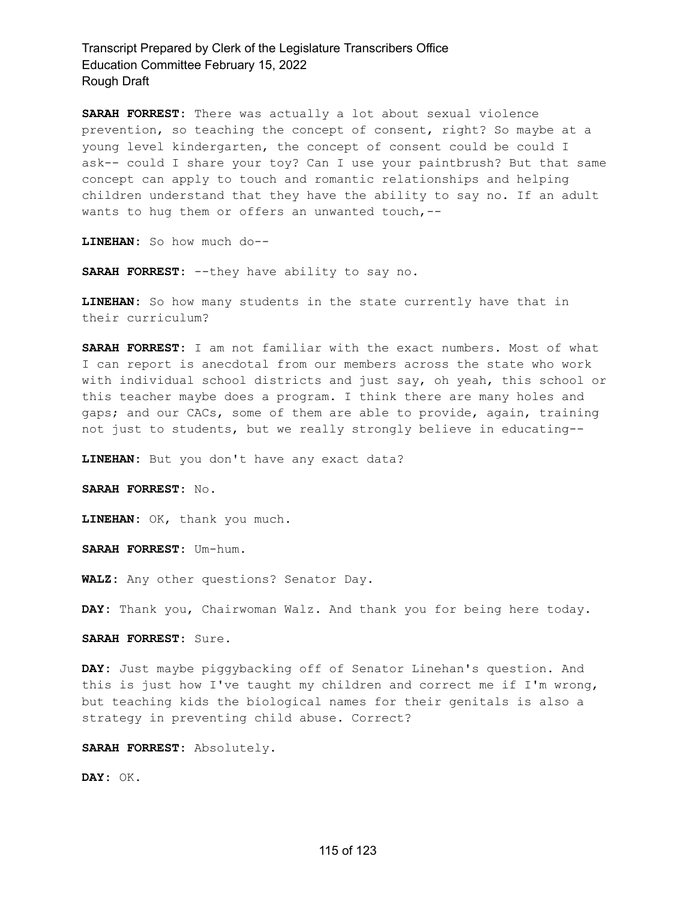**SARAH FORREST:** There was actually a lot about sexual violence prevention, so teaching the concept of consent, right? So maybe at a young level kindergarten, the concept of consent could be could I ask-- could I share your toy? Can I use your paintbrush? But that same concept can apply to touch and romantic relationships and helping children understand that they have the ability to say no. If an adult wants to hug them or offers an unwanted touch, --

**LINEHAN:** So how much do--

**SARAH FORREST:** --they have ability to say no.

**LINEHAN:** So how many students in the state currently have that in their curriculum?

**SARAH FORREST:** I am not familiar with the exact numbers. Most of what I can report is anecdotal from our members across the state who work with individual school districts and just say, oh yeah, this school or this teacher maybe does a program. I think there are many holes and gaps; and our CACs, some of them are able to provide, again, training not just to students, but we really strongly believe in educating--

**LINEHAN:** But you don't have any exact data?

**SARAH FORREST:** No.

**LINEHAN:** OK, thank you much.

**SARAH FORREST:** Um-hum.

**WALZ:** Any other questions? Senator Day.

**DAY:** Thank you, Chairwoman Walz. And thank you for being here today.

**SARAH FORREST:** Sure.

**DAY:** Just maybe piggybacking off of Senator Linehan's question. And this is just how I've taught my children and correct me if I'm wrong, but teaching kids the biological names for their genitals is also a strategy in preventing child abuse. Correct?

**SARAH FORREST:** Absolutely.

**DAY:** OK.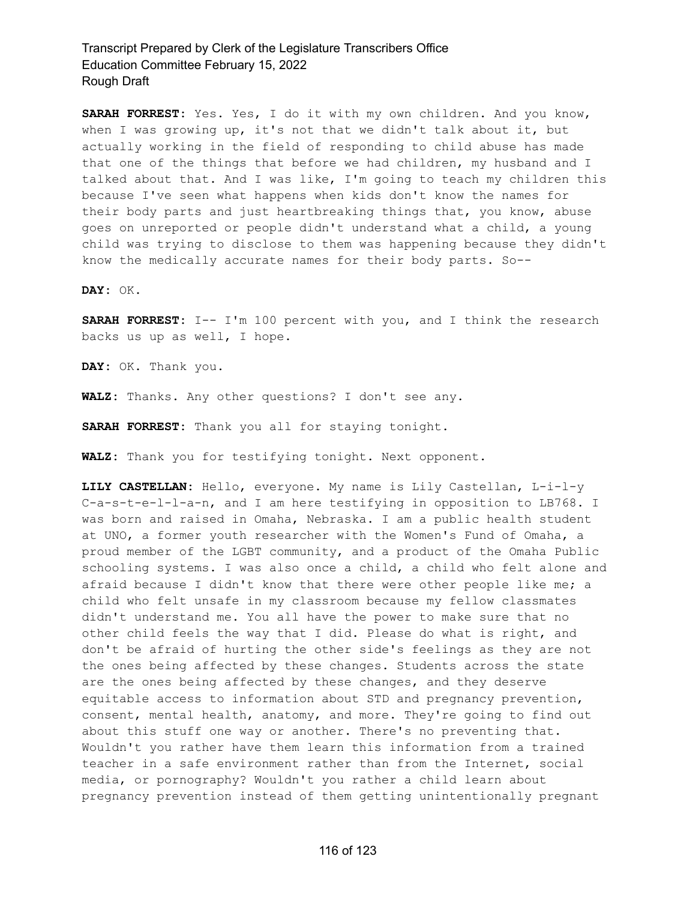**SARAH FORREST:** Yes. Yes, I do it with my own children. And you know, when I was growing up, it's not that we didn't talk about it, but actually working in the field of responding to child abuse has made that one of the things that before we had children, my husband and I talked about that. And I was like, I'm going to teach my children this because I've seen what happens when kids don't know the names for their body parts and just heartbreaking things that, you know, abuse goes on unreported or people didn't understand what a child, a young child was trying to disclose to them was happening because they didn't know the medically accurate names for their body parts. So--

**DAY:** OK.

**SARAH FORREST:** I-- I'm 100 percent with you, and I think the research backs us up as well, I hope.

**DAY:** OK. Thank you.

**WALZ:** Thanks. Any other questions? I don't see any.

**SARAH FORREST:** Thank you all for staying tonight.

**WALZ:** Thank you for testifying tonight. Next opponent.

**LILY CASTELLAN:** Hello, everyone. My name is Lily Castellan, L-i-l-y C-a-s-t-e-l-l-a-n, and I am here testifying in opposition to LB768. I was born and raised in Omaha, Nebraska. I am a public health student at UNO, a former youth researcher with the Women's Fund of Omaha, a proud member of the LGBT community, and a product of the Omaha Public schooling systems. I was also once a child, a child who felt alone and afraid because I didn't know that there were other people like me; a child who felt unsafe in my classroom because my fellow classmates didn't understand me. You all have the power to make sure that no other child feels the way that I did. Please do what is right, and don't be afraid of hurting the other side's feelings as they are not the ones being affected by these changes. Students across the state are the ones being affected by these changes, and they deserve equitable access to information about STD and pregnancy prevention, consent, mental health, anatomy, and more. They're going to find out about this stuff one way or another. There's no preventing that. Wouldn't you rather have them learn this information from a trained teacher in a safe environment rather than from the Internet, social media, or pornography? Wouldn't you rather a child learn about pregnancy prevention instead of them getting unintentionally pregnant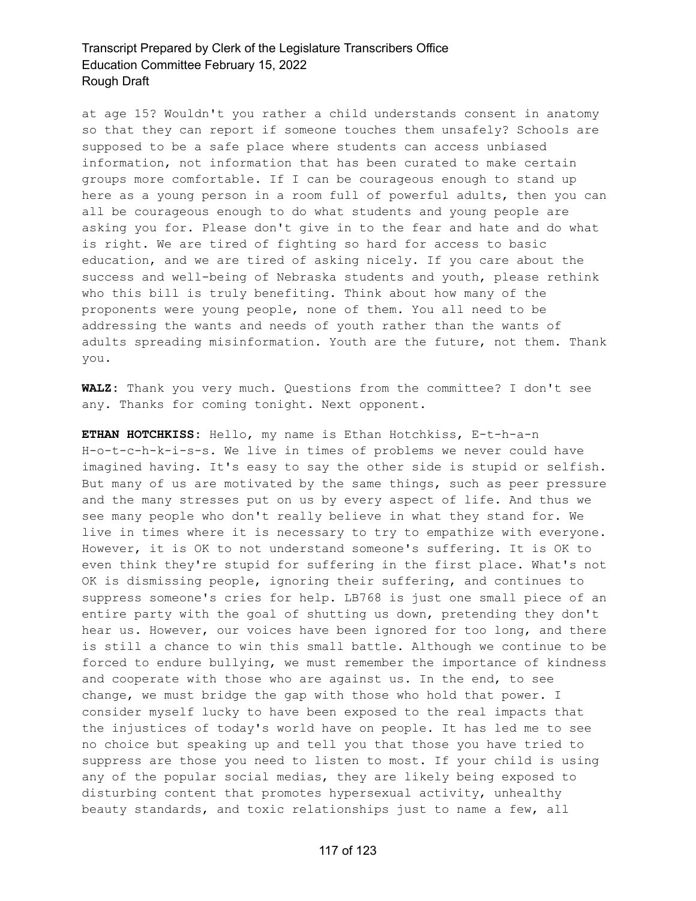at age 15? Wouldn't you rather a child understands consent in anatomy so that they can report if someone touches them unsafely? Schools are supposed to be a safe place where students can access unbiased information, not information that has been curated to make certain groups more comfortable. If I can be courageous enough to stand up here as a young person in a room full of powerful adults, then you can all be courageous enough to do what students and young people are asking you for. Please don't give in to the fear and hate and do what is right. We are tired of fighting so hard for access to basic education, and we are tired of asking nicely. If you care about the success and well-being of Nebraska students and youth, please rethink who this bill is truly benefiting. Think about how many of the proponents were young people, none of them. You all need to be addressing the wants and needs of youth rather than the wants of adults spreading misinformation. Youth are the future, not them. Thank you.

**WALZ:** Thank you very much. Questions from the committee? I don't see any. Thanks for coming tonight. Next opponent.

**ETHAN HOTCHKISS:** Hello, my name is Ethan Hotchkiss, E-t-h-a-n H-o-t-c-h-k-i-s-s. We live in times of problems we never could have imagined having. It's easy to say the other side is stupid or selfish. But many of us are motivated by the same things, such as peer pressure and the many stresses put on us by every aspect of life. And thus we see many people who don't really believe in what they stand for. We live in times where it is necessary to try to empathize with everyone. However, it is OK to not understand someone's suffering. It is OK to even think they're stupid for suffering in the first place. What's not OK is dismissing people, ignoring their suffering, and continues to suppress someone's cries for help. LB768 is just one small piece of an entire party with the goal of shutting us down, pretending they don't hear us. However, our voices have been ignored for too long, and there is still a chance to win this small battle. Although we continue to be forced to endure bullying, we must remember the importance of kindness and cooperate with those who are against us. In the end, to see change, we must bridge the gap with those who hold that power. I consider myself lucky to have been exposed to the real impacts that the injustices of today's world have on people. It has led me to see no choice but speaking up and tell you that those you have tried to suppress are those you need to listen to most. If your child is using any of the popular social medias, they are likely being exposed to disturbing content that promotes hypersexual activity, unhealthy beauty standards, and toxic relationships just to name a few, all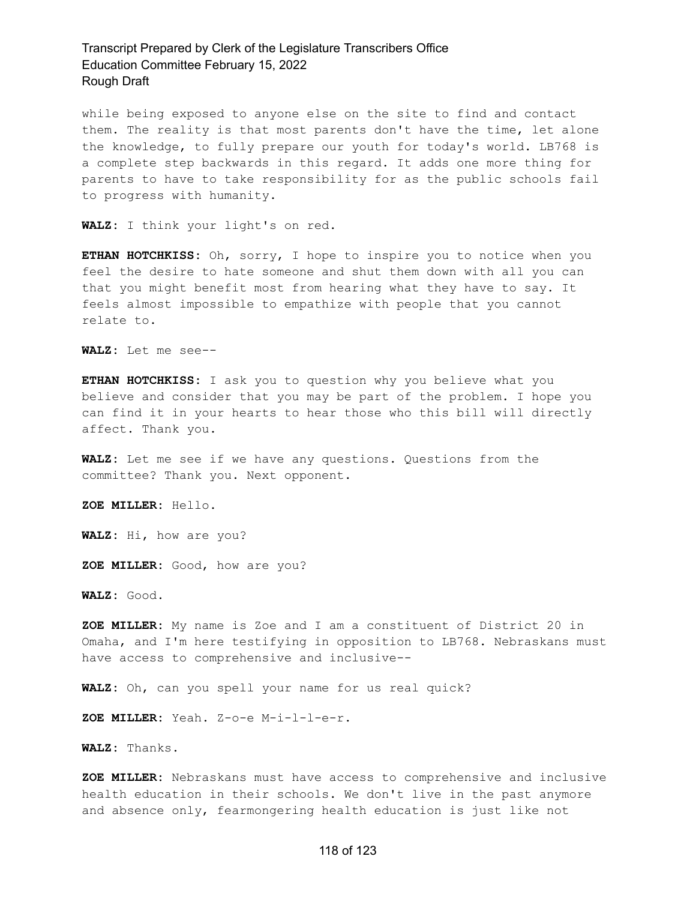while being exposed to anyone else on the site to find and contact them. The reality is that most parents don't have the time, let alone the knowledge, to fully prepare our youth for today's world. LB768 is a complete step backwards in this regard. It adds one more thing for parents to have to take responsibility for as the public schools fail to progress with humanity.

**WALZ:** I think your light's on red.

**ETHAN HOTCHKISS:** Oh, sorry, I hope to inspire you to notice when you feel the desire to hate someone and shut them down with all you can that you might benefit most from hearing what they have to say. It feels almost impossible to empathize with people that you cannot relate to.

**WALZ:** Let me see--

**ETHAN HOTCHKISS:** I ask you to question why you believe what you believe and consider that you may be part of the problem. I hope you can find it in your hearts to hear those who this bill will directly affect. Thank you.

**WALZ:** Let me see if we have any questions. Questions from the committee? Thank you. Next opponent.

**ZOE MILLER:** Hello.

**WALZ:** Hi, how are you?

**ZOE MILLER:** Good, how are you?

**WALZ:** Good.

**ZOE MILLER:** My name is Zoe and I am a constituent of District 20 in Omaha, and I'm here testifying in opposition to LB768. Nebraskans must have access to comprehensive and inclusive--

**WALZ:** Oh, can you spell your name for us real quick?

**ZOE MILLER:** Yeah. Z-o-e M-i-l-l-e-r.

**WALZ:** Thanks.

**ZOE MILLER:** Nebraskans must have access to comprehensive and inclusive health education in their schools. We don't live in the past anymore and absence only, fearmongering health education is just like not

#### 118 of 123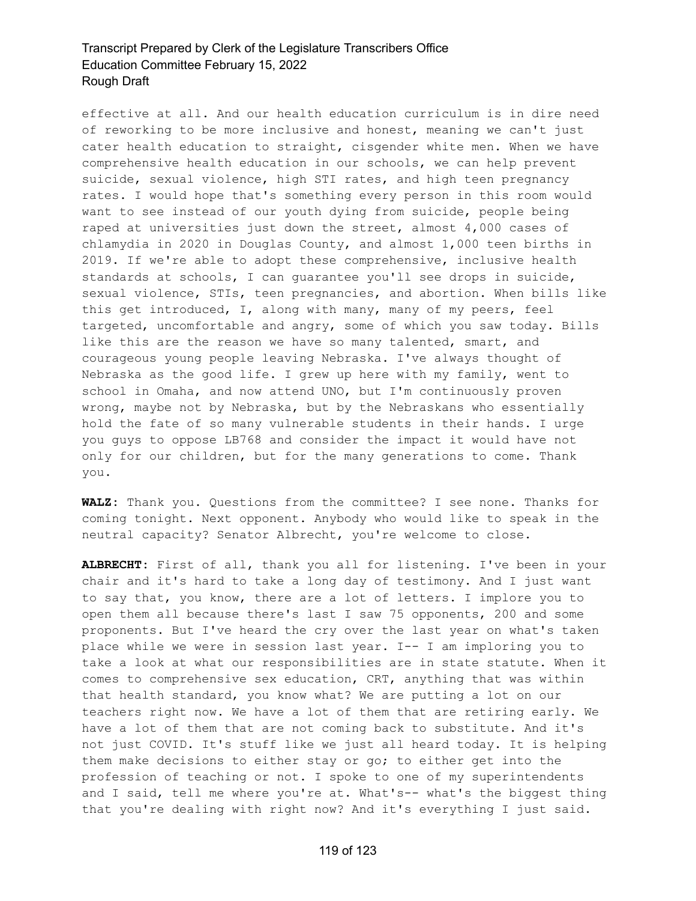effective at all. And our health education curriculum is in dire need of reworking to be more inclusive and honest, meaning we can't just cater health education to straight, cisgender white men. When we have comprehensive health education in our schools, we can help prevent suicide, sexual violence, high STI rates, and high teen pregnancy rates. I would hope that's something every person in this room would want to see instead of our youth dying from suicide, people being raped at universities just down the street, almost 4,000 cases of chlamydia in 2020 in Douglas County, and almost 1,000 teen births in 2019. If we're able to adopt these comprehensive, inclusive health standards at schools, I can guarantee you'll see drops in suicide, sexual violence, STIs, teen pregnancies, and abortion. When bills like this get introduced, I, along with many, many of my peers, feel targeted, uncomfortable and angry, some of which you saw today. Bills like this are the reason we have so many talented, smart, and courageous young people leaving Nebraska. I've always thought of Nebraska as the good life. I grew up here with my family, went to school in Omaha, and now attend UNO, but I'm continuously proven wrong, maybe not by Nebraska, but by the Nebraskans who essentially hold the fate of so many vulnerable students in their hands. I urge you guys to oppose LB768 and consider the impact it would have not only for our children, but for the many generations to come. Thank you.

**WALZ:** Thank you. Questions from the committee? I see none. Thanks for coming tonight. Next opponent. Anybody who would like to speak in the neutral capacity? Senator Albrecht, you're welcome to close.

**ALBRECHT:** First of all, thank you all for listening. I've been in your chair and it's hard to take a long day of testimony. And I just want to say that, you know, there are a lot of letters. I implore you to open them all because there's last I saw 75 opponents, 200 and some proponents. But I've heard the cry over the last year on what's taken place while we were in session last year. I-- I am imploring you to take a look at what our responsibilities are in state statute. When it comes to comprehensive sex education, CRT, anything that was within that health standard, you know what? We are putting a lot on our teachers right now. We have a lot of them that are retiring early. We have a lot of them that are not coming back to substitute. And it's not just COVID. It's stuff like we just all heard today. It is helping them make decisions to either stay or go; to either get into the profession of teaching or not. I spoke to one of my superintendents and I said, tell me where you're at. What's-- what's the biggest thing that you're dealing with right now? And it's everything I just said.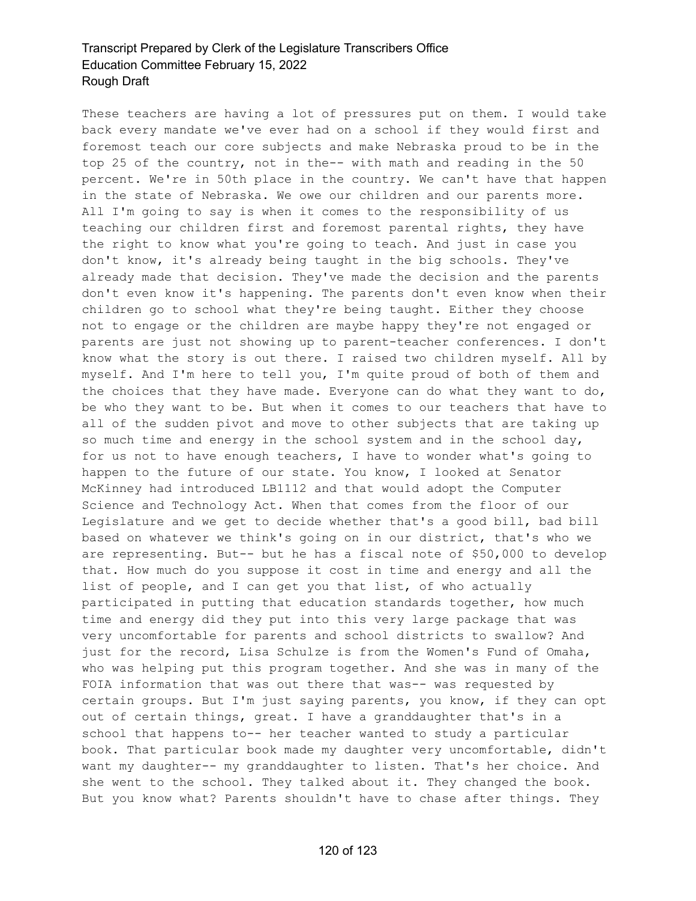These teachers are having a lot of pressures put on them. I would take back every mandate we've ever had on a school if they would first and foremost teach our core subjects and make Nebraska proud to be in the top 25 of the country, not in the-- with math and reading in the 50 percent. We're in 50th place in the country. We can't have that happen in the state of Nebraska. We owe our children and our parents more. All I'm going to say is when it comes to the responsibility of us teaching our children first and foremost parental rights, they have the right to know what you're going to teach. And just in case you don't know, it's already being taught in the big schools. They've already made that decision. They've made the decision and the parents don't even know it's happening. The parents don't even know when their children go to school what they're being taught. Either they choose not to engage or the children are maybe happy they're not engaged or parents are just not showing up to parent-teacher conferences. I don't know what the story is out there. I raised two children myself. All by myself. And I'm here to tell you, I'm quite proud of both of them and the choices that they have made. Everyone can do what they want to do, be who they want to be. But when it comes to our teachers that have to all of the sudden pivot and move to other subjects that are taking up so much time and energy in the school system and in the school day, for us not to have enough teachers, I have to wonder what's going to happen to the future of our state. You know, I looked at Senator McKinney had introduced LB1112 and that would adopt the Computer Science and Technology Act. When that comes from the floor of our Legislature and we get to decide whether that's a good bill, bad bill based on whatever we think's going on in our district, that's who we are representing. But-- but he has a fiscal note of \$50,000 to develop that. How much do you suppose it cost in time and energy and all the list of people, and I can get you that list, of who actually participated in putting that education standards together, how much time and energy did they put into this very large package that was very uncomfortable for parents and school districts to swallow? And just for the record, Lisa Schulze is from the Women's Fund of Omaha, who was helping put this program together. And she was in many of the FOIA information that was out there that was-- was requested by certain groups. But I'm just saying parents, you know, if they can opt out of certain things, great. I have a granddaughter that's in a school that happens to-- her teacher wanted to study a particular book. That particular book made my daughter very uncomfortable, didn't want my daughter-- my granddaughter to listen. That's her choice. And she went to the school. They talked about it. They changed the book. But you know what? Parents shouldn't have to chase after things. They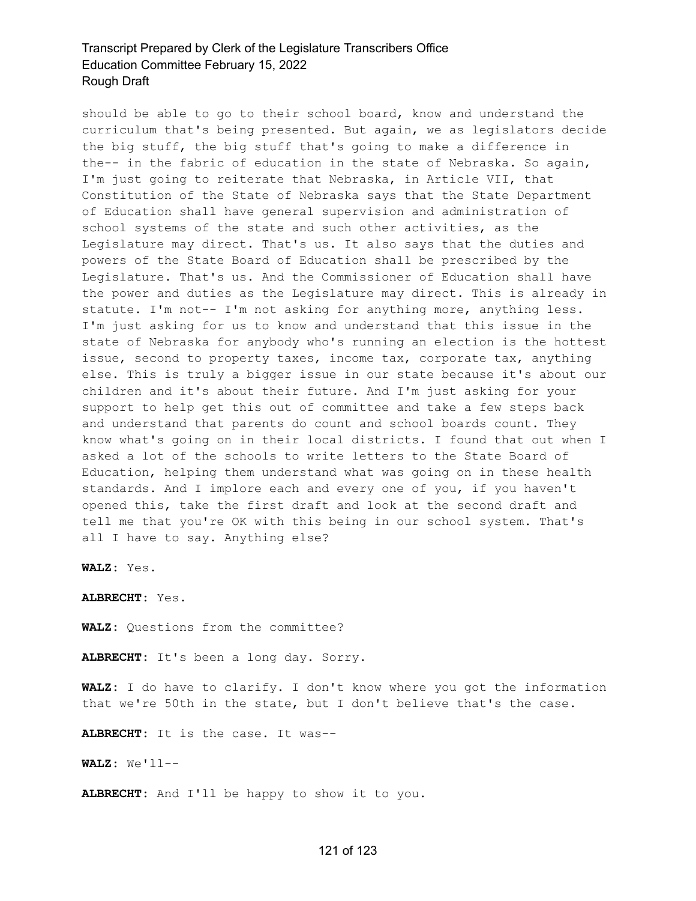should be able to go to their school board, know and understand the curriculum that's being presented. But again, we as legislators decide the big stuff, the big stuff that's going to make a difference in the-- in the fabric of education in the state of Nebraska. So again, I'm just going to reiterate that Nebraska, in Article VII, that Constitution of the State of Nebraska says that the State Department of Education shall have general supervision and administration of school systems of the state and such other activities, as the Legislature may direct. That's us. It also says that the duties and powers of the State Board of Education shall be prescribed by the Legislature. That's us. And the Commissioner of Education shall have the power and duties as the Legislature may direct. This is already in statute. I'm not-- I'm not asking for anything more, anything less. I'm just asking for us to know and understand that this issue in the state of Nebraska for anybody who's running an election is the hottest issue, second to property taxes, income tax, corporate tax, anything else. This is truly a bigger issue in our state because it's about our children and it's about their future. And I'm just asking for your support to help get this out of committee and take a few steps back and understand that parents do count and school boards count. They know what's going on in their local districts. I found that out when I asked a lot of the schools to write letters to the State Board of Education, helping them understand what was going on in these health standards. And I implore each and every one of you, if you haven't opened this, take the first draft and look at the second draft and tell me that you're OK with this being in our school system. That's all I have to say. Anything else?

**WALZ:** Yes.

**ALBRECHT:** Yes.

**WALZ:** Questions from the committee?

**ALBRECHT:** It's been a long day. Sorry.

**WALZ:** I do have to clarify. I don't know where you got the information that we're 50th in the state, but I don't believe that's the case.

**ALBRECHT:** It is the case. It was--

**WALZ:** We'll--

**ALBRECHT:** And I'll be happy to show it to you.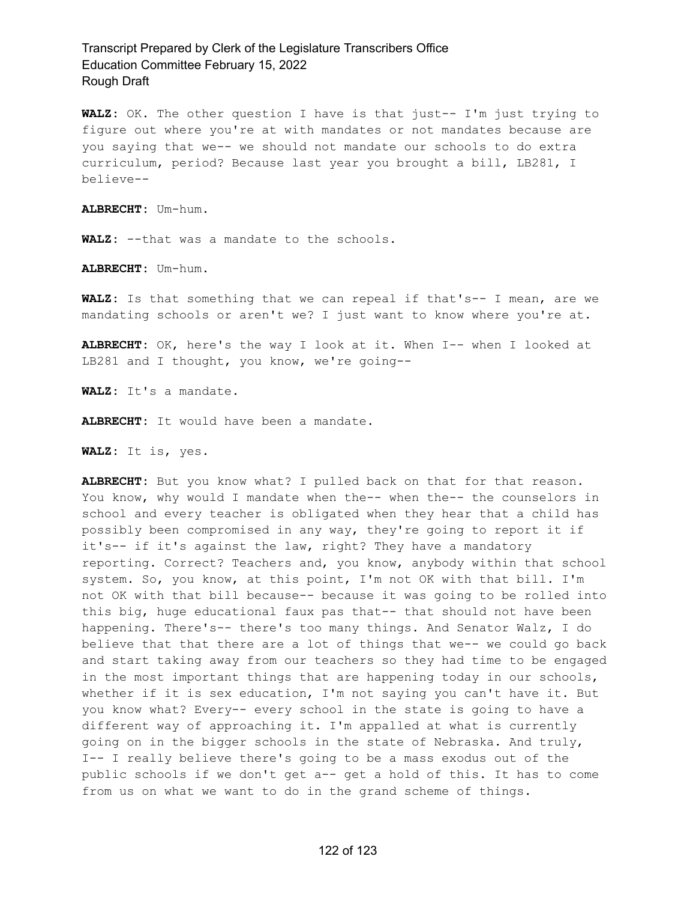**WALZ:** OK. The other question I have is that just-- I'm just trying to figure out where you're at with mandates or not mandates because are you saying that we-- we should not mandate our schools to do extra curriculum, period? Because last year you brought a bill, LB281, I believe--

**ALBRECHT:** Um-hum.

**WALZ:** --that was a mandate to the schools.

**ALBRECHT:** Um-hum.

**WALZ:** Is that something that we can repeal if that's-- I mean, are we mandating schools or aren't we? I just want to know where you're at.

**ALBRECHT:** OK, here's the way I look at it. When I-- when I looked at LB281 and I thought, you know, we're going--

**WALZ:** It's a mandate.

**ALBRECHT:** It would have been a mandate.

**WALZ:** It is, yes.

**ALBRECHT:** But you know what? I pulled back on that for that reason. You know, why would I mandate when the-- when the-- the counselors in school and every teacher is obligated when they hear that a child has possibly been compromised in any way, they're going to report it if it's-- if it's against the law, right? They have a mandatory reporting. Correct? Teachers and, you know, anybody within that school system. So, you know, at this point, I'm not OK with that bill. I'm not OK with that bill because-- because it was going to be rolled into this big, huge educational faux pas that-- that should not have been happening. There's-- there's too many things. And Senator Walz, I do believe that that there are a lot of things that we-- we could go back and start taking away from our teachers so they had time to be engaged in the most important things that are happening today in our schools, whether if it is sex education, I'm not saying you can't have it. But you know what? Every-- every school in the state is going to have a different way of approaching it. I'm appalled at what is currently going on in the bigger schools in the state of Nebraska. And truly, I-- I really believe there's going to be a mass exodus out of the public schools if we don't get a-- get a hold of this. It has to come from us on what we want to do in the grand scheme of things.